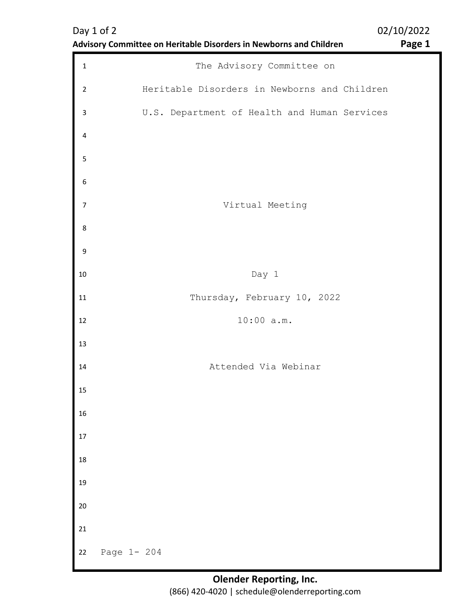|                  | Advisory Committee on Heritable Disorders in Newborns and Children | Page 1 |
|------------------|--------------------------------------------------------------------|--------|
| $\mathbf 1$      | The Advisory Committee on                                          |        |
| $\overline{2}$   | Heritable Disorders in Newborns and Children                       |        |
| 3                | U.S. Department of Health and Human Services                       |        |
| 4                |                                                                    |        |
| 5                |                                                                    |        |
| $\boldsymbol{6}$ |                                                                    |        |
| $\overline{7}$   | Virtual Meeting                                                    |        |
| 8                |                                                                    |        |
| 9                |                                                                    |        |
| 10               | Day 1                                                              |        |
| 11               | Thursday, February 10, 2022                                        |        |
| 12               | 10:00 a.m.                                                         |        |
| 13               |                                                                    |        |
| 14               | Attended Via Webinar                                               |        |
| 15               |                                                                    |        |
| 16               |                                                                    |        |
| 17               |                                                                    |        |
| 18               |                                                                    |        |
| 19               |                                                                    |        |
| 20               |                                                                    |        |
| 21               |                                                                    |        |
| 22               | Page 1- 204                                                        |        |

# Day 1 of 2 02/10/2022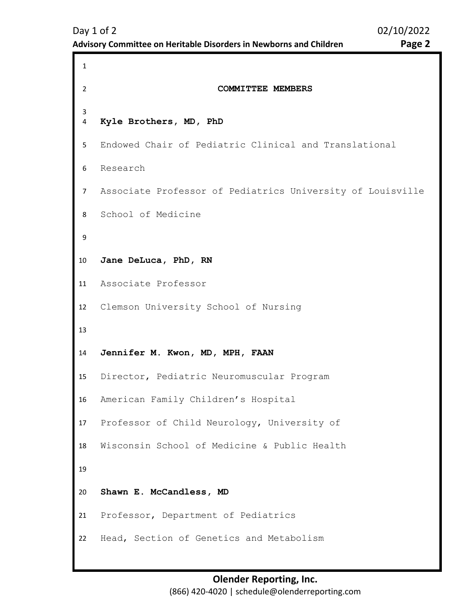```
1 
2 COMMITTEE MEMBERS 
3 
4 
5 
6 
7 
8 
9 
10
11
12
13
14
15
16
17
18
19
20
21
22
    Kyle Brothers, MD, PhD
    Endowed Chair of Pediatric Clinical and Translational 
    Research 
    Associate Professor of Pediatrics University of Louisville 
    School of Medicine 
    Jane DeLuca, PhD, RN 
    Associate Professor 
    Clemson University School of Nursing 
    Jennifer M. Kwon, MD, MPH, FAAN
    Director, Pediatric Neuromuscular Program 
    American Family Children's Hospital 
    Professor of Child Neurology, University of 
    Wisconsin School of Medicine & Public Health 
    Shawn E. McCandless, MD 
    Professor, Department of Pediatrics 
    Head, Section of Genetics and Metabolism
```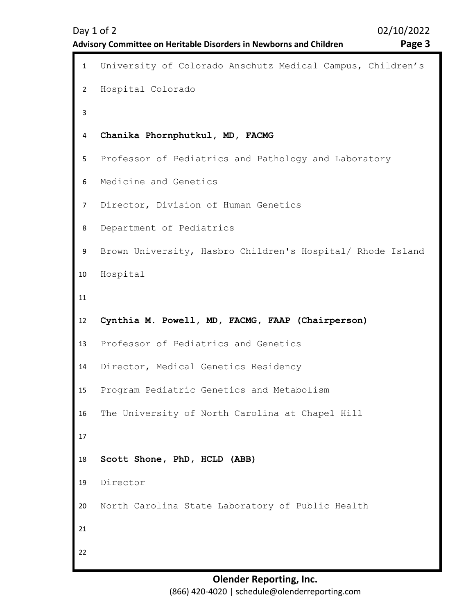```
1 University of Colorado Anschutz Medical Campus, Children's 
2 
3 
4 
5 
6 
7 
8 
9 
10
11
12
13
14
15
16
17
18
19
20
21
22
    Hospital Colorado 
    Chanika Phornphutkul, MD, FACMG 
    Professor of Pediatrics and Pathology and Laboratory 
    Medicine and Genetics 
    Director, Division of Human Genetics 
    Department of Pediatrics 
    Brown University, Hasbro Children's Hospital/ Rhode Island 
    Hospital 
    Cynthia M. Powell, MD, FACMG, FAAP (Chairperson)
    Professor of Pediatrics and Genetics 
    Director, Medical Genetics Residency 
    Program Pediatric Genetics and Metabolism 
    The University of North Carolina at Chapel Hill 
    Scott Shone, PhD, HCLD (ABB) 
    Director 
    North Carolina State Laboratory of Public Health
```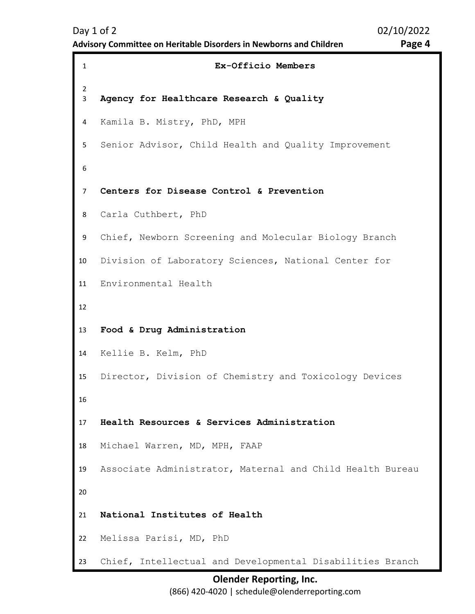<span id="page-3-0"></span>1 **Ex-Officio Members**  2 3 4 5 6 7 8 9 10 11 12 13 14 15 16 17 18 19 20 21 22 23 **Agency for Healthcare Research & Quality** Kamila B. Mistry, PhD, MPH Senior Advisor, Child Health and Quality Improvement **Centers for Disease Control & Prevention**  Carla Cuthbert, PhD Chief, Newborn Screening and Molecular Biology Branch Division of Laboratory Sciences, National Center for Environmental Health **Food & Drug Administration** Kellie B. Kelm, PhD Director, Division of Chemistry and Toxicology Devices **Health Resources & Services Administration** Michael Warren, MD, MPH, FAAP Associate Administrator, Maternal and Child Health Bureau **National Institutes of Health** Melissa Parisi, MD, PhD Chief, Intellectual and Developmental Disabilities Branch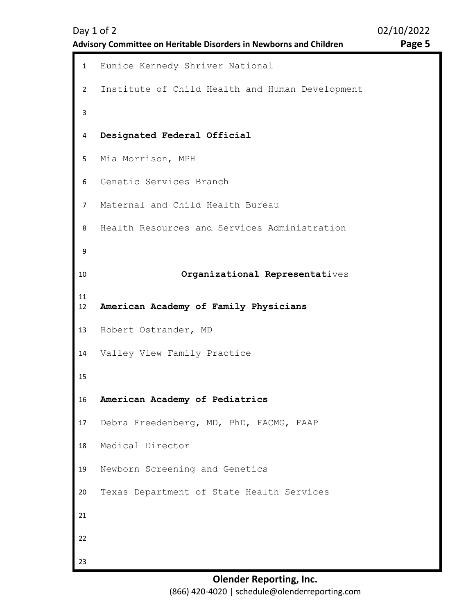<span id="page-4-0"></span>1 Eunice Kennedy Shriver National 2 3 4 5 6 7 8 9 10 11 12 13 14 15 16 17 18 19 20 21 22 23 Institute of Child Health and Human Development **Designated Federal Official** Mia Morrison, MPH Genetic Services Branch Maternal and Child Health Bureau Health Resources and Services Administration **Organizational Representat**ives **American Academy of Family Physicians** Robert Ostrander, MD Valley View Family Practice **American Academy of Pediatrics** Debra Freedenberg, MD, PhD, FACMG, FAAP Medical Director Newborn Screening and Genetics Texas Department of State Health Services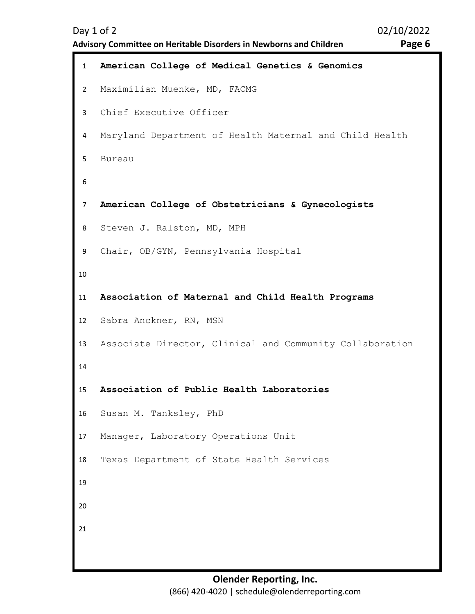**Advisory Committee on Heritable Disorders in Newborns and Children Page 6** 

```
1 American College of Medical Genetics & Genomics
2 
3 
4 
5 
6 
7 
8 
9 
10
11
12
13
14
15
16
17
18
19
20
21
    Maximilian Muenke, MD, FACMG 
    Chief Executive Officer 
    Maryland Department of Health Maternal and Child Health 
    Bureau 
    American College of Obstetricians & Gynecologists
    Steven J. Ralston, MD, MPH 
    Chair, OB/GYN, Pennsylvania Hospital 
    Association of Maternal and Child Health Programs
    Sabra Anckner, RN, MSN 
    Associate Director, Clinical and Community Collaboration 
    Association of Public Health Laboratories
    Susan M. Tanksley, PhD 
    Manager, Laboratory Operations Unit 
    Texas Department of State Health Services
```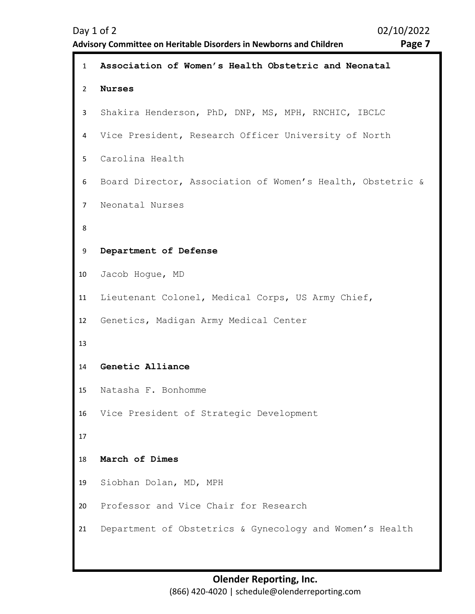```
1 Association of Women's Health Obstetric and Neonatal 
2 
3 
4 
5 
6 
7 
8 
9 
10
11
12
13
14
15
16
17
18
19
20
21
    Nurses
    Shakira Henderson, PhD, DNP, MS, MPH, RNCHIC, IBCLC 
    Vice President, Research Officer University of North 
    Carolina Health 
    Board Director, Association of Women's Health, Obstetric & 
    Neonatal Nurses 
    Department of Defense
    Jacob Hogue, MD 
    Lieutenant Colonel, Medical Corps, US Army Chief, 
    Genetics, Madigan Army Medical Center 
    Genetic Alliance
    Natasha F. Bonhomme 
    Vice President of Strategic Development 
    March of Dimes
    Siobhan Dolan, MD, MPH 
    Professor and Vice Chair for Research 
    Department of Obstetrics & Gynecology and Women's Health
```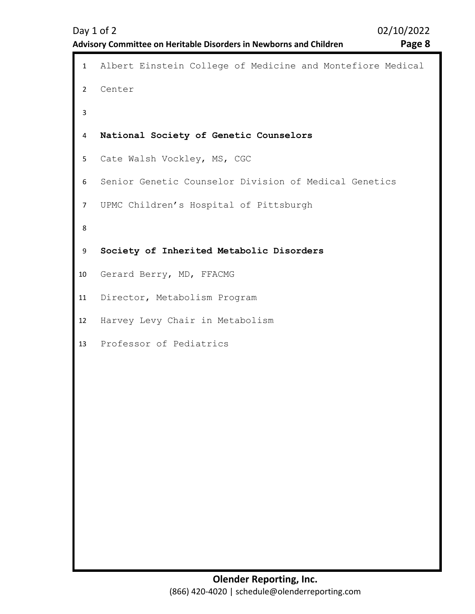```
1 Albert Einstein College of Medicine and Montefiore Medical 
2 
3 
4 
5 
6 
7 
8 
9 
10
11
12
13
    Center 
    National Society of Genetic Counselors
    Cate Walsh Vockley, MS, CGC 
    Senior Genetic Counselor Division of Medical Genetics 
    UPMC Children's Hospital of Pittsburgh 
    Society of Inherited Metabolic Disorders
    Gerard Berry, MD, FFACMG 
    Director, Metabolism Program 
    Harvey Levy Chair in Metabolism 
    Professor of Pediatrics
```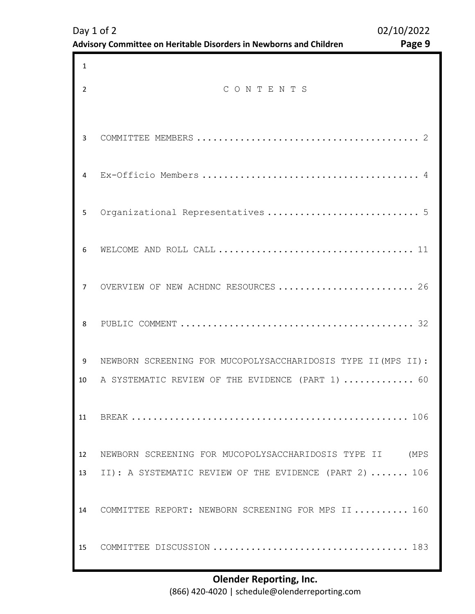| 1              |                                                               |
|----------------|---------------------------------------------------------------|
| $\overline{2}$ | CONTENTS                                                      |
| 3              |                                                               |
| 4              |                                                               |
| 5              | Organizational Representatives  5                             |
| 6              |                                                               |
| $\overline{7}$ | OVERVIEW OF NEW ACHDNC RESOURCES  26                          |
| 8              |                                                               |
| 9              | NEWBORN SCREENING FOR MUCOPOLYSACCHARIDOSIS TYPE II (MPS II): |
| 10             | A SYSTEMATIC REVIEW OF THE EVIDENCE (PART 1)  60              |
| 11             |                                                               |
| 12             | NEWBORN SCREENING FOR MUCOPOLYSACCHARIDOSIS TYPE II (MPS      |
| 13             | II): A SYSTEMATIC REVIEW OF THE EVIDENCE (PART 2)  106        |
| 14             | COMMITTEE REPORT: NEWBORN SCREENING FOR MPS II 160            |
| 15             |                                                               |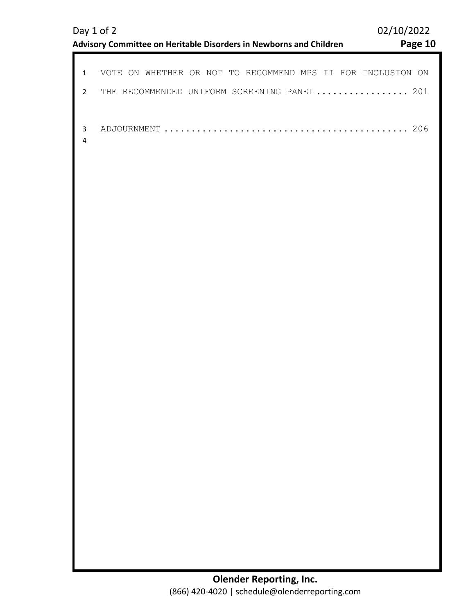| VOTE ON WHETHER OR NOT TO RECOMMEND MPS II FOR INCLUSION ON |
|-------------------------------------------------------------|
| THE RECOMMENDED UNIFORM SCREENING PANEL  201                |
|                                                             |
|                                                             |
|                                                             |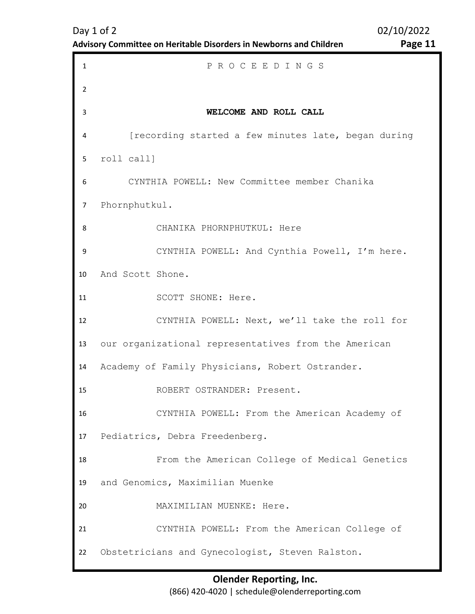| Advisory Committee on Heritable Disorders in Newborns and Children | Page 11 |
|--------------------------------------------------------------------|---------|
|                                                                    |         |

<span id="page-10-0"></span>1 P R O C E E D I N G S 2 3 4 5 6 7 8 9 10 11 12 13 14 15 16 17 18 19 20 21 22 **WELCOME AND ROLL CALL**  [recording started a few minutes late, began during roll call] CYNTHIA POWELL: New Committee member Chanika Phornphutkul. CHANIKA PHORNPHUTKUL: Here CYNTHIA POWELL: And Cynthia Powell, I'm here. And Scott Shone. SCOTT SHONE: Here. CYNTHIA POWELL: Next, we'll take the roll for our organizational representatives from the American Academy of Family Physicians, Robert Ostrander. ROBERT OSTRANDER: Present. CYNTHIA POWELL: From the American Academy of Pediatrics, Debra Freedenberg. From the American College of Medical Genetics and Genomics, Maximilian Muenke MAXIMILIAN MUENKE: Here. CYNTHIA POWELL: From the American College of Obstetricians and Gynecologist, Steven Ralston.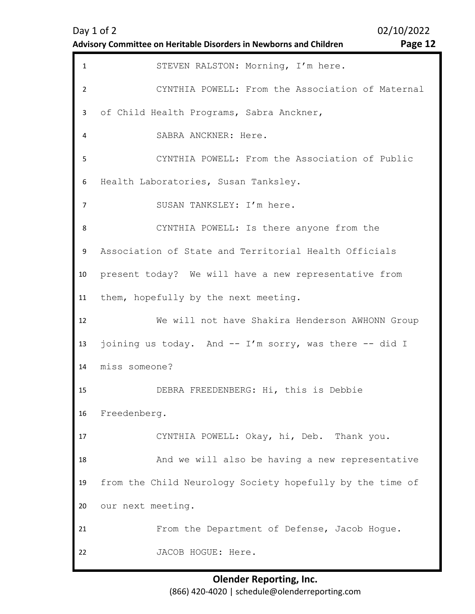| Day 1 of 2                                                         |  |
|--------------------------------------------------------------------|--|
| Advisory Committee on Heritable Disorders in Newborns and Children |  |

02/10/2022 Page 12

| $\mathbf{1}$   | STEVEN RALSTON: Morning, I'm here.                        |
|----------------|-----------------------------------------------------------|
| $\overline{2}$ | CYNTHIA POWELL: From the Association of Maternal          |
| 3              | of Child Health Programs, Sabra Anckner,                  |
| 4              | SABRA ANCKNER: Here.                                      |
| 5              | CYNTHIA POWELL: From the Association of Public            |
| 6              | Health Laboratories, Susan Tanksley.                      |
| $\overline{7}$ | SUSAN TANKSLEY: I'm here.                                 |
| 8              | CYNTHIA POWELL: Is there anyone from the                  |
| 9              | Association of State and Territorial Health Officials     |
| 10             | present today? We will have a new representative from     |
| 11             | them, hopefully by the next meeting.                      |
| 12             | We will not have Shakira Henderson AWHONN Group           |
| 13             | joining us today. And -- I'm sorry, was there -- did I    |
| 14             | miss someone?                                             |
| 15             | DEBRA FREEDENBERG: Hi, this is Debbie                     |
| 16             | Freedenberg.                                              |
| 17             | CYNTHIA POWELL: Okay, hi, Deb. Thank you.                 |
| 18             | And we will also be having a new representative           |
|                |                                                           |
| 19             | from the Child Neurology Society hopefully by the time of |
| 20             | our next meeting.                                         |
| 21             | From the Department of Defense, Jacob Hogue.              |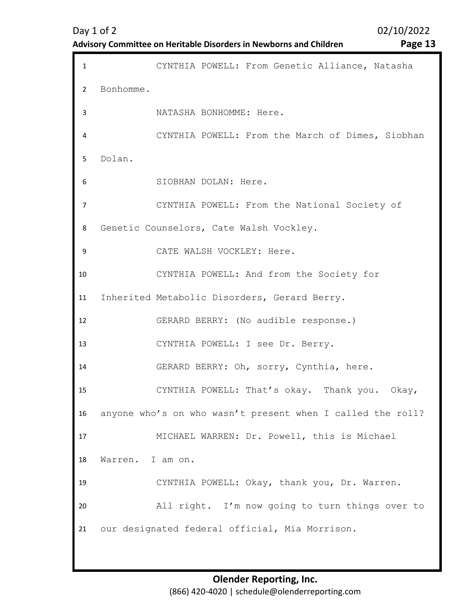Day 1 of 2 02/10/2022

| <b>Advisory Committee on Heritable Disorders in Newborns and Children</b> |  |
|---------------------------------------------------------------------------|--|
|---------------------------------------------------------------------------|--|

Page 13

| $\mathbf{1}$   | CYNTHIA POWELL: From Genetic Alliance, Natasha             |
|----------------|------------------------------------------------------------|
| 2              | Bonhomme.                                                  |
| 3              | NATASHA BONHOMME: Here.                                    |
| 4              | CYNTHIA POWELL: From the March of Dimes, Siobhan           |
| 5.             | Dolan.                                                     |
| 6              | SIOBHAN DOLAN: Here.                                       |
| $\overline{7}$ | CYNTHIA POWELL: From the National Society of               |
| 8              | Genetic Counselors, Cate Walsh Vockley.                    |
| 9              | CATE WALSH VOCKLEY: Here.                                  |
| 10             | CYNTHIA POWELL: And from the Society for                   |
| 11             | Inherited Metabolic Disorders, Gerard Berry.               |
| 12             | GERARD BERRY: (No audible response.)                       |
| 13             | CYNTHIA POWELL: I see Dr. Berry.                           |
| 14             | GERARD BERRY: Oh, sorry, Cynthia, here.                    |
| 15             | CYNTHIA POWELL: That's okay. Thank you. Okay,              |
| 16             | anyone who's on who wasn't present when I called the roll? |
| 17             | MICHAEL WARREN: Dr. Powell, this is Michael                |
| 18             | Warren. I am on.                                           |
| 19             | CYNTHIA POWELL: Okay, thank you, Dr. Warren.               |
| 20             | All right. I'm now going to turn things over to            |
| 21             | our designated federal official, Mia Morrison.             |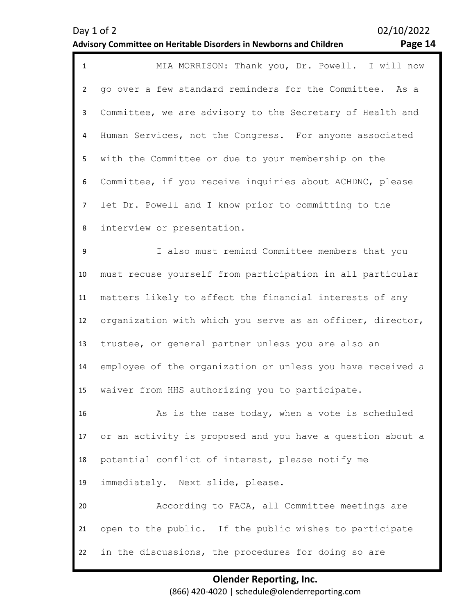| Page 14 |  |
|---------|--|
|---------|--|

| $\mathbf{1}$   | MIA MORRISON: Thank you, Dr. Powell. I will now            |
|----------------|------------------------------------------------------------|
| $\overline{2}$ | go over a few standard reminders for the Committee. As a   |
| 3              | Committee, we are advisory to the Secretary of Health and  |
| 4              | Human Services, not the Congress. For anyone associated    |
| 5              | with the Committee or due to your membership on the        |
| 6              | Committee, if you receive inquiries about ACHDNC, please   |
| $\overline{7}$ | let Dr. Powell and I know prior to committing to the       |
| 8              | interview or presentation.                                 |
| 9              | I also must remind Committee members that you              |
| 10             | must recuse yourself from participation in all particular  |
| 11             | matters likely to affect the financial interests of any    |
| 12             | organization with which you serve as an officer, director, |
| 13             | trustee, or general partner unless you are also an         |
| 14             | employee of the organization or unless you have received a |
| 15             | waiver from HHS authorizing you to participate.            |
| 16             | As is the case today, when a vote is scheduled             |
| 17             | or an activity is proposed and you have a question about a |
| 18             | potential conflict of interest, please notify me           |
| 19             | immediately. Next slide, please.                           |
| 20             | According to FACA, all Committee meetings are              |
| 21             | open to the public. If the public wishes to participate    |
| 22             | in the discussions, the procedures for doing so are        |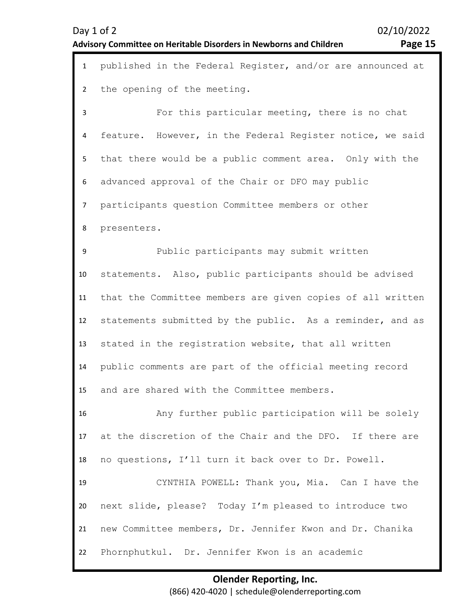| Day 1 of 2                                                                |  |
|---------------------------------------------------------------------------|--|
| <b>Advisory Committee on Heritable Disorders in Newborns and Children</b> |  |

02/10/2022 Page 15

| $\mathbf{1}$   | published in the Federal Register, and/or are announced at |
|----------------|------------------------------------------------------------|
| $\overline{2}$ | the opening of the meeting.                                |
| 3              | For this particular meeting, there is no chat              |
| 4              | feature. However, in the Federal Register notice, we said  |
| 5              | that there would be a public comment area. Only with the   |
| 6              | advanced approval of the Chair or DFO may public           |
| $\overline{7}$ | participants question Committee members or other           |
| 8              | presenters.                                                |
| 9              | Public participants may submit written                     |
| 10             | statements. Also, public participants should be advised    |
| 11             | that the Committee members are given copies of all written |
| 12             | statements submitted by the public. As a reminder, and as  |
| 13             | stated in the registration website, that all written       |
| 14             | public comments are part of the official meeting record    |
| 15             | and are shared with the Committee members.                 |
| 16             | Any further public participation will be solely            |
| 17             | at the discretion of the Chair and the DFO. If there are   |
| 18             | no questions, I'll turn it back over to Dr. Powell.        |
| 19             | CYNTHIA POWELL: Thank you, Mia. Can I have the             |
| 20             | next slide, please? Today I'm pleased to introduce two     |
| 21             | new Committee members, Dr. Jennifer Kwon and Dr. Chanika   |
| 22             | Phornphutkul. Dr. Jennifer Kwon is an academic             |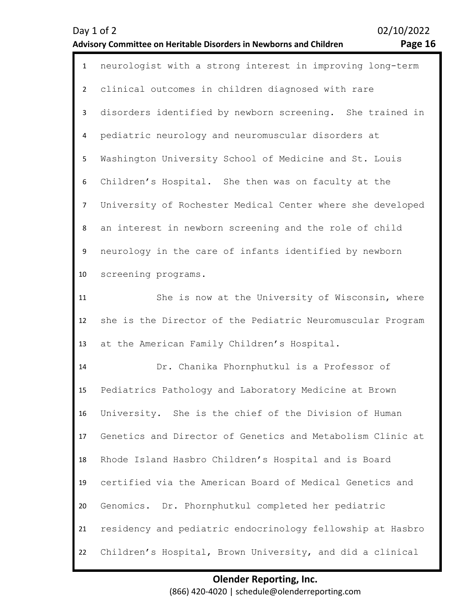| Page 16 |  |
|---------|--|
|---------|--|

| 1              | neurologist with a strong interest in improving long-term  |
|----------------|------------------------------------------------------------|
| $\overline{2}$ | clinical outcomes in children diagnosed with rare          |
| $\mathbf{3}$   | disorders identified by newborn screening. She trained in  |
| 4              | pediatric neurology and neuromuscular disorders at         |
| 5              | Washington University School of Medicine and St. Louis     |
| 6              | Children's Hospital. She then was on faculty at the        |
| $\overline{7}$ | University of Rochester Medical Center where she developed |
| 8              | an interest in newborn screening and the role of child     |
| 9              | neurology in the care of infants identified by newborn     |
| 10             | screening programs.                                        |
| 11             | She is now at the University of Wisconsin, where           |
| 12             | she is the Director of the Pediatric Neuromuscular Program |
| 13             | at the American Family Children's Hospital.                |
| 14             | Dr. Chanika Phornphutkul is a Professor of                 |
| 15             | Pediatrics Pathology and Laboratory Medicine at Brown      |
| 16             | University. She is the chief of the Division of Human      |
| 17             | Genetics and Director of Genetics and Metabolism Clinic at |
| 18             | Rhode Island Hasbro Children's Hospital and is Board       |
| 19             | certified via the American Board of Medical Genetics and   |
| 20             | Genomics. Dr. Phornphutkul completed her pediatric         |
| 21             | residency and pediatric endocrinology fellowship at Hasbro |
| 22             | Children's Hospital, Brown University, and did a clinical  |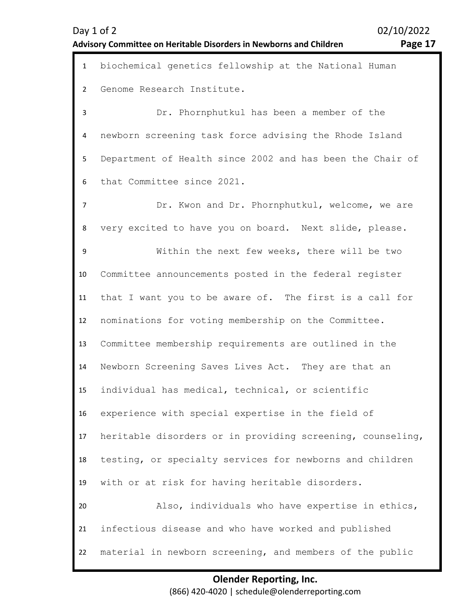1 biochemical genetics fellowship at the National Human 2 3 4 5 6 7 8 9 10 11 12 13 14 15 16 17 18 19 20 21 22 Genome Research Institute. Dr. Phornphutkul has been a member of the newborn screening task force advising the Rhode Island Department of Health since 2002 and has been the Chair of that Committee since 2021. Dr. Kwon and Dr. Phornphutkul, welcome, we are very excited to have you on board. Next slide, please. Within the next few weeks, there will be two Committee announcements posted in the federal register that I want you to be aware of. The first is a call for nominations for voting membership on the Committee. Committee membership requirements are outlined in the Newborn Screening Saves Lives Act. They are that an individual has medical, technical, or scientific experience with special expertise in the field of heritable disorders or in providing screening, counseling, testing, or specialty services for newborns and children with or at risk for having heritable disorders. Also, individuals who have expertise in ethics, infectious disease and who have worked and published material in newborn screening, and members of the public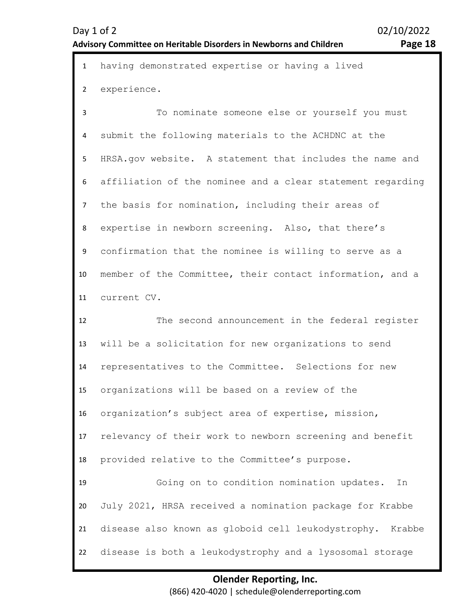| $\mathbf{1}$   | having demonstrated expertise or having a lived              |
|----------------|--------------------------------------------------------------|
| $\overline{2}$ | experience.                                                  |
| 3              | To nominate someone else or yourself you must                |
| 4              | submit the following materials to the ACHDNC at the          |
| 5              | HRSA.gov website. A statement that includes the name and     |
| 6              | affiliation of the nominee and a clear statement regarding   |
| $\overline{7}$ | the basis for nomination, including their areas of           |
| 8              | expertise in newborn screening. Also, that there's           |
| 9              | confirmation that the nominee is willing to serve as a       |
| 10             | member of the Committee, their contact information, and a    |
| 11             | current CV.                                                  |
| 12             | The second announcement in the federal register              |
| 13             | will be a solicitation for new organizations to send         |
| 14             | representatives to the Committee. Selections for new         |
| 15             | organizations will be based on a review of the               |
| 16             | organization's subject area of expertise, mission,           |
| 17             | relevancy of their work to newborn screening and benefit     |
| 18             | provided relative to the Committee's purpose.                |
| 19             | Going on to condition nomination updates.<br>In              |
| 20             | July 2021, HRSA received a nomination package for Krabbe     |
| 21             | disease also known as globoid cell leukodystrophy.<br>Krabbe |
| 22             | disease is both a leukodystrophy and a lysosomal storage     |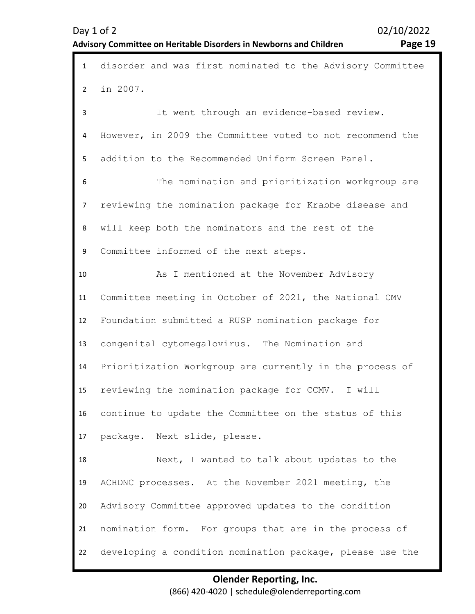| Page 19 |  |
|---------|--|
|---------|--|

| $\mathbf{1}$   | disorder and was first nominated to the Advisory Committee |
|----------------|------------------------------------------------------------|
| $\overline{2}$ | in 2007.                                                   |
| 3              | It went through an evidence-based review.                  |
| 4              | However, in 2009 the Committee voted to not recommend the  |
| 5              | addition to the Recommended Uniform Screen Panel.          |
| 6              | The nomination and prioritization workgroup are            |
| 7              | reviewing the nomination package for Krabbe disease and    |
| 8              | will keep both the nominators and the rest of the          |
| 9              | Committee informed of the next steps.                      |
| 10             | As I mentioned at the November Advisory                    |
| 11             | Committee meeting in October of 2021, the National CMV     |
| 12             | Foundation submitted a RUSP nomination package for         |
| 13             | congenital cytomegalovirus. The Nomination and             |
| 14             | Prioritization Workgroup are currently in the process of   |
| 15             | reviewing the nomination package for CCMV. I will          |
| 16             | continue to update the Committee on the status of this     |
| 17             | package. Next slide, please.                               |
| 18             | Next, I wanted to talk about updates to the                |
| 19             | ACHDNC processes. At the November 2021 meeting, the        |
| 20             | Advisory Committee approved updates to the condition       |
| 21             | nomination form. For groups that are in the process of     |
| 22             | developing a condition nomination package, please use the  |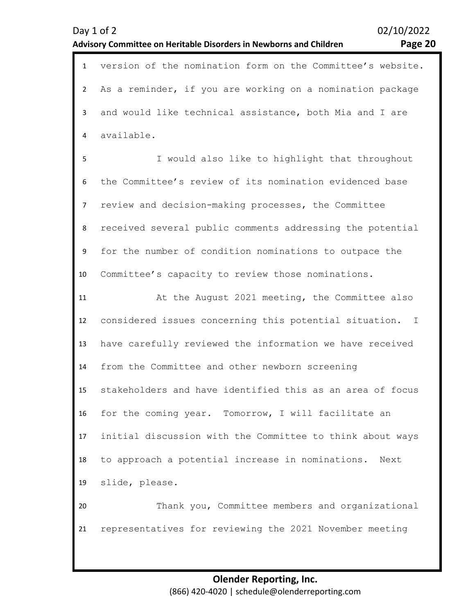| Day 1 of 2     | Advisory Committee on Heritable Disorders in Newborns and Children | 02/10/2022<br>Page 20 |
|----------------|--------------------------------------------------------------------|-----------------------|
| $\mathbf{1}$   | version of the nomination form on the Committee's website.         |                       |
| $\overline{2}$ | As a reminder, if you are working on a nomination package          |                       |
| 3              | and would like technical assistance, both Mia and I are            |                       |
| 4              | available.                                                         |                       |
| 5              | I would also like to highlight that throughout                     |                       |
| 6              | the Committee's review of its nomination evidenced base            |                       |
| 7              | review and decision-making processes, the Committee                |                       |
| 8              | received several public comments addressing the potential          |                       |
| 9              | for the number of condition nominations to outpace the             |                       |
| 10             | Committee's capacity to review those nominations.                  |                       |
| 11             | At the August 2021 meeting, the Committee also                     |                       |
| 12             | considered issues concerning this potential situation. I           |                       |
| 13             | have carefully reviewed the information we have received           |                       |
| 14             | from the Committee and other newborn screening                     |                       |
| 15             | stakeholders and have identified this as an area of focus          |                       |
| 16             | for the coming year. Tomorrow, I will facilitate an                |                       |
| 17             | initial discussion with the Committee to think about ways          |                       |
| 18             | to approach a potential increase in nominations. Next              |                       |
| 19             | slide, please.                                                     |                       |
| 20             | Thank you, Committee members and organizational                    |                       |
| 21             | representatives for reviewing the 2021 November meeting            |                       |
|                |                                                                    |                       |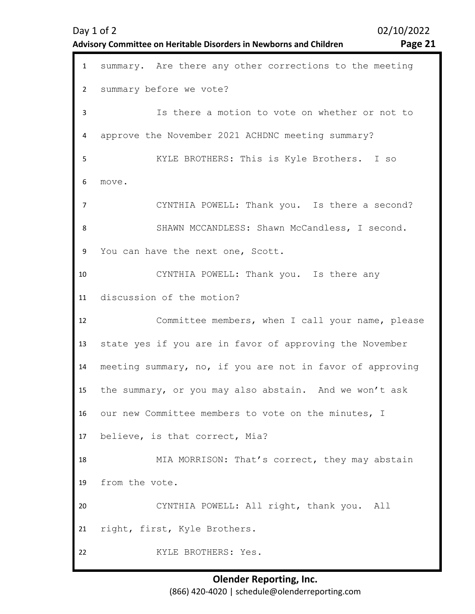| $\mathbf{1}$   | summary. Are there any other corrections to the meeting   |
|----------------|-----------------------------------------------------------|
| $\overline{2}$ | summary before we vote?                                   |
| 3              | Is there a motion to vote on whether or not to            |
| 4              | approve the November 2021 ACHDNC meeting summary?         |
| 5              | KYLE BROTHERS: This is Kyle Brothers. I so                |
| 6              | move.                                                     |
| $\overline{7}$ | CYNTHIA POWELL: Thank you. Is there a second?             |
| 8              | SHAWN MCCANDLESS: Shawn McCandless, I second.             |
| 9              | You can have the next one, Scott.                         |
| 10             | CYNTHIA POWELL: Thank you. Is there any                   |
| 11             | discussion of the motion?                                 |
|                |                                                           |
| 12             | Committee members, when I call your name, please          |
| 13             | state yes if you are in favor of approving the November   |
| 14             | meeting summary, no, if you are not in favor of approving |
| 15             | the summary, or you may also abstain. And we won't ask    |
| 16             | our new Committee members to vote on the minutes, I       |
| 17             | believe, is that correct, Mia?                            |
| 18             | MIA MORRISON: That's correct, they may abstain            |
| 19             | from the vote.                                            |
| 20             | CYNTHIA POWELL: All right, thank you. All                 |
| 21             | right, first, Kyle Brothers.                              |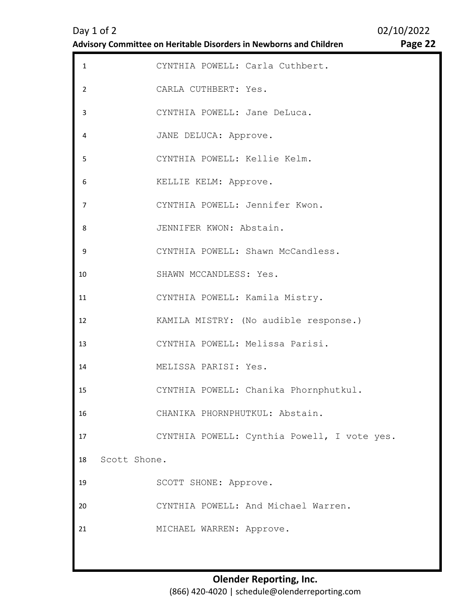| $\mathbf{1}$   | CYNTHIA POWELL: Carla Cuthbert.             |  |
|----------------|---------------------------------------------|--|
| $\overline{2}$ | CARLA CUTHBERT: Yes.                        |  |
| 3              | CYNTHIA POWELL: Jane DeLuca.                |  |
| 4              | JANE DELUCA: Approve.                       |  |
| 5              | CYNTHIA POWELL: Kellie Kelm.                |  |
| 6              | KELLIE KELM: Approve.                       |  |
| 7              | CYNTHIA POWELL: Jennifer Kwon.              |  |
| 8              | JENNIFER KWON: Abstain.                     |  |
| 9              | CYNTHIA POWELL: Shawn McCandless.           |  |
| 10             | SHAWN MCCANDLESS: Yes.                      |  |
| 11             | CYNTHIA POWELL: Kamila Mistry.              |  |
| 12             | KAMILA MISTRY: (No audible response.)       |  |
| 13             | CYNTHIA POWELL: Melissa Parisi.             |  |
| 14             | MELISSA PARISI: Yes.                        |  |
| 15             | CYNTHIA POWELL: Chanika Phornphutkul.       |  |
| 16             | CHANIKA PHORNPHUTKUL: Abstain.              |  |
| 17             | CYNTHIA POWELL: Cynthia Powell, I vote yes. |  |
| 18             | Scott Shone.                                |  |
| 19             | SCOTT SHONE: Approve.                       |  |
| 20             | CYNTHIA POWELL: And Michael Warren.         |  |
| 21             | MICHAEL WARREN: Approve.                    |  |
|                |                                             |  |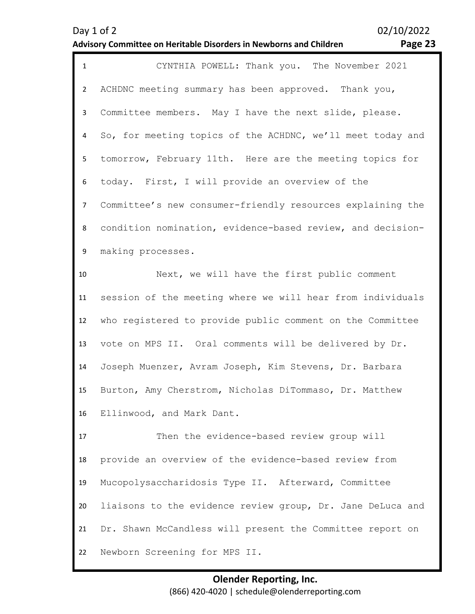| O<br>с<br>-<br>۱۱<br>. . |  |
|--------------------------|--|
|--------------------------|--|

| $\mathbf{1}$   | CYNTHIA POWELL: Thank you. The November 2021               |
|----------------|------------------------------------------------------------|
| $\overline{2}$ | ACHDNC meeting summary has been approved. Thank you,       |
| $\mathbf{3}$   | Committee members. May I have the next slide, please.      |
| 4              | So, for meeting topics of the ACHDNC, we'll meet today and |
| 5              | tomorrow, February 11th. Here are the meeting topics for   |
| 6              | today. First, I will provide an overview of the            |
| $\overline{7}$ | Committee's new consumer-friendly resources explaining the |
| 8              | condition nomination, evidence-based review, and decision- |
| 9              | making processes.                                          |
| 10             | Next, we will have the first public comment                |
| 11             | session of the meeting where we will hear from individuals |
| 12             | who registered to provide public comment on the Committee  |
| 13             | vote on MPS II. Oral comments will be delivered by Dr.     |
| 14             | Joseph Muenzer, Avram Joseph, Kim Stevens, Dr. Barbara     |
| 15             | Burton, Amy Cherstrom, Nicholas DiTommaso, Dr. Matthew     |
| 16             | Ellinwood, and Mark Dant.                                  |
| 17             | Then the evidence-based review group will                  |
| 18             | provide an overview of the evidence-based review from      |
| 19             | Mucopolysaccharidosis Type II. Afterward, Committee        |
| 20             | liaisons to the evidence review group, Dr. Jane DeLuca and |
| 21             | Dr. Shawn McCandless will present the Committee report on  |
| 22             | Newborn Screening for MPS II.                              |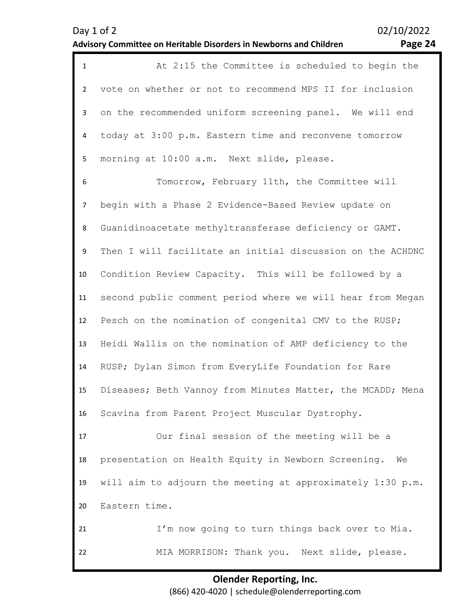| $\mathbf{1}$   | At 2:15 the Committee is scheduled to begin the            |
|----------------|------------------------------------------------------------|
| $\overline{2}$ | vote on whether or not to recommend MPS II for inclusion   |
| 3              | on the recommended uniform screening panel. We will end    |
| 4              | today at 3:00 p.m. Eastern time and reconvene tomorrow     |
| 5              | morning at 10:00 a.m. Next slide, please.                  |
| 6              | Tomorrow, February 11th, the Committee will                |
| $\overline{7}$ | begin with a Phase 2 Evidence-Based Review update on       |
| 8              | Guanidinoacetate methyltransferase deficiency or GAMT.     |
| 9              | Then I will facilitate an initial discussion on the ACHDNC |
| 10             | Condition Review Capacity. This will be followed by a      |
| 11             | second public comment period where we will hear from Megan |
| 12             | Pesch on the nomination of congenital CMV to the RUSP;     |
| 13             | Heidi Wallis on the nomination of AMP deficiency to the    |
| 14             | RUSP; Dylan Simon from EveryLife Foundation for Rare       |
| 15             | Diseases; Beth Vannoy from Minutes Matter, the MCADD; Mena |
| 16             | Scavina from Parent Project Muscular Dystrophy.            |
| 17             | Our final session of the meeting will be a                 |
| 18             | presentation on Health Equity in Newborn Screening.<br>We  |
| 19             | will aim to adjourn the meeting at approximately 1:30 p.m. |
| 20             | Eastern time.                                              |
| 21             | I'm now going to turn things back over to Mia.             |
| 22             | MIA MORRISON: Thank you. Next slide, please.               |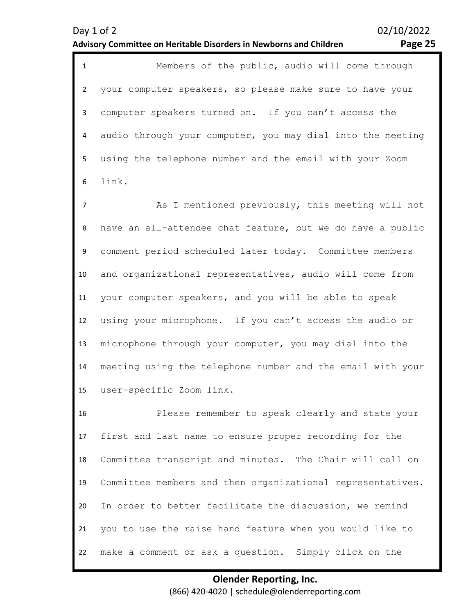| $\mathbf{1}$ | Members of the public, audio will come through               |
|--------------|--------------------------------------------------------------|
| $2^{\circ}$  | your computer speakers, so please make sure to have your     |
| 3            | computer speakers turned on. If you can't access the         |
|              | 4 audio through your computer, you may dial into the meeting |
| 5            | using the telephone number and the email with your Zoom      |
|              | 6 link.                                                      |

7 8 9 10 11 12 13 14 15 As I mentioned previously, this meeting will not have an all-attendee chat feature, but we do have a public comment period scheduled later today. Committee members and organizational representatives, audio will come from your computer speakers, and you will be able to speak using your microphone. If you can't access the audio or microphone through your computer, you may dial into the meeting using the telephone number and the email with your user-specific Zoom link.

16 17 18 19 20 21 22 Please remember to speak clearly and state your first and last name to ensure proper recording for the Committee transcript and minutes. The Chair will call on Committee members and then organizational representatives. In order to better facilitate the discussion, we remind you to use the raise hand feature when you would like to make a comment or ask a question. Simply click on the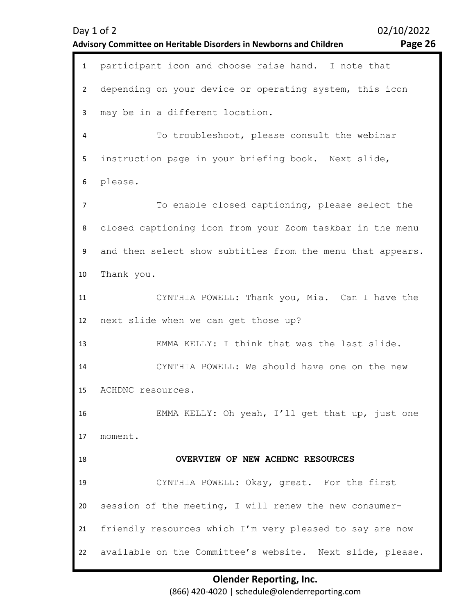<span id="page-25-0"></span>

|                | 02/10/2022<br>Day 1 of 2<br>Advisory Committee on Heritable Disorders in Newborns and Children<br>Page 26 |
|----------------|-----------------------------------------------------------------------------------------------------------|
| $\mathbf{1}$   | participant icon and choose raise hand. I note that                                                       |
| $\overline{2}$ | depending on your device or operating system, this icon                                                   |
| 3              | may be in a different location.                                                                           |
| 4              | To troubleshoot, please consult the webinar                                                               |
| 5              | instruction page in your briefing book. Next slide,                                                       |
| 6              | please.                                                                                                   |
| 7              | To enable closed captioning, please select the                                                            |
| 8              | closed captioning icon from your Zoom taskbar in the menu                                                 |
| 9              | and then select show subtitles from the menu that appears.                                                |
| 10             | Thank you.                                                                                                |
| 11             | CYNTHIA POWELL: Thank you, Mia. Can I have the                                                            |
| 12             | next slide when we can get those up?                                                                      |
| 13             | EMMA KELLY: I think that was the last slide.                                                              |
| 14             | CYNTHIA POWELL: We should have one on the new                                                             |
| 15             | ACHDNC resources.                                                                                         |
| 16             | EMMA KELLY: Oh yeah, I'll get that up, just one                                                           |
| 17             | moment.                                                                                                   |
| 18             | OVERVIEW OF NEW ACHDNC RESOURCES                                                                          |
| 19             | CYNTHIA POWELL: Okay, great. For the first                                                                |
| 20             | session of the meeting, I will renew the new consumer-                                                    |
| 21             | friendly resources which I'm very pleased to say are now                                                  |
| 22             | available on the Committee's website. Next slide, please.                                                 |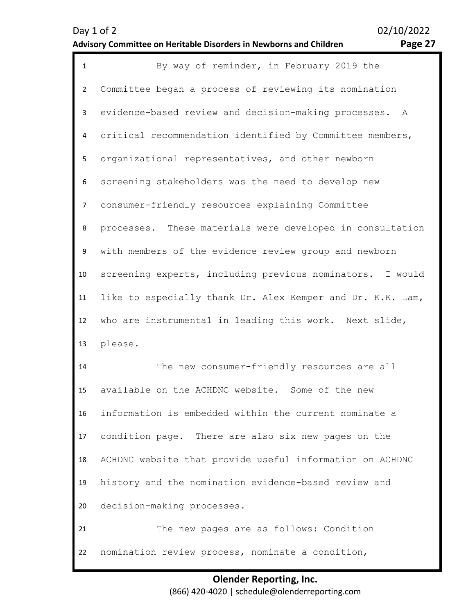| ۰.<br>۰<br>o |  |
|--------------|--|
|--------------|--|

| $\mathbf{1}$   | By way of reminder, in February 2019 the                   |  |  |
|----------------|------------------------------------------------------------|--|--|
| $\overline{2}$ | Committee began a process of reviewing its nomination      |  |  |
| 3              | evidence-based review and decision-making processes.<br>A  |  |  |
| 4              | critical recommendation identified by Committee members,   |  |  |
| 5              | organizational representatives, and other newborn          |  |  |
| 6              | screening stakeholders was the need to develop new         |  |  |
| $\overline{7}$ | consumer-friendly resources explaining Committee           |  |  |
| 8              | processes. These materials were developed in consultation  |  |  |
| 9              | with members of the evidence review group and newborn      |  |  |
| 10             | screening experts, including previous nominators. I would  |  |  |
| 11             | like to especially thank Dr. Alex Kemper and Dr. K.K. Lam, |  |  |
| 12             | who are instrumental in leading this work. Next slide,     |  |  |
| 13             | please.                                                    |  |  |
| 14             | The new consumer-friendly resources are all                |  |  |
| 15             | available on the ACHDNC website. Some of the new           |  |  |
| 16             | information is embedded within the current nominate a      |  |  |
| 17             | condition page. There are also six new pages on the        |  |  |
| 18             | ACHDNC website that provide useful information on ACHDNC   |  |  |
| 19             | history and the nomination evidence-based review and       |  |  |
| 20             | decision-making processes.                                 |  |  |
| 21             | The new pages are as follows: Condition                    |  |  |
| 22             | nomination review process, nominate a condition,           |  |  |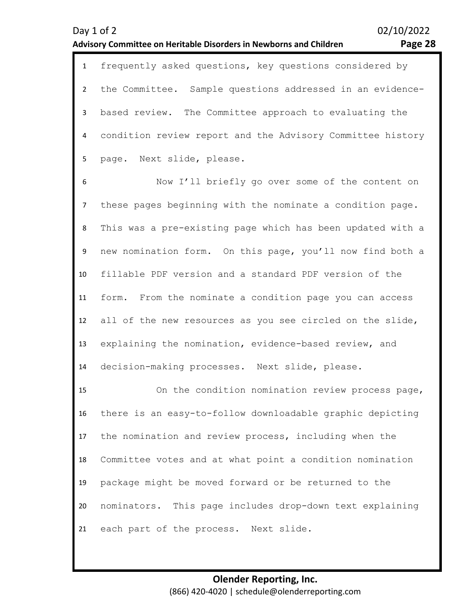| $\mathbf{1}$ | frequently asked questions, key questions considered by      |
|--------------|--------------------------------------------------------------|
|              | the Committee. Sample questions addressed in an evidence-    |
|              | based review. The Committee approach to evaluating the       |
|              | 4 condition review report and the Advisory Committee history |
|              | page. Next slide, please.                                    |

6 7 8 9 10 11 12 13 14 Now I'll briefly go over some of the content on these pages beginning with the nominate a condition page. This was a pre-existing page which has been updated with a new nomination form. On this page, you'll now find both a fillable PDF version and a standard PDF version of the form. From the nominate a condition page you can access all of the new resources as you see circled on the slide, explaining the nomination, evidence-based review, and decision-making processes. Next slide, please.

15 16 17 18 19 20 21 On the condition nomination review process page, there is an easy-to-follow downloadable graphic depicting the nomination and review process, including when the Committee votes and at what point a condition nomination package might be moved forward or be returned to the nominators. This page includes drop-down text explaining each part of the process. Next slide.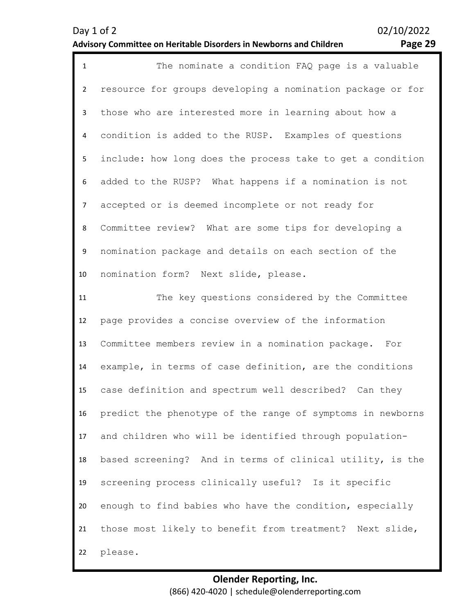| Page 29 |  |
|---------|--|

| $\mathbf{1}$   | The nominate a condition FAQ page is a valuable            |  |  |
|----------------|------------------------------------------------------------|--|--|
| $\overline{2}$ | resource for groups developing a nomination package or for |  |  |
| $\mathbf{3}$   | those who are interested more in learning about how a      |  |  |
| 4              | condition is added to the RUSP. Examples of questions      |  |  |
| 5              | include: how long does the process take to get a condition |  |  |
| 6              | added to the RUSP? What happens if a nomination is not     |  |  |
| $\overline{7}$ | accepted or is deemed incomplete or not ready for          |  |  |
| 8              | Committee review? What are some tips for developing a      |  |  |
| 9              | nomination package and details on each section of the      |  |  |
| 10             | nomination form? Next slide, please.                       |  |  |
| 11             | The key questions considered by the Committee              |  |  |
| 12             | page provides a concise overview of the information        |  |  |
| 13             | Committee members review in a nomination package. For      |  |  |
| 14             | example, in terms of case definition, are the conditions   |  |  |
| 15             | case definition and spectrum well described? Can they      |  |  |
| 16             | predict the phenotype of the range of symptoms in newborns |  |  |
| 17             | and children who will be identified through population-    |  |  |
| 18             | based screening? And in terms of clinical utility, is the  |  |  |
| 19             | screening process clinically useful? Is it specific        |  |  |
| 20             | enough to find babies who have the condition, especially   |  |  |
| 21             | those most likely to benefit from treatment? Next slide,   |  |  |
| 22             | please.                                                    |  |  |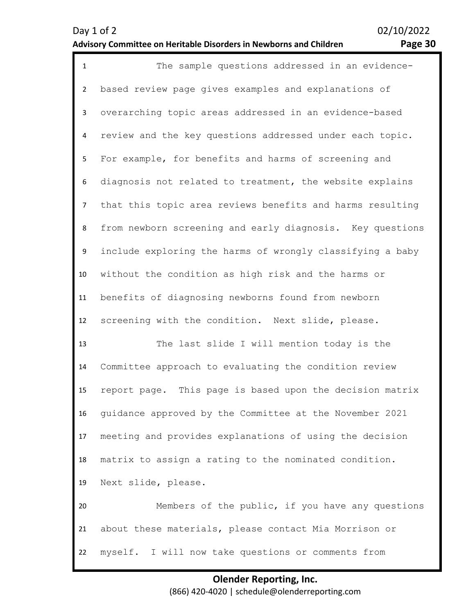| $\mathbf{1}$   | The sample questions addressed in an evidence-            |
|----------------|-----------------------------------------------------------|
| $\overline{2}$ | based review page gives examples and explanations of      |
| 3              | overarching topic areas addressed in an evidence-based    |
| 4              | review and the key questions addressed under each topic.  |
| 5              | For example, for benefits and harms of screening and      |
| 6              | diagnosis not related to treatment, the website explains  |
| $\overline{7}$ | that this topic area reviews benefits and harms resulting |
| 8              | from newborn screening and early diagnosis. Key questions |
| 9              | include exploring the harms of wrongly classifying a baby |
| 10             | without the condition as high risk and the harms or       |
| 11             | benefits of diagnosing newborns found from newborn        |
| 12             | screening with the condition. Next slide, please.         |
| 13             | The last slide I will mention today is the                |
| 14             | Committee approach to evaluating the condition review     |
| 15             | report page. This page is based upon the decision matrix  |
| 16             | guidance approved by the Committee at the November 2021   |
| 17             | meeting and provides explanations of using the decision   |
| 18             | matrix to assign a rating to the nominated condition.     |
| 19             | Next slide, please.                                       |
| 20             | Members of the public, if you have any questions          |
| 21             | about these materials, please contact Mia Morrison or     |
| 22             | myself. I will now take questions or comments from        |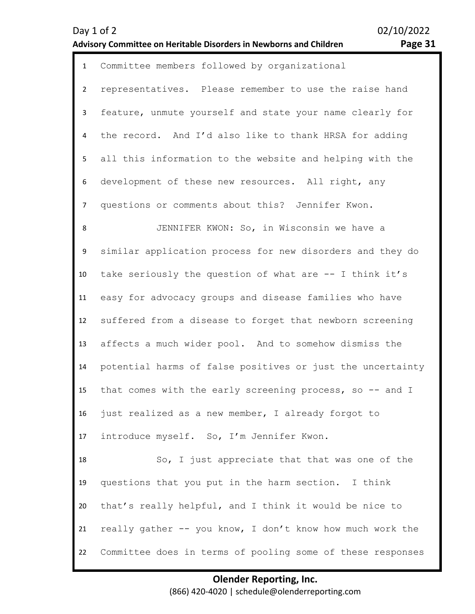| Day 1 of 2                                                         | 02/10/2022 |
|--------------------------------------------------------------------|------------|
| Advisory Committee on Heritable Disorders in Newborns and Children | Page 31    |

02/10/2022

| $\mathbf{1}$   | Committee members followed by organizational               |  |  |
|----------------|------------------------------------------------------------|--|--|
| $\overline{2}$ | representatives. Please remember to use the raise hand     |  |  |
| 3              | feature, unmute yourself and state your name clearly for   |  |  |
| 4              | the record. And I'd also like to thank HRSA for adding     |  |  |
| 5              | all this information to the website and helping with the   |  |  |
| 6              | development of these new resources. All right, any         |  |  |
| $\overline{7}$ | questions or comments about this? Jennifer Kwon.           |  |  |
| 8              | JENNIFER KWON: So, in Wisconsin we have a                  |  |  |
| 9              | similar application process for new disorders and they do  |  |  |
| 10             | take seriously the question of what are -- I think it's    |  |  |
| 11             | easy for advocacy groups and disease families who have     |  |  |
| 12             | suffered from a disease to forget that newborn screening   |  |  |
| 13             | affects a much wider pool. And to somehow dismiss the      |  |  |
| 14             | potential harms of false positives or just the uncertainty |  |  |
| 15             | that comes with the early screening process, so -- and I   |  |  |
| 16             | just realized as a new member, I already forgot to         |  |  |
| 17             | introduce myself. So, I'm Jennifer Kwon.                   |  |  |
| 18             | So, I just appreciate that that was one of the             |  |  |
| 19             | questions that you put in the harm section. I think        |  |  |
| 20             | that's really helpful, and I think it would be nice to     |  |  |
| 21             | really gather -- you know, I don't know how much work the  |  |  |
| 22             | Committee does in terms of pooling some of these responses |  |  |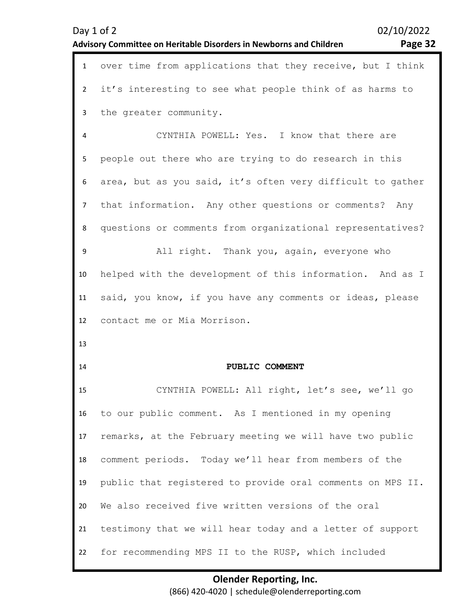<span id="page-31-0"></span>

|                | Day 1 of 2<br>Advisory Committee on Heritable Disorders in Newborns and Children | 02/10/2022<br>Page 32 |
|----------------|----------------------------------------------------------------------------------|-----------------------|
| $\mathbf{1}$   | over time from applications that they receive, but I think                       |                       |
| $\overline{2}$ | it's interesting to see what people think of as harms to                         |                       |
| 3              | the greater community.                                                           |                       |
| 4              | CYNTHIA POWELL: Yes. I know that there are                                       |                       |
| 5              | people out there who are trying to do research in this                           |                       |
| 6              | area, but as you said, it's often very difficult to gather                       |                       |
| 7              | that information. Any other questions or comments? Any                           |                       |
| 8              | questions or comments from organizational representatives?                       |                       |
| 9              | All right. Thank you, again, everyone who                                        |                       |
| 10             | helped with the development of this information. And as I                        |                       |
| 11             | said, you know, if you have any comments or ideas, please                        |                       |
| 12             | contact me or Mia Morrison.                                                      |                       |
| 13             |                                                                                  |                       |
| 14             | PUBLIC COMMENT                                                                   |                       |
| 15             | CYNTHIA POWELL: All right, let's see, we'll go                                   |                       |
| 16             | to our public comment. As I mentioned in my opening                              |                       |
| 17             | remarks, at the February meeting we will have two public                         |                       |
| 18             | comment periods. Today we'll hear from members of the                            |                       |
| 19             | public that registered to provide oral comments on MPS II.                       |                       |
| 20             | We also received five written versions of the oral                               |                       |
| 21             | testimony that we will hear today and a letter of support                        |                       |
| 22             | for recommending MPS II to the RUSP, which included                              |                       |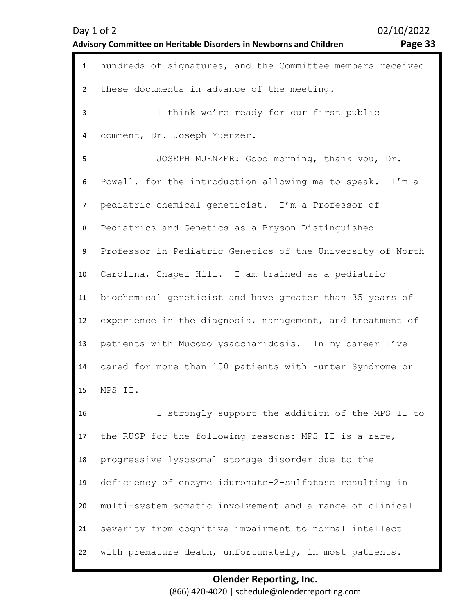| Day $1$ of $2$                                                     | 02/10/2022 |
|--------------------------------------------------------------------|------------|
| Advisory Committee on Heritable Disorders in Newborns and Children | Page 33    |

02/10/2022

| פ<br>-<br>о | Δ |  |
|-------------|---|--|
|             |   |  |

| $\mathbf{1}$   | hundreds of signatures, and the Committee members received |
|----------------|------------------------------------------------------------|
| $\overline{2}$ | these documents in advance of the meeting.                 |
| 3              | I think we're ready for our first public                   |
| 4              | comment, Dr. Joseph Muenzer.                               |
| 5              | JOSEPH MUENZER: Good morning, thank you, Dr.               |
| 6              | Powell, for the introduction allowing me to speak. I'm a   |
| 7              | pediatric chemical geneticist. I'm a Professor of          |
| 8              | Pediatrics and Genetics as a Bryson Distinguished          |
| 9              | Professor in Pediatric Genetics of the University of North |
| 10             | Carolina, Chapel Hill. I am trained as a pediatric         |
| 11             | biochemical geneticist and have greater than 35 years of   |
| 12             | experience in the diagnosis, management, and treatment of  |
| 13             | patients with Mucopolysaccharidosis. In my career I've     |
| 14             | cared for more than 150 patients with Hunter Syndrome or   |
| 15             | MPS II.                                                    |
| 16             | I strongly support the addition of the MPS II to           |
| 17             | the RUSP for the following reasons: MPS II is a rare,      |
| 18             | progressive lysosomal storage disorder due to the          |
| 19             | deficiency of enzyme iduronate-2-sulfatase resulting in    |
| 20             | multi-system somatic involvement and a range of clinical   |
| 21             | severity from cognitive impairment to normal intellect     |
| 22             | with premature death, unfortunately, in most patients.     |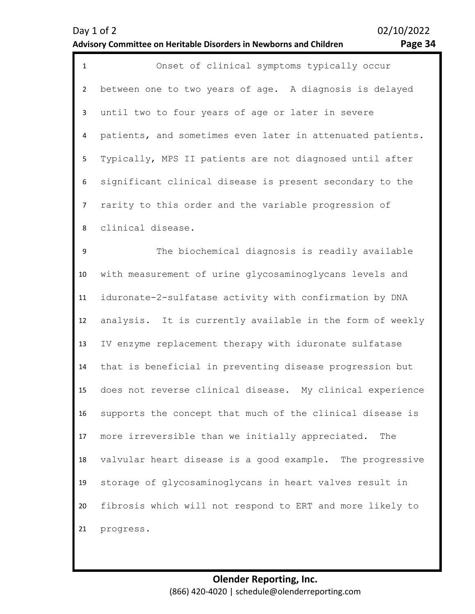| Page 34 |  |
|---------|--|
|---------|--|

| $\mathbf{1}$   | Onset of clinical symptoms typically occur                 |
|----------------|------------------------------------------------------------|
| $\overline{2}$ | between one to two years of age. A diagnosis is delayed    |
| 3              | until two to four years of age or later in severe          |
| 4              | patients, and sometimes even later in attenuated patients. |
| 5              | Typically, MPS II patients are not diagnosed until after   |
| 6              | significant clinical disease is present secondary to the   |
| $\overline{7}$ | rarity to this order and the variable progression of       |
| 8              | clinical disease.                                          |
| 9              | The biochemical diagnosis is readily available             |
| 10             | with measurement of urine glycosaminoglycans levels and    |
| 11             | iduronate-2-sulfatase activity with confirmation by DNA    |
| 12             | analysis. It is currently available in the form of weekly  |
| 13             | IV enzyme replacement therapy with iduronate sulfatase     |
| 14             | that is beneficial in preventing disease progression but   |
| 15             | does not reverse clinical disease. My clinical experience  |
| 16             | supports the concept that much of the clinical disease is  |
| 17             | more irreversible than we initially appreciated.<br>The    |
| 18             | valvular heart disease is a good example. The progressive  |
| 19             | storage of glycosaminoglycans in heart valves result in    |
| 20             | fibrosis which will not respond to ERT and more likely to  |
| 21             | progress.                                                  |
|                |                                                            |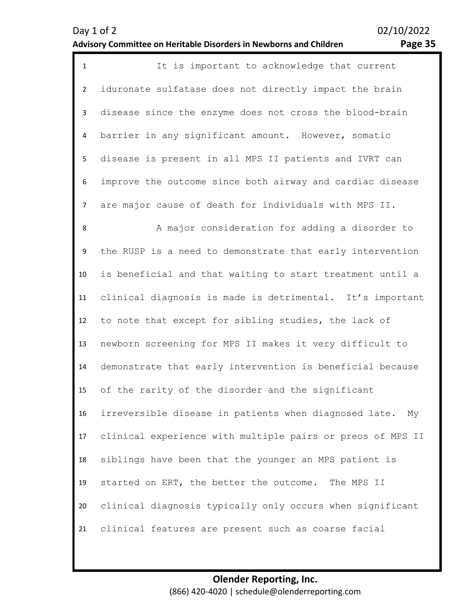| $\mathbf{1}$   | It is important to acknowledge that current                 |
|----------------|-------------------------------------------------------------|
| $2^{\circ}$    | iduronate sulfatase does not directly impact the brain      |
| $\mathbf{3}$   | disease since the enzyme does not cross the blood-brain     |
| 4              | barrier in any significant amount. However, somatic         |
| 5              | disease is present in all MPS II patients and IVRT can      |
| 6              | improve the outcome since both airway and cardiac disease   |
| 7 <sup>7</sup> | are major cause of death for individuals with MPS II.       |
| 8              | A major consideration for adding a disorder to              |
| 9              | the RUSP is a need to demonstrate that early intervention   |
| 10             | is beneficial and that waiting to start treatment until a   |
| 11             | clinical diagnosis is made is detrimental. It's important   |
| 12             | to note that except for sibling studies, the lack of        |
| 13             | newborn screening for MPS II makes it very difficult to     |
| 14             | demonstrate that early intervention is beneficial because   |
| 15             | of the rarity of the disorder and the significant           |
| 16             | irreversible disease in patients when diagnosed late.<br>Мy |
| 17             | clinical experience with multiple pairs or preos of MPS II  |
| 18             | siblings have been that the younger an MPS patient is       |
| 19             | started on ERT, the better the outcome. The MPS II          |
| 20             | clinical diagnosis typically only occurs when significant   |
| 21             | clinical features are present such as coarse facial         |
|                |                                                             |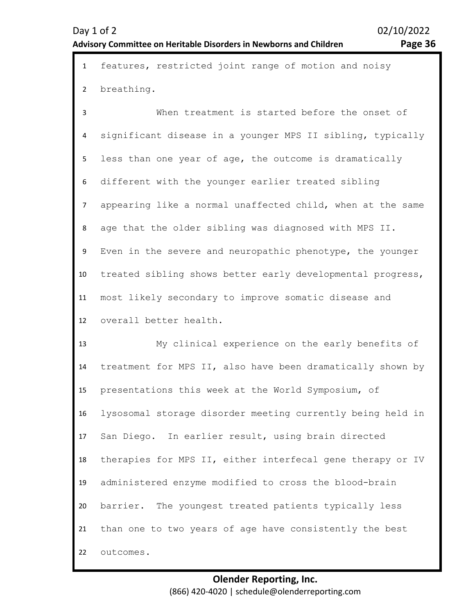|              | 1 features, restricted joint range of motion and noisy |  |  |  |
|--------------|--------------------------------------------------------|--|--|--|
|              |                                                        |  |  |  |
| 2 breathing. |                                                        |  |  |  |

3 4 5 6 7 8 9 10 11 12 When treatment is started before the onset of significant disease in a younger MPS II sibling, typically less than one year of age, the outcome is dramatically different with the younger earlier treated sibling appearing like a normal unaffected child, when at the same age that the older sibling was diagnosed with MPS II. Even in the severe and neuropathic phenotype, the younger treated sibling shows better early developmental progress, most likely secondary to improve somatic disease and overall better health.

13 14 15 16 17 18 19 20 21 22 My clinical experience on the early benefits of treatment for MPS II, also have been dramatically shown by presentations this week at the World Symposium, of lysosomal storage disorder meeting currently being held in San Diego. In earlier result, using brain directed therapies for MPS II, either interfecal gene therapy or IV administered enzyme modified to cross the blood-brain barrier. The youngest treated patients typically less than one to two years of age have consistently the best outcomes.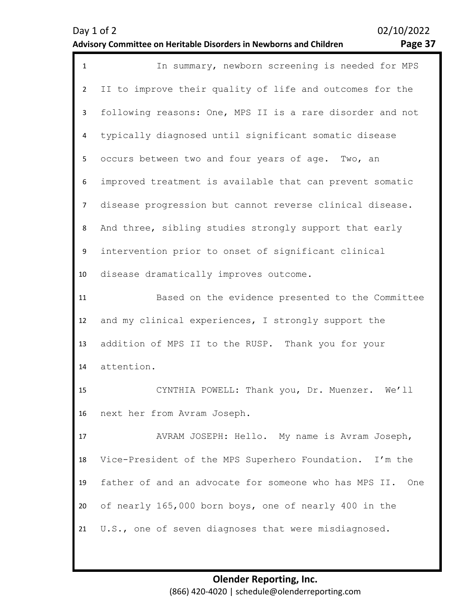| $\mathbf{1}$   | In summary, newborn screening is needed for MPS              |
|----------------|--------------------------------------------------------------|
| $\overline{2}$ | II to improve their quality of life and outcomes for the     |
| 3 <sup>1</sup> | following reasons: One, MPS II is a rare disorder and not    |
| 4              | typically diagnosed until significant somatic disease        |
| 5              | occurs between two and four years of age. Two, an            |
| 6              | improved treatment is available that can prevent somatic     |
| $\overline{7}$ | disease progression but cannot reverse clinical disease.     |
| 8              | And three, sibling studies strongly support that early       |
| 9              | intervention prior to onset of significant clinical          |
| 10             | disease dramatically improves outcome.                       |
| 11             | Based on the evidence presented to the Committee             |
| 12             | and my clinical experiences, I strongly support the          |
| 13             | addition of MPS II to the RUSP. Thank you for your           |
| 14             | attention.                                                   |
| 15             | CYNTHIA POWELL: Thank you, Dr. Muenzer. We'll                |
| 16             | next her from Avram Joseph.                                  |
| 17             | AVRAM JOSEPH: Hello. My name is Avram Joseph,                |
| 18             | Vice-President of the MPS Superhero Foundation. I'm the      |
| 19             | father of and an advocate for someone who has MPS II.<br>One |
| 20             | of nearly 165,000 born boys, one of nearly 400 in the        |
| 21             | U.S., one of seven diagnoses that were misdiagnosed.         |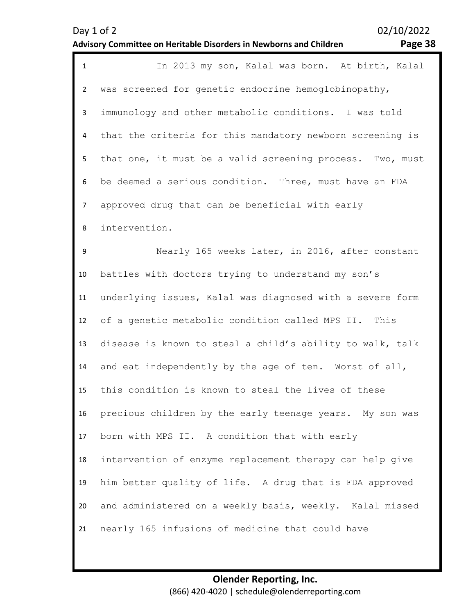|                | Page 38<br><b>Advisory Committee on Heritable Disorders in Newborns and Children</b> |
|----------------|--------------------------------------------------------------------------------------|
| $\mathbf{1}$   | In 2013 my son, Kalal was born. At birth, Kalal                                      |
| $\overline{2}$ | was screened for genetic endocrine hemoglobinopathy,                                 |
| 3              | immunology and other metabolic conditions. I was told                                |
| 4              | that the criteria for this mandatory newborn screening is                            |
| 5              | that one, it must be a valid screening process. Two, must                            |
| 6              | be deemed a serious condition. Three, must have an FDA                               |
| $\overline{7}$ | approved drug that can be beneficial with early                                      |
| 8              | intervention.                                                                        |
| 9              | Nearly 165 weeks later, in 2016, after constant                                      |
| 10             | battles with doctors trying to understand my son's                                   |
| 11             | underlying issues, Kalal was diagnosed with a severe form                            |
| 12             | of a genetic metabolic condition called MPS II. This                                 |
| 13             | disease is known to steal a child's ability to walk, talk                            |
| 14             | and eat independently by the age of ten. Worst of all,                               |
| 15             | this condition is known to steal the lives of these                                  |
| 16             | precious children by the early teenage years. My son was                             |
| 17             | born with MPS II. A condition that with early                                        |
| 18             | intervention of enzyme replacement therapy can help give                             |
| 19             | him better quality of life. A drug that is FDA approved                              |
| 20             | and administered on a weekly basis, weekly. Kalal missed                             |
| 21             | nearly 165 infusions of medicine that could have                                     |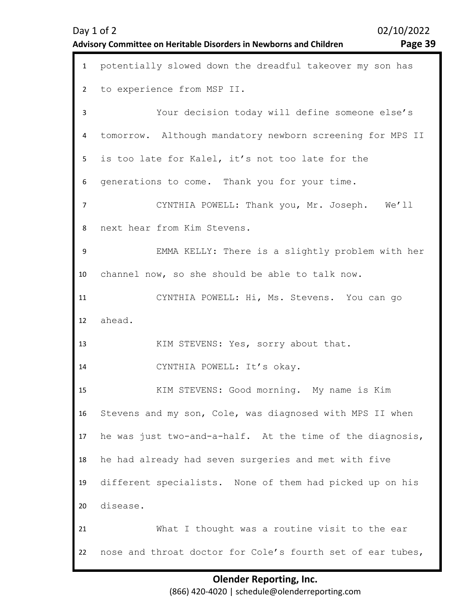#### **Advisory Committee on Heritable Disorders in Newborns and Children Page 39**

| $\mathbf{1}$   | potentially slowed down the dreadful takeover my son has  |
|----------------|-----------------------------------------------------------|
| $\overline{2}$ | to experience from MSP II.                                |
| 3              | Your decision today will define someone else's            |
| 4              | tomorrow. Although mandatory newborn screening for MPS II |
| 5              | is too late for Kalel, it's not too late for the          |
| 6              | generations to come. Thank you for your time.             |
| $\overline{7}$ | CYNTHIA POWELL: Thank you, Mr. Joseph. We'll              |
| 8              | next hear from Kim Stevens.                               |
| 9              | EMMA KELLY: There is a slightly problem with her          |
| 10             | channel now, so she should be able to talk now.           |
| 11             | CYNTHIA POWELL: Hi, Ms. Stevens. You can go               |
| 12             | ahead.                                                    |
| 13             | KIM STEVENS: Yes, sorry about that.                       |
| 14             | CYNTHIA POWELL: It's okay.                                |
| 15             | KIM STEVENS: Good morning. My name is Kim                 |
| 16             | Stevens and my son, Cole, was diagnosed with MPS II when  |
| 17             | he was just two-and-a-half. At the time of the diagnosis, |
| 18             | he had already had seven surgeries and met with five      |
| 19             | different specialists. None of them had picked up on his  |
| 20             | disease.                                                  |
| 21             | What I thought was a routine visit to the ear             |
|                |                                                           |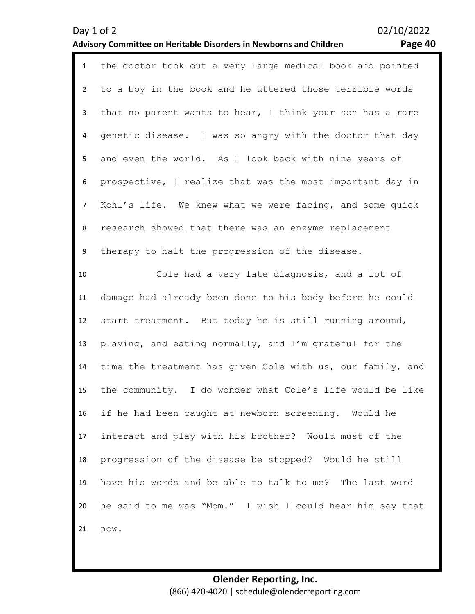| $\mathbf{1}$   | the doctor took out a very large medical book and pointed  |
|----------------|------------------------------------------------------------|
| $\overline{2}$ | to a boy in the book and he uttered those terrible words   |
| 3              | that no parent wants to hear, I think your son has a rare  |
| 4              | genetic disease. I was so angry with the doctor that day   |
| 5              | and even the world. As I look back with nine years of      |
| 6              | prospective, I realize that was the most important day in  |
| $\overline{7}$ | Kohl's life. We knew what we were facing, and some quick   |
| 8              | research showed that there was an enzyme replacement       |
| 9              | therapy to halt the progression of the disease.            |
| 10             | Cole had a very late diagnosis, and a lot of               |
| 11             | damage had already been done to his body before he could   |
| 12             | start treatment. But today he is still running around,     |
| 13             | playing, and eating normally, and I'm grateful for the     |
| 14             | time the treatment has given Cole with us, our family, and |
| 15             | the community. I do wonder what Cole's life would be like  |
| 16             | if he had been caught at newborn screening. Would he       |
| 17             | interact and play with his brother? Would must of the      |
| 18             | progression of the disease be stopped? Would he still      |
| 19             | have his words and be able to talk to me? The last word    |
| 20             | he said to me was "Mom." I wish I could hear him say that  |
| 21             | now.                                                       |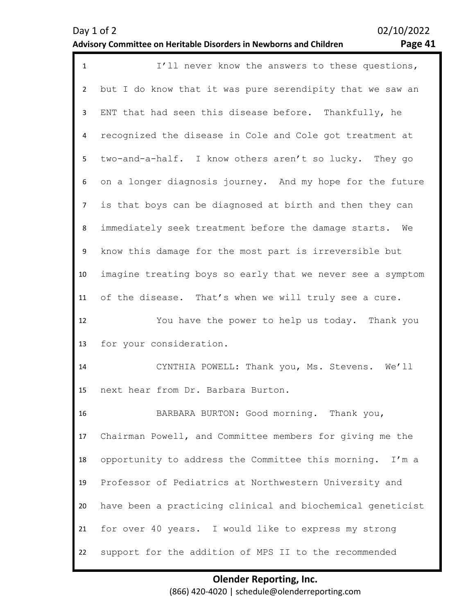| ם ט<br>۰.<br>. . | π |
|------------------|---|
|------------------|---|

| $\mathbf{1}$   | I'll never know the answers to these questions,            |
|----------------|------------------------------------------------------------|
| $\overline{2}$ | but I do know that it was pure serendipity that we saw an  |
| 3              | ENT that had seen this disease before. Thankfully, he      |
| 4              | recognized the disease in Cole and Cole got treatment at   |
| 5              | two-and-a-half. I know others aren't so lucky. They go     |
| 6              | on a longer diagnosis journey. And my hope for the future  |
| $\overline{7}$ | is that boys can be diagnosed at birth and then they can   |
| 8              | immediately seek treatment before the damage starts. We    |
| 9              | know this damage for the most part is irreversible but     |
| 10             | imagine treating boys so early that we never see a symptom |
| 11             | of the disease. That's when we will truly see a cure.      |
| 12             | You have the power to help us today. Thank you             |
| 13             | for your consideration.                                    |
| 14             | CYNTHIA POWELL: Thank you, Ms. Stevens. We'll              |
| 15             | next hear from Dr. Barbara Burton.                         |
| 16             | BARBARA BURTON: Good morning. Thank you,                   |
| 17             | Chairman Powell, and Committee members for giving me the   |
| 18             | opportunity to address the Committee this morning. I'm a   |
| 19             | Professor of Pediatrics at Northwestern University and     |
| 20             |                                                            |
|                | have been a practicing clinical and biochemical geneticist |
| 21             | for over 40 years. I would like to express my strong       |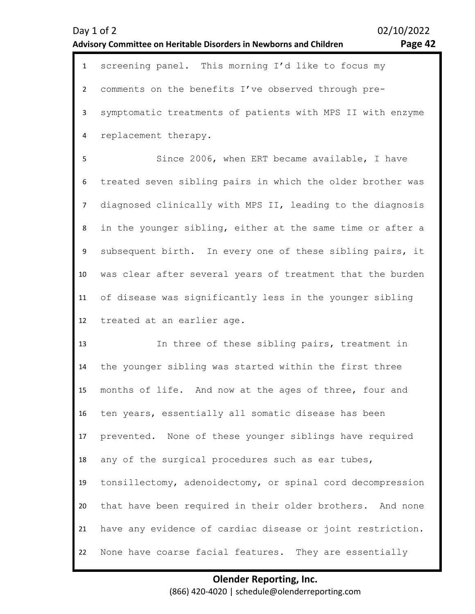|                | Day 1 of 2<br><b>Advisory Committee on Heritable Disorders in Newborns and Children</b> | 02/10/2022<br>Page 42 |
|----------------|-----------------------------------------------------------------------------------------|-----------------------|
| $\mathbf{1}$   | screening panel. This morning I'd like to focus my                                      |                       |
| $\overline{2}$ | comments on the benefits I've observed through pre-                                     |                       |
| $\mathbf{3}$   | symptomatic treatments of patients with MPS II with enzyme                              |                       |
| 4              | replacement therapy.                                                                    |                       |
| 5              | Since 2006, when ERT became available, I have                                           |                       |
| 6              | treated seven sibling pairs in which the older brother was                              |                       |
| $\overline{7}$ | diagnosed clinically with MPS II, leading to the diagnosis                              |                       |
| 8              | in the younger sibling, either at the same time or after a                              |                       |
| 9              | subsequent birth. In every one of these sibling pairs, it                               |                       |
| 10             | was clear after several years of treatment that the burden                              |                       |
| 11             | of disease was significantly less in the younger sibling                                |                       |
| 12             | treated at an earlier age.                                                              |                       |
| 13             | In three of these sibling pairs, treatment in                                           |                       |
| 14             | the younger sibling was started within the first three                                  |                       |
| 15             | months of life. And now at the ages of three, four and                                  |                       |
| 16             | ten years, essentially all somatic disease has been                                     |                       |
| 17             | prevented. None of these younger siblings have required                                 |                       |
| 18             | any of the surgical procedures such as ear tubes,                                       |                       |
| 19             | tonsillectomy, adenoidectomy, or spinal cord decompression                              |                       |
| 20             | that have been required in their older brothers. And none                               |                       |
| 21             | have any evidence of cardiac disease or joint restriction.                              |                       |
| 22             | None have coarse facial features. They are essentially                                  |                       |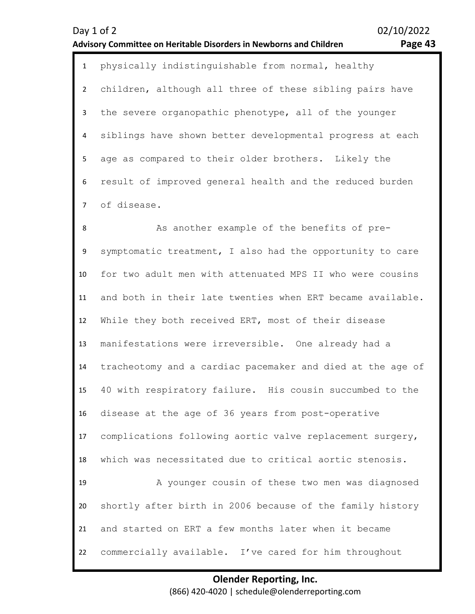| Day $1$ of $2$                                                     | 02/10/2022 |
|--------------------------------------------------------------------|------------|
| Advisory Committee on Heritable Disorders in Newborns and Children | Page 43    |

| 1 physically indistinguishable from normal, healthy         |
|-------------------------------------------------------------|
| 2 children, although all three of these sibling pairs have  |
| 3 the severe organopathic phenotype, all of the younger     |
| 4 siblings have shown better developmental progress at each |
| 5 age as compared to their older brothers. Likely the       |
| 6 result of improved general health and the reduced burden  |
| 7 of disease.                                               |
|                                                             |

8 9 10 11 12 13 14 15 16 17 18 19 20 21 22 As another example of the benefits of presymptomatic treatment, I also had the opportunity to care for two adult men with attenuated MPS II who were cousins and both in their late twenties when ERT became available. While they both received ERT, most of their disease manifestations were irreversible. One already had a tracheotomy and a cardiac pacemaker and died at the age of 40 with respiratory failure. His cousin succumbed to the disease at the age of 36 years from post-operative complications following aortic valve replacement surgery, which was necessitated due to critical aortic stenosis. A younger cousin of these two men was diagnosed shortly after birth in 2006 because of the family history and started on ERT a few months later when it became commercially available. I've cared for him throughout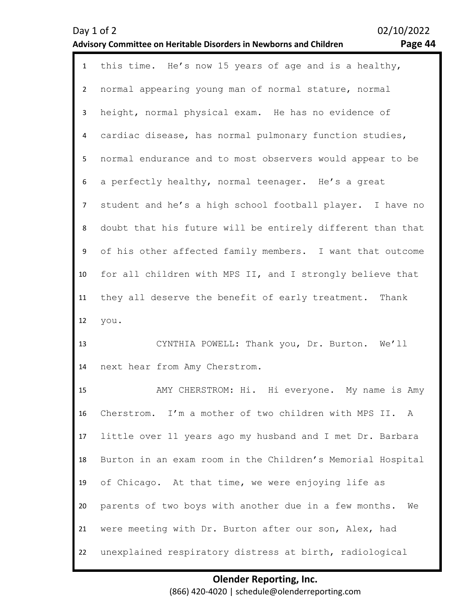| $\mathbf{q}$ | ЛA |
|--------------|----|
|              |    |

| $\mathbf{1}$   | this time. He's now 15 years of age and is a healthy,      |
|----------------|------------------------------------------------------------|
| $\overline{2}$ | normal appearing young man of normal stature, normal       |
| 3              | height, normal physical exam. He has no evidence of        |
| 4              | cardiac disease, has normal pulmonary function studies,    |
| 5              | normal endurance and to most observers would appear to be  |
| 6              | a perfectly healthy, normal teenager. He's a great         |
| $\overline{7}$ | student and he's a high school football player. I have no  |
| 8              | doubt that his future will be entirely different than that |
| 9              | of his other affected family members. I want that outcome  |
| 10             | for all children with MPS II, and I strongly believe that  |
| 11             | they all deserve the benefit of early treatment. Thank     |
| 12             | you.                                                       |
| 13             | CYNTHIA POWELL: Thank you, Dr. Burton. We'll               |
| 14             | next hear from Amy Cherstrom.                              |
| 15             | AMY CHERSTROM: Hi. Hi everyone. My name is Amy             |
| 16             | Cherstrom. I'm a mother of two children with MPS II. A     |
| 17             | little over 11 years ago my husband and I met Dr. Barbara  |
| 18             | Burton in an exam room in the Children's Memorial Hospital |
| 19             | of Chicago. At that time, we were enjoying life as         |

21 parents of two boys with another due in a few months. We were meeting with Dr. Burton after our son, Alex, had

20

22 unexplained respiratory distress at birth, radiological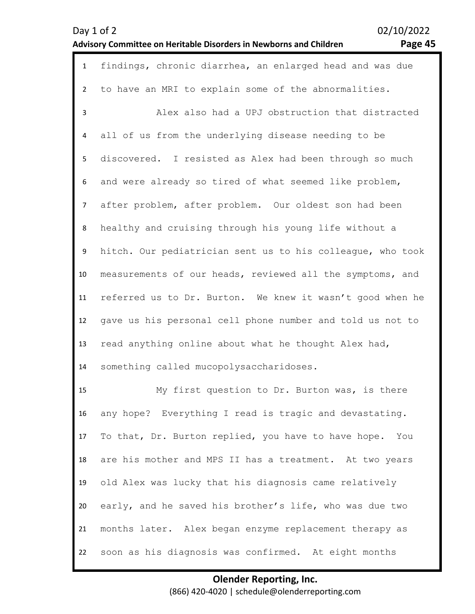| $\mathbf{1}$   | findings, chronic diarrhea, an enlarged head and was due   |
|----------------|------------------------------------------------------------|
| $\overline{2}$ | to have an MRI to explain some of the abnormalities.       |
| 3              | Alex also had a UPJ obstruction that distracted            |
| 4              | all of us from the underlying disease needing to be        |
| 5              | discovered. I resisted as Alex had been through so much    |
| 6              | and were already so tired of what seemed like problem,     |
| $\overline{7}$ | after problem, after problem. Our oldest son had been      |
| 8              | healthy and cruising through his young life without a      |
| 9              | hitch. Our pediatrician sent us to his colleague, who took |
| 10             | measurements of our heads, reviewed all the symptoms, and  |
| 11             | referred us to Dr. Burton. We knew it wasn't good when he  |
| 12             | gave us his personal cell phone number and told us not to  |
| 13             | read anything online about what he thought Alex had,       |
| 14             | something called mucopolysaccharidoses.                    |
| 15             | My first question to Dr. Burton was, is there              |
| 16             | any hope? Everything I read is tragic and devastating.     |
| 17             | To that, Dr. Burton replied, you have to have hope. You    |
| 18             | are his mother and MPS II has a treatment. At two years    |
| 19             | old Alex was lucky that his diagnosis came relatively      |
| 20             | early, and he saved his brother's life, who was due two    |
| 21             | months later. Alex began enzyme replacement therapy as     |
| 22             | soon as his diagnosis was confirmed. At eight months       |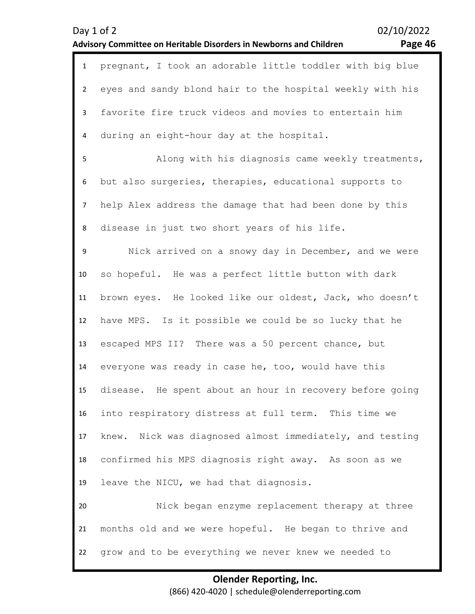|                | Day 1 of 2<br><b>Advisory Committee on Heritable Disorders in Newborns and Children</b> | 02/10/2022<br>Page 46 |
|----------------|-----------------------------------------------------------------------------------------|-----------------------|
| $\mathbf{1}$   | pregnant, I took an adorable little toddler with big blue                               |                       |
| $2^{\circ}$    | eyes and sandy blond hair to the hospital weekly with his                               |                       |
| 3              | favorite fire truck videos and movies to entertain him                                  |                       |
| 4              | during an eight-hour day at the hospital.                                               |                       |
| 5              | Along with his diagnosis came weekly treatments,                                        |                       |
| 6              | but also surgeries, therapies, educational supports to                                  |                       |
| $\overline{7}$ | help Alex address the damage that had been done by this                                 |                       |
| 8              | disease in just two short years of his life.                                            |                       |
| 9              | Nick arrived on a snowy day in December, and we were                                    |                       |
| 10             | so hopeful. He was a perfect little button with dark                                    |                       |
| 11             | brown eyes. He looked like our oldest, Jack, who doesn't                                |                       |
| 12             | have MPS. Is it possible we could be so lucky that he                                   |                       |
| 13             | escaped MPS II? There was a 50 percent chance, but                                      |                       |
| 14             | everyone was ready in case he, too, would have this                                     |                       |
| 15             | disease. He spent about an hour in recovery before going                                |                       |
| 16             | into respiratory distress at full term. This time we                                    |                       |
| 17             | knew. Nick was diagnosed almost immediately, and testing                                |                       |
| 18             | confirmed his MPS diagnosis right away. As soon as we                                   |                       |
| 19             | leave the NICU, we had that diagnosis.                                                  |                       |
| 20             | Nick began enzyme replacement therapy at three                                          |                       |
| 21             | months old and we were hopeful. He began to thrive and                                  |                       |
| 22             | grow and to be everything we never knew we needed to                                    |                       |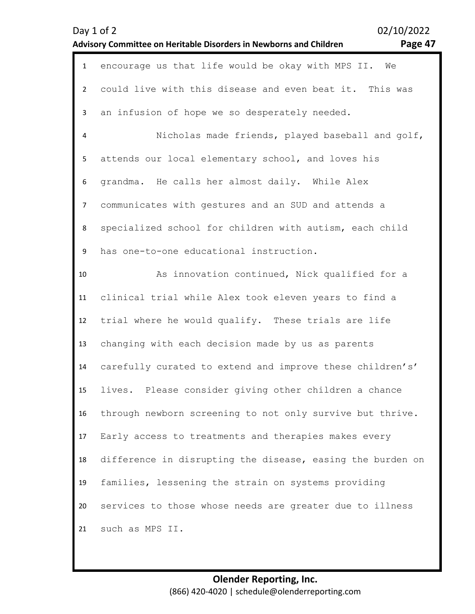|                | Day 1 of 2<br>Advisory Committee on Heritable Disorders in Newborns and Children | 02/10/2022<br>Page 47 |
|----------------|----------------------------------------------------------------------------------|-----------------------|
| $\mathbf{1}$   | encourage us that life would be okay with MPS II.<br>We                          |                       |
| $\overline{2}$ | could live with this disease and even beat it. This was                          |                       |
| $\mathbf{3}$   | an infusion of hope we so desperately needed.                                    |                       |
| 4              | Nicholas made friends, played baseball and golf,                                 |                       |
| 5              | attends our local elementary school, and loves his                               |                       |
| 6              | grandma. He calls her almost daily. While Alex                                   |                       |
| $\overline{7}$ | communicates with gestures and an SUD and attends a                              |                       |
| 8              | specialized school for children with autism, each child                          |                       |
| 9              | has one-to-one educational instruction.                                          |                       |
| 10             | As innovation continued, Nick qualified for a                                    |                       |
| 11             | clinical trial while Alex took eleven years to find a                            |                       |
| 12             | trial where he would qualify. These trials are life                              |                       |
| 13             | changing with each decision made by us as parents                                |                       |
| 14             | carefully curated to extend and improve these children's'                        |                       |
| 15             | lives. Please consider giving other children a chance                            |                       |
| 16             | through newborn screening to not only survive but thrive.                        |                       |
| 17             | Early access to treatments and therapies makes every                             |                       |
| 18             | difference in disrupting the disease, easing the burden on                       |                       |
| 19             | families, lessening the strain on systems providing                              |                       |
| 20             | services to those whose needs are greater due to illness                         |                       |
| 21             | such as MPS II.                                                                  |                       |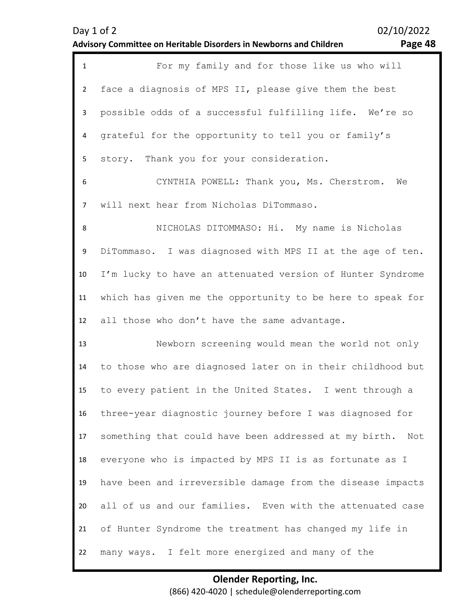| <sup>3</sup> age 48 |  |
|---------------------|--|
|---------------------|--|

| $\mathbf{1}$   | For my family and for those like us who will                 |
|----------------|--------------------------------------------------------------|
| $\overline{2}$ | face a diagnosis of MPS II, please give them the best        |
| 3              | possible odds of a successful fulfilling life. We're so      |
| 4              | grateful for the opportunity to tell you or family's         |
| 5              | story. Thank you for your consideration.                     |
| 6              | CYNTHIA POWELL: Thank you, Ms. Cherstrom.<br>We              |
| $\overline{7}$ | will next hear from Nicholas DiTommaso.                      |
| 8              | NICHOLAS DITOMMASO: Hi. My name is Nicholas                  |
| 9              | DiTommaso. I was diagnosed with MPS II at the age of ten.    |
| 10             | I'm lucky to have an attenuated version of Hunter Syndrome   |
| 11             | which has given me the opportunity to be here to speak for   |
| 12             | all those who don't have the same advantage.                 |
| 13             | Newborn screening would mean the world not only              |
| 14             | to those who are diagnosed later on in their childhood but   |
| 15             | to every patient in the United States. I went through a      |
| 16             | three-year diagnostic journey before I was diagnosed for     |
| 17             | something that could have been addressed at my birth.<br>Not |
| 18             | everyone who is impacted by MPS II is as fortunate as I      |
| 19             | have been and irreversible damage from the disease impacts   |
| 20             | all of us and our families. Even with the attenuated case    |
| 21             | of Hunter Syndrome the treatment has changed my life in      |
| 22             |                                                              |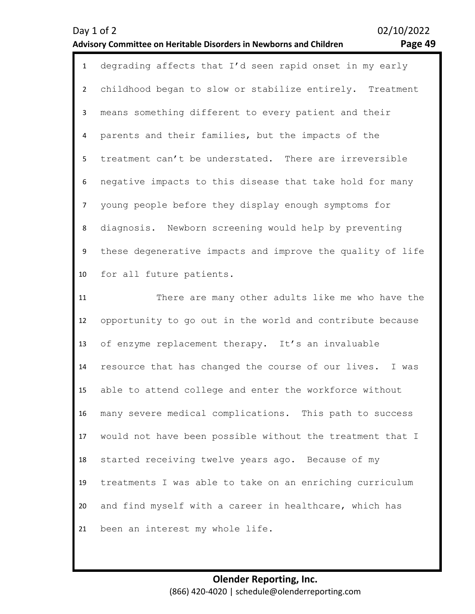| Page 49 |  |
|---------|--|
|---------|--|

| $\mathbf{1}$   | degrading affects that I'd seen rapid onset in my early    |
|----------------|------------------------------------------------------------|
| $\overline{2}$ | childhood began to slow or stabilize entirely. Treatment   |
| 3              | means something different to every patient and their       |
| 4              | parents and their families, but the impacts of the         |
| 5              | treatment can't be understated. There are irreversible     |
| 6              | negative impacts to this disease that take hold for many   |
| $\overline{7}$ | young people before they display enough symptoms for       |
| 8              | diagnosis. Newborn screening would help by preventing      |
| 9              | these degenerative impacts and improve the quality of life |
| 10             | for all future patients.                                   |
| 11             | There are many other adults like me who have the           |
| 12             | opportunity to go out in the world and contribute because  |
| 13             | of enzyme replacement therapy. It's an invaluable          |
| 14             | resource that has changed the course of our lives. I was   |
| 15             | able to attend college and enter the workforce without     |
| 16             | many severe medical complications. This path to success    |
| 17             | would not have been possible without the treatment that I  |

18 19 20 21 started receiving twelve years ago. Because of my treatments I was able to take on an enriching curriculum and find myself with a career in healthcare, which has been an interest my whole life.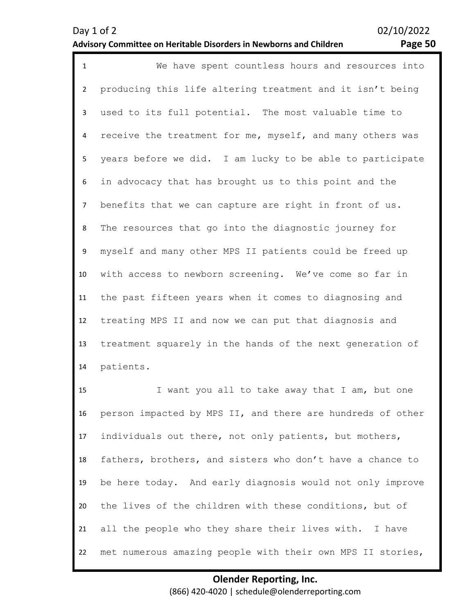| $\mathbf{1}$   | We have spent countless hours and resources into          |
|----------------|-----------------------------------------------------------|
| $\overline{2}$ | producing this life altering treatment and it isn't being |
| $\mathbf{3}$   | used to its full potential. The most valuable time to     |
| $\overline{4}$ | receive the treatment for me, myself, and many others was |
| 5              | years before we did. I am lucky to be able to participate |
| 6              | in advocacy that has brought us to this point and the     |
| $\overline{7}$ | benefits that we can capture are right in front of us.    |
| 8              | The resources that go into the diagnostic journey for     |
| 9              | myself and many other MPS II patients could be freed up   |
| 10             | with access to newborn screening. We've come so far in    |
| 11             | the past fifteen years when it comes to diagnosing and    |
| 12             | treating MPS II and now we can put that diagnosis and     |
| 13             | treatment squarely in the hands of the next generation of |
| 14             | patients.                                                 |
| 1 <sup>2</sup> |                                                           |

15 16 17 18 19 20 21 22 I want you all to take away that I am, but one person impacted by MPS II, and there are hundreds of other individuals out there, not only patients, but mothers, fathers, brothers, and sisters who don't have a chance to be here today. And early diagnosis would not only improve the lives of the children with these conditions, but of all the people who they share their lives with. I have met numerous amazing people with their own MPS II stories,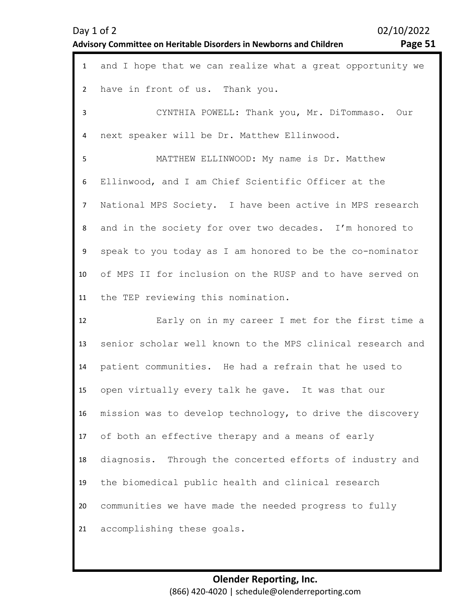| Day 1 of 2                                                                |  |
|---------------------------------------------------------------------------|--|
| <b>Advisory Committee on Heritable Disorders in Newborns and Children</b> |  |

02/10/2022 Page 51

| $\mathbf{1}$   | and I hope that we can realize what a great opportunity we |
|----------------|------------------------------------------------------------|
| $\overline{2}$ | have in front of us. Thank you.                            |
| 3              | CYNTHIA POWELL: Thank you, Mr. DiTommaso. Our              |
| 4              | next speaker will be Dr. Matthew Ellinwood.                |
| 5              | MATTHEW ELLINWOOD: My name is Dr. Matthew                  |
| 6              | Ellinwood, and I am Chief Scientific Officer at the        |
| $\overline{7}$ | National MPS Society. I have been active in MPS research   |
| 8              | and in the society for over two decades. I'm honored to    |
| 9              | speak to you today as I am honored to be the co-nominator  |
| 10             | of MPS II for inclusion on the RUSP and to have served on  |
| 11             | the TEP reviewing this nomination.                         |
| 12             | Early on in my career I met for the first time a           |
| 13             | senior scholar well known to the MPS clinical research and |
| 14             | patient communities. He had a refrain that he used to      |
| 15             | open virtually every talk he qave. It was that our         |
| 16             | mission was to develop technology, to drive the discovery  |
| 17             | of both an effective therapy and a means of early          |
| 18             | diagnosis. Through the concerted efforts of industry and   |
| 19             | the biomedical public health and clinical research         |
| 20             | communities we have made the needed progress to fully      |
| 21             | accomplishing these goals.                                 |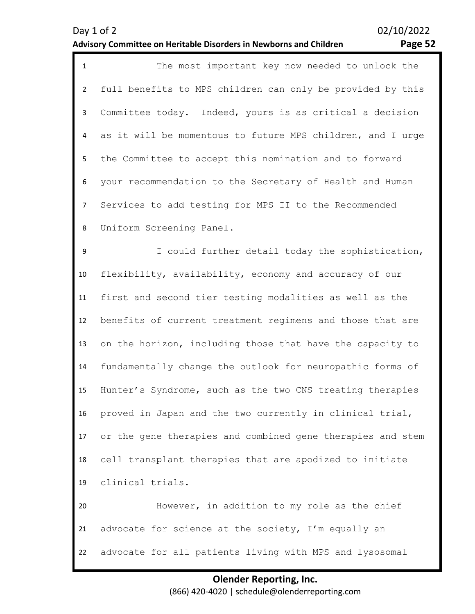| $\mathbf{1}$   | The most important key now needed to unlock the            |
|----------------|------------------------------------------------------------|
| $\overline{2}$ | full benefits to MPS children can only be provided by this |
| $\mathbf{3}$   | Committee today. Indeed, yours is as critical a decision   |
| 4              | as it will be momentous to future MPS children, and I urge |
| 5              | the Committee to accept this nomination and to forward     |
| 6              | your recommendation to the Secretary of Health and Human   |
| $\overline{7}$ | Services to add testing for MPS II to the Recommended      |
| 8              | Uniform Screening Panel.                                   |
| 9              | I could further detail today the sophistication,           |
| 10             | flexibility, availability, economy and accuracy of our     |
| 11             | first and second tier testing modalities as well as the    |
| 12             | benefits of current treatment regimens and those that are  |
| 13             | on the horizon, including those that have the capacity to  |
| 14             | fundamentally change the outlook for neuropathic forms of  |
| 15             | Hunter's Syndrome, such as the two CNS treating therapies  |
| 16             | proved in Japan and the two currently in clinical trial,   |
| 17             | or the gene therapies and combined gene therapies and stem |
| 18             | cell transplant therapies that are apodized to initiate    |
| 19             | clinical trials.                                           |
| 20             | However, in addition to my role as the chief               |
| 21             | advocate for science at the society, I'm equally an        |
| 22             | advocate for all patients living with MPS and lysosomal    |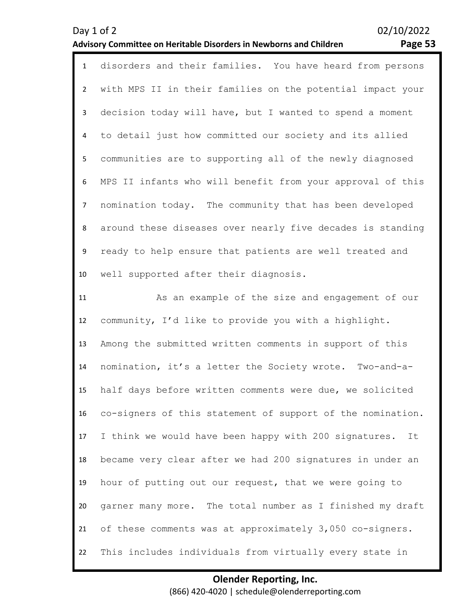| $\mathbf{1}$   | disorders and their families. You have heard from persons   |
|----------------|-------------------------------------------------------------|
| $\overline{2}$ | with MPS II in their families on the potential impact your  |
| 3              | decision today will have, but I wanted to spend a moment    |
| 4              | to detail just how committed our society and its allied     |
| 5              | communities are to supporting all of the newly diagnosed    |
| 6              | MPS II infants who will benefit from your approval of this  |
| $\overline{7}$ | nomination today. The community that has been developed     |
| 8              | around these diseases over nearly five decades is standing  |
| 9              | ready to help ensure that patients are well treated and     |
| 10             | well supported after their diagnosis.                       |
| 11             | As an example of the size and engagement of our             |
| 12             | community, I'd like to provide you with a highlight.        |
| 13             | Among the submitted written comments in support of this     |
| 14             | nomination, it's a letter the Society wrote. Two-and-a-     |
| 15             | half days before written comments were due, we solicited    |
| 16             | co-signers of this statement of support of the nomination.  |
| 17             | I think we would have been happy with 200 signatures.<br>It |
| 18             | became very clear after we had 200 signatures in under an   |
| 19             | hour of putting out our request, that we were going to      |
| 20             | garner many more. The total number as I finished my draft   |
| 21             | of these comments was at approximately 3,050 co-signers.    |
| 22             | This includes individuals from virtually every state in     |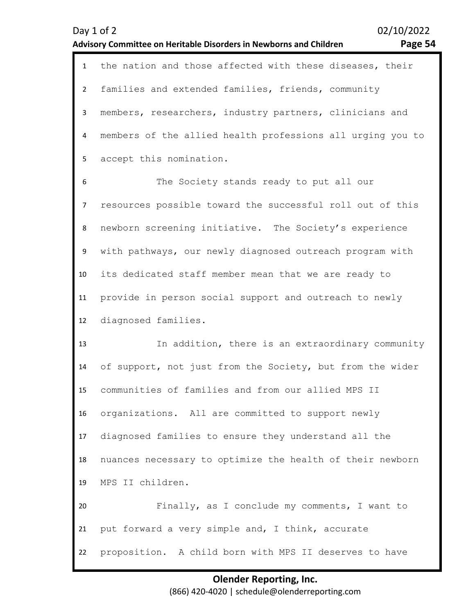1 the nation and those affected with these diseases, their families and extended families, friends, community members, researchers, industry partners, clinicians and members of the allied health professions all urging you to

5 accept this nomination.

2

3

4

6 7 8 9 10 11 12 The Society stands ready to put all our resources possible toward the successful roll out of this newborn screening initiative. The Society's experience with pathways, our newly diagnosed outreach program with its dedicated staff member mean that we are ready to provide in person social support and outreach to newly diagnosed families.

13 14 15 16 17 18 19 20 21 22 In addition, there is an extraordinary community of support, not just from the Society, but from the wider communities of families and from our allied MPS II organizations. All are committed to support newly diagnosed families to ensure they understand all the nuances necessary to optimize the health of their newborn MPS II children. Finally, as I conclude my comments, I want to put forward a very simple and, I think, accurate proposition. A child born with MPS II deserves to have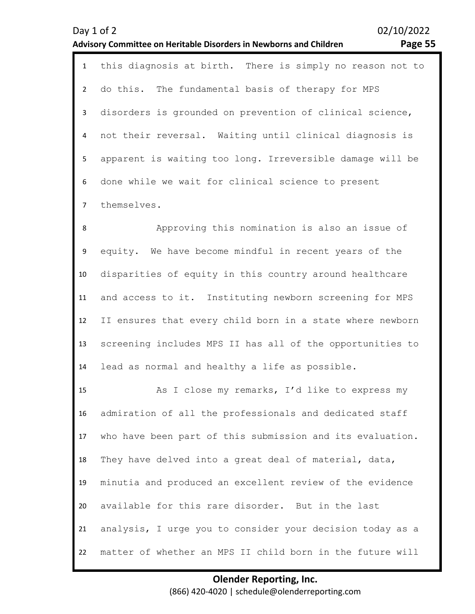1 this diagnosis at birth. There is simply no reason not to 2 3 4 5 6 7 do this. The fundamental basis of therapy for MPS disorders is grounded on prevention of clinical science, not their reversal. Waiting until clinical diagnosis is apparent is waiting too long. Irreversible damage will be done while we wait for clinical science to present themselves.

8 9 10 11 12 13 14 Approving this nomination is also an issue of equity. We have become mindful in recent years of the disparities of equity in this country around healthcare and access to it. Instituting newborn screening for MPS II ensures that every child born in a state where newborn screening includes MPS II has all of the opportunities to lead as normal and healthy a life as possible.

15 16 17 18 19 20 21 22 As I close my remarks, I'd like to express my admiration of all the professionals and dedicated staff who have been part of this submission and its evaluation. They have delved into a great deal of material, data, minutia and produced an excellent review of the evidence available for this rare disorder. But in the last analysis, I urge you to consider your decision today as a matter of whether an MPS II child born in the future will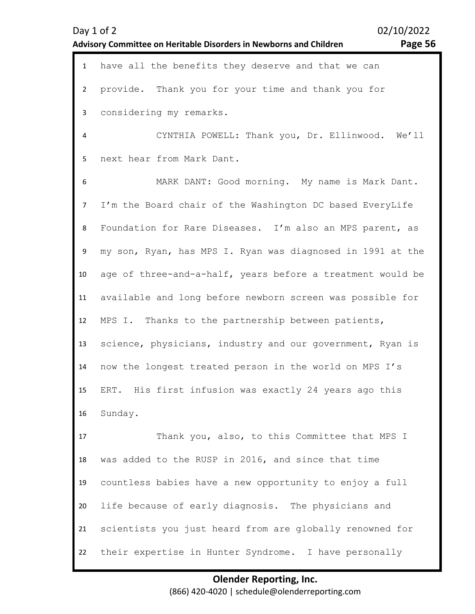| <b>Advisory Committee on Heritable Disorders in Newborns and Children</b> | Page 56 |
|---------------------------------------------------------------------------|---------|
|                                                                           |         |
|                                                                           |         |

1 have all the benefits they deserve and that we can 2 3 provide. Thank you for your time and thank you for considering my remarks.

4 5 CYNTHIA POWELL: Thank you, Dr. Ellinwood. We'll next hear from Mark Dant.

6 7 8 9 10 11 12 13 14 15 16 MARK DANT: Good morning. My name is Mark Dant. I'm the Board chair of the Washington DC based EveryLife Foundation for Rare Diseases. I'm also an MPS parent, as my son, Ryan, has MPS I. Ryan was diagnosed in 1991 at the age of three-and-a-half, years before a treatment would be available and long before newborn screen was possible for MPS I. Thanks to the partnership between patients, science, physicians, industry and our government, Ryan is now the longest treated person in the world on MPS I's ERT. His first infusion was exactly 24 years ago this Sunday.

17 18 19 20 21 22 Thank you, also, to this Committee that MPS I was added to the RUSP in 2016, and since that time countless babies have a new opportunity to enjoy a full life because of early diagnosis. The physicians and scientists you just heard from are globally renowned for their expertise in Hunter Syndrome. I have personally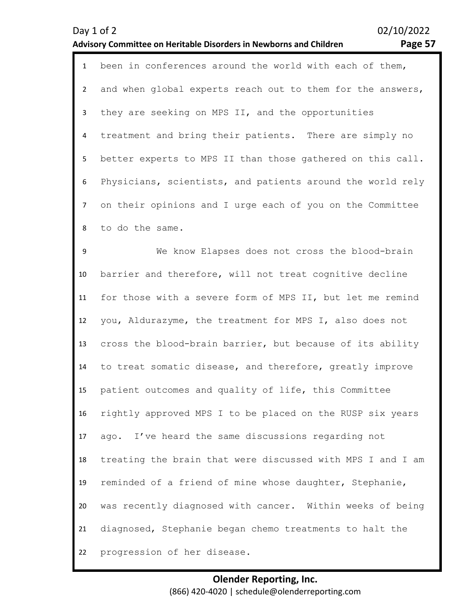|  |  | ٠ |  |
|--|--|---|--|
|--|--|---|--|

| $\mathbf{1}$   | been in conferences around the world with each of them,    |
|----------------|------------------------------------------------------------|
| $\overline{2}$ | and when global experts reach out to them for the answers, |
| 3              | they are seeking on MPS II, and the opportunities          |
| 4              | treatment and bring their patients. There are simply no    |
| 5              | better experts to MPS II than those gathered on this call. |
| 6              | Physicians, scientists, and patients around the world rely |
| $\overline{7}$ | on their opinions and I urge each of you on the Committee  |
| 8              | to do the same.                                            |
| 9              | We know Elapses does not cross the blood-brain             |
| 10             | barrier and therefore, will not treat cognitive decline    |
| 11             | for those with a severe form of MPS II, but let me remind  |
| 12             | you, Aldurazyme, the treatment for MPS I, also does not    |
| 13             | cross the blood-brain barrier, but because of its ability  |
| 14             | to treat somatic disease, and therefore, greatly improve   |
| 15             | patient outcomes and quality of life, this Committee       |
| 16             | rightly approved MPS I to be placed on the RUSP six years  |
| 17             | ago. I've heard the same discussions regarding not         |
| 18             | treating the brain that were discussed with MPS I and I am |
| 19             | reminded of a friend of mine whose daughter, Stephanie,    |
| 20             | was recently diagnosed with cancer. Within weeks of being  |
| 21             | diagnosed, Stephanie began chemo treatments to halt the    |
| 22             | progression of her disease.                                |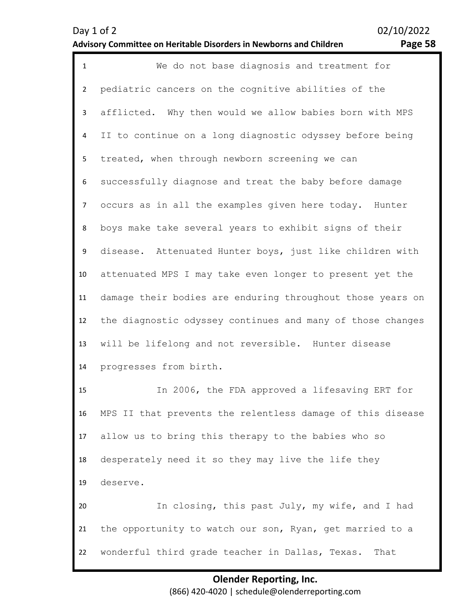| $\mathbf{1}$   | We do not base diagnosis and treatment for                 |
|----------------|------------------------------------------------------------|
| $\overline{2}$ | pediatric cancers on the cognitive abilities of the        |
| 3              | afflicted. Why then would we allow babies born with MPS    |
| 4              | II to continue on a long diagnostic odyssey before being   |
| 5              | treated, when through newborn screening we can             |
| 6              | successfully diagnose and treat the baby before damage     |
| $\overline{7}$ | occurs as in all the examples given here today. Hunter     |
| 8              | boys make take several years to exhibit signs of their     |
| 9              | disease. Attenuated Hunter boys, just like children with   |
| 10             | attenuated MPS I may take even longer to present yet the   |
| 11             | damage their bodies are enduring throughout those years on |
| 12             | the diagnostic odyssey continues and many of those changes |
| 13             | will be lifelong and not reversible. Hunter disease        |
| 14             | progresses from birth.                                     |
| 15             | In 2006, the FDA approved a lifesaving ERT for             |
| 16             | MPS II that prevents the relentless damage of this disease |
| 17             | allow us to bring this therapy to the babies who so        |
| 18             | desperately need it so they may live the life they         |
| 19             | deserve.                                                   |
| 20             | In closing, this past July, my wife, and I had             |
| 21             | the opportunity to watch our son, Ryan, get married to a   |
| 22             | wonderful third grade teacher in Dallas, Texas.<br>That    |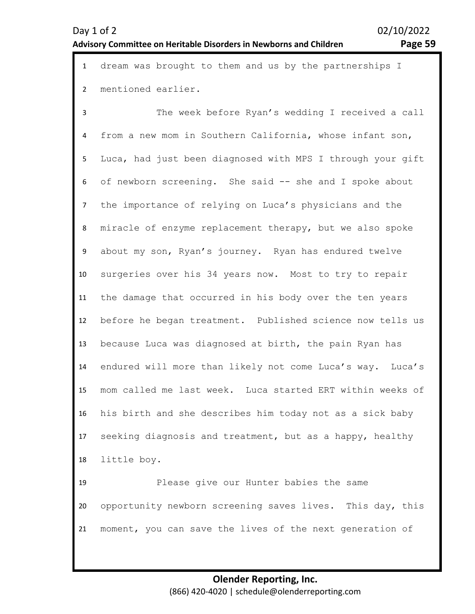|                | 1 dream was brought to them and us by the partnerships I   |
|----------------|------------------------------------------------------------|
|                | 2 mentioned earlier.                                       |
| 3              | The week before Ryan's wedding I received a call           |
| $\overline{4}$ | from a new mom in Southern California, whose infant son,   |
| 5              | Luca, had just been diagnosed with MPS I through your gift |
|                | 6 of newborn screening. She said -- she and I spoke about  |
| $\sim$         | the impertance of reluing an Iugals physicians and the     |

7 8 9 10 11 12 13 14 15 16 17 18 of newborn screening. She said -- she and I spoke about the importance of relying on Luca's physicians and the miracle of enzyme replacement therapy, but we also spoke about my son, Ryan's journey. Ryan has endured twelve surgeries over his 34 years now. Most to try to repair the damage that occurred in his body over the ten years before he began treatment. Published science now tells us because Luca was diagnosed at birth, the pain Ryan has endured will more than likely not come Luca's way. Luca's mom called me last week. Luca started ERT within weeks of his birth and she describes him today not as a sick baby seeking diagnosis and treatment, but as a happy, healthy little boy.

19 20 21 Please give our Hunter babies the same opportunity newborn screening saves lives. This day, this moment, you can save the lives of the next generation of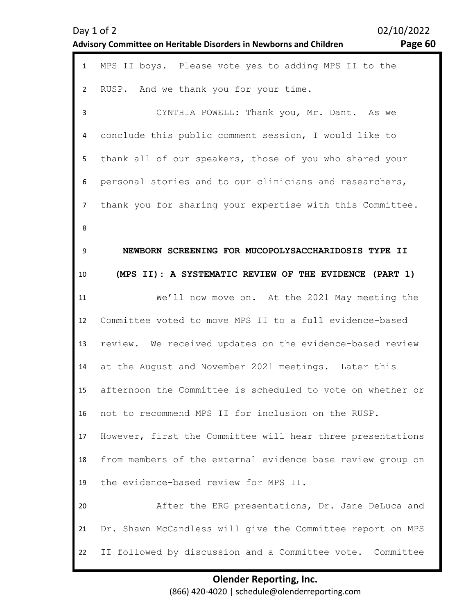|                | Page 60<br>Advisory Committee on Heritable Disorders in Newborns and Children |
|----------------|-------------------------------------------------------------------------------|
| $\mathbf{1}$   | MPS II boys. Please vote yes to adding MPS II to the                          |
| $\overline{2}$ | RUSP. And we thank you for your time.                                         |
| 3              | CYNTHIA POWELL: Thank you, Mr. Dant. As we                                    |
| 4              | conclude this public comment session, I would like to                         |
| 5              | thank all of our speakers, those of you who shared your                       |
| 6              | personal stories and to our clinicians and researchers,                       |
| $\overline{7}$ | thank you for sharing your expertise with this Committee.                     |
| 8              |                                                                               |
| 9              | NEWBORN SCREENING FOR MUCOPOLYSACCHARIDOSIS TYPE II                           |
| 10             | (MPS II): A SYSTEMATIC REVIEW OF THE EVIDENCE (PART 1)                        |
| 11             | We'll now move on. At the 2021 May meeting the                                |
| 12             | Committee voted to move MPS II to a full evidence-based                       |
| 13             | review. We received updates on the evidence-based review                      |
| 14             | at the August and November 2021 meetings. Later this                          |
| 15             | afternoon the Committee is scheduled to vote on whether or                    |
| 16             | not to recommend MPS II for inclusion on the RUSP.                            |
| 17             | However, first the Committee will hear three presentations                    |
| 18             | from members of the external evidence base review group on                    |
| 19             | the evidence-based review for MPS II.                                         |
| 20             | After the ERG presentations, Dr. Jane DeLuca and                              |
| 21             | Dr. Shawn McCandless will give the Committee report on MPS                    |
| 22             | II followed by discussion and a Committee vote. Committee                     |

Day 1 of 2 02/10/2022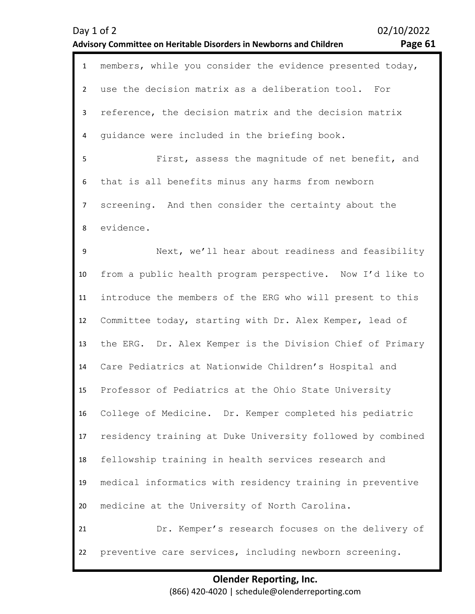| $\mathbf{1}$   | members, while you consider the evidence presented today,  |
|----------------|------------------------------------------------------------|
| $\overline{2}$ | use the decision matrix as a deliberation tool. For        |
| 3              | reference, the decision matrix and the decision matrix     |
| 4              | guidance were included in the briefing book.               |
| 5              | First, assess the magnitude of net benefit, and            |
| 6              | that is all benefits minus any harms from newborn          |
| $\overline{7}$ | screening. And then consider the certainty about the       |
| 8              | evidence.                                                  |
| 9              | Next, we'll hear about readiness and feasibility           |
| 10             | from a public health program perspective. Now I'd like to  |
| 11             | introduce the members of the ERG who will present to this  |
| 12             | Committee today, starting with Dr. Alex Kemper, lead of    |
| 13             | the ERG. Dr. Alex Kemper is the Division Chief of Primary  |
| 14             | Care Pediatrics at Nationwide Children's Hospital and      |
| 15             | Professor of Pediatrics at the Ohio State University       |
| 16             | College of Medicine. Dr. Kemper completed his pediatric    |
| 17             | residency training at Duke University followed by combined |
| 18             | fellowship training in health services research and        |
| 19             | medical informatics with residency training in preventive  |
| 20             | medicine at the University of North Carolina.              |
| 21             | Dr. Kemper's research focuses on the delivery of           |
| 22             | preventive care services, including newborn screening.     |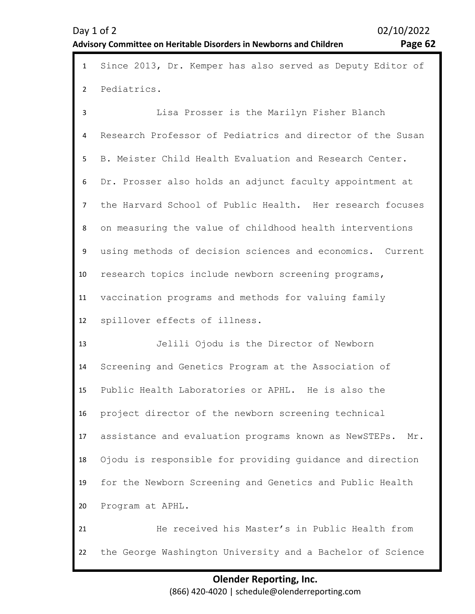| $\mathbf{1}$   | Since 2013, Dr. Kemper has also served as Deputy Editor of   |
|----------------|--------------------------------------------------------------|
| $\overline{2}$ | Pediatrics.                                                  |
| 3              | Lisa Prosser is the Marilyn Fisher Blanch                    |
| 4              | Research Professor of Pediatrics and director of the Susan   |
| 5              | B. Meister Child Health Evaluation and Research Center.      |
| 6              | Dr. Prosser also holds an adjunct faculty appointment at     |
| $\overline{7}$ | the Harvard School of Public Health. Her research focuses    |
| 8              | on measuring the value of childhood health interventions     |
| 9              | using methods of decision sciences and economics. Current    |
| 10             | research topics include newborn screening programs,          |
| 11             | vaccination programs and methods for valuing family          |
| 12             | spillover effects of illness.                                |
| 13             | Jelili Ojodu is the Director of Newborn                      |
| 14             | Screening and Genetics Program at the Association of         |
| 15             | Public Health Laboratories or APHL. He is also the           |
| 16             | project director of the newborn screening technical          |
| 17             | assistance and evaluation programs known as NewSTEPs.<br>Mr. |
| 18             | Ojodu is responsible for providing quidance and direction    |
| 19             | for the Newborn Screening and Genetics and Public Health     |
| 20             | Program at APHL.                                             |
| 21             | He received his Master's in Public Health from               |
| 22             | the George Washington University and a Bachelor of Science   |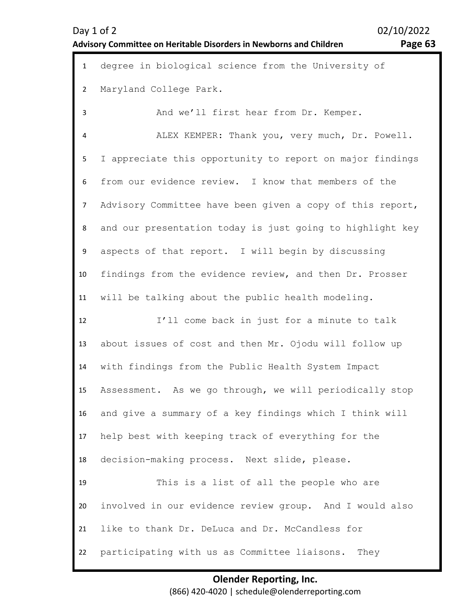| $\mathbf{1}$   | degree in biological science from the University of       |
|----------------|-----------------------------------------------------------|
| $\overline{2}$ | Maryland College Park.                                    |
| 3              | And we'll first hear from Dr. Kemper.                     |
| 4              | ALEX KEMPER: Thank you, very much, Dr. Powell.            |
| 5              | I appreciate this opportunity to report on major findings |
| 6              | from our evidence review. I know that members of the      |
| $\overline{7}$ | Advisory Committee have been given a copy of this report, |
| 8              | and our presentation today is just going to highlight key |
| 9              | aspects of that report. I will begin by discussing        |
| 10             | findings from the evidence review, and then Dr. Prosser   |
| 11             | will be talking about the public health modeling.         |
| 12             | I'll come back in just for a minute to talk               |
| 13             | about issues of cost and then Mr. Ojodu will follow up    |
| 14             | with findings from the Public Health System Impact        |
| 15             | Assessment. As we go through, we will periodically stop   |
| 16             | and give a summary of a key findings which I think will   |
| 17             | help best with keeping track of everything for the        |
| 18             | decision-making process. Next slide, please.              |
| 19             | This is a list of all the people who are                  |
| 20             | involved in our evidence review group. And I would also   |
| 21             | like to thank Dr. DeLuca and Dr. McCandless for           |
| 22             | participating with us as Committee liaisons. They         |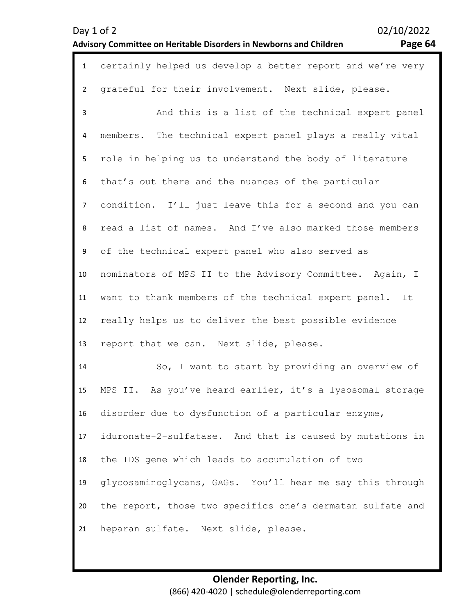| $\mathbf{1}$   | certainly helped us develop a better report and we're very |
|----------------|------------------------------------------------------------|
| $\overline{2}$ | grateful for their involvement. Next slide, please.        |
| 3              | And this is a list of the technical expert panel           |
| 4              | members. The technical expert panel plays a really vital   |
| 5              | role in helping us to understand the body of literature    |
| 6              | that's out there and the nuances of the particular         |
| $\overline{7}$ | condition. I'll just leave this for a second and you can   |
| 8              | read a list of names. And I've also marked those members   |
| 9              | of the technical expert panel who also served as           |
| 10             | nominators of MPS II to the Advisory Committee. Again, I   |
| 11             | want to thank members of the technical expert panel. It    |
| 12             | really helps us to deliver the best possible evidence      |
| 13             | report that we can. Next slide, please.                    |
| 14             | So, I want to start by providing an overview of            |
| 15             | MPS II. As you've heard earlier, it's a lysosomal storage  |
| 16             | disorder due to dysfunction of a particular enzyme,        |
| 17             | iduronate-2-sulfatase. And that is caused by mutations in  |
| 18             | the IDS gene which leads to accumulation of two            |
| 19             | glycosaminoglycans, GAGs. You'll hear me say this through  |
| 20             | the report, those two specifics one's dermatan sulfate and |
| 21             | heparan sulfate. Next slide, please.                       |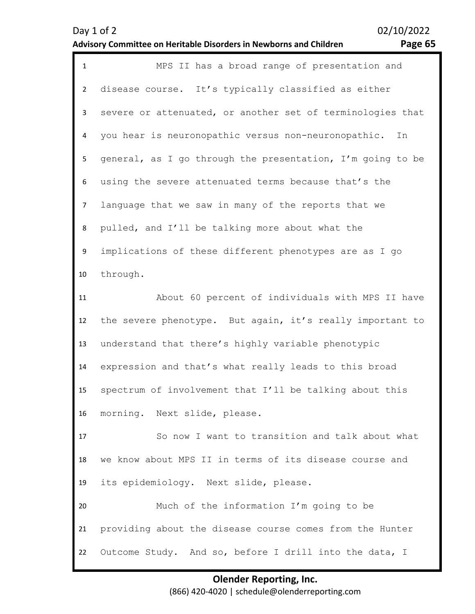| ee.<br>n | 'n |
|----------|----|
|----------|----|

| $\mathbf{1}$   | MPS II has a broad range of presentation and               |
|----------------|------------------------------------------------------------|
| $\overline{2}$ | disease course. It's typically classified as either        |
| $\mathbf{3}$   | severe or attenuated, or another set of terminologies that |
| 4              | you hear is neuronopathic versus non-neuronopathic.<br>In  |
| 5              | general, as I go through the presentation, I'm going to be |
| 6              | using the severe attenuated terms because that's the       |
| 7 <sup>7</sup> | language that we saw in many of the reports that we        |
| 8              | pulled, and I'll be talking more about what the            |
| 9              | implications of these different phenotypes are as I go     |
| 10             | through.                                                   |
| 11             | About 60 percent of individuals with MPS II have           |
| 12             | the severe phenotype. But again, it's really important to  |
| 13             | understand that there's highly variable phenotypic         |
| 14             | expression and that's what really leads to this broad      |
| 15             | spectrum of involvement that I'll be talking about this    |
| 16             | morning. Next slide, please.                               |
| 17             | So now I want to transition and talk about what            |
| 18             | we know about MPS II in terms of its disease course and    |
| 19             | its epidemiology. Next slide, please.                      |
| 20             | Much of the information I'm going to be                    |
| 21             | providing about the disease course comes from the Hunter   |
| 22             | Outcome Study. And so, before I drill into the data, I     |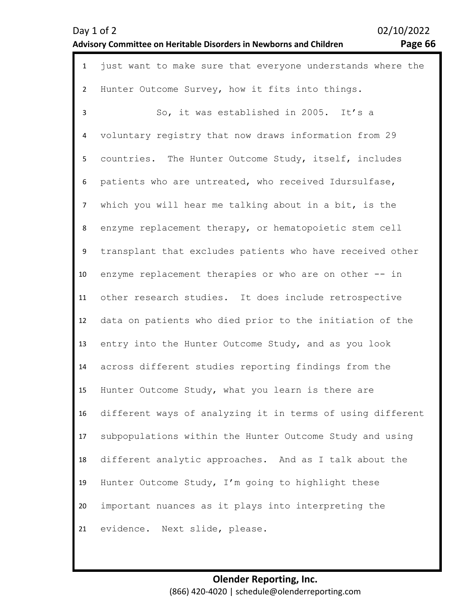| Day 1 of 2                                                                |  |
|---------------------------------------------------------------------------|--|
| <b>Advisory Committee on Heritable Disorders in Newborns and Children</b> |  |

02/10/2022 Page 66

| $\mathbf{1}$    | just want to make sure that everyone understands where the |
|-----------------|------------------------------------------------------------|
| $\overline{2}$  | Hunter Outcome Survey, how it fits into things.            |
| $\overline{3}$  | So, it was established in 2005. It's a                     |
| 4               | voluntary registry that now draws information from 29      |
| 5               | countries. The Hunter Outcome Study, itself, includes      |
| 6               | patients who are untreated, who received Idursulfase,      |
| $\overline{7}$  | which you will hear me talking about in a bit, is the      |
| 8               | enzyme replacement therapy, or hematopoietic stem cell     |
| 9               | transplant that excludes patients who have received other  |
| 10 <sup>°</sup> | enzyme replacement therapies or who are on other -- in     |
| 11              | other research studies. It does include retrospective      |
| 12              | data on patients who died prior to the initiation of the   |
| 13              | entry into the Hunter Outcome Study, and as you look       |
| 14              | across different studies reporting findings from the       |
| 15              | Hunter Outcome Study, what you learn is there are          |
| 16              | different ways of analyzing it in terms of using different |
| 17              | subpopulations within the Hunter Outcome Study and using   |
| 18              | different analytic approaches. And as I talk about the     |
| 19              | Hunter Outcome Study, I'm going to highlight these         |
| 20              | important nuances as it plays into interpreting the        |
| 21              | evidence.<br>Next slide, please.                           |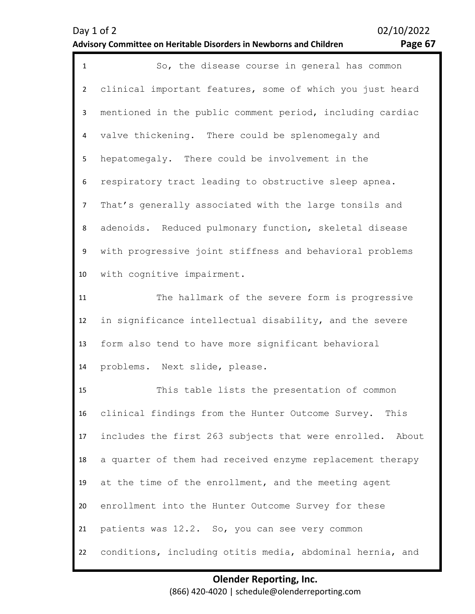| $\mathbf{1}$   | So, the disease course in general has common              |
|----------------|-----------------------------------------------------------|
| $\overline{2}$ | clinical important features, some of which you just heard |
| 3              | mentioned in the public comment period, including cardiac |
| 4              | valve thickening. There could be splenomegaly and         |
| 5              | hepatomegaly. There could be involvement in the           |
| 6              | respiratory tract leading to obstructive sleep apnea.     |
| $\overline{7}$ | That's generally associated with the large tonsils and    |
| 8              | adenoids. Reduced pulmonary function, skeletal disease    |
| 9              | with progressive joint stiffness and behavioral problems  |
| 10             | with cognitive impairment.                                |
| 11             | The hallmark of the severe form is progressive            |
| 12             | in significance intellectual disability, and the severe   |
| 13             | form also tend to have more significant behavioral        |
| 14             | problems. Next slide, please.                             |
| 15             | This table lists the presentation of common               |
| 16             | clinical findings from the Hunter Outcome Survey.<br>This |
| 17             | includes the first 263 subjects that were enrolled. About |
| 18             | a quarter of them had received enzyme replacement therapy |
| 19             | at the time of the enrollment, and the meeting agent      |
| 20             | enrollment into the Hunter Outcome Survey for these       |
| 21             | patients was 12.2. So, you can see very common            |
| 22             | conditions, including otitis media, abdominal hernia, and |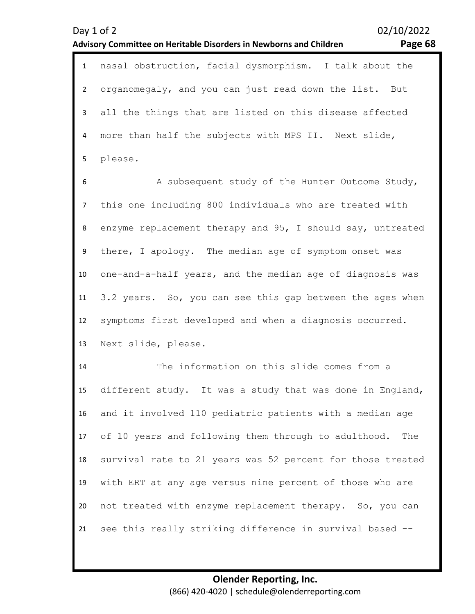1 nasal obstruction, facial dysmorphism. I talk about the 2 3 4 5 organomegaly, and you can just read down the list. But all the things that are listed on this disease affected more than half the subjects with MPS II. Next slide, please.

6 7 8 9 10 11 12 13 A subsequent study of the Hunter Outcome Study, this one including 800 individuals who are treated with enzyme replacement therapy and 95, I should say, untreated there, I apology. The median age of symptom onset was one-and-a-half years, and the median age of diagnosis was 3.2 years. So, you can see this gap between the ages when symptoms first developed and when a diagnosis occurred. Next slide, please.

14 15 16 17 18 19 20 21 The information on this slide comes from a different study. It was a study that was done in England, and it involved 110 pediatric patients with a median age of 10 years and following them through to adulthood. The survival rate to 21 years was 52 percent for those treated with ERT at any age versus nine percent of those who are not treated with enzyme replacement therapy. So, you can see this really striking difference in survival based --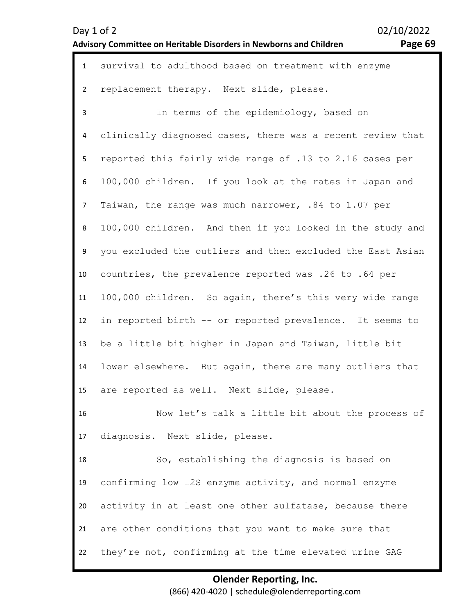| Advisory Committee on Heritable Disorders in Newborns and Children | 02/10/2022 |
|--------------------------------------------------------------------|------------|
|                                                                    | Page 69    |

| $\mathbf{1}$    | survival to adulthood based on treatment with enzyme       |
|-----------------|------------------------------------------------------------|
| $\mathbf{2}$    | replacement therapy. Next slide, please.                   |
| 3               | In terms of the epidemiology, based on                     |
| 4               | clinically diagnosed cases, there was a recent review that |
| 5               | reported this fairly wide range of .13 to 2.16 cases per   |
| 6               | 100,000 children. If you look at the rates in Japan and    |
| $7\overline{ }$ | Taiwan, the range was much narrower, .84 to 1.07 per       |
| 8               | 100,000 children. And then if you looked in the study and  |
| 9               | you excluded the outliers and then excluded the East Asian |
| 10              | countries, the prevalence reported was .26 to .64 per      |
| 11              | 100,000 children. So again, there's this very wide range   |
| 12              | in reported birth -- or reported prevalence. It seems to   |
| 13              | be a little bit higher in Japan and Taiwan, little bit     |
| 14              | lower elsewhere. But again, there are many outliers that   |
| 15              | are reported as well. Next slide, please.                  |
| 16              | Now let's talk a little bit about the process of           |
| 17              | diagnosis. Next slide, please.                             |
| 18              | So, establishing the diagnosis is based on                 |

**Olender Reporting, Inc.**  (866) 420-4020 | schedule@olenderreporting.com

confirming low I2S enzyme activity, and normal enzyme

are other conditions that you want to make sure that

they're not, confirming at the time elevated urine GAG

activity in at least one other sulfatase, because there

19

20

21

22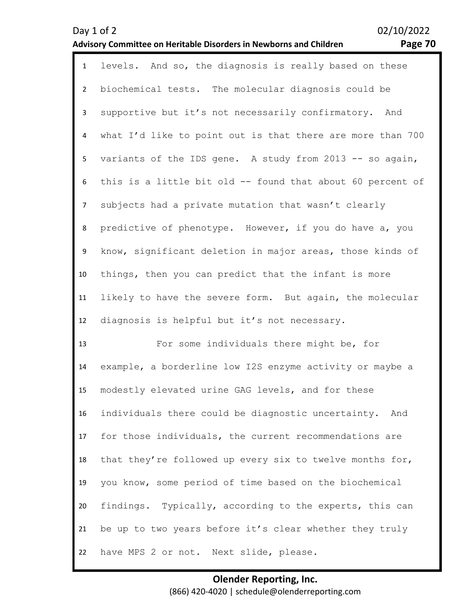| υ | ۰ |
|---|---|
|---|---|

| $\mathbf{1}$   | levels. And so, the diagnosis is really based on these     |
|----------------|------------------------------------------------------------|
| $\overline{2}$ | biochemical tests. The molecular diagnosis could be        |
| $\mathbf{3}$   | supportive but it's not necessarily confirmatory. And      |
| 4              | what I'd like to point out is that there are more than 700 |
| 5              | variants of the IDS gene. A study from 2013 -- so again,   |
| 6              | this is a little bit old -- found that about 60 percent of |
| $\overline{7}$ | subjects had a private mutation that wasn't clearly        |
| 8              | predictive of phenotype. However, if you do have a, you    |
| 9              | know, significant deletion in major areas, those kinds of  |
| 10             | things, then you can predict that the infant is more       |
| 11             | likely to have the severe form. But again, the molecular   |
| 12             | diagnosis is helpful but it's not necessary.               |
| 13             | For some individuals there might be, for                   |
| 14             | example, a borderline low I2S enzyme activity or maybe a   |
| 15             | modestly elevated urine GAG levels, and for these          |
| 16             | individuals there could be diagnostic uncertainty. And     |
| 17             | for those individuals, the current recommendations are     |
| 18             | that they're followed up every six to twelve months for,   |
| 19             | you know, some period of time based on the biochemical     |
| 20             | findings. Typically, according to the experts, this can    |
| 21             | be up to two years before it's clear whether they truly    |
| 22             | have MPS 2 or not. Next slide, please.                     |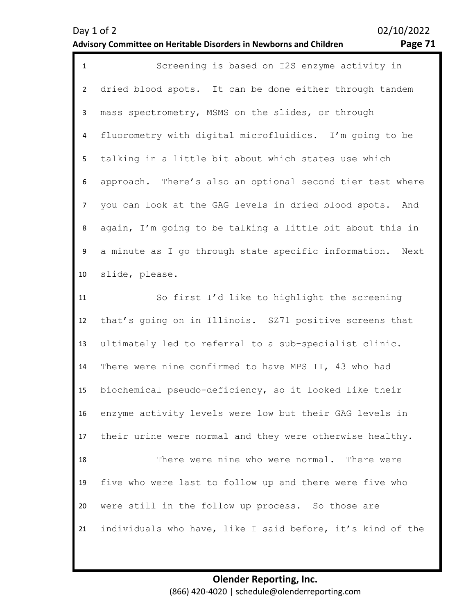| o<br>٠ |  |
|--------|--|
|        |  |

| $\mathbf{1}$   | Screening is based on I2S enzyme activity in               |
|----------------|------------------------------------------------------------|
| $\overline{2}$ | dried blood spots. It can be done either through tandem    |
| 3              | mass spectrometry, MSMS on the slides, or through          |
| 4              | fluorometry with digital microfluidics. I'm going to be    |
| 5              | talking in a little bit about which states use which       |
| 6              | approach. There's also an optional second tier test where  |
| $\overline{7}$ | you can look at the GAG levels in dried blood spots. And   |
| 8              | again, I'm going to be talking a little bit about this in  |
| 9              | a minute as I go through state specific information. Next  |
| 10             | slide, please.                                             |
| 11             | So first I'd like to highlight the screening               |
| 12             | that's going on in Illinois. SZ71 positive screens that    |
| 13             | ultimately led to referral to a sub-specialist clinic.     |
| 14             | There were nine confirmed to have MPS II, 43 who had       |
| 15             | biochemical pseudo-deficiency, so it looked like their     |
| 16             | enzyme activity levels were low but their GAG levels in    |
| 17             | their urine were normal and they were otherwise healthy.   |
| 18             | There were nine who were normal. There were                |
| 19             | five who were last to follow up and there were five who    |
| 20             | were still in the follow up process. So those are          |
| 21             | individuals who have, like I said before, it's kind of the |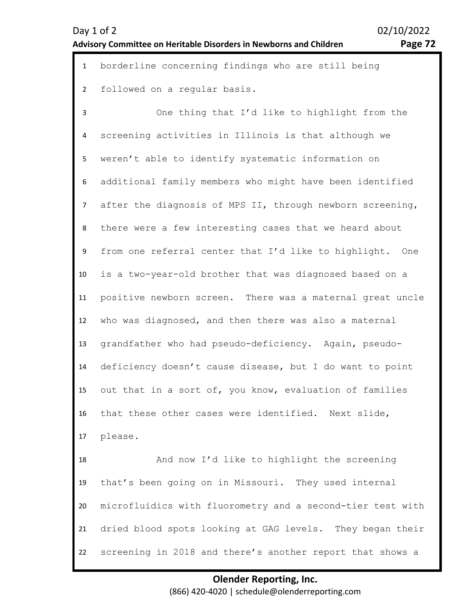| o<br>о<br>. —<br>۱۱<br>. . |  |
|----------------------------|--|
|                            |  |

| $\mathbf{1}$   | borderline concerning findings who are still being         |
|----------------|------------------------------------------------------------|
| $\overline{2}$ | followed on a regular basis.                               |
| 3              | One thing that I'd like to highlight from the              |
| 4              | screening activities in Illinois is that although we       |
| 5              | weren't able to identify systematic information on         |
| 6              | additional family members who might have been identified   |
| $\overline{7}$ | after the diagnosis of MPS II, through newborn screening,  |
| 8              | there were a few interesting cases that we heard about     |
| 9              | from one referral center that I'd like to highlight. One   |
| 10             | is a two-year-old brother that was diagnosed based on a    |
| 11             | positive newborn screen. There was a maternal great uncle  |
| 12             | who was diagnosed, and then there was also a maternal      |
| 13             | grandfather who had pseudo-deficiency. Again, pseudo-      |
| 14             | deficiency doesn't cause disease, but I do want to point   |
| 15             | out that in a sort of, you know, evaluation of families    |
| 16             | that these other cases were identified. Next slide,        |
| 17             | please.                                                    |
| 18             | And now I'd like to highlight the screening                |
| 19             | that's been going on in Missouri. They used internal       |
| 20             | microfluidics with fluorometry and a second-tier test with |
| 21             | dried blood spots looking at GAG levels. They began their  |
| 22             | screening in 2018 and there's another report that shows a  |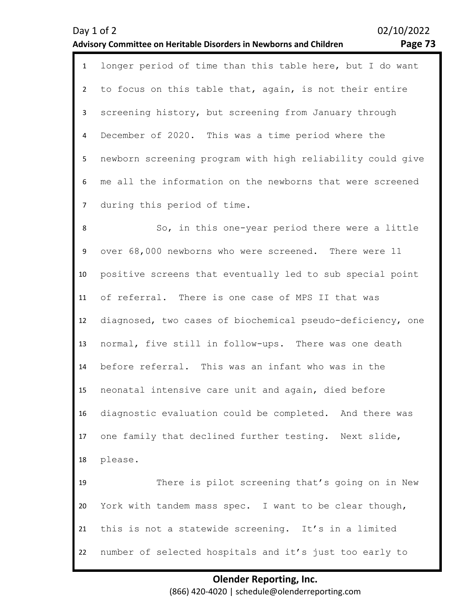# December of 2020. This was a time period where the

5 6 7 newborn screening program with high reliability could give me all the information on the newborns that were screened during this period of time.

1 longer period of time than this table here, but I do want

to focus on this table that, again, is not their entire

screening history, but screening from January through

8 9 10 11 12 13 14 15 16 17 18 19 20 21 22 So, in this one-year period there were a little over 68,000 newborns who were screened. There were 11 positive screens that eventually led to sub special point of referral. There is one case of MPS II that was diagnosed, two cases of biochemical pseudo-deficiency, one normal, five still in follow-ups. There was one death before referral. This was an infant who was in the neonatal intensive care unit and again, died before diagnostic evaluation could be completed. And there was one family that declined further testing. Next slide, please. There is pilot screening that's going on in New York with tandem mass spec. I want to be clear though, this is not a statewide screening. It's in a limited number of selected hospitals and it's just too early to

> **Olender Reporting, Inc.**  (866) 420-4020 | schedule@olenderreporting.com

### Day 1 of 2 02/10/2022 **Advisory Committee on Heritable Disorders in Newborns and Children Page 73**

 $\mathfrak{p}$ 

3

4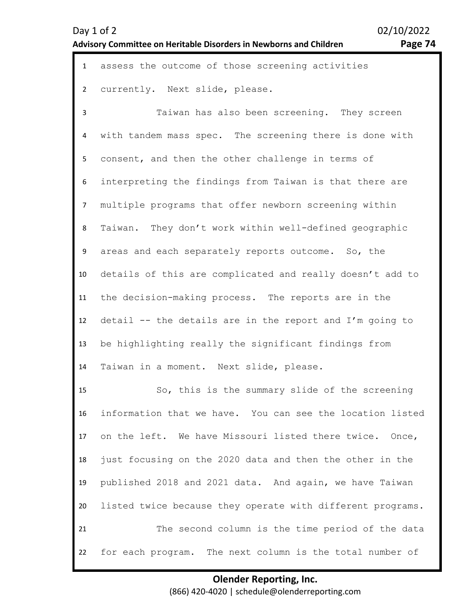| ⌒<br>۰۵۰<br>., | л |
|----------------|---|
|----------------|---|

| $\mathbf{1}$   | assess the outcome of those screening activities           |
|----------------|------------------------------------------------------------|
| $\overline{2}$ | currently. Next slide, please.                             |
| 3              | Taiwan has also been screening. They screen                |
| 4              | with tandem mass spec. The screening there is done with    |
| 5              | consent, and then the other challenge in terms of          |
| 6              | interpreting the findings from Taiwan is that there are    |
| 7 <sup>7</sup> | multiple programs that offer newborn screening within      |
| 8              | Taiwan. They don't work within well-defined geographic     |
| 9              | areas and each separately reports outcome. So, the         |
| 10             | details of this are complicated and really doesn't add to  |
| 11             | the decision-making process. The reports are in the        |
| 12             | detail -- the details are in the report and I'm going to   |
| 13             | be highlighting really the significant findings from       |
| 14             | Taiwan in a moment. Next slide, please.                    |
| 15             | So, this is the summary slide of the screening             |
| 16             | information that we have. You can see the location listed  |
| 17             | on the left. We have Missouri listed there twice. Once,    |
| 18             | just focusing on the 2020 data and then the other in the   |
| 19             | published 2018 and 2021 data. And again, we have Taiwan    |
| 20             | listed twice because they operate with different programs. |
| 21             | The second column is the time period of the data           |
| 22             | for each program. The next column is the total number of   |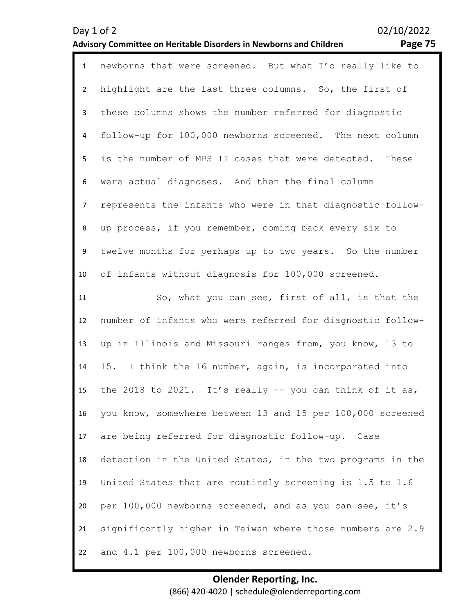| o |  |
|---|--|
|   |  |

| $\mathbf{1}$   | newborns that were screened. But what I'd really like to    |
|----------------|-------------------------------------------------------------|
| $\overline{2}$ | highlight are the last three columns. So, the first of      |
| 3              | these columns shows the number referred for diagnostic      |
| 4              | follow-up for 100,000 newborns screened. The next column    |
| 5              | is the number of MPS II cases that were detected. These     |
| 6              | were actual diagnoses. And then the final column            |
| $\overline{7}$ | represents the infants who were in that diagnostic follow-  |
| 8              | up process, if you remember, coming back every six to       |
| 9              | twelve months for perhaps up to two years. So the number    |
| 10             | of infants without diagnosis for 100,000 screened.          |
| 11             | So, what you can see, first of all, is that the             |
| 12             | number of infants who were referred for diagnostic follow-  |
| 13             | up in Illinois and Missouri ranges from, you know, 13 to    |
| 14             | 15. I think the 16 number, again, is incorporated into      |
| 15             | the 2018 to 2021. It's really $-$ - you can think of it as, |
| 16             | you know, somewhere between 13 and 15 per 100,000 screened  |
| 17             | are being referred for diagnostic follow-up. Case           |
| 18             | detection in the United States, in the two programs in the  |
| 19             | United States that are routinely screening is 1.5 to 1.6    |
| 20             | per 100,000 newborns screened, and as you can see, it's     |
| 21             | significantly higher in Taiwan where those numbers are 2.9  |
| 22             | and 4.1 per 100,000 newborns screened.                      |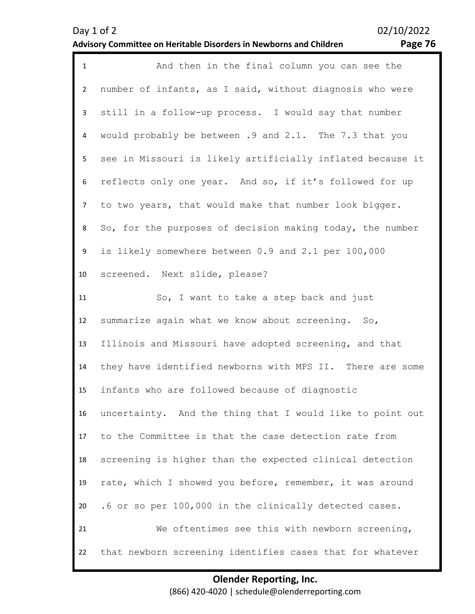| Day 1 of 2                                                         |  |
|--------------------------------------------------------------------|--|
| Advisory Committee on Heritable Disorders in Newborns and Children |  |

02/10/2022

# Page 76

| $\mathbf{1}$   | And then in the final column you can see the               |
|----------------|------------------------------------------------------------|
| $\overline{2}$ | number of infants, as I said, without diagnosis who were   |
| 3              | still in a follow-up process. I would say that number      |
| 4              | would probably be between .9 and 2.1. The 7.3 that you     |
| 5              | see in Missouri is likely artificially inflated because it |
| 6              | reflects only one year. And so, if it's followed for up    |
| $\overline{7}$ | to two years, that would make that number look bigger.     |
| 8              | So, for the purposes of decision making today, the number  |
| 9              | is likely somewhere between 0.9 and 2.1 per 100,000        |
| 10             | screened. Next slide, please?                              |
| 11             | So, I want to take a step back and just                    |
| 12             | summarize again what we know about screening. So,          |
| 13             | Illinois and Missouri have adopted screening, and that     |
| 14             | they have identified newborns with MPS II. There are some  |
| 15             | infants who are followed because of diagnostic             |
| 16             | uncertainty. And the thing that I would like to point out  |
| 17             | to the Committee is that the case detection rate from      |
| 18             | screening is higher than the expected clinical detection   |
| 19             | rate, which I showed you before, remember, it was around   |
| 20             | .6 or so per 100,000 in the clinically detected cases.     |
| 21             | We oftentimes see this with newborn screening,             |
| 22             | that newborn screening identifies cases that for whatever  |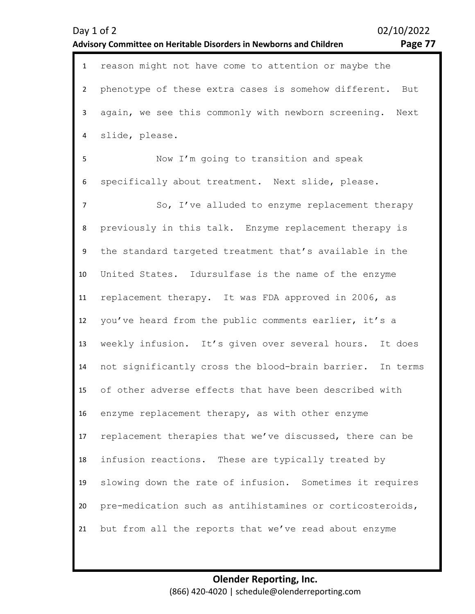| н |  |
|---|--|
|---|--|

| $\mathbf{1}$   | reason might not have come to attention or maybe the      |
|----------------|-----------------------------------------------------------|
| $2^{\circ}$    | phenotype of these extra cases is somehow different. But  |
| 3 <sup>1</sup> | again, we see this commonly with newborn screening. Next  |
| 4              | slide, please.                                            |
| 5              | Now I'm going to transition and speak                     |
| 6              | specifically about treatment. Next slide, please.         |
| $\overline{7}$ | So, I've alluded to enzyme replacement therapy            |
| 8              | previously in this talk. Enzyme replacement therapy is    |
| 9              | the standard targeted treatment that's available in the   |
| 10             | United States. Idursulfase is the name of the enzyme      |
| 11             | replacement therapy. It was FDA approved in 2006, as      |
| 12             | you've heard from the public comments earlier, it's a     |
| 13             | weekly infusion. It's given over several hours. It does   |
| 14             | not significantly cross the blood-brain barrier. In terms |
| 15             | of other adverse effects that have been described with    |
| 16             | enzyme replacement therapy, as with other enzyme          |
| 17             | replacement therapies that we've discussed, there can be  |
| 18             | infusion reactions. These are typically treated by        |
| 19             | slowing down the rate of infusion. Sometimes it requires  |
| 20             | pre-medication such as antihistamines or corticosteroids, |
| 21             | but from all the reports that we've read about enzyme     |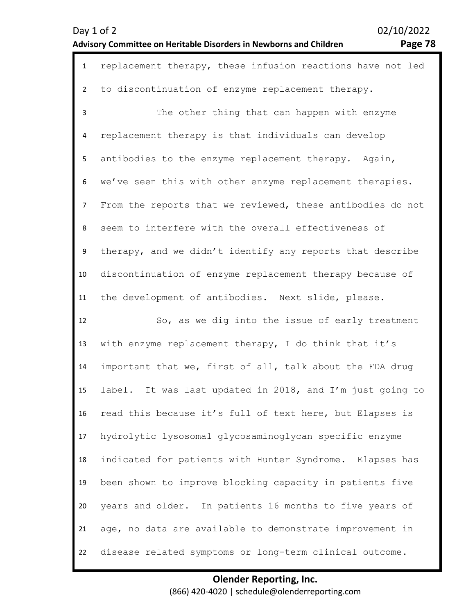# Day 1 of 2 02/10/2022

# **Advisory Committee on Heritable Disorders in Newborns and Children Page 78**

| $\mathbf{1}$   | replacement therapy, these infusion reactions have not led |
|----------------|------------------------------------------------------------|
| $\overline{2}$ | to discontinuation of enzyme replacement therapy.          |
| 3              | The other thing that can happen with enzyme                |
| 4              | replacement therapy is that individuals can develop        |
| 5              | antibodies to the enzyme replacement therapy. Again,       |
| 6              | we've seen this with other enzyme replacement therapies.   |
| $\overline{7}$ | From the reports that we reviewed, these antibodies do not |
| 8              | seem to interfere with the overall effectiveness of        |
| 9              | therapy, and we didn't identify any reports that describe  |
| 10             | discontinuation of enzyme replacement therapy because of   |
| 11             | the development of antibodies. Next slide, please.         |
|                |                                                            |
| 12             | So, as we dig into the issue of early treatment            |
| 13             | with enzyme replacement therapy, I do think that it's      |
| 14             | important that we, first of all, talk about the FDA drug   |
| 15             | label. It was last updated in 2018, and I'm just going to  |
| 16             | read this because it's full of text here, but Elapses is   |
| 17             | hydrolytic lysosomal glycosaminoglycan specific enzyme     |
| 18             | indicated for patients with Hunter Syndrome. Elapses has   |
| 19             | been shown to improve blocking capacity in patients five   |
| 20             | years and older. In patients 16 months to five years of    |
| 21             | age, no data are available to demonstrate improvement in   |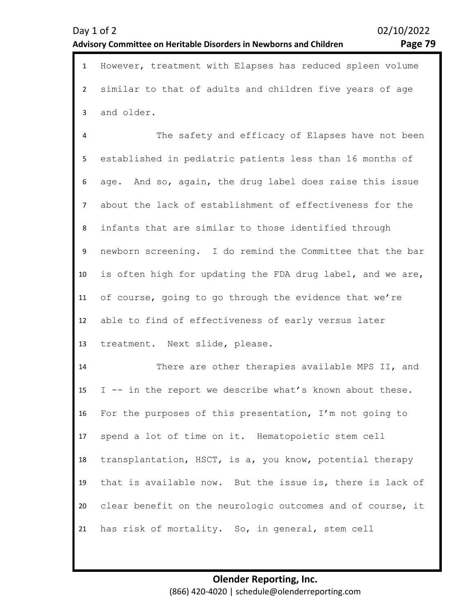1 However, treatment with Elapses has reduced spleen volume 2 3 similar to that of adults and children five years of age and older.

4 5 6 7 8 9 10 11 12 13 The safety and efficacy of Elapses have not been established in pediatric patients less than 16 months of age. And so, again, the drug label does raise this issue about the lack of establishment of effectiveness for the infants that are similar to those identified through newborn screening. I do remind the Committee that the bar is often high for updating the FDA drug label, and we are, of course, going to go through the evidence that we're able to find of effectiveness of early versus later treatment. Next slide, please.

14 15 16 17 18 19 20 21 There are other therapies available MPS II, and I -- in the report we describe what's known about these. For the purposes of this presentation, I'm not going to spend a lot of time on it. Hematopoietic stem cell transplantation, HSCT, is a, you know, potential therapy that is available now. But the issue is, there is lack of clear benefit on the neurologic outcomes and of course, it has risk of mortality. So, in general, stem cell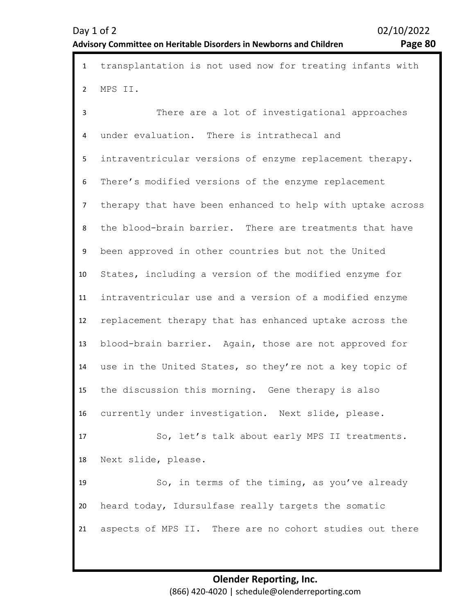1 transplantation is not used now for treating infants with 2 3 4 5 6 7 8 9 10 11 12 13 14 15 16 17 18 19 20 21 MPS II. There are a lot of investigational approaches under evaluation. There is intrathecal and intraventricular versions of enzyme replacement therapy. There's modified versions of the enzyme replacement therapy that have been enhanced to help with uptake across the blood-brain barrier. There are treatments that have been approved in other countries but not the United States, including a version of the modified enzyme for intraventricular use and a version of a modified enzyme replacement therapy that has enhanced uptake across the blood-brain barrier. Again, those are not approved for use in the United States, so they're not a key topic of the discussion this morning. Gene therapy is also currently under investigation. Next slide, please. So, let's talk about early MPS II treatments. Next slide, please. So, in terms of the timing, as you've already heard today, Idursulfase really targets the somatic aspects of MPS II. There are no cohort studies out there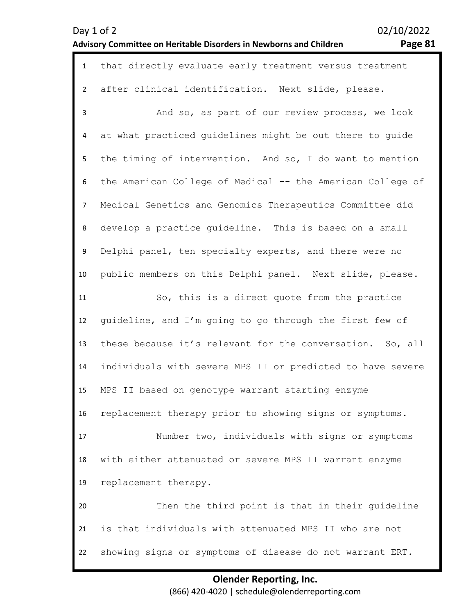| Day 1 of 2                                                                |  |
|---------------------------------------------------------------------------|--|
| <b>Advisory Committee on Heritable Disorders in Newborns and Children</b> |  |

02/10/2022 Page 81

| $\mathbf{1}$   | that directly evaluate early treatment versus treatment    |
|----------------|------------------------------------------------------------|
| $\overline{2}$ | after clinical identification. Next slide, please.         |
| 3              | And so, as part of our review process, we look             |
| 4              | at what practiced guidelines might be out there to quide   |
| 5              | the timing of intervention. And so, I do want to mention   |
| 6              | the American College of Medical -- the American College of |
| $\overline{7}$ | Medical Genetics and Genomics Therapeutics Committee did   |
| 8              | develop a practice quideline. This is based on a small     |
| 9              | Delphi panel, ten specialty experts, and there were no     |
| 10             | public members on this Delphi panel. Next slide, please.   |
| 11             | So, this is a direct quote from the practice               |
| 12             | guideline, and I'm going to go through the first few of    |
| 13             | these because it's relevant for the conversation. So, all  |
| 14             | individuals with severe MPS II or predicted to have severe |
| 15             | MPS II based on genotype warrant starting enzyme           |
| 16             | replacement therapy prior to showing signs or symptoms.    |
| 17             | Number two, individuals with signs or symptoms             |
| 18             | with either attenuated or severe MPS II warrant enzyme     |
| 19             | replacement therapy.                                       |
| 20             | Then the third point is that in their guideline            |
| 21             | is that individuals with attenuated MPS II who are not     |
| 22             | showing signs or symptoms of disease do not warrant ERT.   |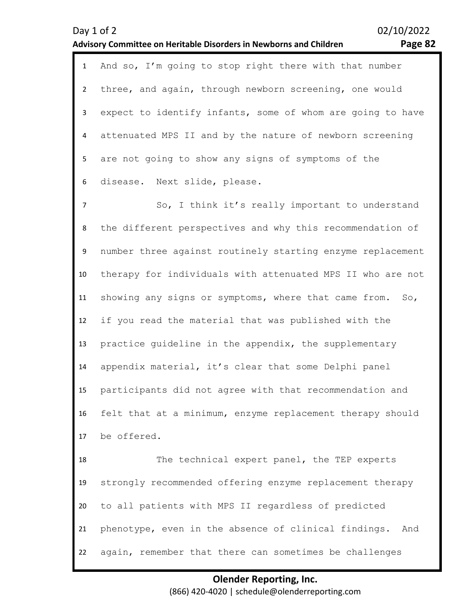|                         | 02/10/2022<br>Day 1 of 2<br>Advisory Committee on Heritable Disorders in Newborns and Children<br>Page 82 |
|-------------------------|-----------------------------------------------------------------------------------------------------------|
| $\mathbf{1}$            | And so, I'm going to stop right there with that number                                                    |
| $\overline{2}$          | three, and again, through newborn screening, one would                                                    |
| $\mathbf{3}$            | expect to identify infants, some of whom are going to have                                                |
| $\overline{\mathbf{4}}$ | attenuated MPS II and by the nature of newborn screening                                                  |
| 5                       | are not going to show any signs of symptoms of the                                                        |
| 6                       | disease. Next slide, please.                                                                              |
| $\overline{7}$          | So, I think it's really important to understand                                                           |
| 8                       | the different perspectives and why this recommendation of                                                 |
| 9                       | number three against routinely starting enzyme replacement                                                |
| 10                      | therapy for individuals with attenuated MPS II who are not                                                |
| 11                      | showing any signs or symptoms, where that came from.<br>So,                                               |
| 12                      | if you read the material that was published with the                                                      |
| 13                      | practice guideline in the appendix, the supplementary                                                     |
| 14                      | appendix material, it's clear that some Delphi panel                                                      |
| 15                      | participants did not agree with that recommendation and                                                   |
| 16                      | felt that at a minimum, enzyme replacement therapy should                                                 |
| 17                      | be offered.                                                                                               |
| 18                      | The technical expert panel, the TEP experts                                                               |
| 19                      | strongly recommended offering enzyme replacement therapy                                                  |
| 20                      | to all patients with MPS II regardless of predicted                                                       |
| 21                      | phenotype, even in the absence of clinical findings.<br>And                                               |
| 22                      | again, remember that there can sometimes be challenges                                                    |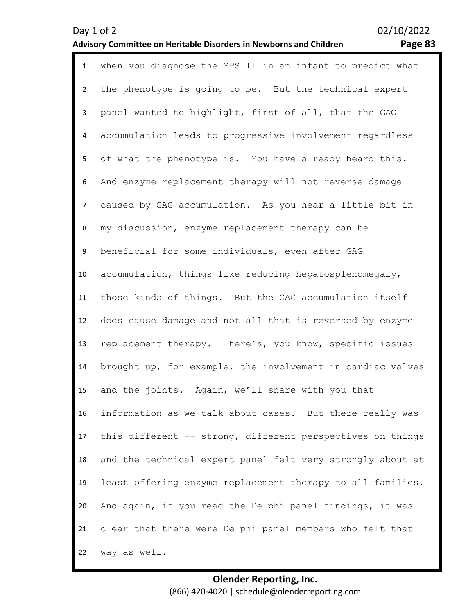| $\mathbf{1}$   | when you diagnose the MPS II in an infant to predict what  |
|----------------|------------------------------------------------------------|
| $\overline{2}$ | the phenotype is going to be. But the technical expert     |
| 3              | panel wanted to highlight, first of all, that the GAG      |
| 4              | accumulation leads to progressive involvement regardless   |
| 5              | of what the phenotype is. You have already heard this.     |
| 6              | And enzyme replacement therapy will not reverse damage     |
| $\overline{7}$ | caused by GAG accumulation. As you hear a little bit in    |
| 8              | my discussion, enzyme replacement therapy can be           |
| 9              | beneficial for some individuals, even after GAG            |
| 10             | accumulation, things like reducing hepatosplenomegaly,     |
| 11             | those kinds of things. But the GAG accumulation itself     |
| 12             | does cause damage and not all that is reversed by enzyme   |
| 13             | replacement therapy. There's, you know, specific issues    |
| 14             | brought up, for example, the involvement in cardiac valves |
| 15             | and the joints. Again, we'll share with you that           |
| 16             | information as we talk about cases. But there really was   |
| 17             | this different -- strong, different perspectives on things |
| 18             | and the technical expert panel felt very strongly about at |
| 19             | least offering enzyme replacement therapy to all families. |
| 20             | And again, if you read the Delphi panel findings, it was   |
| 21             | clear that there were Delphi panel members who felt that   |
| 22             | way as well.                                               |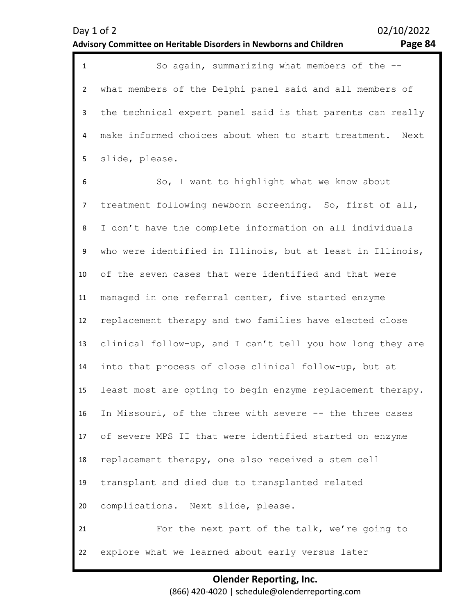| $\mathbf{1}$   | So again, summarizing what members of the --               |
|----------------|------------------------------------------------------------|
| 2              | what members of the Delphi panel said and all members of   |
| 3 <sup>1</sup> | the technical expert panel said is that parents can really |
| $\overline{4}$ | make informed choices about when to start treatment. Next  |
| $5 -$          | slide, please.                                             |
| - 6            | So, I want to highlight what we know about                 |

7 8 9 10 11 12 13 14 15 16 17 18 19 20 21 22 want to highlight what we know about treatment following newborn screening. So, first of all, I don't have the complete information on all individuals who were identified in Illinois, but at least in Illinois, of the seven cases that were identified and that were managed in one referral center, five started enzyme replacement therapy and two families have elected close clinical follow-up, and I can't tell you how long they are into that process of close clinical follow-up, but at least most are opting to begin enzyme replacement therapy. In Missouri, of the three with severe -- the three cases of severe MPS II that were identified started on enzyme replacement therapy, one also received a stem cell transplant and died due to transplanted related complications. Next slide, please. For the next part of the talk, we're going to explore what we learned about early versus later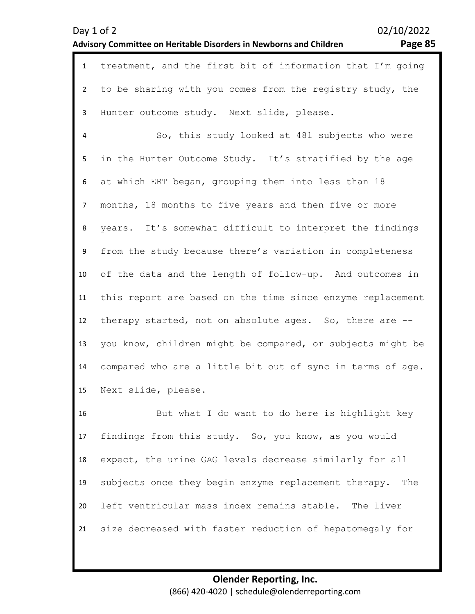| Day 1 of 2                                                                | 02/10/2022 |
|---------------------------------------------------------------------------|------------|
| <b>Advisory Committee on Heritable Disorders in Newborns and Children</b> | Page 85    |

|               | 1 treatment, and the first bit of information that I'm going |
|---------------|--------------------------------------------------------------|
| $\mathcal{P}$ | to be sharing with you comes from the registry study, the    |
| 3             | Hunter outcome study. Next slide, please.                    |
| 4             | So, this study looked at 481 subjects who were               |
| 5.            | in the Hunter Outcome Study. It's stratified by the age      |
| 6             | at which ERT began, grouping them into less than 18          |

7 8 9 10 11 12 13 14 15 months, 18 months to five years and then five or more years. It's somewhat difficult to interpret the findings from the study because there's variation in completeness of the data and the length of follow-up. And outcomes in this report are based on the time since enzyme replacement therapy started, not on absolute ages. So, there are - you know, children might be compared, or subjects might be compared who are a little bit out of sync in terms of age. Next slide, please.

16 17 18 19 20 21 But what I do want to do here is highlight key findings from this study. So, you know, as you would expect, the urine GAG levels decrease similarly for all subjects once they begin enzyme replacement therapy. The left ventricular mass index remains stable. The liver size decreased with faster reduction of hepatomegaly for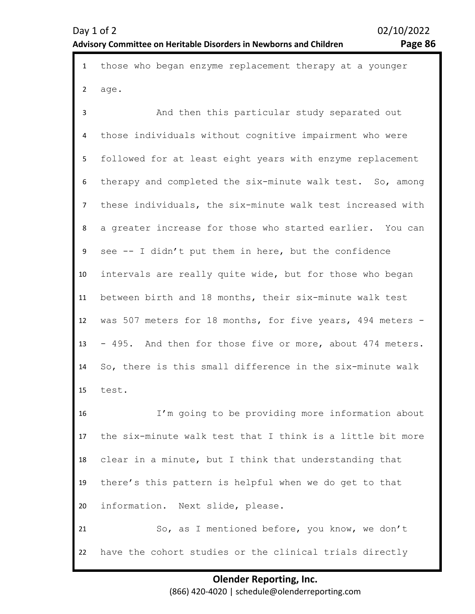1 those who began enzyme replacement therapy at a younger  $\mathfrak{p}$ age.

3 4 5 6 7 8 9 10 11 12 13 14 15 And then this particular study separated out those individuals without cognitive impairment who were followed for at least eight years with enzyme replacement therapy and completed the six-minute walk test. So, among these individuals, the six-minute walk test increased with a greater increase for those who started earlier. You can see -- I didn't put them in here, but the confidence intervals are really quite wide, but for those who began between birth and 18 months, their six-minute walk test was 507 meters for 18 months, for five years, 494 meters - - 495. And then for those five or more, about 474 meters. So, there is this small difference in the six-minute walk test.

16 17 18 19 20 I'm going to be providing more information about the six-minute walk test that I think is a little bit more clear in a minute, but I think that understanding that there's this pattern is helpful when we do get to that information. Next slide, please.

21 22 So, as I mentioned before, you know, we don't have the cohort studies or the clinical trials directly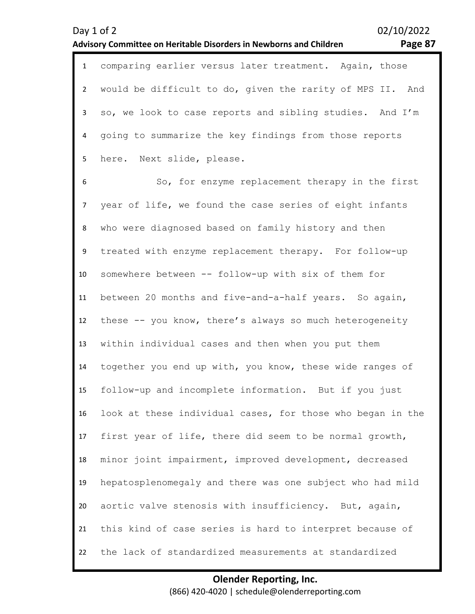|                | 1 comparing earlier versus later treatment. Again, those    |
|----------------|-------------------------------------------------------------|
|                | 2 would be difficult to do, given the rarity of MPS II. And |
| 3              | so, we look to case reports and sibling studies. And I'm    |
|                | 4 going to summarize the key findings from those reports    |
|                | 5 here. Next slide, please.                                 |
| 6              | So, for enzyme replacement therapy in the first             |
| 7 <sup>7</sup> | year of life, we found the case series of eight infants     |
|                |                                                             |

8 9 10 11 12 13 14 15 16 17 18 19 20 21 22 who were diagnosed based on family history and then treated with enzyme replacement therapy. For follow-up somewhere between -- follow-up with six of them for between 20 months and five-and-a-half years. So again, these -- you know, there's always so much heterogeneity within individual cases and then when you put them together you end up with, you know, these wide ranges of follow-up and incomplete information. But if you just look at these individual cases, for those who began in the first year of life, there did seem to be normal growth, minor joint impairment, improved development, decreased hepatosplenomegaly and there was one subject who had mild aortic valve stenosis with insufficiency. But, again, this kind of case series is hard to interpret because of the lack of standardized measurements at standardized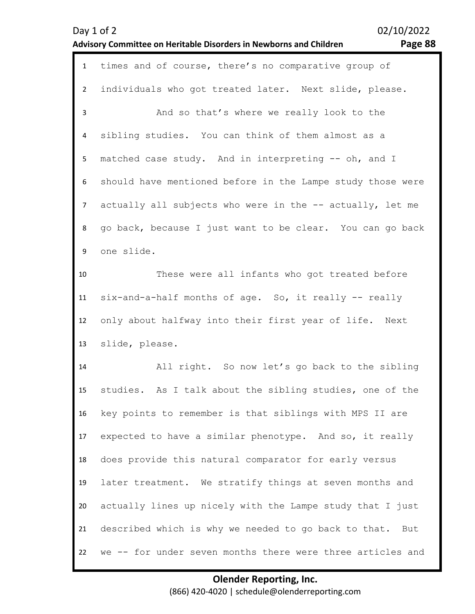| Day 1 of 2                                                         |  |
|--------------------------------------------------------------------|--|
| Advisory Committee on Heritable Disorders in Newborns and Children |  |

02/10/2022

# Page 88

| $\mathbf{1}$   | times and of course, there's no comparative group of       |
|----------------|------------------------------------------------------------|
| $2^{\circ}$    | individuals who got treated later. Next slide, please.     |
| $\overline{3}$ | And so that's where we really look to the                  |
| 4              | sibling studies. You can think of them almost as a         |
| 5              | matched case study. And in interpreting -- oh, and I       |
| 6              | should have mentioned before in the Lampe study those were |
| 7 <sup>7</sup> | actually all subjects who were in the -- actually, let me  |
| 8              | go back, because I just want to be clear. You can go back  |
| 9              | one slide.                                                 |
| 10             | These were all infants who got treated before              |
| 11             | six-and-a-half months of age. So, it really -- really      |
| 12             | only about halfway into their first year of life. Next     |
| 13             | slide, please.                                             |
| 14             | All right. So now let's go back to the sibling             |
| 15             | studies. As I talk about the sibling studies, one of the   |
| 16             | key points to remember is that siblings with MPS II are    |
| 17             | expected to have a similar phenotype. And so, it really    |
| 18             | does provide this natural comparator for early versus      |
| 19             | later treatment. We stratify things at seven months and    |
| 20             | actually lines up nicely with the Lampe study that I just  |
| 21             | described which is why we needed to go back to that. But   |
| 22             | we -- for under seven months there were three articles and |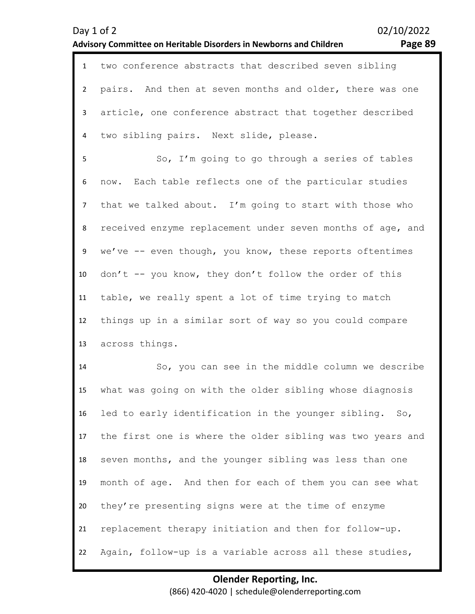|                | 1 two conference abstracts that described seven sibling    |
|----------------|------------------------------------------------------------|
| $2^{\circ}$    | pairs. And then at seven months and older, there was one   |
| 3              | article, one conference abstract that together described   |
| 4              | two sibling pairs. Next slide, please.                     |
| 5              | So, I'm going to go through a series of tables             |
| 6              | now. Each table reflects one of the particular studies     |
| 7 <sup>7</sup> | that we talked about. I'm going to start with those who    |
| 8              | received enzyme replacement under seven months of age, and |
| 9              | we've -- even though, you know, these reports oftentimes   |
| 10             | don't -- you know, they don't follow the order of this     |
| 11             | table, we really spent a lot of time trying to match       |
| 12             | things up in a similar sort of way so you could compare    |
| 13             | across things.                                             |
| 14             | So, you can see in the middle column we describe           |

15 16 17 18 19 20 21 22 what was going on with the older sibling whose diagnosis led to early identification in the younger sibling. So, the first one is where the older sibling was two years and seven months, and the younger sibling was less than one month of age. And then for each of them you can see what they're presenting signs were at the time of enzyme replacement therapy initiation and then for follow-up. Again, follow-up is a variable across all these studies,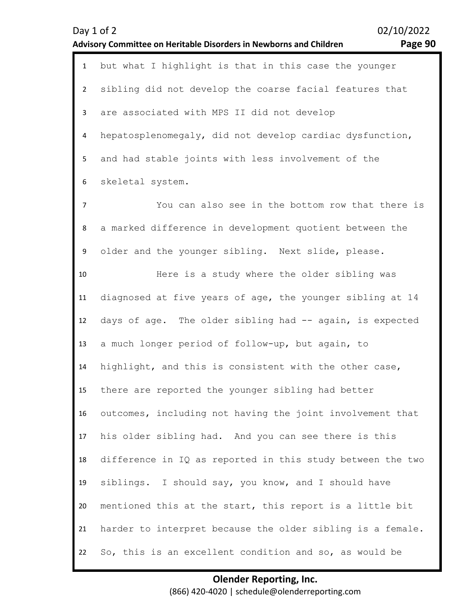|                | 02/10/2022<br>Day 1 of 2<br>Page 90<br>Advisory Committee on Heritable Disorders in Newborns and Children |
|----------------|-----------------------------------------------------------------------------------------------------------|
| $\mathbf{1}$   | but what I highlight is that in this case the younger                                                     |
| $\overline{2}$ | sibling did not develop the coarse facial features that                                                   |
| 3              | are associated with MPS II did not develop                                                                |
| 4              | hepatosplenomegaly, did not develop cardiac dysfunction,                                                  |
| 5              | and had stable joints with less involvement of the                                                        |
| 6              | skeletal system.                                                                                          |
| 7              | You can also see in the bottom row that there is                                                          |
| 8              | a marked difference in development quotient between the                                                   |
| 9              | older and the younger sibling. Next slide, please.                                                        |
| 10             | Here is a study where the older sibling was                                                               |
| 11             | diagnosed at five years of age, the younger sibling at 14                                                 |
| 12             | days of age. The older sibling had -- again, is expected                                                  |
| 13             | a much longer period of follow-up, but again, to                                                          |
| 14             | highlight, and this is consistent with the other case,                                                    |
| 15             | there are reported the younger sibling had better                                                         |
| 16             | outcomes, including not having the joint involvement that                                                 |
| 17             | his older sibling had. And you can see there is this                                                      |
| 18             | difference in IQ as reported in this study between the two                                                |
| 19             | siblings. I should say, you know, and I should have                                                       |
| 20             | mentioned this at the start, this report is a little bit                                                  |
| 21             | harder to interpret because the older sibling is a female.                                                |
| 22             | So, this is an excellent condition and so, as would be                                                    |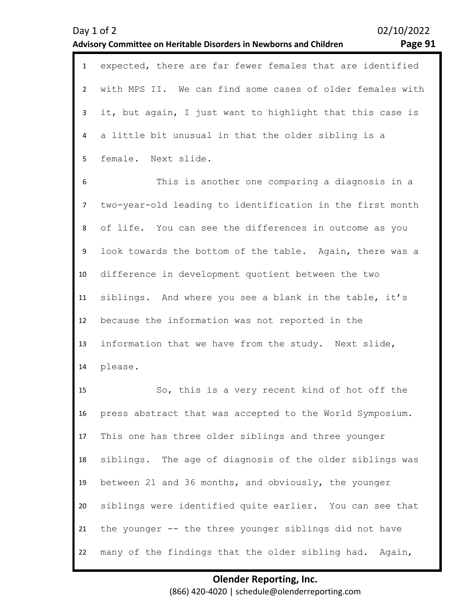| $\mathbf{1}$   | expected, there are far fewer females that are identified |
|----------------|-----------------------------------------------------------|
| $\overline{2}$ | with MPS II. We can find some cases of older females with |
| 3              | it, but again, I just want to highlight that this case is |
| 4              | a little bit unusual in that the older sibling is a       |
| 5              | female. Next slide.                                       |
| 6              | This is another one comparing a diagnosis in a            |
| $\overline{7}$ | two-year-old leading to identification in the first month |
| 8              | of life. You can see the differences in outcome as you    |
| 9              | look towards the bottom of the table. Again, there was a  |
| 10             | difference in development quotient between the two        |
| 11             | siblings. And where you see a blank in the table, it's    |
| 12             | because the information was not reported in the           |
| 13             | information that we have from the study. Next slide,      |
| 14             | please.                                                   |
| 15             | So, this is a very recent kind of hot off the             |
| 16             | press abstract that was accepted to the World Symposium.  |
| 17             | This one has three older siblings and three younger       |
| 18             | siblings. The age of diagnosis of the older siblings was  |
| 19             | between 21 and 36 months, and obviously, the younger      |

21 the younger -- the three younger siblings did not have

siblings were identified quite earlier. You can see that

20

22 many of the findings that the older sibling had. Again,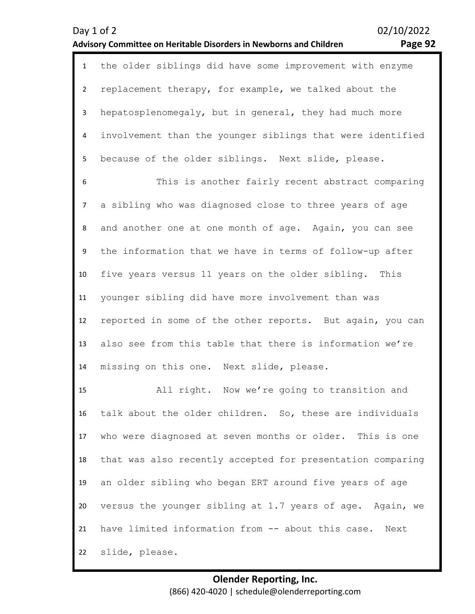|    | 1 the older siblings did have some improvement with enzyme   |
|----|--------------------------------------------------------------|
|    | replacement therapy, for example, we talked about the        |
|    | hepatosplenomegaly, but in general, they had much more       |
|    | 4 involvement than the younger siblings that were identified |
| 5. | because of the older siblings. Next slide, please.           |

6 7 8 9 10 11 12 13 14 This is another fairly recent abstract comparing a sibling who was diagnosed close to three years of age and another one at one month of age. Again, you can see the information that we have in terms of follow-up after five years versus 11 years on the older sibling. This younger sibling did have more involvement than was reported in some of the other reports. But again, you can also see from this table that there is information we're missing on this one. Next slide, please.

15 16 17 18 19 20 21 22 All right. Now we're going to transition and talk about the older children. So, these are individuals who were diagnosed at seven months or older. This is one that was also recently accepted for presentation comparing an older sibling who began ERT around five years of age versus the younger sibling at 1.7 years of age. Again, we have limited information from -- about this case. Next slide, please.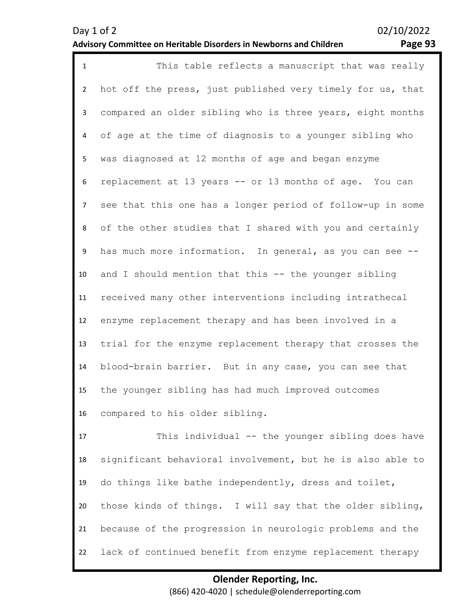| $\mathbf{1}$   | This table reflects a manuscript that was really           |
|----------------|------------------------------------------------------------|
| $\overline{2}$ | hot off the press, just published very timely for us, that |
| 3              | compared an older sibling who is three years, eight months |
| 4              | of age at the time of diagnosis to a younger sibling who   |
| 5              | was diagnosed at 12 months of age and began enzyme         |
| 6              | replacement at 13 years -- or 13 months of age. You can    |
| $\overline{7}$ | see that this one has a longer period of follow-up in some |
| 8              | of the other studies that I shared with you and certainly  |
| 9              | has much more information. In general, as you can see --   |
| 10             | and I should mention that this -- the younger sibling      |
| 11             | received many other interventions including intrathecal    |
| 12             | enzyme replacement therapy and has been involved in a      |
| 13             | trial for the enzyme replacement therapy that crosses the  |
| 14             | blood-brain barrier. But in any case, you can see that     |
| 15             | the younger sibling has had much improved outcomes         |
| 16             | compared to his older sibling.                             |
| 17             | This individual -- the younger sibling does have           |
| 18             | significant behavioral involvement, but he is also able to |
| 19             | do things like bathe independently, dress and toilet,      |
| 20             | those kinds of things. I will say that the older sibling,  |
| 21             | because of the progression in neurologic problems and the  |

22 lack of continued benefit from enzyme replacement therapy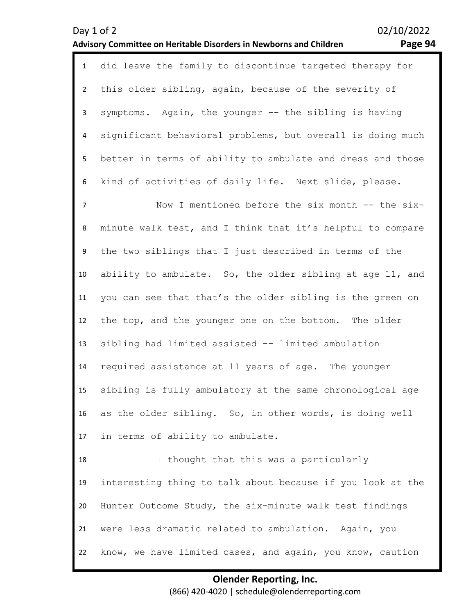| age 94 |  |
|--------|--|
|--------|--|

|                | 1 did leave the family to discontinue targeted therapy for |
|----------------|------------------------------------------------------------|
|                | 2 this older sibling, again, because of the severity of    |
| 3 <sup>7</sup> | symptoms. Again, the younger -- the sibling is having      |
| 4              | significant behavioral problems, but overall is doing much |
| 5              | better in terms of ability to ambulate and dress and those |
|                | 6 kind of activities of daily life. Next slide, please.    |
| $\overline{7}$ | Now I mentioned before the six month -- the six-           |
| 8              | minute walk test, and I think that it's helpful to compare |
| 9              | the two siblings that I just described in terms of the     |

10 11 12 13 14 15 16 ability to ambulate. So, the older sibling at age 11, and you can see that that's the older sibling is the green on the top, and the younger one on the bottom. The older sibling had limited assisted -- limited ambulation required assistance at 11 years of age. The younger sibling is fully ambulatory at the same chronological age as the older sibling. So, in other words, is doing well

17 in terms of ability to ambulate.

18 19 20 21 22 I thought that this was a particularly interesting thing to talk about because if you look at the Hunter Outcome Study, the six-minute walk test findings were less dramatic related to ambulation. Again, you know, we have limited cases, and again, you know, caution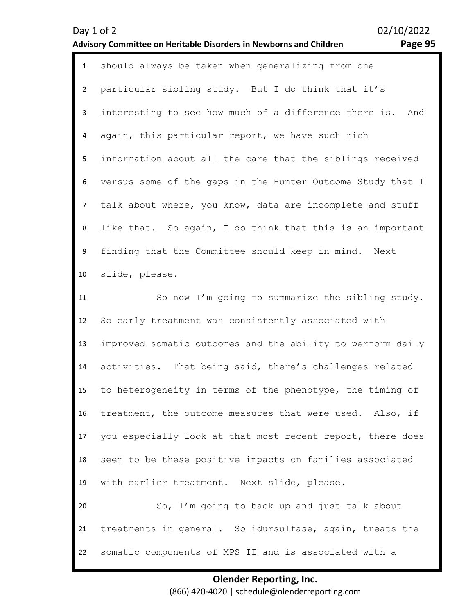| Day 1 of 2 |  |  | Advisory Committee on Heritable Disorders in Newborns and Children |  | 02/10/2022 | Page 95 |
|------------|--|--|--------------------------------------------------------------------|--|------------|---------|
|            |  |  | should always be taken when generalizing from one                  |  |            |         |

2 3 4 5 6 7 8 9 10 particular sibling study. But I do think that it's interesting to see how much of a difference there is. And again, this particular report, we have such rich information about all the care that the siblings received versus some of the gaps in the Hunter Outcome Study that I talk about where, you know, data are incomplete and stuff like that. So again, I do think that this is an important finding that the Committee should keep in mind. Next slide, please.

11 12 13 14 15 16 17 18 19 20 21 22 So now I'm going to summarize the sibling study. So early treatment was consistently associated with improved somatic outcomes and the ability to perform daily activities. That being said, there's challenges related to heterogeneity in terms of the phenotype, the timing of treatment, the outcome measures that were used. Also, if you especially look at that most recent report, there does seem to be these positive impacts on families associated with earlier treatment. Next slide, please. So, I'm going to back up and just talk about treatments in general. So idursulfase, again, treats the somatic components of MPS II and is associated with a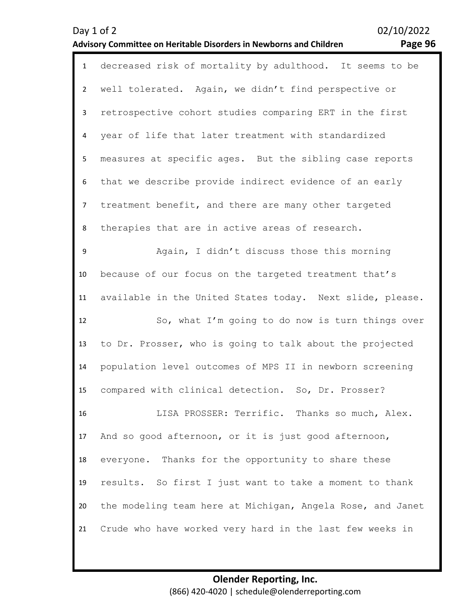| Page 96 |  |
|---------|--|

| $\mathbf{1}$   | decreased risk of mortality by adulthood. It seems to be   |
|----------------|------------------------------------------------------------|
| $\overline{2}$ | well tolerated. Again, we didn't find perspective or       |
| $\mathbf{3}$   | retrospective cohort studies comparing ERT in the first    |
| 4              | year of life that later treatment with standardized        |
| 5              | measures at specific ages. But the sibling case reports    |
| 6              | that we describe provide indirect evidence of an early     |
| $\overline{7}$ | treatment benefit, and there are many other targeted       |
| 8              | therapies that are in active areas of research.            |
| 9              | Again, I didn't discuss those this morning                 |
| 10             | because of our focus on the targeted treatment that's      |
| 11             | available in the United States today. Next slide, please.  |
| 12             | So, what I'm going to do now is turn things over           |
| 13             | to Dr. Prosser, who is going to talk about the projected   |
| 14             | population level outcomes of MPS II in newborn screening   |
| 15             | compared with clinical detection. So, Dr. Prosser?         |
| 16             | LISA PROSSER: Terrific. Thanks so much, Alex.              |
| 17             | And so good afternoon, or it is just good afternoon,       |
| 18             | everyone. Thanks for the opportunity to share these        |
| 19             | results. So first I just want to take a moment to thank    |
| 20             | the modeling team here at Michigan, Angela Rose, and Janet |
| 21             | Crude who have worked very hard in the last few weeks in   |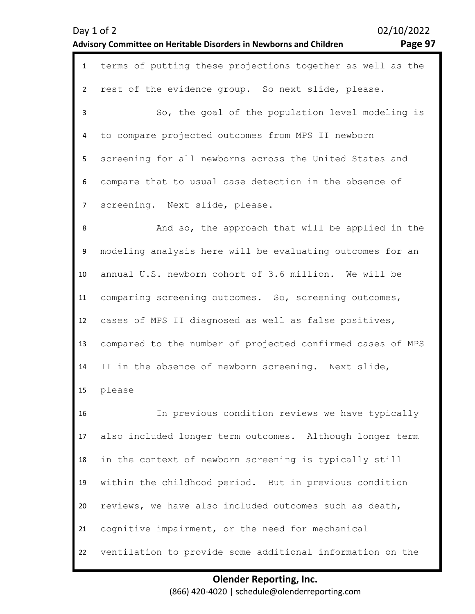| Day 1 of 2                                                         |  |
|--------------------------------------------------------------------|--|
| Advisory Committee on Heritable Disorders in Newborns and Children |  |

02/10/2022 Page 97

| $\mathbf{1}$   | terms of putting these projections together as well as the |
|----------------|------------------------------------------------------------|
| $\overline{2}$ | rest of the evidence group. So next slide, please.         |
| 3              | So, the goal of the population level modeling is           |
| 4              | to compare projected outcomes from MPS II newborn          |
| 5              | screening for all newborns across the United States and    |
| 6              | compare that to usual case detection in the absence of     |
| $\overline{7}$ | screening. Next slide, please.                             |
| 8              | And so, the approach that will be applied in the           |
| 9              | modeling analysis here will be evaluating outcomes for an  |
| $10\,$         | annual U.S. newborn cohort of 3.6 million. We will be      |
| 11             | comparing screening outcomes. So, screening outcomes,      |
| 12             | cases of MPS II diagnosed as well as false positives,      |
| 13             | compared to the number of projected confirmed cases of MPS |
| 14             | II in the absence of newborn screening. Next slide,        |
| 15             | please                                                     |
| 16             | In previous condition reviews we have typically            |
| 17             | also included longer term outcomes. Although longer term   |
| 18             | in the context of newborn screening is typically still     |
| 19             | within the childhood period. But in previous condition     |
| 20             | reviews, we have also included outcomes such as death,     |
| 21             | cognitive impairment, or the need for mechanical           |
| 22             | ventilation to provide some additional information on the  |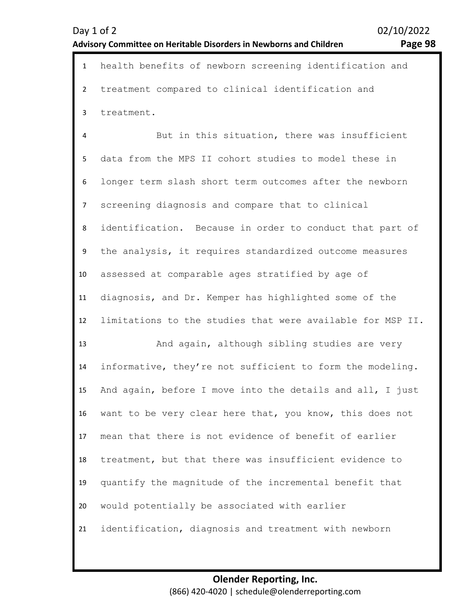7 8 screening diagnosis and compare that to clinical identification. Because in order to conduct that part of

data from the MPS II cohort studies to model these in

1 health benefits of newborn screening identification and

But in this situation, there was insufficient

treatment compared to clinical identification and

9 10 11 12 the analysis, it requires standardized outcome measures assessed at comparable ages stratified by age of diagnosis, and Dr. Kemper has highlighted some of the limitations to the studies that were available for MSP II.

13 14 15 16 17 18 19 20 21 And again, although sibling studies are very informative, they're not sufficient to form the modeling. And again, before I move into the details and all, I just want to be very clear here that, you know, this does not mean that there is not evidence of benefit of earlier treatment, but that there was insufficient evidence to quantify the magnitude of the incremental benefit that would potentially be associated with earlier identification, diagnosis and treatment with newborn

 $\overline{\phantom{a}}$ 

3

treatment.

4

5

6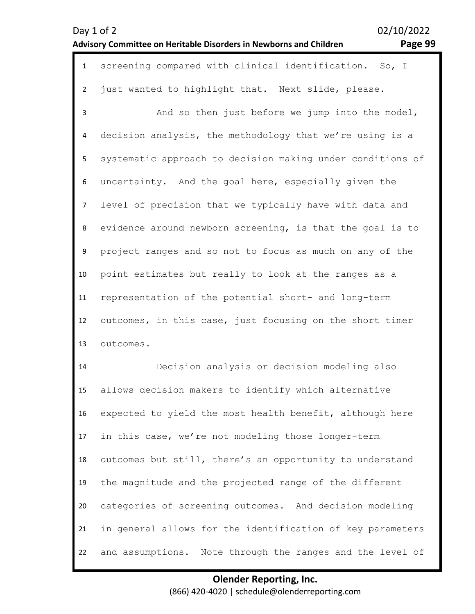| Day 1 of 2                                                         |  |
|--------------------------------------------------------------------|--|
| Advisory Committee on Heritable Disorders in Newborns and Children |  |

02/10/2022 Page 99

| $\mathbf{1}$   | screening compared with clinical identification. So, I     |
|----------------|------------------------------------------------------------|
| $\overline{2}$ | just wanted to highlight that. Next slide, please.         |
| 3              | And so then just before we jump into the model,            |
| 4              | decision analysis, the methodology that we're using is a   |
| 5              | systematic approach to decision making under conditions of |
| 6              | uncertainty. And the goal here, especially given the       |
| $\overline{7}$ | level of precision that we typically have with data and    |
| 8              | evidence around newborn screening, is that the goal is to  |
| 9              | project ranges and so not to focus as much on any of the   |
| 10             | point estimates but really to look at the ranges as a      |
| 11             | representation of the potential short- and long-term       |
| 12             | outcomes, in this case, just focusing on the short timer   |
| 13             | outcomes.                                                  |
| 14             | Decision analysis or decision modeling also                |
| 15             | allows decision makers to identify which alternative       |
| 16             | expected to yield the most health benefit, although here   |
| 17             | in this case, we're not modeling those longer-term         |
| 18             | outcomes but still, there's an opportunity to understand   |
| 19             | the magnitude and the projected range of the different     |
| 20             | categories of screening outcomes. And decision modeling    |
| 21             | in general allows for the identification of key parameters |

and assumptions. Note through the ranges and the level of

22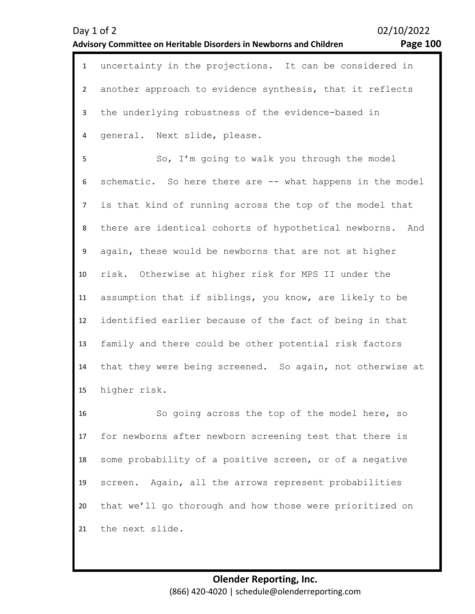| $\mathbf{1}$   | uncertainty in the projections. It can be considered in      |
|----------------|--------------------------------------------------------------|
| $2^{\circ}$    | another approach to evidence synthesis, that it reflects     |
| 3              | the underlying robustness of the evidence-based in           |
| 4              | general. Next slide, please.                                 |
| 5              | So, I'm going to walk you through the model                  |
| 6              | schematic. So here there are -- what happens in the model    |
| $\overline{7}$ | is that kind of running across the top of the model that     |
| 8              | there are identical cohorts of hypothetical newborns.<br>And |
| 9              | again, these would be newborns that are not at higher        |
| 10             | risk. Otherwise at higher risk for MPS II under the          |
| 11             | assumption that if siblings, you know, are likely to be      |
| 12             | identified earlier because of the fact of being in that      |
| 13             | family and there could be other potential risk factors       |
| 14             | that they were being screened. So again, not otherwise at    |
| 15             | higher risk.                                                 |
| 16             | So going across the top of the model here, so                |
| 17             | for newborns after newborn screening test that there is      |
| 18             | some probability of a positive screen, or of a negative      |
| 19             | screen. Again, all the arrows represent probabilities        |

21 the next slide.

20

### **Olender Reporting, Inc.**  (866) 420-4020 | schedule@olenderreporting.com

that we'll go thorough and how those were prioritized on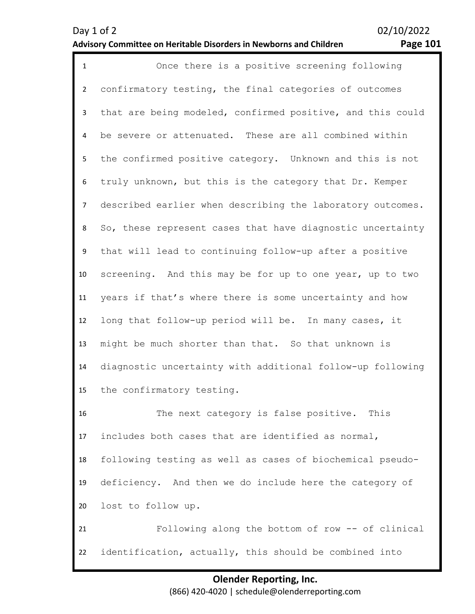| $\mathbf 1$    | Once there is a positive screening following               |
|----------------|------------------------------------------------------------|
| $\overline{2}$ | confirmatory testing, the final categories of outcomes     |
| $\mathbf{3}$   | that are being modeled, confirmed positive, and this could |
| 4              | be severe or attenuated. These are all combined within     |
| 5              | the confirmed positive category. Unknown and this is not   |
| 6              | truly unknown, but this is the category that Dr. Kemper    |
| $\overline{7}$ | described earlier when describing the laboratory outcomes. |
| 8              | So, these represent cases that have diagnostic uncertainty |
| 9              | that will lead to continuing follow-up after a positive    |
| 10             | screening. And this may be for up to one year, up to two   |
| 11             | years if that's where there is some uncertainty and how    |
| 12             | long that follow-up period will be. In many cases, it      |
| 13             | might be much shorter than that. So that unknown is        |
| 14             | diagnostic uncertainty with additional follow-up following |
| 15             | the confirmatory testing.                                  |
| 16             | The next category is false positive.<br>This               |
| 17             | includes both cases that are identified as normal,         |
| 18             | following testing as well as cases of biochemical pseudo-  |
| 19             | deficiency. And then we do include here the category of    |
| 20             | lost to follow up.                                         |
| 21             | Following along the bottom of row -- of clinical           |
| 22             | identification, actually, this should be combined into     |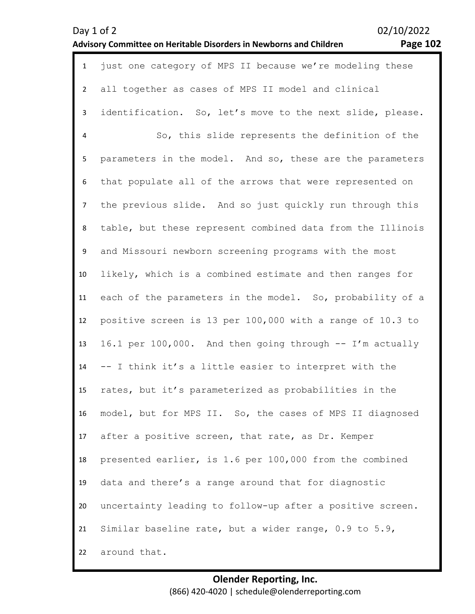| $\mathbf{1}$   | just one category of MPS II because we're modeling these   |
|----------------|------------------------------------------------------------|
| $\overline{2}$ | all together as cases of MPS II model and clinical         |
| $\mathbf{3}$   | identification. So, let's move to the next slide, please.  |
| $\overline{4}$ | So, this slide represents the definition of the            |
| 5              | parameters in the model. And so, these are the parameters  |
| 6              | that populate all of the arrows that were represented on   |
| $\overline{7}$ | the previous slide. And so just quickly run through this   |
| 8              | table, but these represent combined data from the Illinois |
| 9              | and Missouri newborn screening programs with the most      |
| 10             | likely, which is a combined estimate and then ranges for   |
| 11             | each of the parameters in the model. So, probability of a  |
| 12             | positive screen is 13 per 100,000 with a range of 10.3 to  |
| 13             | 16.1 per 100,000. And then going through -- I'm actually   |
| 14             | -- I think it's a little easier to interpret with the      |
| 15             | rates, but it's parameterized as probabilities in the      |
| 16             | model, but for MPS II. So, the cases of MPS II diagnosed   |
| 17             | after a positive screen, that rate, as Dr. Kemper          |
| 18             | presented earlier, is 1.6 per 100,000 from the combined    |
| 19             | data and there's a range around that for diagnostic        |
| 20             | uncertainty leading to follow-up after a positive screen.  |
| 21             | Similar baseline rate, but a wider range, 0.9 to 5.9,      |
| 22             | around that.                                               |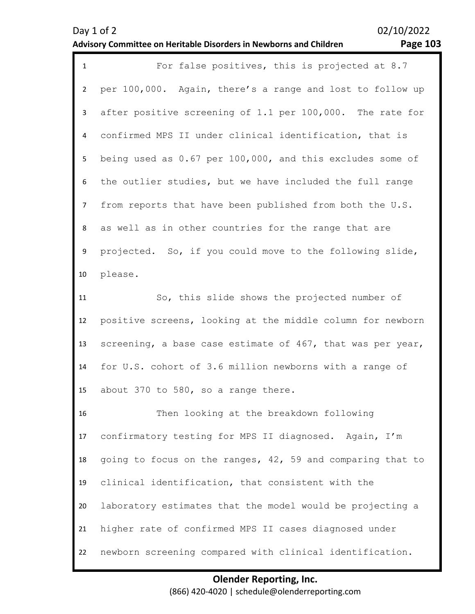| Day 1 of 2                                                         |  |
|--------------------------------------------------------------------|--|
| Advisory Committee on Heritable Disorders in Newborns and Children |  |

02/10/2022

# **Page 103**

| $\mathbf{1}$   | For false positives, this is projected at 8.7                  |
|----------------|----------------------------------------------------------------|
| $\overline{2}$ | per 100,000. Again, there's a range and lost to follow up      |
| 3              | after positive screening of 1.1 per 100,000. The rate for      |
| 4              | confirmed MPS II under clinical identification, that is        |
| 5              | being used as $0.67$ per $100,000$ , and this excludes some of |
| 6              | the outlier studies, but we have included the full range       |
| $\overline{7}$ | from reports that have been published from both the U.S.       |
| 8              | as well as in other countries for the range that are           |
| 9              | projected. So, if you could move to the following slide,       |
| 10             | please.                                                        |
| 11             | So, this slide shows the projected number of                   |
| 12             | positive screens, looking at the middle column for newborn     |
| 13             | screening, a base case estimate of 467, that was per year,     |
| 14             | for U.S. cohort of 3.6 million newborns with a range of        |
| 15             | about 370 to 580, so a range there.                            |
| 16             | Then looking at the breakdown following                        |
| 17             | confirmatory testing for MPS II diagnosed. Again, I'm          |
| 18             | going to focus on the ranges, 42, 59 and comparing that to     |
| 19             | clinical identification, that consistent with the              |
| 20             | laboratory estimates that the model would be projecting a      |
| 21             | higher rate of confirmed MPS II cases diagnosed under          |
| 22             | newborn screening compared with clinical identification.       |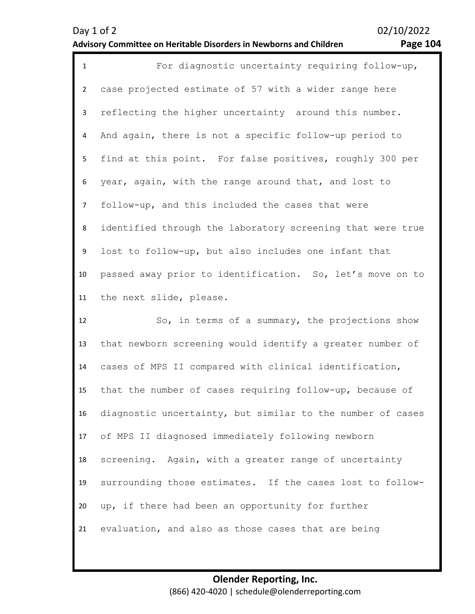| $\mathbf{1}$   | For diagnostic uncertainty requiring follow-up,            |
|----------------|------------------------------------------------------------|
| $2^{\circ}$    | case projected estimate of 57 with a wider range here      |
| $\mathbf{3}$   | reflecting the higher uncertainty around this number.      |
| 4              | And again, there is not a specific follow-up period to     |
| 5 <sup>1</sup> | find at this point. For false positives, roughly 300 per   |
| 6              | year, again, with the range around that, and lost to       |
| $7^{\circ}$    | follow-up, and this included the cases that were           |
| 8              | identified through the laboratory screening that were true |
| 9              | lost to follow-up, but also includes one infant that       |
| 10             | passed away prior to identification. So, let's move on to  |
|                | 11 the next slide, please.                                 |
|                |                                                            |

12 13 14 15 16 17 18 19 20 21 So, in terms of a summary, the projections show that newborn screening would identify a greater number of cases of MPS II compared with clinical identification, that the number of cases requiring follow-up, because of diagnostic uncertainty, but similar to the number of cases of MPS II diagnosed immediately following newborn screening. Again, with a greater range of uncertainty surrounding those estimates. If the cases lost to followup, if there had been an opportunity for further evaluation, and also as those cases that are being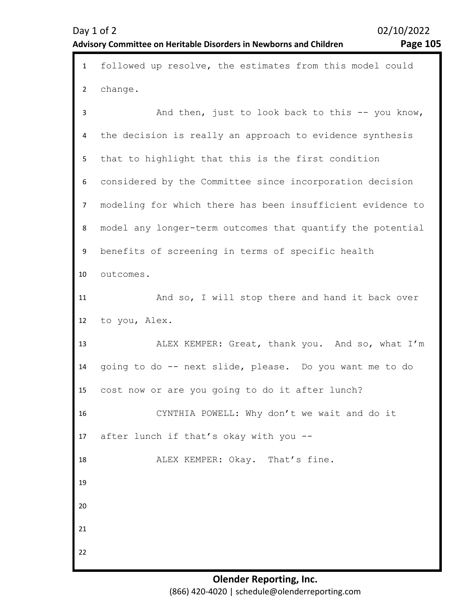1 followed up resolve, the estimates from this model could 2 3 4 5 6 7 8 9 10 11 12 13 14 15 16 17 18 19 20 21 22 change. And then, just to look back to this -- you know, the decision is really an approach to evidence synthesis that to highlight that this is the first condition considered by the Committee since incorporation decision modeling for which there has been insufficient evidence to model any longer-term outcomes that quantify the potential benefits of screening in terms of specific health outcomes. And so, I will stop there and hand it back over to you, Alex. ALEX KEMPER: Great, thank you. And so, what I'm going to do -- next slide, please. Do you want me to do cost now or are you going to do it after lunch? CYNTHIA POWELL: Why don't we wait and do it after lunch if that's okay with you -- ALEX KEMPER: Okay. That's fine.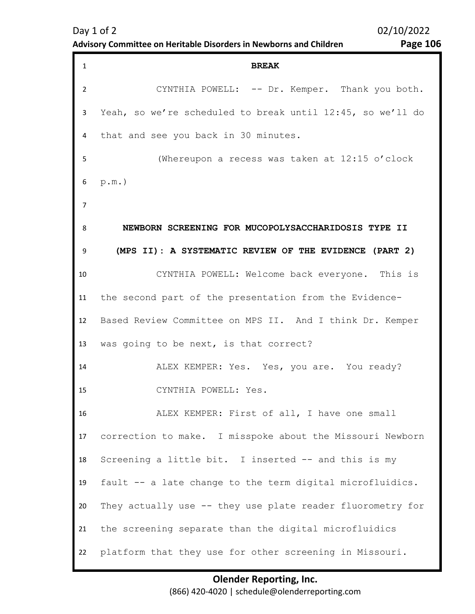| <b>Page 106</b> |  |
|-----------------|--|
|-----------------|--|

| $\mathbf{1}$   | <b>BREAK</b>                                               |
|----------------|------------------------------------------------------------|
| $\overline{2}$ | CYNTHIA POWELL: -- Dr. Kemper. Thank you both.             |
| 3              | Yeah, so we're scheduled to break until 12:45, so we'll do |
| 4              | that and see you back in 30 minutes.                       |
| 5              | (Whereupon a recess was taken at 12:15 o'clock             |
| 6              | $p.m.$ )                                                   |
| 7              |                                                            |
| 8              | NEWBORN SCREENING FOR MUCOPOLYSACCHARIDOSIS TYPE II        |
| 9              | (MPS II): A SYSTEMATIC REVIEW OF THE EVIDENCE (PART 2)     |
| 10             | CYNTHIA POWELL: Welcome back everyone. This is             |
| 11             | the second part of the presentation from the Evidence-     |
| 12             | Based Review Committee on MPS II. And I think Dr. Kemper   |
| 13             | was going to be next, is that correct?                     |
| 14             | ALEX KEMPER: Yes. Yes, you are. You ready?                 |
| 15             | CYNTHIA POWELL: Yes.                                       |
| 16             | ALEX KEMPER: First of all, I have one small                |
| 17             | correction to make. I misspoke about the Missouri Newborn  |
| 18             | Screening a little bit. I inserted -- and this is my       |
| 19             | fault -- a late change to the term digital microfluidics.  |
| 20             | They actually use -- they use plate reader fluorometry for |
| 21             | the screening separate than the digital microfluidics      |
| 22             | platform that they use for other screening in Missouri.    |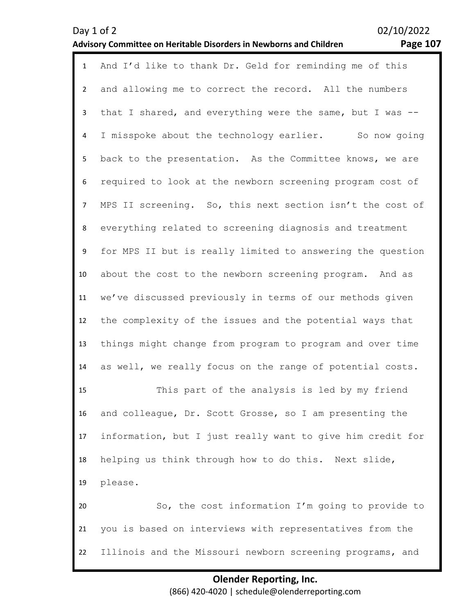1 And I'd like to thank Dr. Geld for reminding me of this 2 3 4 5 6 7 8 9 10 11 12 13 14 15 16 17 18 19 20 21 22 and allowing me to correct the record. All the numbers that I shared, and everything were the same, but I was -- I misspoke about the technology earlier. So now going back to the presentation. As the Committee knows, we are required to look at the newborn screening program cost of MPS II screening. So, this next section isn't the cost of everything related to screening diagnosis and treatment for MPS II but is really limited to answering the question about the cost to the newborn screening program. And as we've discussed previously in terms of our methods given the complexity of the issues and the potential ways that things might change from program to program and over time as well, we really focus on the range of potential costs. This part of the analysis is led by my friend and colleague, Dr. Scott Grosse, so I am presenting the information, but I just really want to give him credit for helping us think through how to do this. Next slide, please. So, the cost information I'm going to provide to you is based on interviews with representatives from the Illinois and the Missouri newborn screening programs, and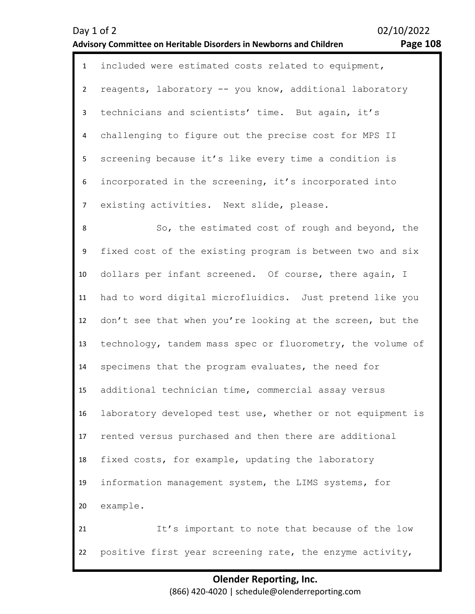1 included were estimated costs related to equipment,  $\overline{\phantom{a}}$ 3 4 5 6 7 reagents, laboratory -- you know, additional laboratory technicians and scientists' time. But again, it's challenging to figure out the precise cost for MPS II screening because it's like every time a condition is incorporated in the screening, it's incorporated into existing activities. Next slide, please.

8 9 10 11 12 13 14 15 16 17 18 19 20 21 22 So, the estimated cost of rough and beyond, the fixed cost of the existing program is between two and six dollars per infant screened. Of course, there again, I had to word digital microfluidics. Just pretend like you don't see that when you're looking at the screen, but the technology, tandem mass spec or fluorometry, the volume of specimens that the program evaluates, the need for additional technician time, commercial assay versus laboratory developed test use, whether or not equipment is rented versus purchased and then there are additional fixed costs, for example, updating the laboratory information management system, the LIMS systems, for example. It's important to note that because of the low positive first year screening rate, the enzyme activity,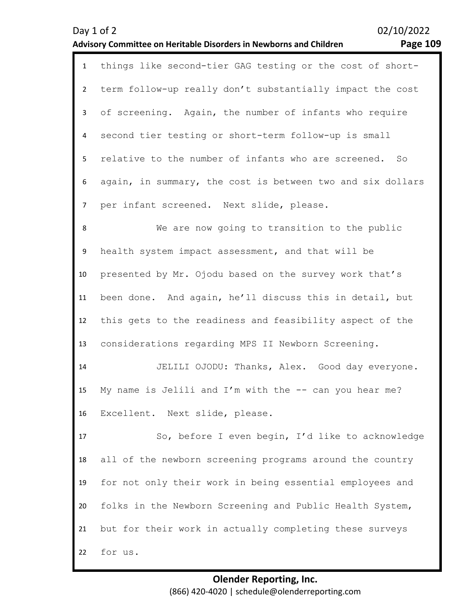|                | 02/10/2022<br>Day 1 of 2<br><b>Page 109</b><br>Advisory Committee on Heritable Disorders in Newborns and Children |
|----------------|-------------------------------------------------------------------------------------------------------------------|
| $\mathbf{1}$   | things like second-tier GAG testing or the cost of short-                                                         |
| $\overline{2}$ | term follow-up really don't substantially impact the cost                                                         |
| $\mathsf{3}$   | of screening. Again, the number of infants who require                                                            |
| $\overline{4}$ | second tier testing or short-term follow-up is small                                                              |
| 5              | relative to the number of infants who are screened. So                                                            |
| 6              | again, in summary, the cost is between two and six dollars                                                        |
| $\overline{7}$ | per infant screened. Next slide, please.                                                                          |
| 8              | We are now going to transition to the public                                                                      |
| 9              | health system impact assessment, and that will be                                                                 |
| 10             | presented by Mr. Ojodu based on the survey work that's                                                            |
| 11             | been done. And again, he'll discuss this in detail, but                                                           |
| 12             | this gets to the readiness and feasibility aspect of the                                                          |
| 13             | considerations regarding MPS II Newborn Screening.                                                                |
| 14             | JELILI OJODU: Thanks, Alex. Good day everyone.                                                                    |
| 15             | My name is Jelili and I'm with the -- can you hear me?                                                            |
| 16             | Excellent. Next slide, please.                                                                                    |
| 17             | So, before I even begin, I'd like to acknowledge                                                                  |
| 18             | all of the newborn screening programs around the country                                                          |
| 19             | for not only their work in being essential employees and                                                          |
| 20             | folks in the Newborn Screening and Public Health System,                                                          |
| 21             | but for their work in actually completing these surveys                                                           |

22 for us.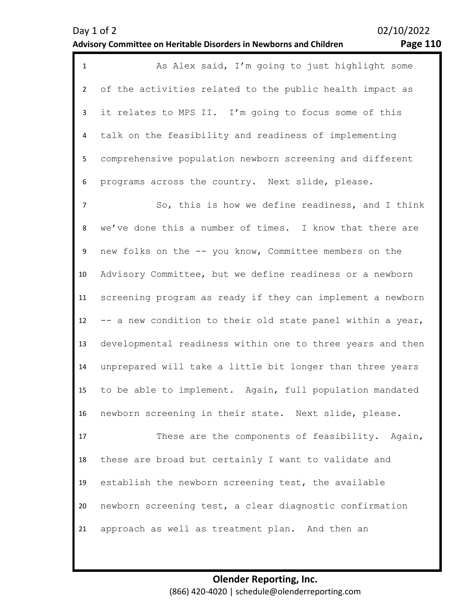|    | As Alex said, I'm going to just highlight some             |
|----|------------------------------------------------------------|
|    | 2 of the activities related to the public health impact as |
|    | 3 it relates to MPS II. I'm going to focus some of this    |
|    | 4 talk on the feasibility and readiness of implementing    |
| 5. | comprehensive population newborn screening and different   |
| 6  | programs across the country. Next slide, please.           |

7 8 9 10 11 12 13 14 15 16 So, this is how we define readiness, and I think we've done this a number of times. I know that there are new folks on the -- you know, Committee members on the Advisory Committee, but we define readiness or a newborn screening program as ready if they can implement a newborn -- a new condition to their old state panel within a year, developmental readiness within one to three years and then unprepared will take a little bit longer than three years to be able to implement. Again, full population mandated newborn screening in their state. Next slide, please.

17 18 19 20 21 These are the components of feasibility. Again, these are broad but certainly I want to validate and establish the newborn screening test, the available newborn screening test, a clear diagnostic confirmation approach as well as treatment plan. And then an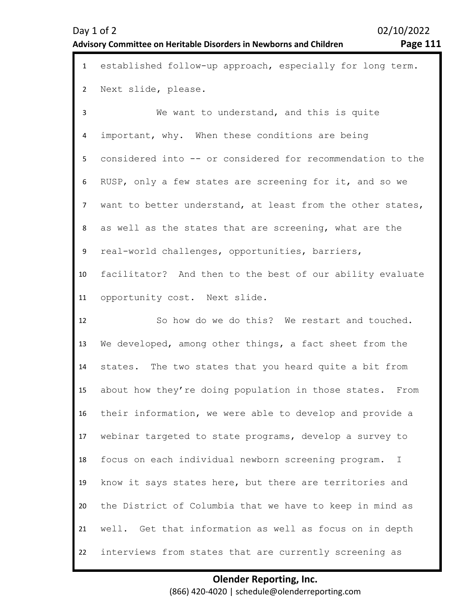| $\mathbf{1}$   | established follow-up approach, especially for long term.  |
|----------------|------------------------------------------------------------|
| $\overline{2}$ | Next slide, please.                                        |
| 3              | We want to understand, and this is quite                   |
| 4              | important, why. When these conditions are being            |
| 5              | considered into -- or considered for recommendation to the |
| 6              | RUSP, only a few states are screening for it, and so we    |
| $\overline{7}$ | want to better understand, at least from the other states, |
| 8              | as well as the states that are screening, what are the     |
| 9              | real-world challenges, opportunities, barriers,            |
| 10             | facilitator? And then to the best of our ability evaluate  |
| 11             | opportunity cost. Next slide.                              |
|                |                                                            |
| 12             | So how do we do this? We restart and touched.              |
| 13             | We developed, among other things, a fact sheet from the    |
| 14             | states. The two states that you heard quite a bit from     |
| 15             | about how they're doing population in those states. From   |
| 16             | their information, we were able to develop and provide a   |
| 17             | webinar targeted to state programs, develop a survey to    |
| 18             | focus on each individual newborn screening program.<br>I.  |
| 19             | know it says states here, but there are territories and    |
| 20             | the District of Columbia that we have to keep in mind as   |
| 21             | well. Get that information as well as focus on in depth    |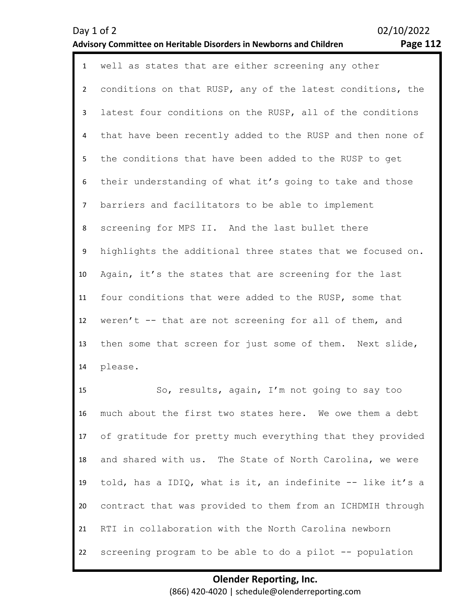| $\mathbf{1}$   | well as states that are either screening any other         |
|----------------|------------------------------------------------------------|
| $2^{\circ}$    | conditions on that RUSP, any of the latest conditions, the |
| $\mathbf{3}$   | latest four conditions on the RUSP, all of the conditions  |
| 4              | that have been recently added to the RUSP and then none of |
| 5              | the conditions that have been added to the RUSP to get     |
| 6              | their understanding of what it's going to take and those   |
| 7 <sup>7</sup> | barriers and facilitators to be able to implement          |
| 8              | screening for MPS II. And the last bullet there            |
| 9              | highlights the additional three states that we focused on. |
| 10             | Again, it's the states that are screening for the last     |
| 11             | four conditions that were added to the RUSP, some that     |
| 12             | weren't -- that are not screening for all of them, and     |
| 13             | then some that screen for just some of them. Next slide,   |
| 14             | please.                                                    |

15 16 17 18 19 20 21 22 So, results, again, I'm not going to say too much about the first two states here. We owe them a debt of gratitude for pretty much everything that they provided and shared with us. The State of North Carolina, we were told, has a IDIQ, what is it, an indefinite -- like it's a contract that was provided to them from an ICHDMIH through RTI in collaboration with the North Carolina newborn screening program to be able to do a pilot -- population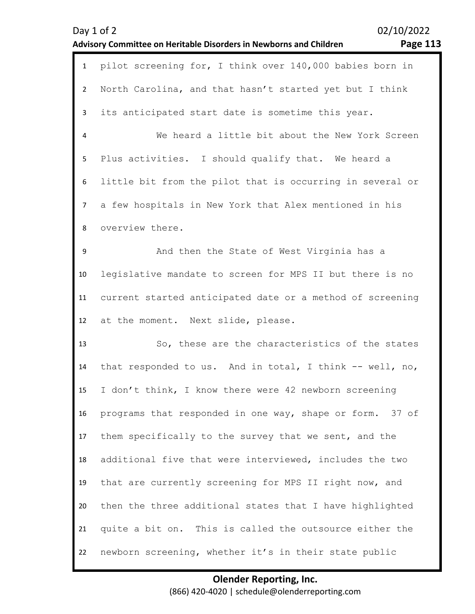| Day $1$ of $2$                                                     | 02/10/2022 |
|--------------------------------------------------------------------|------------|
| Advisory Committee on Heritable Disorders in Newborns and Children | Page 113   |

| Page $113$ |  |
|------------|--|
|------------|--|

| $\mathbf{1}$   | pilot screening for, I think over 140,000 babies born in  |
|----------------|-----------------------------------------------------------|
| $\overline{2}$ | North Carolina, and that hasn't started yet but I think   |
| 3              | its anticipated start date is sometime this year.         |
| 4              | We heard a little bit about the New York Screen           |
| 5              | Plus activities. I should qualify that. We heard a        |
| 6              | little bit from the pilot that is occurring in several or |
| $\overline{7}$ | a few hospitals in New York that Alex mentioned in his    |
| 8              | overview there.                                           |
| 9              | And then the State of West Virginia has a                 |
| 10             | legislative mandate to screen for MPS II but there is no  |
| 11             | current started anticipated date or a method of screening |
| 12             | at the moment. Next slide, please.                        |
| 13             | So, these are the characteristics of the states           |
| 14             | that responded to us. And in total, I think $-$ well, no, |
| 15             | I don't think, I know there were 42 newborn screening     |
| 16             | programs that responded in one way, shape or form. 37 of  |
| 17             | them specifically to the survey that we sent, and the     |
| 18             | additional five that were interviewed, includes the two   |
| 19             | that are currently screening for MPS II right now, and    |
| 20             | then the three additional states that I have highlighted  |
| 21             | quite a bit on. This is called the outsource either the   |
|                |                                                           |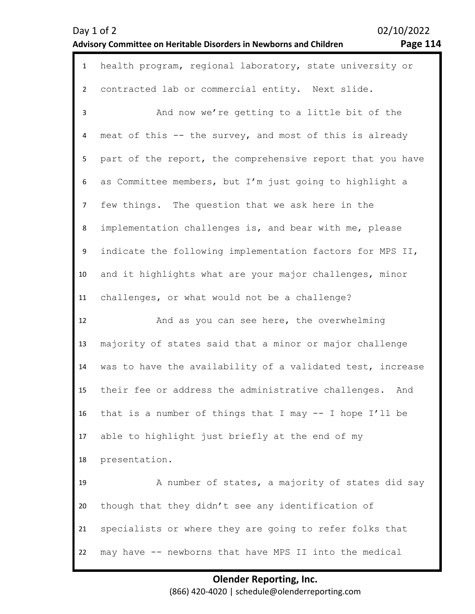|  |  | rage |  | 4<br>11 |  |
|--|--|------|--|---------|--|
|--|--|------|--|---------|--|

| $\mathbf{1}$   | health program, regional laboratory, state university or   |
|----------------|------------------------------------------------------------|
| $\overline{2}$ | contracted lab or commercial entity. Next slide.           |
| $\overline{3}$ | And now we're getting to a little bit of the               |
| $\overline{4}$ | meat of this -- the survey, and most of this is already    |
| 5              | part of the report, the comprehensive report that you have |
| 6              | as Committee members, but I'm just going to highlight a    |
| $\overline{7}$ | few things. The question that we ask here in the           |
| 8              | implementation challenges is, and bear with me, please     |
| 9              | indicate the following implementation factors for MPS II,  |
| 10             | and it highlights what are your major challenges, minor    |
| 11             | challenges, or what would not be a challenge?              |
|                |                                                            |
| 12             | And as you can see here, the overwhelming                  |
| 13             | majority of states said that a minor or major challenge    |
| 14             | was to have the availability of a validated test, increase |
| 15             | their fee or address the administrative challenges.<br>And |
| 16             | that is a number of things that I may -- I hope I'll be    |
| 17             | able to highlight just briefly at the end of my            |
| 18             | presentation.                                              |
| 19             | A number of states, a majority of states did say           |
| 20             | though that they didn't see any identification of          |
| 21             | specialists or where they are going to refer folks that    |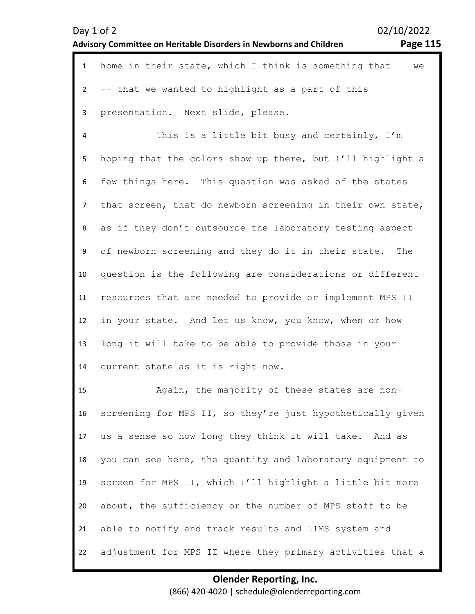|                | 02/10/2022<br>Day 1 of 2<br><b>Page 115</b><br>Advisory Committee on Heritable Disorders in Newborns and Children |
|----------------|-------------------------------------------------------------------------------------------------------------------|
| $\mathbf{1}$   | home in their state, which I think is something that<br>we                                                        |
| $\overline{2}$ | -- that we wanted to highlight as a part of this                                                                  |
| $\mathbf{3}$   | presentation. Next slide, please.                                                                                 |
| $\pmb{4}$      | This is a little bit busy and certainly, I'm                                                                      |
| 5              | hoping that the colors show up there, but I'll highlight a                                                        |
| 6              | few things here. This question was asked of the states                                                            |
| $\overline{7}$ | that screen, that do newborn screening in their own state,                                                        |
| 8              | as if they don't outsource the laboratory testing aspect                                                          |
| 9              | of newborn screening and they do it in their state. The                                                           |
| 10             | question is the following are considerations or different                                                         |
| 11             | resources that are needed to provide or implement MPS II                                                          |
| 12             | in your state. And let us know, you know, when or how                                                             |
| 13             | long it will take to be able to provide those in your                                                             |
| 14             | current state as it is right now.                                                                                 |
| 15             | Again, the majority of these states are non-                                                                      |
| 16             | screening for MPS II, so they're just hypothetically given                                                        |
| 17             | us a sense so how long they think it will take. And as                                                            |
| 18             | you can see here, the quantity and laboratory equipment to                                                        |
| 19             | screen for MPS II, which I'll highlight a little bit more                                                         |
| 20             | about, the sufficiency or the number of MPS staff to be                                                           |
| 21             | able to notify and track results and LIMS system and                                                              |
| 22             | adjustment for MPS II where they primary activities that a                                                        |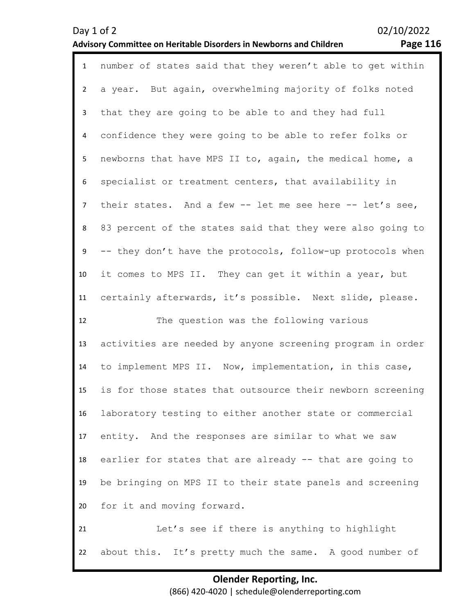| $\mathbf{1}$   | number of states said that they weren't able to get within |
|----------------|------------------------------------------------------------|
| $\overline{2}$ | a year. But again, overwhelming majority of folks noted    |
| 3              | that they are going to be able to and they had full        |
| 4              | confidence they were going to be able to refer folks or    |
| 5              | newborns that have MPS II to, again, the medical home, a   |
| 6              | specialist or treatment centers, that availability in      |
| $\overline{7}$ | their states. And a few -- let me see here -- let's see,   |
| 8              | 83 percent of the states said that they were also going to |
| 9              | -- they don't have the protocols, follow-up protocols when |
| 10             | it comes to MPS II. They can get it within a year, but     |
| 11             | certainly afterwards, it's possible. Next slide, please.   |
| 12             | The question was the following various                     |
| 13             | activities are needed by anyone screening program in order |
| 14             | to implement MPS II. Now, implementation, in this case,    |
| 15             | is for those states that outsource their newborn screening |
| 16             | laboratory testing to either another state or commercial   |
| 17             | entity. And the responses are similar to what we saw       |
| 18             | earlier for states that are already -- that are going to   |
| 19             | be bringing on MPS II to their state panels and screening  |
| 20             | for it and moving forward.                                 |
| 21             | Let's see if there is anything to highlight                |
|                |                                                            |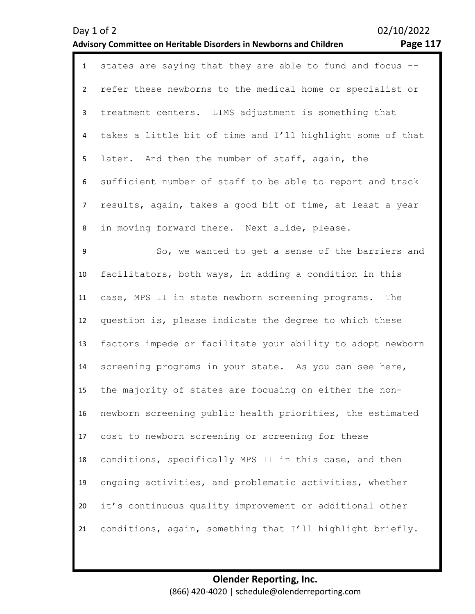| $\mathbf{1}$   | states are saying that they are able to fund and focus --  |
|----------------|------------------------------------------------------------|
| $2^{\circ}$    | refer these newborns to the medical home or specialist or  |
| 3              | treatment centers. LIMS adjustment is something that       |
| 4              | takes a little bit of time and I'll highlight some of that |
| 5              | later. And then the number of staff, again, the            |
| 6              | sufficient number of staff to be able to report and track  |
| $\overline{7}$ | results, again, takes a good bit of time, at least a year  |
| 8              | in moving forward there. Next slide, please.               |
| 9              | So, we wanted to get a sense of the barriers and           |
| 10             | facilitators, both ways, in adding a condition in this     |
| 11             | case, MPS II in state newborn screening programs. The      |
| 12             | question is, please indicate the degree to which these     |
| 13             | factors impede or facilitate your ability to adopt newborn |
| 14             | screening programs in your state. As you can see here,     |
| 15             | the majority of states are focusing on either the non-     |
| 16             | newborn screening public health priorities, the estimated  |
| 17             | cost to newborn screening or screening for these           |
| 18             | conditions, specifically MPS II in this case, and then     |
| 19             | ongoing activities, and problematic activities, whether    |
| 20             | it's continuous quality improvement or additional other    |
| 21             | conditions, again, something that I'll highlight briefly.  |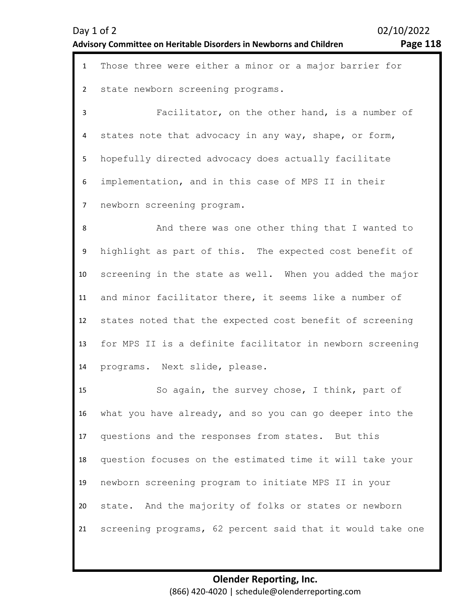1 Those three were either a minor or a major barrier for  $\mathfrak{p}$ 3 4 5 6 7 8 9 10 11 12 13 14 15 16 17 18 19 20 21 state newborn screening programs. Facilitator, on the other hand, is a number of states note that advocacy in any way, shape, or form, hopefully directed advocacy does actually facilitate implementation, and in this case of MPS II in their newborn screening program. And there was one other thing that I wanted to highlight as part of this. The expected cost benefit of screening in the state as well. When you added the major and minor facilitator there, it seems like a number of states noted that the expected cost benefit of screening for MPS II is a definite facilitator in newborn screening programs. Next slide, please. So again, the survey chose, I think, part of what you have already, and so you can go deeper into the questions and the responses from states. But this question focuses on the estimated time it will take your newborn screening program to initiate MPS II in your state. And the majority of folks or states or newborn screening programs, 62 percent said that it would take one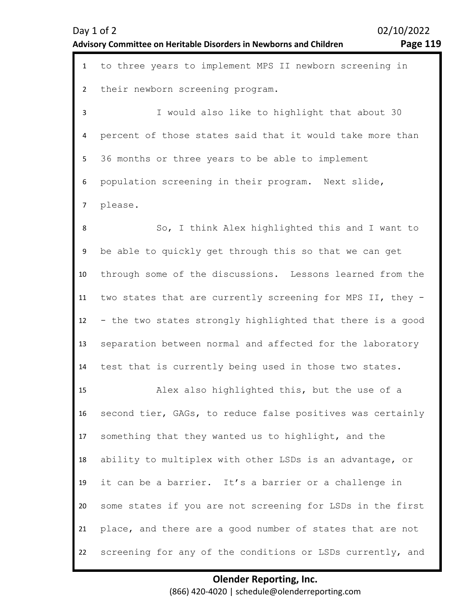| Day $1$ of $2$                                                            | 02/10/2022 |
|---------------------------------------------------------------------------|------------|
| <b>Advisory Committee on Heritable Disorders in Newborns and Children</b> | Page 119   |

9

10

11

12

13

14

15

16

17

18

19

20

21

22

02/10/2022

| $\mathbf{1}$            | to three years to implement MPS II newborn screening in    |
|-------------------------|------------------------------------------------------------|
| $\mathbf{2}$            | their newborn screening program.                           |
| 3                       | I would also like to highlight that about 30               |
| 4                       | percent of those states said that it would take more than  |
| 5                       | 36 months or three years to be able to implement           |
| 6                       | population screening in their program. Next slide,         |
| 7 <sup>7</sup>          | please.                                                    |
| 8                       | So, I think Alex highlighted this and I want to            |
| 9                       | be able to quickly get through this so that we can get     |
| 0.                      | through some of the discussions. Lessons learned from the  |
| $\mathbf{1}$            | two states that are currently screening for MPS II, they - |
| $\overline{2}$          | - the two states strongly highlighted that there is a good |
| $\overline{\mathbf{3}}$ | separation between normal and affected for the laboratory  |
| 4.                      | test that is currently being used in those two states.     |
| .5                      | Alex also highlighted this, but the use of a               |
| 6.                      | second tier, GAGs, to reduce false positives was certainly |
| $\overline{7}$          | something that they wanted us to highlight, and the        |
| 8.                      | ability to multiplex with other LSDs is an advantage, or   |
| 9.                      | it can be a barrier. It's a barrier or a challenge in      |
| 0                       | some states if you are not screening for LSDs in the first |
| $\mathbf{1}$            | place, and there are a good number of states that are not  |
| $2^{\circ}$             | screening for any of the conditions or LSDs currently, and |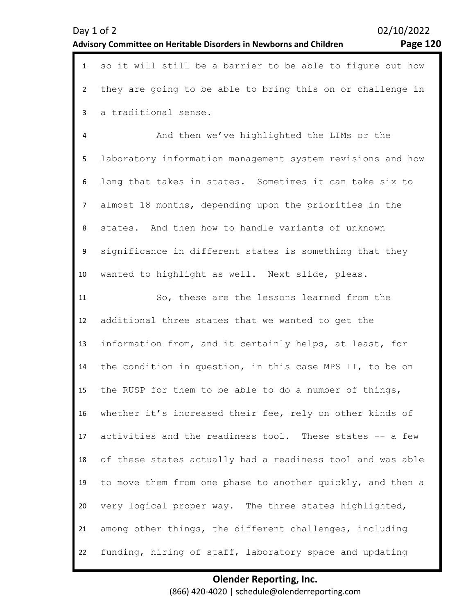1 so it will still be a barrier to be able to figure out how

| $\overline{2}$ | they are going to be able to bring this on or challenge in |
|----------------|------------------------------------------------------------|
| 3              | a traditional sense.                                       |
| 4              | And then we've highlighted the LIMs or the                 |
| 5              | laboratory information management system revisions and how |
| 6              | long that takes in states. Sometimes it can take six to    |
| $\overline{7}$ | almost 18 months, depending upon the priorities in the     |
| 8              | states. And then how to handle variants of unknown         |
| 9              | significance in different states is something that they    |
| 10             | wanted to highlight as well. Next slide, pleas.            |
| 11             | So, these are the lessons learned from the                 |
| 12             | additional three states that we wanted to get the          |
| 13             | information from, and it certainly helps, at least, for    |
| 14             | the condition in question, in this case MPS II, to be on   |
| 15             | the RUSP for them to be able to do a number of things,     |
| 16             | whether it's increased their fee, rely on other kinds of   |
| 17             | activities and the readiness tool. These states -- a few   |
| 18             | of these states actually had a readiness tool and was able |
| 19             | to move them from one phase to another quickly, and then a |
| 20             | very logical proper way. The three states highlighted,     |
| 21             | among other things, the different challenges, including    |
| 22             | funding, hiring of staff, laboratory space and updating    |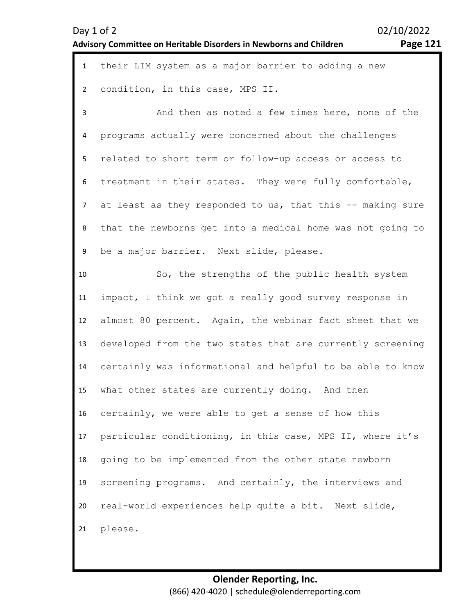| - |
|---|
|---|

| $\mathbf{1}$   | their LIM system as a major barrier to adding a new        |
|----------------|------------------------------------------------------------|
| $\overline{2}$ | condition, in this case, MPS II.                           |
| 3              | And then as noted a few times here, none of the            |
| 4              | programs actually were concerned about the challenges      |
| 5              | related to short term or follow-up access or access to     |
| 6              | treatment in their states. They were fully comfortable,    |
| $\overline{7}$ | at least as they responded to us, that this -- making sure |
| 8              | that the newborns get into a medical home was not going to |
| 9              | be a major barrier. Next slide, please.                    |
| 10             | So, the strengths of the public health system              |
| 11             | impact, I think we got a really good survey response in    |
| 12             | almost 80 percent. Again, the webinar fact sheet that we   |
| 13             | developed from the two states that are currently screening |
| 14             | certainly was informational and helpful to be able to know |
| 15             | what other states are currently doing. And then            |
| 16             | certainly, we were able to get a sense of how this         |
| 17             | particular conditioning, in this case, MPS II, where it's  |
| 18             | going to be implemented from the other state newborn       |
| 19             | screening programs. And certainly, the interviews and      |
| 20             | real-world experiences help quite a bit. Next slide,       |
| 21             | please.                                                    |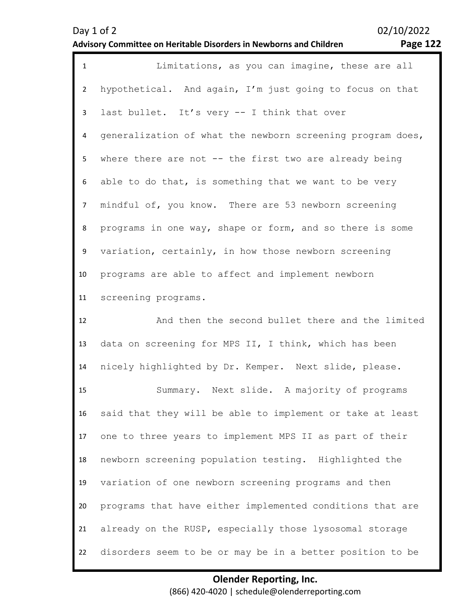| $\mathbf{1}$   | Limitations, as you can imagine, these are all             |
|----------------|------------------------------------------------------------|
| $\overline{2}$ | hypothetical. And again, I'm just going to focus on that   |
| $\mathbf{3}$   | last bullet. It's very -- I think that over                |
| 4              | generalization of what the newborn screening program does, |
| 5              | where there are not -- the first two are already being     |
| 6              | able to do that, is something that we want to be very      |
| $\overline{7}$ | mindful of, you know. There are 53 newborn screening       |
| 8              | programs in one way, shape or form, and so there is some   |
| 9              | variation, certainly, in how those newborn screening       |
| 10             | programs are able to affect and implement newborn          |
| 11             | screening programs.                                        |
|                |                                                            |
| 12             | And then the second bullet there and the limited           |
| 13             | data on screening for MPS II, I think, which has been      |
| 14             | nicely highlighted by Dr. Kemper. Next slide, please.      |
| 15             | Summary. Next slide. A majority of programs                |
| 16             | said that they will be able to implement or take at least  |
| 17             | one to three years to implement MPS II as part of their    |
| 18             | newborn screening population testing. Highlighted the      |
| 19             | variation of one newborn screening programs and then       |
| 20             | programs that have either implemented conditions that are  |
| 21             | already on the RUSP, especially those lysosomal storage    |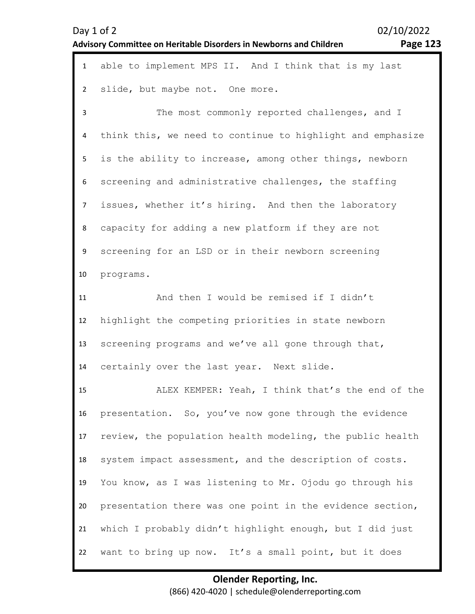| Day 1 of 2<br><b>Advisory Committee on Heritable Disorders in Newborns and Children</b> | Page 123 |
|-----------------------------------------------------------------------------------------|----------|
|                                                                                         |          |

| age 1<br>◡<br>- |
|-----------------|
|-----------------|

| $\mathbf{1}$   | able to implement MPS II. And I think that is my last      |
|----------------|------------------------------------------------------------|
| $\overline{2}$ | slide, but maybe not. One more.                            |
| 3              | The most commonly reported challenges, and I               |
| 4              | think this, we need to continue to highlight and emphasize |
| 5              | is the ability to increase, among other things, newborn    |
| 6              | screening and administrative challenges, the staffing      |
| $\overline{7}$ | issues, whether it's hiring. And then the laboratory       |
| 8              | capacity for adding a new platform if they are not         |
| 9              | screening for an LSD or in their newborn screening         |
| 10             | programs.                                                  |
| 11             | And then I would be remised if I didn't                    |
| 12             | highlight the competing priorities in state newborn        |
| 13             | screening programs and we've all gone through that,        |
| 14             | certainly over the last year. Next slide.                  |
| 15             | ALEX KEMPER: Yeah, I think that's the end of the           |
| 16             | presentation. So, you've now gone through the evidence     |
| 17             | review, the population health modeling, the public health  |
| 18             | system impact assessment, and the description of costs.    |
| 19             | You know, as I was listening to Mr. Ojodu go through his   |
| 20             | presentation there was one point in the evidence section,  |
| 21             | which I probably didn't highlight enough, but I did just   |
| 22             | want to bring up now. It's a small point, but it does      |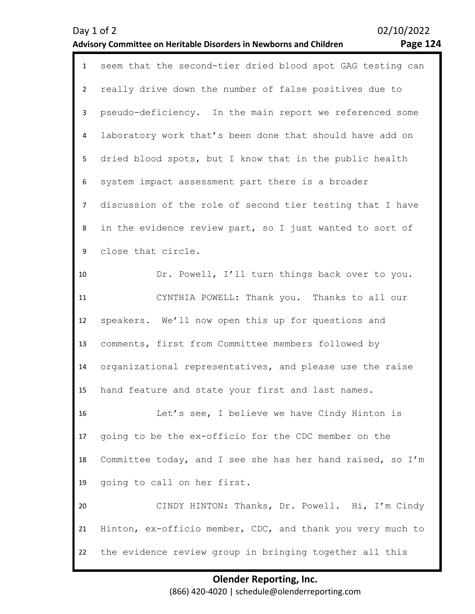| Δ<br><b>age</b><br>L2 |
|-----------------------|
|-----------------------|

| $\mathbf{1}$   | seem that the second-tier dried blood spot GAG testing can |
|----------------|------------------------------------------------------------|
| $\overline{2}$ | really drive down the number of false positives due to     |
| 3              | pseudo-deficiency. In the main report we referenced some   |
| 4              | laboratory work that's been done that should have add on   |
| 5              | dried blood spots, but I know that in the public health    |
| 6              | system impact assessment part there is a broader           |
| $\overline{7}$ | discussion of the role of second tier testing that I have  |
| 8              | in the evidence review part, so I just wanted to sort of   |
| 9              | close that circle.                                         |
| 10             | Dr. Powell, I'll turn things back over to you.             |
| 11             | CYNTHIA POWELL: Thank you. Thanks to all our               |
| 12             | speakers. We'll now open this up for questions and         |
| 13             | comments, first from Committee members followed by         |
| 14             | organizational representatives, and please use the raise   |
| 15             | hand feature and state your first and last names.          |
| 16             | Let's see, I believe we have Cindy Hinton is               |
| 17             | going to be the ex-officio for the CDC member on the       |
| 18             | Committee today, and I see she has her hand raised, so I'm |
| 19             | going to call on her first.                                |
| 20             | CINDY HINTON: Thanks, Dr. Powell. Hi, I'm Cindy            |
| 21             | Hinton, ex-officio member, CDC, and thank you very much to |
| 22             | the evidence review group in bringing together all this    |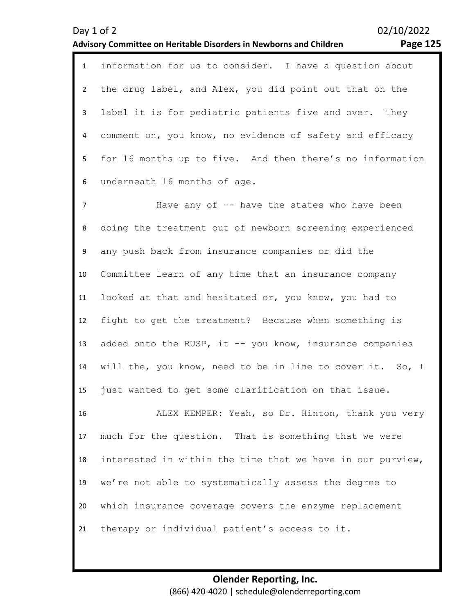| 1 information for us to consider. I have a question about   |
|-------------------------------------------------------------|
| 2 the drug label, and Alex, you did point out that on the   |
| 3 label it is for pediatric patients five and over. They    |
| 4 comment on, you know, no evidence of safety and efficacy  |
| 5 for 16 months up to five. And then there's no information |
| 6 underneath 16 months of age.                              |

7 8 9 10 11 12 13 14 15 Have any of -- have the states who have been doing the treatment out of newborn screening experienced any push back from insurance companies or did the Committee learn of any time that an insurance company looked at that and hesitated or, you know, you had to fight to get the treatment? Because when something is added onto the RUSP, it  $-$ - you know, insurance companies will the, you know, need to be in line to cover it. So, I just wanted to get some clarification on that issue.

16 17 18 19 20 21 ALEX KEMPER: Yeah, so Dr. Hinton, thank you very much for the question. That is something that we were interested in within the time that we have in our purview, we're not able to systematically assess the degree to which insurance coverage covers the enzyme replacement therapy or individual patient's access to it.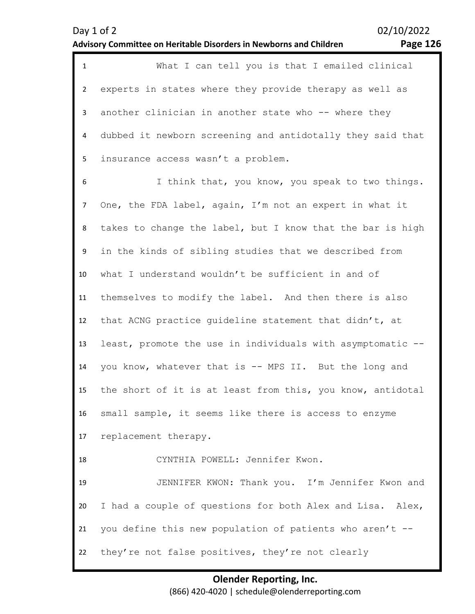| $\mathbf{1}$   | What I can tell you is that I emailed clinical             |
|----------------|------------------------------------------------------------|
| $\overline{2}$ | experts in states where they provide therapy as well as    |
| 3              | another clinician in another state who -- where they       |
| 4              | dubbed it newborn screening and antidotally they said that |
| 5              | insurance access wasn't a problem.                         |
| 6              | I think that, you know, you speak to two things.           |
| $\overline{7}$ | One, the FDA label, again, I'm not an expert in what it    |
| 8              | takes to change the label, but I know that the bar is high |
| 9              | in the kinds of sibling studies that we described from     |
| 10             | what I understand wouldn't be sufficient in and of         |
| 11             | themselves to modify the label. And then there is also     |
| 12             | that ACNG practice guideline statement that didn't, at     |
| 13             | least, promote the use in individuals with asymptomatic -- |
| 14             | you know, whatever that is -- MPS II. But the long and     |
| 15             | the short of it is at least from this, you know, antidotal |
| 16             | small sample, it seems like there is access to enzyme      |
| 17             | replacement therapy.                                       |
| 18             | CYNTHIA POWELL: Jennifer Kwon.                             |
| 19             | JENNIFER KWON: Thank you. I'm Jennifer Kwon and            |
| 20             | I had a couple of questions for both Alex and Lisa. Alex,  |
| 21             | you define this new population of patients who aren't --   |
| 22             | they're not false positives, they're not clearly           |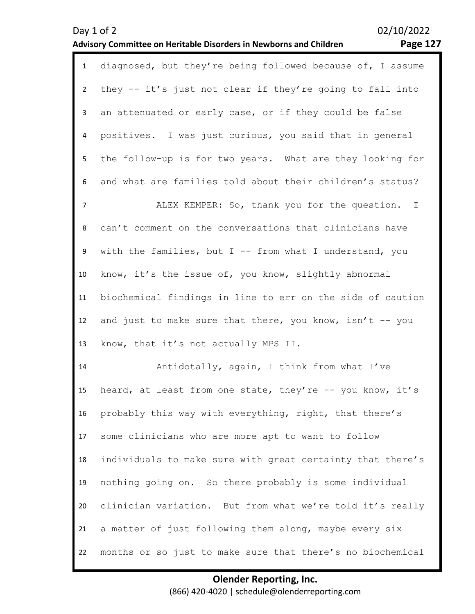| $\mathbf{1}$ | diagnosed, but they're being followed because of, I assume |
|--------------|------------------------------------------------------------|
| $2^{\circ}$  | they -- it's just not clear if they're going to fall into  |
| 3            | an attenuated or early case, or if they could be false     |
| 4            | positives. I was just curious, you said that in general    |
| 5            | the follow-up is for two years. What are they looking for  |
| 6            | and what are families told about their children's status?  |
| 7            | ALEX KEMPER: So, thank you for the question. I             |
| 8            | can't comment on the conversations that clinicians have    |
| 9            | with the families, but $I$ -- from what I understand, you  |
| 10           | know, it's the issue of, you know, slightly abnormal       |
| 11           | biochemical findings in line to err on the side of caution |
| 12           | and just to make sure that there, you know, isn't $-$ you  |
| 13           | know, that it's not actually MPS II.                       |
| 14           | Antidotally, again, I think from what I've                 |
| 15           | heard, at least from one state, they're -- you know, it's  |
| 16           | probably this way with everything, right, that there's     |
| 17           | some clinicians who are more apt to want to follow         |
| 18           | individuals to make sure with great certainty that there's |
| 19           | nothing going on. So there probably is some individual     |
| 20           | clinician variation. But from what we're told it's really  |
| 21           | a matter of just following them along, maybe every six     |
| 22           | months or so just to make sure that there's no biochemical |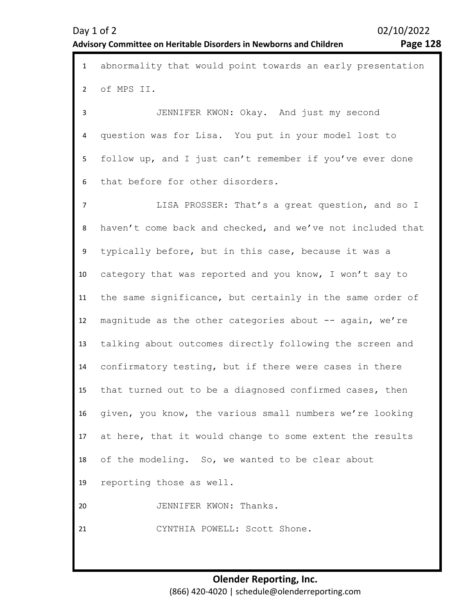1 abnormality that would point towards an early presentation 2 3 4 5 6 7 8 9 10 11 12 13 14 15 16 17 18 19 20 of MPS II. JENNIFER KWON: Okay. And just my second question was for Lisa. You put in your model lost to follow up, and I just can't remember if you've ever done that before for other disorders. LISA PROSSER: That's a great question, and so I haven't come back and checked, and we've not included that typically before, but in this case, because it was a category that was reported and you know, I won't say to the same significance, but certainly in the same order of magnitude as the other categories about -- again, we're talking about outcomes directly following the screen and confirmatory testing, but if there were cases in there that turned out to be a diagnosed confirmed cases, then given, you know, the various small numbers we're looking at here, that it would change to some extent the results of the modeling. So, we wanted to be clear about reporting those as well. JENNIFER KWON: Thanks.

21 CYNTHIA POWELL: Scott Shone.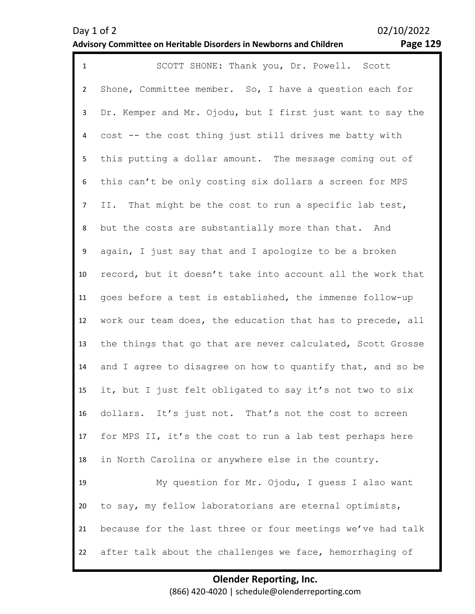| $\mathbf{1}$   | SCOTT SHONE: Thank you, Dr. Powell. Scott                  |
|----------------|------------------------------------------------------------|
| $\overline{2}$ | Shone, Committee member. So, I have a question each for    |
| 3              | Dr. Kemper and Mr. Ojodu, but I first just want to say the |
| 4              | cost -- the cost thing just still drives me batty with     |
| 5 <sub>1</sub> | this putting a dollar amount. The message coming out of    |
| 6              | this can't be only costing six dollars a screen for MPS    |
| $\overline{7}$ | II. That might be the cost to run a specific lab test,     |
| 8              | but the costs are substantially more than that. And        |
| 9              | again, I just say that and I apologize to be a broken      |
| 10             | record, but it doesn't take into account all the work that |
| 11             | goes before a test is established, the immense follow-up   |
| 12             | work our team does, the education that has to precede, all |
| 13             | the things that go that are never calculated, Scott Grosse |
| 14             | and I agree to disagree on how to quantify that, and so be |
| 15             | it, but I just felt obligated to say it's not two to six   |
| 16             | dollars. It's just not. That's not the cost to screen      |
| 17             | for MPS II, it's the cost to run a lab test perhaps here   |
| 18             | in North Carolina or anywhere else in the country.         |
| 19             | My question for Mr. Ojodu, I quess I also want             |
| 20             | to say, my fellow laboratorians are eternal optimists,     |
| 21             | because for the last three or four meetings we've had talk |
| 22             | after talk about the challenges we face, hemorrhaging of   |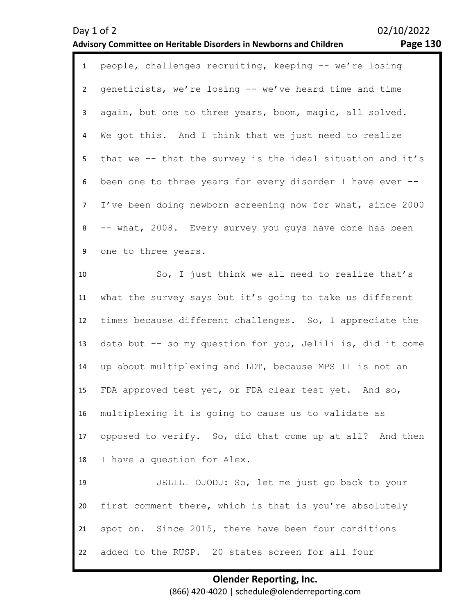| $\mathbf{1}$   | people, challenges recruiting, keeping -- we're losing     |
|----------------|------------------------------------------------------------|
| $\overline{2}$ | geneticists, we're losing -- we've heard time and time     |
| 3              | again, but one to three years, boom, magic, all solved.    |
| 4              | We got this. And I think that we just need to realize      |
| 5              | that we -- that the survey is the ideal situation and it's |
| 6              | been one to three years for every disorder I have ever --  |
| $\overline{7}$ | I've been doing newborn screening now for what, since 2000 |
| 8              | -- what, 2008. Every survey you guys have done has been    |
| 9              | one to three years.                                        |
| 10             | So, I just think we all need to realize that's             |
| 11             | what the survey says but it's going to take us different   |
| 12             | times because different challenges. So, I appreciate the   |
| 13             | data but -- so my question for you, Jelili is, did it come |
| 14             | up about multiplexing and LDT, because MPS II is not an    |
| 15             | FDA approved test yet, or FDA clear test yet. And so,      |
| 16             | multiplexing it is going to cause us to validate as        |
| 17             | opposed to verify. So, did that come up at all? And then   |
| 18             | I have a question for Alex.                                |
| 19             | JELILI OJODU: So, let me just go back to your              |
| 20             | first comment there, which is that is you're absolutely    |
| 21             | spot on. Since 2015, there have been four conditions       |
| 22             | added to the RUSP. 20 states screen for all four           |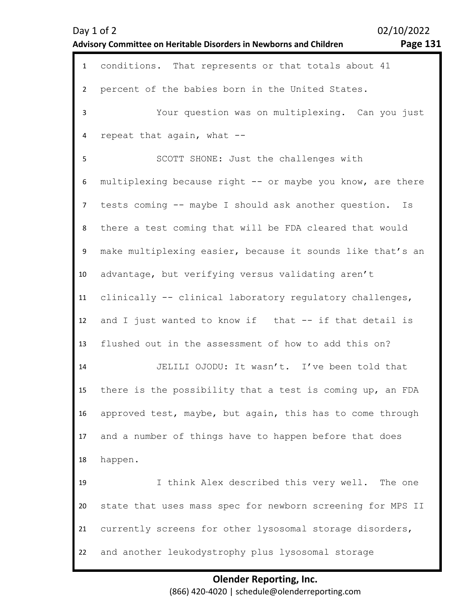|                | 02/10/2022<br>Day 1 of 2<br><b>Page 131</b><br>Advisory Committee on Heritable Disorders in Newborns and Children |
|----------------|-------------------------------------------------------------------------------------------------------------------|
| $\mathbf{1}$   | conditions. That represents or that totals about 41                                                               |
| $\overline{2}$ | percent of the babies born in the United States.                                                                  |
| $\mathsf{3}$   | Your question was on multiplexing. Can you just                                                                   |
| 4              | repeat that again, what --                                                                                        |
| 5              | SCOTT SHONE: Just the challenges with                                                                             |
| 6              | multiplexing because right -- or maybe you know, are there                                                        |
| $\overline{7}$ | tests coming -- maybe I should ask another question.<br>Is                                                        |
| 8              | there a test coming that will be FDA cleared that would                                                           |
| 9              | make multiplexing easier, because it sounds like that's an                                                        |
| 10             | advantage, but verifying versus validating aren't                                                                 |
| 11             | clinically -- clinical laboratory regulatory challenges,                                                          |
| 12             | and I just wanted to know if that -- if that detail is                                                            |
| 13             | flushed out in the assessment of how to add this on?                                                              |
| 14             | JELILI OJODU: It wasn't. I've been told that                                                                      |
| 15             | there is the possibility that a test is coming up, an FDA                                                         |
| 16             | approved test, maybe, but again, this has to come through                                                         |
| 17             | and a number of things have to happen before that does                                                            |
| 18             | happen.                                                                                                           |
| 19             | I think Alex described this very well.<br>The one                                                                 |
| 20             | state that uses mass spec for newborn screening for MPS II                                                        |
| 21             | currently screens for other lysosomal storage disorders,                                                          |
| 22             | and another leukodystrophy plus lysosomal storage                                                                 |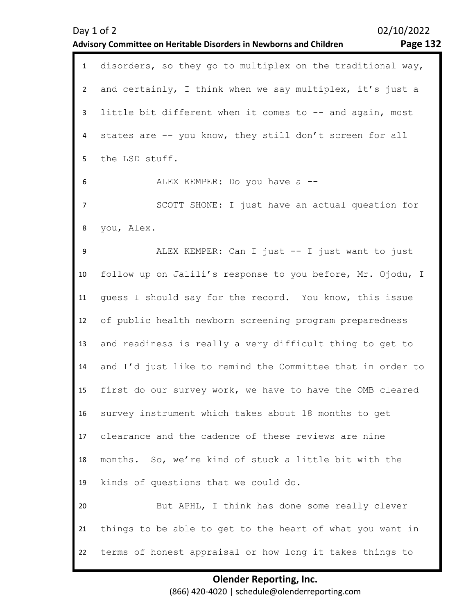|                | <b>Page 132</b><br><b>Advisory Committee on Heritable Disorders in Newborns and Children</b> |
|----------------|----------------------------------------------------------------------------------------------|
| $\mathbf{1}$   | disorders, so they go to multiplex on the traditional way,                                   |
| $\overline{2}$ | and certainly, I think when we say multiplex, it's just a                                    |
| 3              | little bit different when it comes to -- and again, most                                     |
| 4              | states are -- you know, they still don't screen for all                                      |
| 5              | the LSD stuff.                                                                               |
| 6              | ALEX KEMPER: Do you have a --                                                                |
| 7              | SCOTT SHONE: I just have an actual question for                                              |
| 8              | you, Alex.                                                                                   |
| 9              | ALEX KEMPER: Can I just -- I just want to just                                               |
| 10             | follow up on Jalili's response to you before, Mr. Ojodu, I                                   |
| 11             | guess I should say for the record. You know, this issue                                      |
| 12             | of public health newborn screening program preparedness                                      |
| 13             | and readiness is really a very difficult thing to get to                                     |
| 14             | and I'd just like to remind the Committee that in order to                                   |
| 15             | first do our survey work, we have to have the OMB cleared                                    |
| 16             | survey instrument which takes about 18 months to get                                         |
| 17             | clearance and the cadence of these reviews are nine                                          |
| 18             | months. So, we're kind of stuck a little bit with the                                        |
| 19             | kinds of questions that we could do.                                                         |
| 20             | But APHL, I think has done some really clever                                                |
| 21             | things to be able to get to the heart of what you want in                                    |
| 22             | terms of honest appraisal or how long it takes things to                                     |

Day 1 of 2 02/10/2022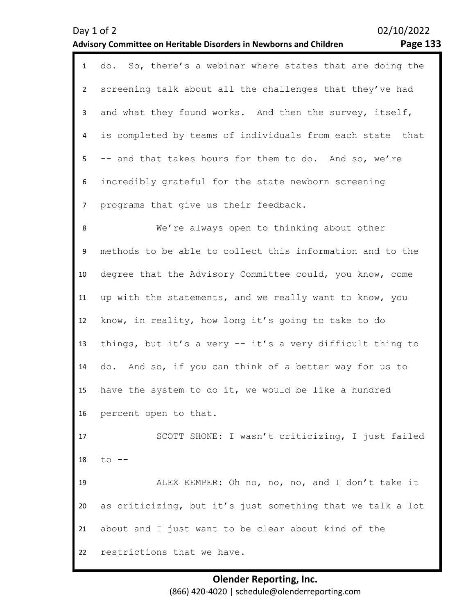| agr<br>ρ |
|----------|
|----------|

| $\mathbf{1}$   | do. So, there's a webinar where states that are doing the  |
|----------------|------------------------------------------------------------|
| $2^{\circ}$    | screening talk about all the challenges that they've had   |
| $\mathbf{3}$   | and what they found works. And then the survey, itself,    |
| 4              | is completed by teams of individuals from each state that  |
| 5              | -- and that takes hours for them to do. And so, we're      |
| 6              | incredibly grateful for the state newborn screening        |
| $\overline{7}$ | programs that give us their feedback.                      |
| 8              | We're always open to thinking about other                  |
| 9              | methods to be able to collect this information and to the  |
| 10             | degree that the Advisory Committee could, you know, come   |
| 11             | up with the statements, and we really want to know, you    |
| 12             | know, in reality, how long it's going to take to do        |
| 13             | things, but it's a very -- it's a very difficult thing to  |
| 14             | do. And so, if you can think of a better way for us to     |
| 15             | have the system to do it, we would be like a hundred       |
|                | 16 percent open to that.                                   |
| 17             | SCOTT SHONE: I wasn't criticizing, I just failed           |
| 18             | $to$ $--$                                                  |
| 19             | ALEX KEMPER: Oh no, no, no, and I don't take it            |
| 20             | as criticizing, but it's just something that we talk a lot |
| 21             | about and I just want to be clear about kind of the        |
| 22             | restrictions that we have.                                 |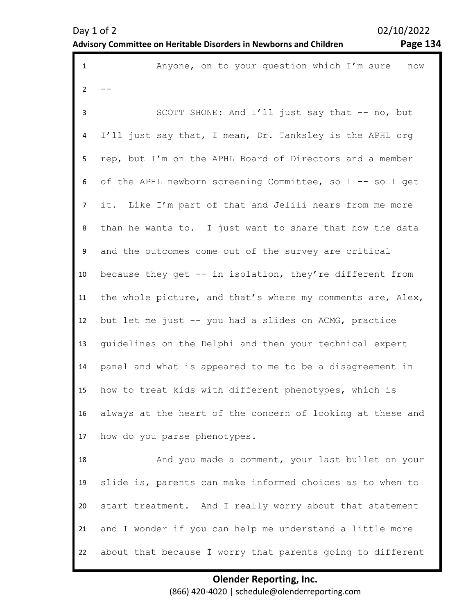| $\mathbf{1}$   | Anyone, on to your question which I'm sure<br>now          |
|----------------|------------------------------------------------------------|
| $\overline{2}$ |                                                            |
| 3              | SCOTT SHONE: And I'll just say that -- no, but             |
| 4              | I'll just say that, I mean, Dr. Tanksley is the APHL org   |
| 5              | rep, but I'm on the APHL Board of Directors and a member   |
| 6              | of the APHL newborn screening Committee, so I -- so I get  |
| $\overline{7}$ | it. Like I'm part of that and Jelili hears from me more    |
| 8              | than he wants to. I just want to share that how the data   |
| 9              | and the outcomes come out of the survey are critical       |
| 10             | because they get -- in isolation, they're different from   |
| 11             | the whole picture, and that's where my comments are, Alex, |
| 12             | but let me just -- you had a slides on ACMG, practice      |
| 13             | quidelines on the Delphi and then your technical expert    |
| 14             | panel and what is appeared to me to be a disagreement in   |
| 15             | how to treat kids with different phenotypes, which is      |
| 16             | always at the heart of the concern of looking at these and |
| 17             | how do you parse phenotypes.                               |
| 18             | And you made a comment, your last bullet on your           |
| 19             | slide is, parents can make informed choices as to when to  |
| 20             | start treatment. And I really worry about that statement   |
| 21             | and I wonder if you can help me understand a little more   |
| 22             | about that because I worry that parents going to different |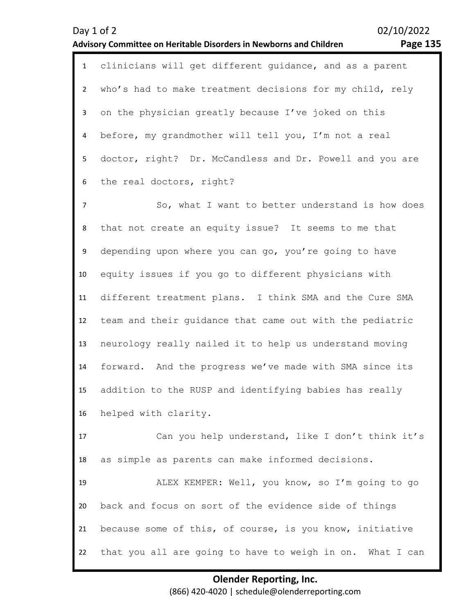| Day 1 of 2                                                         | 02/10/2022 |
|--------------------------------------------------------------------|------------|
| Advisory Committee on Heritable Disorders in Newborns and Children | Page 135   |

1 clinicians will get different guidance, and as a parent 2 3 4 5 6 who's had to make treatment decisions for my child, rely on the physician greatly because I've joked on this before, my grandmother will tell you, I'm not a real doctor, right? Dr. McCandless and Dr. Powell and you are the real doctors, right?

7 8 9 10 11 12 13 14 15 16 So, what I want to better understand is how does that not create an equity issue? It seems to me that depending upon where you can go, you're going to have equity issues if you go to different physicians with different treatment plans. I think SMA and the Cure SMA team and their guidance that came out with the pediatric neurology really nailed it to help us understand moving forward. And the progress we've made with SMA since its addition to the RUSP and identifying babies has really helped with clarity.

17 18 Can you help understand, like I don't think it's as simple as parents can make informed decisions.

19 20 21 22 ALEX KEMPER: Well, you know, so I'm going to go back and focus on sort of the evidence side of things because some of this, of course, is you know, initiative that you all are going to have to weigh in on. What I can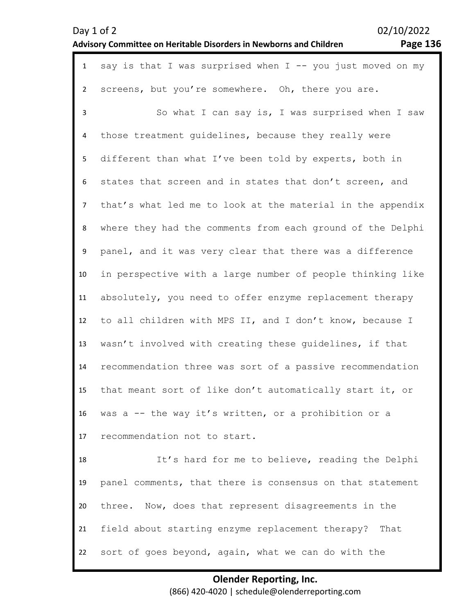Day 1 of 2 02/10/2022 **Advisory Committee on Heritable Disorders in Newborns and Children Page 136** 

| $\mathbf{1}$   | say is that I was surprised when $I$ -- you just moved on my |
|----------------|--------------------------------------------------------------|
| $\overline{2}$ | screens, but you're somewhere. Oh, there you are.            |
| 3              | So what I can say is, I was surprised when I saw             |
| 4              | those treatment guidelines, because they really were         |
| 5              | different than what I've been told by experts, both in       |
| 6              | states that screen and in states that don't screen, and      |
| 7              | that's what led me to look at the material in the appendix   |
| 8              | where they had the comments from each ground of the Delphi   |
| 9              | panel, and it was very clear that there was a difference     |
| 10             | in perspective with a large number of people thinking like   |
| 11             | absolutely, you need to offer enzyme replacement therapy     |
| 12             | to all children with MPS II, and I don't know, because I     |
| 13             | wasn't involved with creating these guidelines, if that      |
| 14             | recommendation three was sort of a passive recommendation    |
| 15             | that meant sort of like don't automatically start it, or     |
| 16             | was a -- the way it's written, or a prohibition or a         |
| 17             | recommendation not to start.                                 |
| 18             | It's hard for me to believe, reading the Delphi              |
| 19             | panel comments, that there is consensus on that statement    |
| 20             | three. Now, does that represent disagreements in the         |
| 21             | field about starting enzyme replacement therapy? That        |
| 22             | sort of goes beyond, again, what we can do with the          |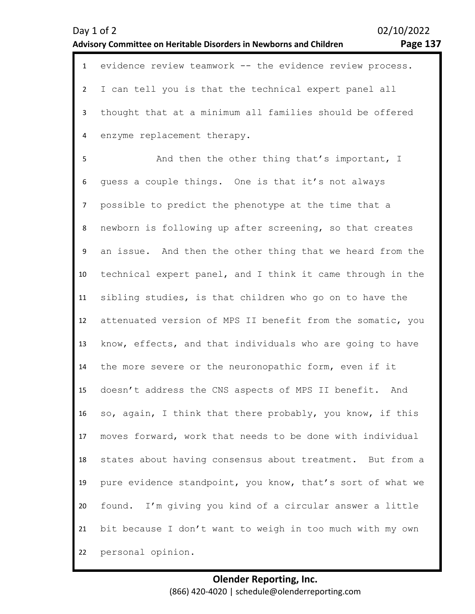1 evidence review teamwork -- the evidence review process.  $\overline{\phantom{a}}$ 3 4 I can tell you is that the technical expert panel all thought that at a minimum all families should be offered enzyme replacement therapy.

5 6 7 8 9 10 11 12 13 14 15 16 17 18 19 20 21 22 And then the other thing that's important, I guess a couple things. One is that it's not always possible to predict the phenotype at the time that a newborn is following up after screening, so that creates an issue. And then the other thing that we heard from the technical expert panel, and I think it came through in the sibling studies, is that children who go on to have the attenuated version of MPS II benefit from the somatic, you know, effects, and that individuals who are going to have the more severe or the neuronopathic form, even if it doesn't address the CNS aspects of MPS II benefit. And so, again, I think that there probably, you know, if this moves forward, work that needs to be done with individual states about having consensus about treatment. But from a pure evidence standpoint, you know, that's sort of what we found. I'm giving you kind of a circular answer a little bit because I don't want to weigh in too much with my own personal opinion.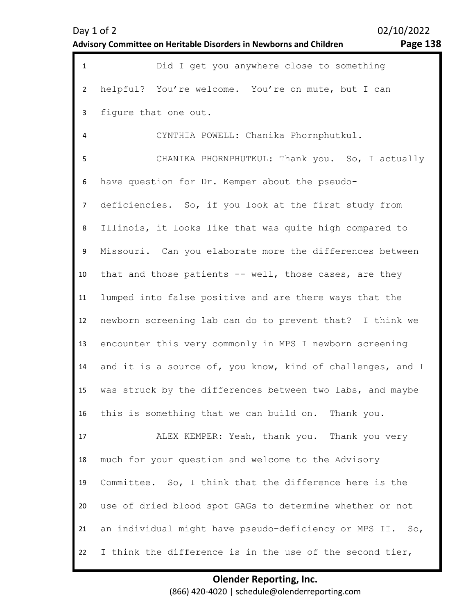| $\mathbf{1}$   | Did I get you anywhere close to something                  |
|----------------|------------------------------------------------------------|
| $\overline{2}$ | helpful? You're welcome. You're on mute, but I can         |
| 3              | figure that one out.                                       |
| 4              | CYNTHIA POWELL: Chanika Phornphutkul.                      |
| 5              | CHANIKA PHORNPHUTKUL: Thank you. So, I actually            |
| 6              | have question for Dr. Kemper about the pseudo-             |
| $\overline{7}$ | deficiencies. So, if you look at the first study from      |
| 8              | Illinois, it looks like that was quite high compared to    |
| 9              | Missouri. Can you elaborate more the differences between   |
| 10             | that and those patients -- well, those cases, are they     |
| 11             | lumped into false positive and are there ways that the     |
| 12             | newborn screening lab can do to prevent that? I think we   |
| 13             | encounter this very commonly in MPS I newborn screening    |
| 14             | and it is a source of, you know, kind of challenges, and I |
| 15             | was struck by the differences between two labs, and maybe  |
| 16             | this is something that we can build on. Thank you.         |
| 17             | ALEX KEMPER: Yeah, thank you. Thank you very               |
| 18             | much for your question and welcome to the Advisory         |
| 19             | Committee. So, I think that the difference here is the     |
| 20             | use of dried blood spot GAGs to determine whether or not   |
| 21             | an individual might have pseudo-deficiency or MPS II. So,  |
| 22             | I think the difference is in the use of the second tier,   |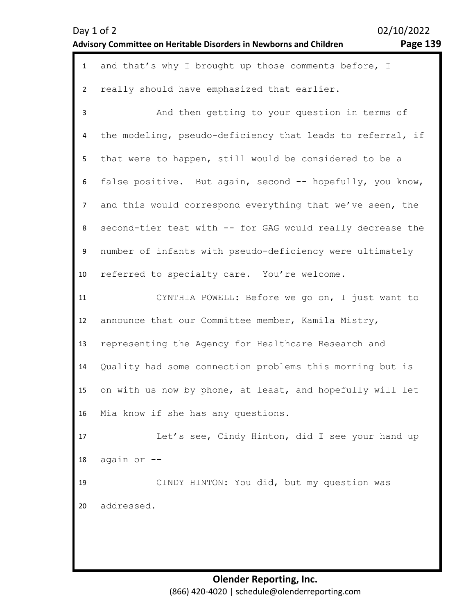| Day 1 of 2                                                         |  |
|--------------------------------------------------------------------|--|
| Advisory Committee on Heritable Disorders in Newborns and Children |  |

| $\mathbf{1}$   | and that's why I brought up those comments before, I       |
|----------------|------------------------------------------------------------|
| $\overline{2}$ | really should have emphasized that earlier.                |
| $\overline{3}$ | And then getting to your question in terms of              |
| 4              | the modeling, pseudo-deficiency that leads to referral, if |
| 5              | that were to happen, still would be considered to be a     |
| 6              | false positive. But again, second -- hopefully, you know,  |
| 7              | and this would correspond everything that we've seen, the  |
| 8              | second-tier test with -- for GAG would really decrease the |
| 9              | number of infants with pseudo-deficiency were ultimately   |
| 10             | referred to specialty care. You're welcome.                |
| 11             | CYNTHIA POWELL: Before we go on, I just want to            |
| 12             | announce that our Committee member, Kamila Mistry,         |
| 13             | representing the Agency for Healthcare Research and        |
| 14             | Quality had some connection problems this morning but is   |
| 15             | on with us now by phone, at least, and hopefully will let  |
| 16             | Mia know if she has any questions.                         |
| 17             | Let's see, Cindy Hinton, did I see your hand up            |
| 18             | again or --                                                |
| 19             | CINDY HINTON: You did, but my question was                 |
| 20             | addressed.                                                 |
|                |                                                            |
|                |                                                            |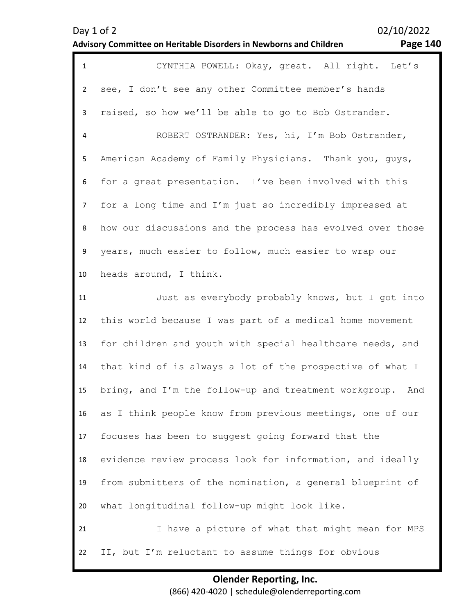| $\mathbf{1}$   | CYNTHIA POWELL: Okay, great. All right. Let's                |
|----------------|--------------------------------------------------------------|
| $\overline{2}$ | see, I don't see any other Committee member's hands          |
| $\mathbf{3}$   | raised, so how we'll be able to go to Bob Ostrander.         |
| $\overline{4}$ | ROBERT OSTRANDER: Yes, hi, I'm Bob Ostrander,                |
| 5              | American Academy of Family Physicians. Thank you, guys,      |
| 6              | for a great presentation. I've been involved with this       |
| $\overline{7}$ | for a long time and I'm just so incredibly impressed at      |
| 8              | how our discussions and the process has evolved over those   |
| 9              | years, much easier to follow, much easier to wrap our        |
| 10             | heads around, I think.                                       |
| 11             | Just as everybody probably knows, but I got into             |
| 12             | this world because I was part of a medical home movement     |
| 13             | for children and youth with special healthcare needs, and    |
| 14             | that kind of is always a lot of the prospective of what I    |
| 15             | bring, and I'm the follow-up and treatment workgroup.<br>And |
| 16             | as I think people know from previous meetings, one of our    |
| 17             | focuses has been to suggest going forward that the           |
| 18             | evidence review process look for information, and ideally    |
| 19             | from submitters of the nomination, a general blueprint of    |
| 20             | what longitudinal follow-up might look like.                 |
| 21             | I have a picture of what that might mean for MPS             |
| 22             | II, but I'm reluctant to assume things for obvious           |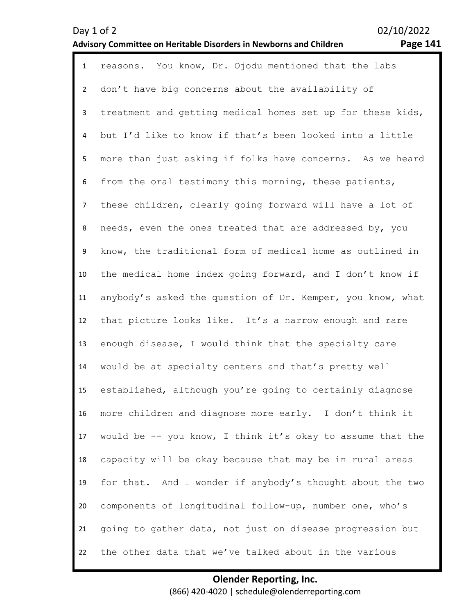| $\mathbf{1}$   | reasons. You know, Dr. Ojodu mentioned that the labs       |
|----------------|------------------------------------------------------------|
| $\overline{2}$ | don't have big concerns about the availability of          |
| 3              | treatment and getting medical homes set up for these kids, |
| 4              | but I'd like to know if that's been looked into a little   |
| 5              | more than just asking if folks have concerns. As we heard  |
| 6              | from the oral testimony this morning, these patients,      |
| $\overline{7}$ | these children, clearly going forward will have a lot of   |
| 8              | needs, even the ones treated that are addressed by, you    |
| 9              | know, the traditional form of medical home as outlined in  |
| 10             | the medical home index going forward, and I don't know if  |
| 11             | anybody's asked the question of Dr. Kemper, you know, what |
| 12             | that picture looks like. It's a narrow enough and rare     |
| 13             | enough disease, I would think that the specialty care      |
| 14             | would be at specialty centers and that's pretty well       |
| 15             | established, although you're going to certainly diagnose   |
| 16             | more children and diagnose more early. I don't think it    |
| 17             | would be -- you know, I think it's okay to assume that the |
| 18             | capacity will be okay because that may be in rural areas   |
| 19             | for that. And I wonder if anybody's thought about the two  |
| 20             | components of longitudinal follow-up, number one, who's    |
| 21             | going to gather data, not just on disease progression but  |
| 22             | the other data that we've talked about in the various      |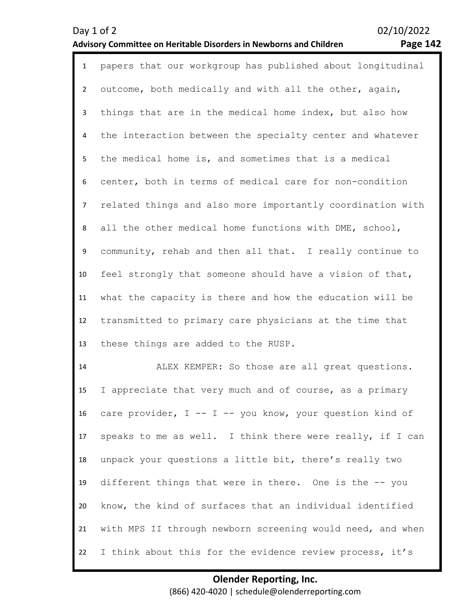| ־age | 4 |
|------|---|
|------|---|

| $\mathbf{1}$   | papers that our workgroup has published about longitudinal |
|----------------|------------------------------------------------------------|
| $\overline{2}$ | outcome, both medically and with all the other, again,     |
| 3              | things that are in the medical home index, but also how    |
| 4              | the interaction between the specialty center and whatever  |
| 5              | the medical home is, and sometimes that is a medical       |
| 6              | center, both in terms of medical care for non-condition    |
| $\overline{7}$ | related things and also more importantly coordination with |
| 8              | all the other medical home functions with DME, school,     |
| 9              | community, rehab and then all that. I really continue to   |
| 10             | feel strongly that someone should have a vision of that,   |
| 11             | what the capacity is there and how the education will be   |
| 12             | transmitted to primary care physicians at the time that    |
| 13             | these things are added to the RUSP.                        |
| 14             | ALEX KEMPER: So those are all great questions.             |
| 15             | I appreciate that very much and of course, as a primary    |
| 16             | care provider, I -- I -- you know, your question kind of   |
| 17             | speaks to me as well. I think there were really, if I can  |
| 18             | unpack your questions a little bit, there's really two     |

20 21 22 know, the kind of surfaces that an individual identified with MPS II through newborn screening would need, and when I think about this for the evidence review process, it's

different things that were in there. One is the -- you

19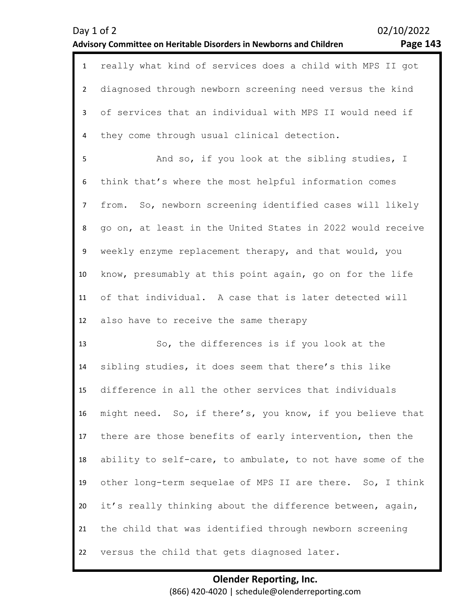| Day $1$ of $2$                                                     |  |
|--------------------------------------------------------------------|--|
| Advisory Committee on Heritable Disorders in Newborns and Children |  |

02/10/2022

# **Advisory Committee on Heritable Disorders in Newborns and Children Page 143**

| $\mathbf{1}$   | really what kind of services does a child with MPS II got  |
|----------------|------------------------------------------------------------|
| $\overline{2}$ | diagnosed through newborn screening need versus the kind   |
| 3              | of services that an individual with MPS II would need if   |
| 4              | they come through usual clinical detection.                |
| 5              | And so, if you look at the sibling studies, I              |
| 6              | think that's where the most helpful information comes      |
| $\overline{7}$ | from. So, newborn screening identified cases will likely   |
| 8              | go on, at least in the United States in 2022 would receive |
| 9              | weekly enzyme replacement therapy, and that would, you     |
| 10             | know, presumably at this point again, go on for the life   |
| 11             | of that individual. A case that is later detected will     |
|                |                                                            |
| 12             | also have to receive the same therapy                      |
| 13             | So, the differences is if you look at the                  |
| 14             | sibling studies, it does seem that there's this like       |
| 15             | difference in all the other services that individuals      |
| 16             | might need. So, if there's, you know, if you believe that  |
| 17             | there are those benefits of early intervention, then the   |
| 18             | ability to self-care, to ambulate, to not have some of the |
| 19             | other long-term sequelae of MPS II are there. So, I think  |
| 20             | it's really thinking about the difference between, again,  |
| 21             | the child that was identified through newborn screening    |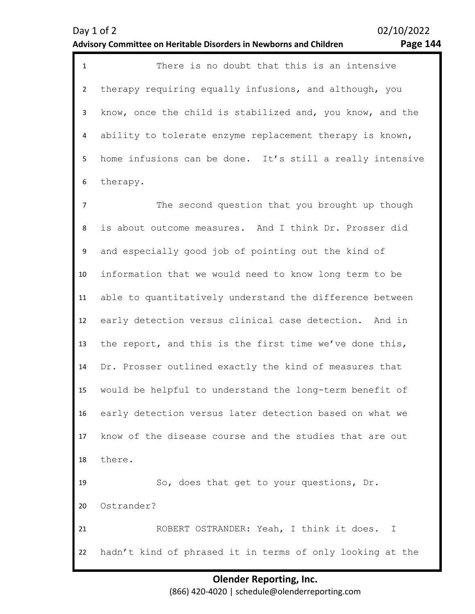1 There is no doubt that this is an intensive 2 3 4 5 6 therapy requiring equally infusions, and although, you know, once the child is stabilized and, you know, and the ability to tolerate enzyme replacement therapy is known, home infusions can be done. It's still a really intensive therapy.

7 8 9 10 11 12 13 14 15 16 17 18 19 20 21 22 The second question that you brought up though is about outcome measures. And I think Dr. Prosser did and especially good job of pointing out the kind of information that we would need to know long term to be able to quantitatively understand the difference between early detection versus clinical case detection. And in the report, and this is the first time we've done this, Dr. Prosser outlined exactly the kind of measures that would be helpful to understand the long-term benefit of early detection versus later detection based on what we know of the disease course and the studies that are out there. So, does that get to your questions, Dr. Ostrander? ROBERT OSTRANDER: Yeah, I think it does. I hadn't kind of phrased it in terms of only looking at the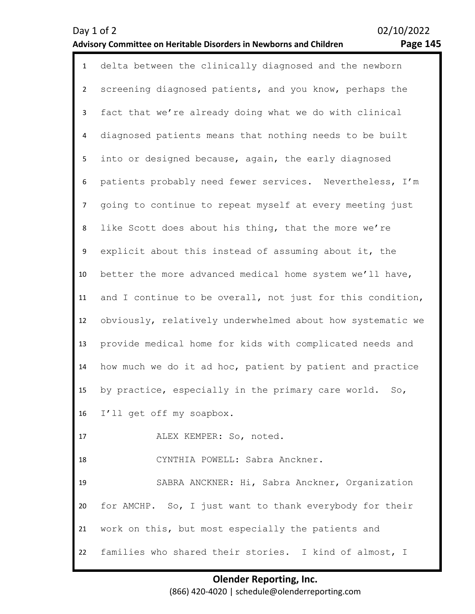| $\mathbf{1}$   | delta between the clinically diagnosed and the newborn     |
|----------------|------------------------------------------------------------|
| $\overline{2}$ | screening diagnosed patients, and you know, perhaps the    |
| 3              | fact that we're already doing what we do with clinical     |
| 4              | diagnosed patients means that nothing needs to be built    |
| 5              | into or designed because, again, the early diagnosed       |
| 6              | patients probably need fewer services. Nevertheless, I'm   |
| $\overline{7}$ | going to continue to repeat myself at every meeting just   |
| 8              | like Scott does about his thing, that the more we're       |
| 9              | explicit about this instead of assuming about it, the      |
| 10             | better the more advanced medical home system we'll have,   |
| 11             | and I continue to be overall, not just for this condition, |
| 12             | obviously, relatively underwhelmed about how systematic we |
| 13             | provide medical home for kids with complicated needs and   |
| 14             | how much we do it ad hoc, patient by patient and practice  |
| 15             | by practice, especially in the primary care world.<br>So,  |
|                | 16 I'll get off my soapbox.                                |
| 17             | ALEX KEMPER: So, noted.                                    |
| 18             | CYNTHIA POWELL: Sabra Anckner.                             |
| 19             | SABRA ANCKNER: Hi, Sabra Anckner, Organization             |
| 20             | for AMCHP. So, I just want to thank everybody for their    |
| 21             | work on this, but most especially the patients and         |
| 22             | families who shared their stories. I kind of almost, I     |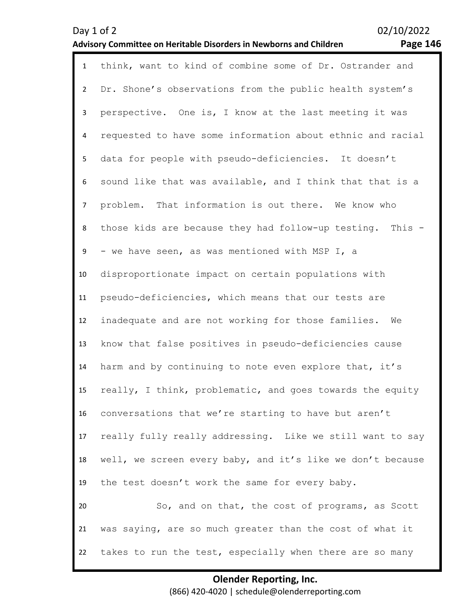| $\mathbf{1}$   | think, want to kind of combine some of Dr. Ostrander and   |
|----------------|------------------------------------------------------------|
| $\overline{2}$ | Dr. Shone's observations from the public health system's   |
| $\mathbf{3}$   | perspective. One is, I know at the last meeting it was     |
| 4              | requested to have some information about ethnic and racial |
| 5              | data for people with pseudo-deficiencies. It doesn't       |
| 6              | sound like that was available, and I think that that is a  |
| $\overline{7}$ | problem. That information is out there. We know who        |
| 8              | those kids are because they had follow-up testing. This -  |
| 9              | - we have seen, as was mentioned with MSP I, a             |
| 10             | disproportionate impact on certain populations with        |
| 11             | pseudo-deficiencies, which means that our tests are        |
| 12             | inadequate and are not working for those families. We      |
| 13             | know that false positives in pseudo-deficiencies cause     |
| 14             | harm and by continuing to note even explore that, it's     |
| 15             | really, I think, problematic, and goes towards the equity  |
| 16             | conversations that we're starting to have but aren't       |
| 17             | really fully really addressing. Like we still want to say  |
| 18             | well, we screen every baby, and it's like we don't because |
| 19             | the test doesn't work the same for every baby.             |
| 20             | So, and on that, the cost of programs, as Scott            |
| 21             | was saying, are so much greater than the cost of what it   |
| 22             | takes to run the test, especially when there are so many   |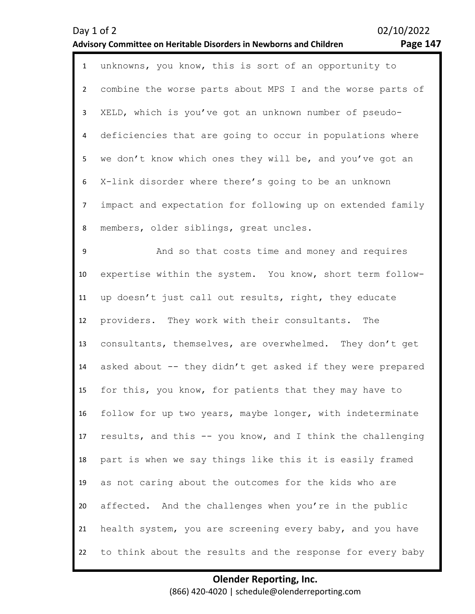| ∍α۰<br>Δ<br>ъ. | 4<br>, |
|----------------|--------|
|----------------|--------|

| $\mathbf{1}$   | unknowns, you know, this is sort of an opportunity to      |
|----------------|------------------------------------------------------------|
| $\overline{2}$ | combine the worse parts about MPS I and the worse parts of |
| 3              | XELD, which is you've got an unknown number of pseudo-     |
| $\overline{4}$ | deficiencies that are going to occur in populations where  |
| 5              | we don't know which ones they will be, and you've got an   |
| 6              | X-link disorder where there's going to be an unknown       |
| $\overline{7}$ | impact and expectation for following up on extended family |
| 8              | members, older siblings, great uncles.                     |
| 9              | And so that costs time and money and requires              |
| 10             | expertise within the system. You know, short term follow-  |
| 11             | up doesn't just call out results, right, they educate      |
| 12             | providers. They work with their consultants. The           |
| 13             | consultants, themselves, are overwhelmed. They don't get   |
| 14             | asked about -- they didn't get asked if they were prepared |
| 15             | for this, you know, for patients that they may have to     |
| 16             | follow for up two years, maybe longer, with indeterminate  |
| 17             | results, and this -- you know, and I think the challenging |
| 18             | part is when we say things like this it is easily framed   |
| 19             | as not caring about the outcomes for the kids who are      |
| 20             | affected. And the challenges when you're in the public     |
| 21             | health system, you are screening every baby, and you have  |
| 22             | to think about the results and the response for every baby |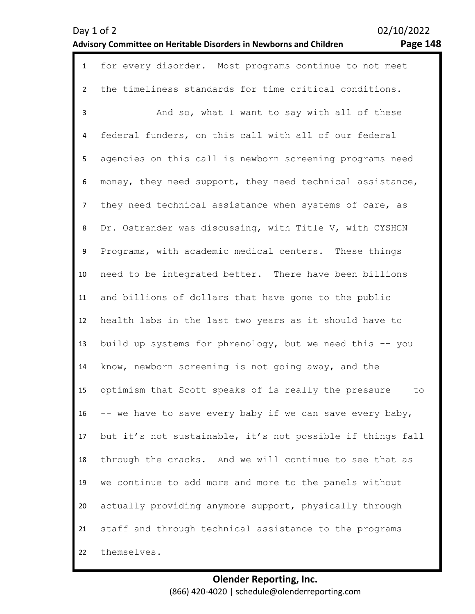| $\mathbf{1}$   | for every disorder. Most programs continue to not meet     |
|----------------|------------------------------------------------------------|
| $\overline{2}$ | the timeliness standards for time critical conditions.     |
| 3              | And so, what I want to say with all of these               |
| 4              | federal funders, on this call with all of our federal      |
| 5              | agencies on this call is newborn screening programs need   |
| 6              | money, they need support, they need technical assistance,  |
| $\overline{7}$ | they need technical assistance when systems of care, as    |
| 8              | Dr. Ostrander was discussing, with Title V, with CYSHCN    |
| 9              | Programs, with academic medical centers. These things      |
| 10             | need to be integrated better. There have been billions     |
| 11             | and billions of dollars that have gone to the public       |
| 12             | health labs in the last two years as it should have to     |
| 13             | build up systems for phrenology, but we need this -- you   |
| 14             | know, newborn screening is not going away, and the         |
| 15             | optimism that Scott speaks of is really the pressure<br>to |
| 16             | -- we have to save every baby if we can save every baby,   |
| 17             | but it's not sustainable, it's not possible if things fall |
| 18             | through the cracks. And we will continue to see that as    |
| 19             | we continue to add more and more to the panels without     |
| 20             | actually providing anymore support, physically through     |
| 21             | staff and through technical assistance to the programs     |
| 22             | themselves.                                                |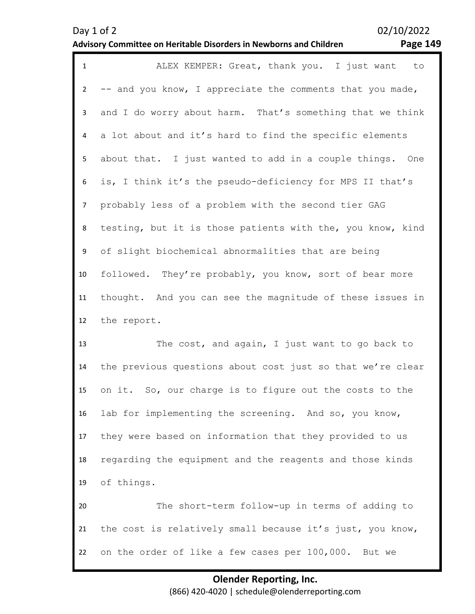# Day 1 of 2 02/10/2022

### **Advisory Committee on Heritable Disorders in Newborns and Children Page 149**

| $\mathbf{1}$   | ALEX KEMPER: Great, thank you. I just want to              |
|----------------|------------------------------------------------------------|
| $\overline{2}$ | -- and you know, I appreciate the comments that you made,  |
| 3              | and I do worry about harm. That's something that we think  |
| 4              | a lot about and it's hard to find the specific elements    |
| 5              | about that. I just wanted to add in a couple things. One   |
| 6              | is, I think it's the pseudo-deficiency for MPS II that's   |
| $\overline{7}$ | probably less of a problem with the second tier GAG        |
| 8              | testing, but it is those patients with the, you know, kind |
| 9              | of slight biochemical abnormalities that are being         |
| 10             | followed. They're probably, you know, sort of bear more    |
| 11             | thought. And you can see the magnitude of these issues in  |
| 12             | the report.                                                |
| 13             | The cost, and again, I just want to go back to             |
| 14             | the previous questions about cost just so that we're clear |
| 15             | on it. So, our charge is to figure out the costs to the    |
| 16             | lab for implementing the screening. And so, you know,      |
| 17             | they were based on information that they provided to us    |
| 18             | regarding the equipment and the reagents and those kinds   |
| 19             | of things.                                                 |
| 20             | The short-term follow-up in terms of adding to             |
| 21             | the cost is relatively small because it's just, you know,  |
| 22             | on the order of like a few cases per 100,000.<br>But we    |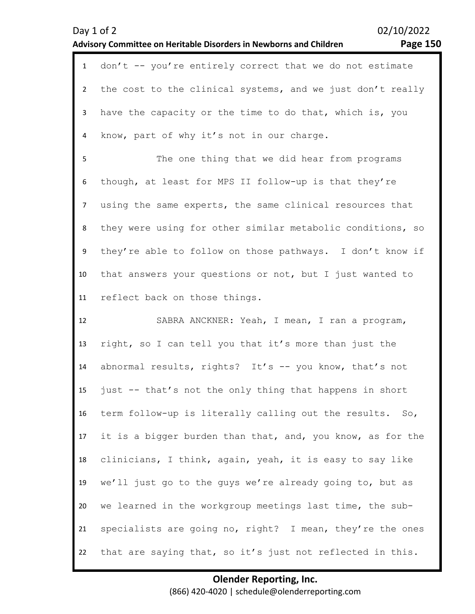| Day 1 of 2                                                         |  |
|--------------------------------------------------------------------|--|
| Advisory Committee on Heritable Disorders in Newborns and Children |  |

02/10/2022

# **Advisory Committee on Heritable Disorders in Newborns and Children Page 150**

| $\mathbf{1}$   | don't -- you're entirely correct that we do not estimate   |
|----------------|------------------------------------------------------------|
| $2^{\circ}$    | the cost to the clinical systems, and we just don't really |
| $\mathbf{3}$   | have the capacity or the time to do that, which is, you    |
| 4              | know, part of why it's not in our charge.                  |
| 5              | The one thing that we did hear from programs               |
| 6              | though, at least for MPS II follow-up is that they're      |
| 7 <sup>7</sup> | using the same experts, the same clinical resources that   |
| 8              | they were using for other similar metabolic conditions, so |
| 9              | they're able to follow on those pathways. I don't know if  |
| 10             | that answers your questions or not, but I just wanted to   |
| 11             | reflect back on those things.                              |
|                |                                                            |
| 12             | SABRA ANCKNER: Yeah, I mean, I ran a program,              |
| 13             | right, so I can tell you that it's more than just the      |
| 14             | abnormal results, rights? It's -- you know, that's not     |
| 15             | just -- that's not the only thing that happens in short    |
| 16             | term follow-up is literally calling out the results. So,   |
| 17             | it is a bigger burden than that, and, you know, as for the |
| 18             | clinicians, I think, again, yeah, it is easy to say like   |
| 19             | we'll just go to the guys we're already going to, but as   |
| 20             | we learned in the workgroup meetings last time, the sub-   |
| 21             | specialists are going no, right? I mean, they're the ones  |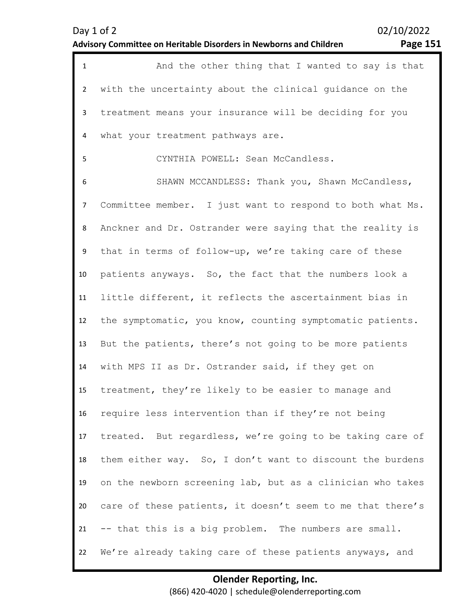| ee<br>∽<br>о | c.<br>- 1 |
|--------------|-----------|
|--------------|-----------|

| $\mathbf{1}$   | And the other thing that I wanted to say is that           |
|----------------|------------------------------------------------------------|
| $\overline{2}$ | with the uncertainty about the clinical quidance on the    |
| $\mathbf{3}$   | treatment means your insurance will be deciding for you    |
| 4              | what your treatment pathways are.                          |
| 5              | CYNTHIA POWELL: Sean McCandless.                           |
| 6              | SHAWN MCCANDLESS: Thank you, Shawn McCandless,             |
| $\overline{7}$ | Committee member. I just want to respond to both what Ms.  |
| 8              | Anckner and Dr. Ostrander were saying that the reality is  |
| 9              | that in terms of follow-up, we're taking care of these     |
| 10             | patients anyways. So, the fact that the numbers look a     |
| 11             | little different, it reflects the ascertainment bias in    |
| 12             | the symptomatic, you know, counting symptomatic patients.  |
| 13             | But the patients, there's not going to be more patients    |
| 14             | with MPS II as Dr. Ostrander said, if they get on          |
| 15             | treatment, they're likely to be easier to manage and       |
| 16             | require less intervention than if they're not being        |
| 17             | treated. But regardless, we're going to be taking care of  |
| 18             | them either way. So, I don't want to discount the burdens  |
| 19             | on the newborn screening lab, but as a clinician who takes |
| 20             | care of these patients, it doesn't seem to me that there's |
| 21             | -- that this is a big problem. The numbers are small.      |
| 22             | We're already taking care of these patients anyways, and   |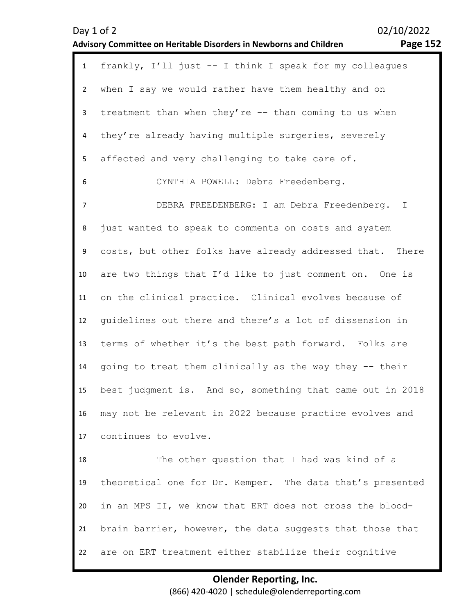1 frankly, I'll just -- I think I speak for my colleagues  $\overline{\phantom{a}}$ 3 4 5 6 7 8 9 10 11 12 13 14 15 16 17 when I say we would rather have them healthy and on treatment than when they're -- than coming to us when they're already having multiple surgeries, severely affected and very challenging to take care of. CYNTHIA POWELL: Debra Freedenberg. DEBRA FREEDENBERG: I am Debra Freedenberg. I just wanted to speak to comments on costs and system costs, but other folks have already addressed that. There are two things that I'd like to just comment on. One is on the clinical practice. Clinical evolves because of guidelines out there and there's a lot of dissension in terms of whether it's the best path forward. Folks are going to treat them clinically as the way they -- their best judgment is. And so, something that came out in 2018 may not be relevant in 2022 because practice evolves and continues to evolve.

18 19 20 21 22 The other question that I had was kind of a theoretical one for Dr. Kemper. The data that's presented in an MPS II, we know that ERT does not cross the bloodbrain barrier, however, the data suggests that those that are on ERT treatment either stabilize their cognitive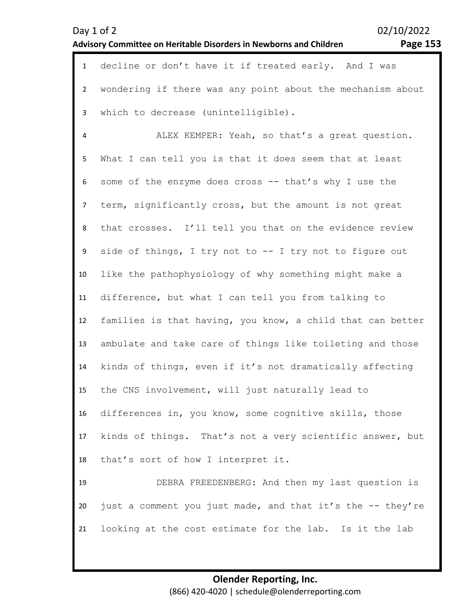| Day $1$ of $2$                                                            |  |
|---------------------------------------------------------------------------|--|
| <b>Advisory Committee on Heritable Disorders in Newborns and Children</b> |  |

1 decline or don't have it if treated early. And I was

02/10/2022 **Advisory Committee on Heritable Disorders in Newborns and Children Page 153** 

| $2^{\circ}$     | wondering if there was any point about the mechanism about |
|-----------------|------------------------------------------------------------|
| $\mathbf{3}$    | which to decrease (unintelligible).                        |
| $\overline{4}$  | ALEX KEMPER: Yeah, so that's a great question.             |
| 5               | What I can tell you is that it does seem that at least     |
| 6               | some of the enzyme does cross -- that's why I use the      |
| $\overline{7}$  | term, significantly cross, but the amount is not great     |
| 8               | that crosses. I'll tell you that on the evidence review    |
| 9               | side of things, I try not to -- I try not to figure out    |
| 10 <sup>°</sup> | like the pathophysiology of why something might make a     |
| 11              | difference, but what I can tell you from talking to        |
| 12              | families is that having, you know, a child that can better |
| 13              | ambulate and take care of things like toileting and those  |
| 14              | kinds of things, even if it's not dramatically affecting   |
| 15              | the CNS involvement, will just naturally lead to           |
| 16              | differences in, you know, some cognitive skills, those     |
| 17              | kinds of things. That's not a very scientific answer, but  |
| 18              | that's sort of how I interpret it.                         |
| 19              | DEBRA FREEDENBERG: And then my last question is            |
| 20              | just a comment you just made, and that it's the -- they're |
| 21              | looking at the cost estimate for the lab. Is it the lab    |
|                 |                                                            |
|                 | <b>Olender Reporting, Inc.</b>                             |
|                 | (866) 420-4020   schedule@olenderreporting.com             |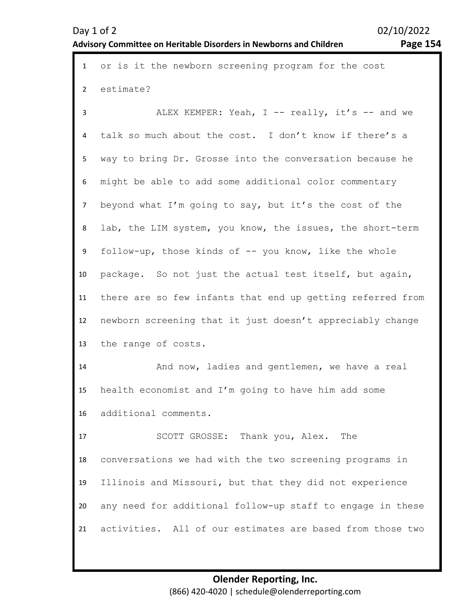| $\mathbf{1}$   | or is it the newborn screening program for the cost        |
|----------------|------------------------------------------------------------|
| $2^{\circ}$    | estimate?                                                  |
| 3              | ALEX KEMPER: Yeah, I -- really, it's -- and we             |
| 4              | talk so much about the cost. I don't know if there's a     |
| 5              | way to bring Dr. Grosse into the conversation because he   |
| 6              | might be able to add some additional color commentary      |
| $\overline{7}$ | beyond what I'm going to say, but it's the cost of the     |
| 8              | lab, the LIM system, you know, the issues, the short-term  |
| 9              | follow-up, those kinds of -- you know, like the whole      |
| 10             | package. So not just the actual test itself, but again,    |
| 11             | there are so few infants that end up getting referred from |
| 12             | newborn screening that it just doesn't appreciably change  |
| 13             | the range of costs.                                        |
| 14             | And now, ladies and gentlemen, we have a real              |
| 15             | health economist and I'm going to have him add some        |
| 16             | additional comments.                                       |
| 17             | SCOTT GROSSE: Thank you, Alex. The                         |
| 18             | conversations we had with the two screening programs in    |
| 19             | Illinois and Missouri, but that they did not experience    |
| 20             | any need for additional follow-up staff to engage in these |
| 21             | activities. All of our estimates are based from those two  |
|                |                                                            |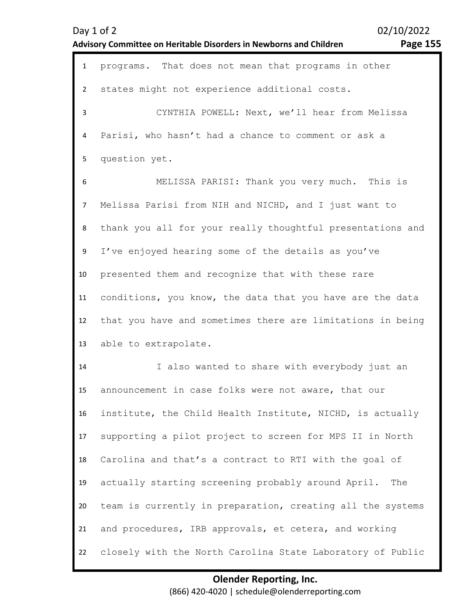| Day 1 of 2                                                         | 02/ |
|--------------------------------------------------------------------|-----|
| Advisory Committee on Heritable Disorders in Newborns and Children |     |
|                                                                    |     |

 $10/2022$ **Advisory Committee on Heritable Disorders in Newborns and Children Page 155** 

| $\mathbf{1}$   | programs. That does not mean that programs in other        |
|----------------|------------------------------------------------------------|
| $\overline{2}$ | states might not experience additional costs.              |
| 3              | CYNTHIA POWELL: Next, we'll hear from Melissa              |
| 4              | Parisi, who hasn't had a chance to comment or ask a        |
| 5              | question yet.                                              |
| 6              | MELISSA PARISI: Thank you very much. This is               |
| $\overline{7}$ | Melissa Parisi from NIH and NICHD, and I just want to      |
| 8              | thank you all for your really thoughtful presentations and |
| 9              | I've enjoyed hearing some of the details as you've         |
| 10             | presented them and recognize that with these rare          |
| 11             | conditions, you know, the data that you have are the data  |
| 12             | that you have and sometimes there are limitations in being |
| 13             | able to extrapolate.                                       |
| 14             | I also wanted to share with everybody just an              |
| 15             | announcement in case folks were not aware, that our        |
| 16             | institute, the Child Health Institute, NICHD, is actually  |
| 17             | supporting a pilot project to screen for MPS II in North   |
| 18             | Carolina and that's a contract to RTI with the goal of     |
| 19             | actually starting screening probably around April.<br>The  |
| 20             | team is currently in preparation, creating all the systems |
| 21             | and procedures, IRB approvals, et cetera, and working      |
| 22             | closely with the North Carolina State Laboratory of Public |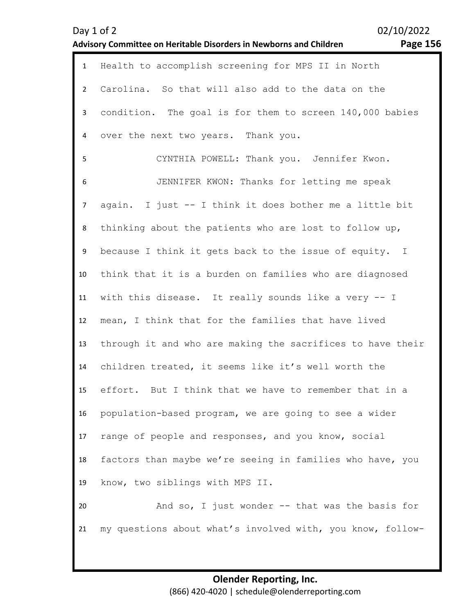| 02/10/2022<br>Day $1$ of $2$                                                   |  |                                                    |  |
|--------------------------------------------------------------------------------|--|----------------------------------------------------|--|
| Page 156<br>Advisory Committee on Heritable Disorders in Newborns and Children |  |                                                    |  |
|                                                                                |  | Health to accomplish screening for MPS II in North |  |
|                                                                                |  | Carolina. So that will also add to the data on the |  |

over the next two years. Thank you.

condition. The goal is for them to screen 140,000 babies

3

4

5 6 7 8 9 10 11 12 13 14 15 16 17 18 19 CYNTHIA POWELL: Thank you. Jennifer Kwon. JENNIFER KWON: Thanks for letting me speak again. I just -- I think it does bother me a little bit thinking about the patients who are lost to follow up, because I think it gets back to the issue of equity. I think that it is a burden on families who are diagnosed with this disease. It really sounds like a very -- I mean, I think that for the families that have lived through it and who are making the sacrifices to have their children treated, it seems like it's well worth the effort. But I think that we have to remember that in a population-based program, we are going to see a wider range of people and responses, and you know, social factors than maybe we're seeing in families who have, you know, two siblings with MPS II.

20 21 And so, I just wonder  $--$  that was the basis for my questions about what's involved with, you know, follow-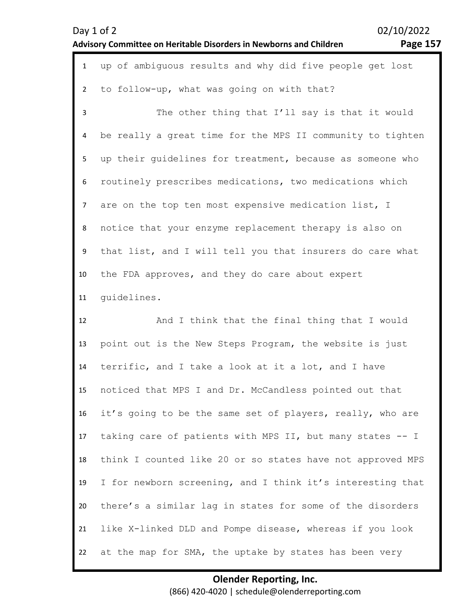| $-$ age $1$ | L5<br>' |
|-------------|---------|
|-------------|---------|

| $\mathbf{1}$   | up of ambiguous results and why did five people get lost   |
|----------------|------------------------------------------------------------|
| $\overline{2}$ | to follow-up, what was going on with that?                 |
| 3              | The other thing that I'll say is that it would             |
| 4              | be really a great time for the MPS II community to tighten |
| 5              | up their guidelines for treatment, because as someone who  |
| 6              | routinely prescribes medications, two medications which    |
| $\overline{7}$ | are on the top ten most expensive medication list, I       |
| 8              | notice that your enzyme replacement therapy is also on     |
| 9              | that list, and I will tell you that insurers do care what  |
| 10             | the FDA approves, and they do care about expert            |
| 11             | quidelines.                                                |
|                |                                                            |
| 12             | And I think that the final thing that I would              |
| 13             | point out is the New Steps Program, the website is just    |
| 14             | terrific, and I take a look at it a lot, and I have        |
| 15             | noticed that MPS I and Dr. McCandless pointed out that     |
| 16             | it's going to be the same set of players, really, who are  |
| 17             | taking care of patients with MPS II, but many states -- I  |
| 18             | think I counted like 20 or so states have not approved MPS |
| 19             | I for newborn screening, and I think it's interesting that |
| 20             | there's a similar lag in states for some of the disorders  |
| 21             | like X-linked DLD and Pompe disease, whereas if you look   |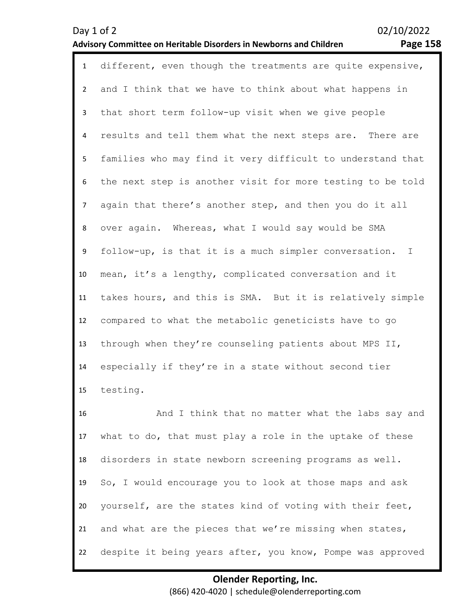| $\mathbf{1}$   | different, even though the treatments are quite expensive, |
|----------------|------------------------------------------------------------|
| $\overline{2}$ | and I think that we have to think about what happens in    |
| 3              | that short term follow-up visit when we give people        |
| 4              | results and tell them what the next steps are. There are   |
| 5              | families who may find it very difficult to understand that |
| 6              | the next step is another visit for more testing to be told |
| $\overline{7}$ | again that there's another step, and then you do it all    |
| 8              | over again. Whereas, what I would say would be SMA         |
| 9              | follow-up, is that it is a much simpler conversation. I    |
| 10             | mean, it's a lengthy, complicated conversation and it      |
| 11             | takes hours, and this is SMA. But it is relatively simple  |
| 12             | compared to what the metabolic geneticists have to go      |
| 13             | through when they're counseling patients about MPS II,     |
| 14             | especially if they're in a state without second tier       |
| 15             | testing.                                                   |
| 16             | And I think that no matter what the labs say and           |
| 17             | what to do, that must play a role in the uptake of these   |
| 18             | disorders in state newborn screening programs as well.     |
| 19             | So, I would encourage you to look at those maps and ask    |
| 20             | yourself, are the states kind of voting with their feet,   |
| 21             | and what are the pieces that we're missing when states,    |

22 despite it being years after, you know, Pompe was approved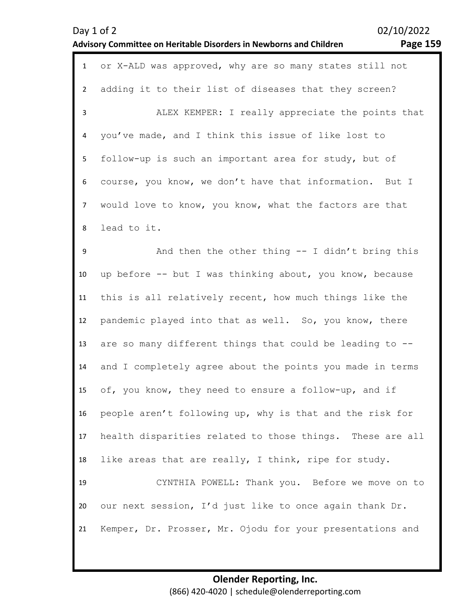| Day $1$ of $2$                                                            |  |
|---------------------------------------------------------------------------|--|
| <b>Advisory Committee on Heritable Disorders in Newborns and Children</b> |  |

| $\mathbf{1}$   | or X-ALD was approved, why are so many states still not   |
|----------------|-----------------------------------------------------------|
| $\overline{2}$ | adding it to their list of diseases that they screen?     |
| $\overline{3}$ | ALEX KEMPER: I really appreciate the points that          |
| 4              | you've made, and I think this issue of like lost to       |
| 5              | follow-up is such an important area for study, but of     |
| 6              | course, you know, we don't have that information. But I   |
| $\overline{7}$ | would love to know, you know, what the factors are that   |
| 8              | lead to it.                                               |
| 9              | And then the other thing $-$ I didn't bring this          |
| 10             | up before -- but I was thinking about, you know, because  |
| 11             | this is all relatively recent, how much things like the   |
| 12             | pandemic played into that as well. So, you know, there    |
| 13             | are so many different things that could be leading to --  |
| 14             | and I completely agree about the points you made in terms |
| 15             | of, you know, they need to ensure a follow-up, and if     |
| 16             | people aren't following up, why is that and the risk for  |
| 17             | health disparities related to those things. These are all |
| 18             | like areas that are really, I think, ripe for study.      |
| 19             | CYNTHIA POWELL: Thank you. Before we move on to           |
| 20             | our next session, I'd just like to once again thank Dr.   |
| 21             | Kemper, Dr. Prosser, Mr. Ojodu for your presentations and |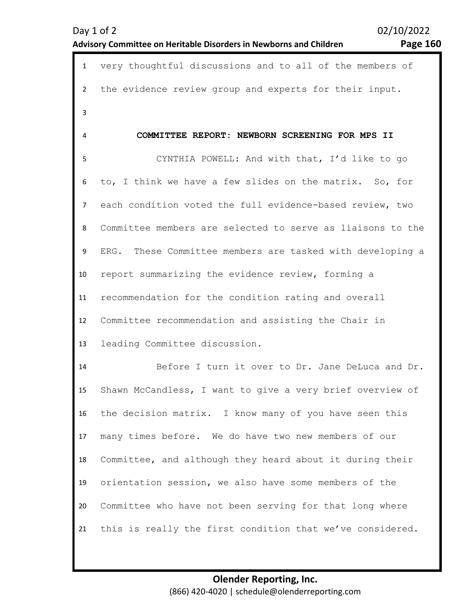Day 1 of 2 02/10/2022

# **Advisory Committee on Heritable Disorders in Newborns and Children Page 160**

| $\mathbf{1}$   | very thoughtful discussions and to all of the members of     |
|----------------|--------------------------------------------------------------|
| $\overline{2}$ | the evidence review group and experts for their input.       |
| 3              |                                                              |
| 4              | COMMITTEE REPORT: NEWBORN SCREENING FOR MPS II               |
| 5              | CYNTHIA POWELL: And with that, I'd like to go                |
| 6              | to, I think we have a few slides on the matrix. So, for      |
| $\overline{7}$ | each condition voted the full evidence-based review, two     |
| 8              | Committee members are selected to serve as liaisons to the   |
| 9              | These Committee members are tasked with developing a<br>ERG. |
| 10             | report summarizing the evidence review, forming a            |
| 11             | recommendation for the condition rating and overall          |
| 12             | Committee recommendation and assisting the Chair in          |
| 13             | leading Committee discussion.                                |
| 14             | Before I turn it over to Dr. Jane DeLuca and Dr.             |
| 15             | Shawn McCandless, I want to give a very brief overview of    |
| 16             | the decision matrix. I know many of you have seen this       |
| 17             | many times before. We do have two new members of our         |
| 18             | Committee, and although they heard about it during their     |
| 19             | orientation session, we also have some members of the        |
| 20             | Committee who have not been serving for that long where      |
| 21             | this is really the first condition that we've considered.    |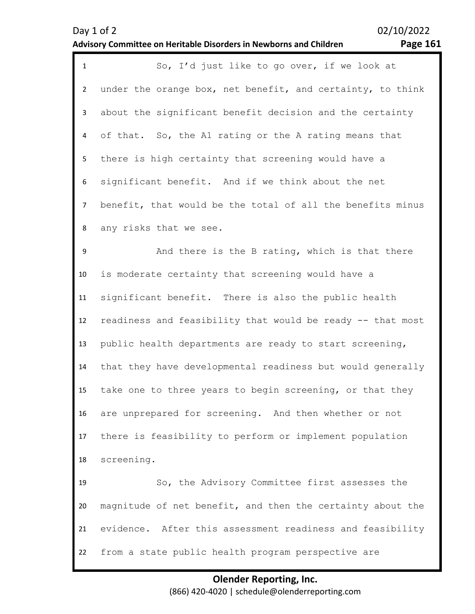| $\mathbf{1}$   | So, I'd just like to go over, if we look at                |
|----------------|------------------------------------------------------------|
| $\overline{2}$ | under the orange box, net benefit, and certainty, to think |
| $\mathbf{3}$   | about the significant benefit decision and the certainty   |
| 4              | of that. So, the A1 rating or the A rating means that      |
| 5              | there is high certainty that screening would have a        |
| 6              | significant benefit. And if we think about the net         |
| $\overline{7}$ | benefit, that would be the total of all the benefits minus |
| 8              | any risks that we see.                                     |
| 9              | And there is the B rating, which is that there             |
| 10             | is moderate certainty that screening would have a          |
| 11             | significant benefit. There is also the public health       |
| 12             | readiness and feasibility that would be ready -- that most |
| 13             | public health departments are ready to start screening,    |
| 14             | that they have developmental readiness but would generally |
| 15             | take one to three years to begin screening, or that they   |
| 16             | are unprepared for screening. And then whether or not      |
| 17             | there is feasibility to perform or implement population    |
| 18             | screening.                                                 |
| 19             | So, the Advisory Committee first assesses the              |
| 20             | magnitude of net benefit, and then the certainty about the |
| 21             | evidence. After this assessment readiness and feasibility  |
| 22             | from a state public health program perspective are         |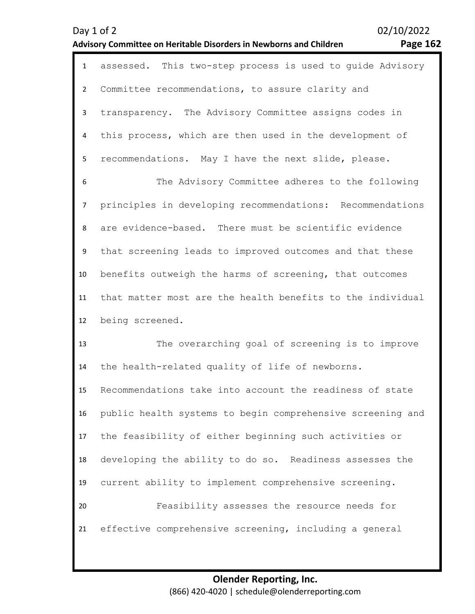| $\mathbf{1}$ | assessed. This two-step process is used to quide Advisory  |
|--------------|------------------------------------------------------------|
| $2^{\circ}$  | Committee recommendations, to assure clarity and           |
| $\mathbf{3}$ | transparency. The Advisory Committee assigns codes in      |
| 4            | this process, which are then used in the development of    |
| 5            | recommendations. May I have the next slide, please.        |
| 6            | The Advisory Committee adheres to the following            |
| $7^{\circ}$  | principles in developing recommendations: Recommendations  |
| 8            | are evidence-based. There must be scientific evidence      |
| 9            | that screening leads to improved outcomes and that these   |
| 10           | benefits outweigh the harms of screening, that outcomes    |
| 11           | that matter most are the health benefits to the individual |
| 12           | being screened.                                            |
| 13           | The overarching goal of screening is to improve            |
| 14           | the health-related quality of life of newborns.            |

15 16 17 18 19 20 21 Recommendations take into account the readiness of state public health systems to begin comprehensive screening and the feasibility of either beginning such activities or developing the ability to do so. Readiness assesses the current ability to implement comprehensive screening. Feasibility assesses the resource needs for effective comprehensive screening, including a general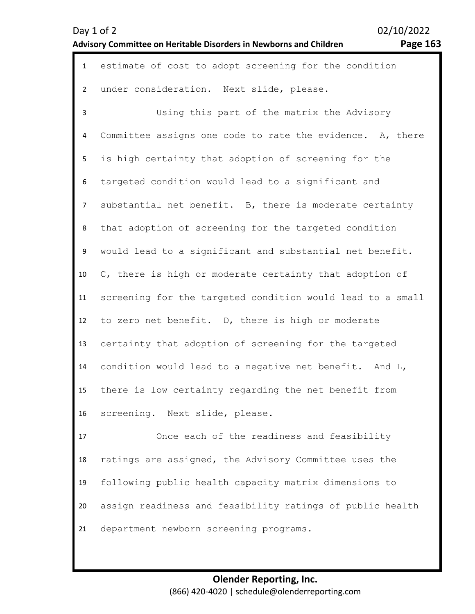| $\mathbf{1}$   | estimate of cost to adopt screening for the condition      |
|----------------|------------------------------------------------------------|
| $\overline{2}$ | under consideration. Next slide, please.                   |
| 3              | Using this part of the matrix the Advisory                 |
| 4              | Committee assigns one code to rate the evidence. A, there  |
| 5              | is high certainty that adoption of screening for the       |
| 6              | targeted condition would lead to a significant and         |
| $\overline{7}$ | substantial net benefit. B, there is moderate certainty    |
| 8              | that adoption of screening for the targeted condition      |
| 9              | would lead to a significant and substantial net benefit.   |
| 10             | C, there is high or moderate certainty that adoption of    |
| 11             | screening for the targeted condition would lead to a small |
| 12             | to zero net benefit. D, there is high or moderate          |
| 13             | certainty that adoption of screening for the targeted      |
| 14             | condition would lead to a negative net benefit. And L,     |
| 15             | there is low certainty regarding the net benefit from      |
| 16             | screening. Next slide, please.                             |
| 17             | Once each of the readiness and feasibility                 |

18 19 20 21 ratings are assigned, the Advisory Committee uses the following public health capacity matrix dimensions to assign readiness and feasibility ratings of public health department newborn screening programs.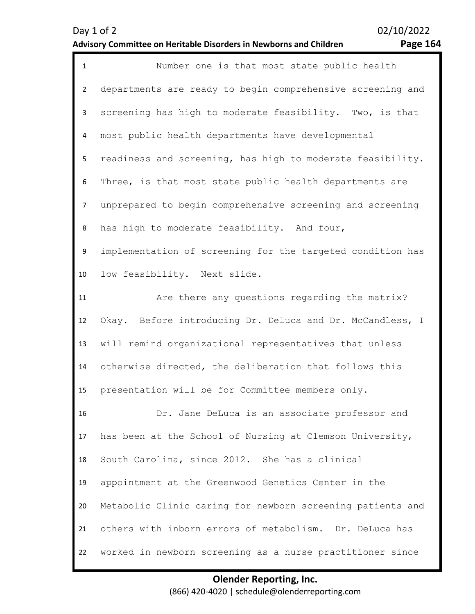| $\mathbf 1$    | Number one is that most state public health                |
|----------------|------------------------------------------------------------|
| $\overline{2}$ | departments are ready to begin comprehensive screening and |
| 3              | screening has high to moderate feasibility. Two, is that   |
| 4              | most public health departments have developmental          |
| 5              | readiness and screening, has high to moderate feasibility. |
| 6              | Three, is that most state public health departments are    |
| $\overline{7}$ | unprepared to begin comprehensive screening and screening  |
| 8              | has high to moderate feasibility. And four,                |
| 9              | implementation of screening for the targeted condition has |
| 10             | low feasibility. Next slide.                               |
| 11             | Are there any questions regarding the matrix?              |
| 12             | Okay. Before introducing Dr. DeLuca and Dr. McCandless, I  |
| 13             | will remind organizational representatives that unless     |
| 14             | otherwise directed, the deliberation that follows this     |
| 15             | presentation will be for Committee members only.           |
| 16             | Dr. Jane DeLuca is an associate professor and              |
| 17             | has been at the School of Nursing at Clemson University,   |
| 18             | South Carolina, since 2012. She has a clinical             |
| 19             | appointment at the Greenwood Genetics Center in the        |
| 20             | Metabolic Clinic caring for newborn screening patients and |
| 21             | others with inborn errors of metabolism. Dr. DeLuca has    |
| 22             | worked in newborn screening as a nurse practitioner since  |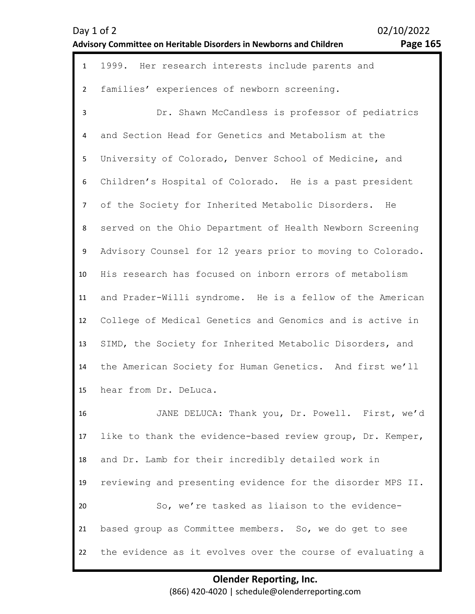| Day 1 of 2                                                                |  |
|---------------------------------------------------------------------------|--|
| <b>Advisory Committee on Heritable Disorders in Newborns and Children</b> |  |

02/10/2022 **Page 165** 

| $\mathbf{1}$   | 1999. Her research interests include parents and           |
|----------------|------------------------------------------------------------|
| $\overline{2}$ | families' experiences of newborn screening.                |
| 3              | Dr. Shawn McCandless is professor of pediatrics            |
| 4              | and Section Head for Genetics and Metabolism at the        |
| 5              | University of Colorado, Denver School of Medicine, and     |
| 6              | Children's Hospital of Colorado. He is a past president    |
| $\overline{7}$ | of the Society for Inherited Metabolic Disorders.<br>He    |
| 8              | served on the Ohio Department of Health Newborn Screening  |
| 9              | Advisory Counsel for 12 years prior to moving to Colorado. |
| 10             | His research has focused on inborn errors of metabolism    |
| 11             | and Prader-Willi syndrome. He is a fellow of the American  |
| 12             | College of Medical Genetics and Genomics and is active in  |
| 13             | SIMD, the Society for Inherited Metabolic Disorders, and   |
| 14             | the American Society for Human Genetics. And first we'll   |
| 15             | hear from Dr. DeLuca.                                      |
| 16             | JANE DELUCA: Thank you, Dr. Powell. First, we'd            |
| 17             | like to thank the evidence-based review group, Dr. Kemper, |
| 18             | and Dr. Lamb for their incredibly detailed work in         |
| 19             | reviewing and presenting evidence for the disorder MPS II. |
| 20             | So, we're tasked as liaison to the evidence-               |
| 21             | based group as Committee members. So, we do get to see     |
| 22             | the evidence as it evolves over the course of evaluating a |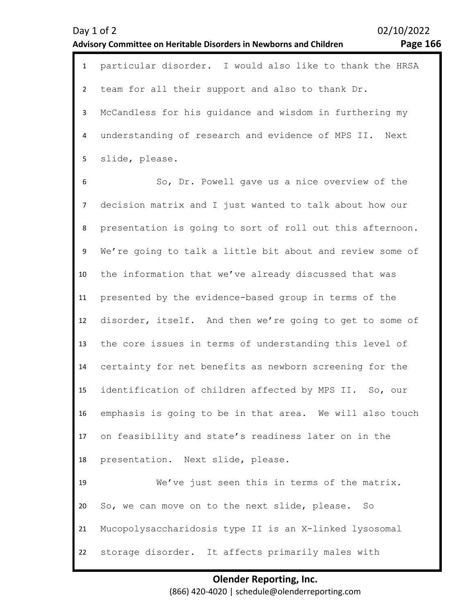|                | 1 particular disorder. I would also like to thank the HRSA |
|----------------|------------------------------------------------------------|
|                | 2 team for all their support and also to thank Dr.         |
| 3 <sup>7</sup> | McCandless for his quidance and wisdom in furthering my    |
| $\overline{4}$ | understanding of research and evidence of MPS II. Next     |
|                | 5 slide, please.                                           |
| 6              | So, Dr. Powell gave us a nice overview of the              |
|                | 7 decision matrix and I just wanted to talk about how our  |
| 8              | presentation is going to sort of roll out this afternoon.  |

9 10 11 12 13 14 15 16 17 18 We're going to talk a little bit about and review some of the information that we've already discussed that was presented by the evidence-based group in terms of the disorder, itself. And then we're going to get to some of the core issues in terms of understanding this level of certainty for net benefits as newborn screening for the identification of children affected by MPS II. So, our emphasis is going to be in that area. We will also touch on feasibility and state's readiness later on in the presentation. Next slide, please.

19 20 21 22 We've just seen this in terms of the matrix. So, we can move on to the next slide, please. So Mucopolysaccharidosis type II is an X-linked lysosomal storage disorder. It affects primarily males with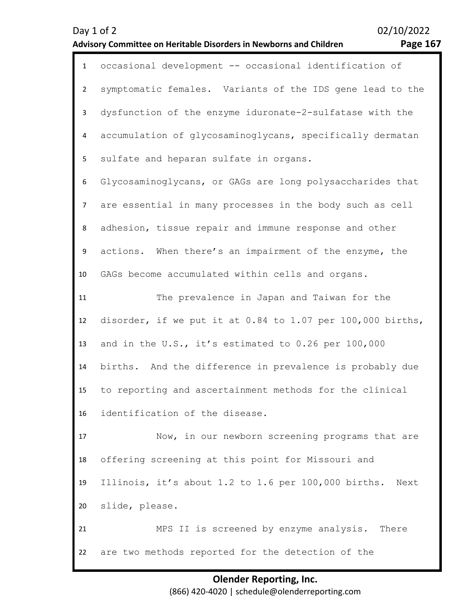| $\mathbf{1}$   | occasional development -- occasional identification of           |
|----------------|------------------------------------------------------------------|
| $2^{\circ}$    | symptomatic females. Variants of the IDS gene lead to the        |
| 3 <sup>1</sup> | dysfunction of the enzyme iduronate-2-sulfatase with the         |
| 4              | accumulation of glycosaminoglycans, specifically dermatan        |
| 5              | sulfate and heparan sulfate in organs.                           |
| 6              | Glycosaminoglycans, or GAGs are long polysaccharides that        |
| $\overline{7}$ | are essential in many processes in the body such as cell         |
| 8              | adhesion, tissue repair and immune response and other            |
| 9              | actions. When there's an impairment of the enzyme, the           |
| 10             | GAGs become accumulated within cells and organs.                 |
| 11             | The prevalence in Japan and Taiwan for the                       |
| 12             | disorder, if we put it at $0.84$ to $1.07$ per $100,000$ births, |
| 13             | and in the U.S., it's estimated to 0.26 per 100,000              |
| 14             | births. And the difference in prevalence is probably due         |
| 15             | to reporting and ascertainment methods for the clinical          |
| 16             | identification of the disease.                                   |
| 17             | Now, in our newborn screening programs that are                  |
| 18             | offering screening at this point for Missouri and                |
| 19             | Illinois, it's about 1.2 to 1.6 per 100,000 births. Next         |
| 20             | slide, please.                                                   |
| 21             | MPS II is screened by enzyme analysis. There                     |
| 22             | are two methods reported for the detection of the                |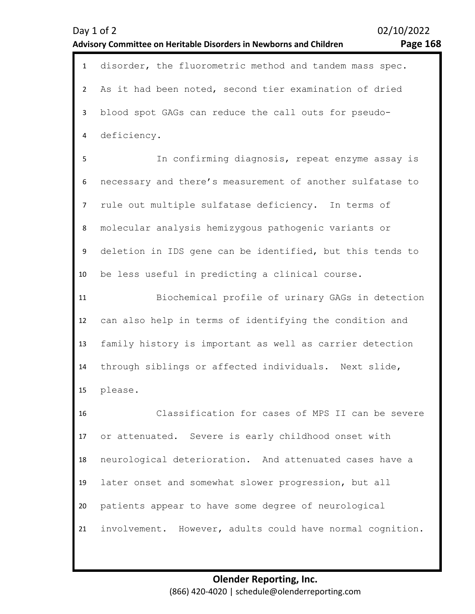| $\mathbf{1}$   | disorder, the fluorometric method and tandem mass spec.   |
|----------------|-----------------------------------------------------------|
| $\overline{2}$ | As it had been noted, second tier examination of dried    |
| 3              | blood spot GAGs can reduce the call outs for pseudo-      |
| 4              | deficiency.                                               |
| 5              | In confirming diagnosis, repeat enzyme assay is           |
| 6              | necessary and there's measurement of another sulfatase to |
| $\overline{7}$ | rule out multiple sulfatase deficiency. In terms of       |
| 8              | molecular analysis hemizyqous pathoqenic variants or      |
| 9              | deletion in IDS gene can be identified, but this tends to |
| 10             | be less useful in predicting a clinical course.           |
| 11             | Biochemical profile of urinary GAGs in detection          |
| 12             | can also help in terms of identifying the condition and   |
| 13             | family history is important as well as carrier detection  |
| 14             | through siblings or affected individuals. Next slide,     |
| 15             | please.                                                   |
| 16             | Classification for cases of MPS II can be severe          |
| 17             | or attenuated. Severe is early childhood onset with       |
| 18             | neurological deterioration. And attenuated cases have a   |
| 19             | later onset and somewhat slower progression, but all      |
| 20             | patients appear to have some degree of neurological       |
| 21             | involvement. However, adults could have normal cognition. |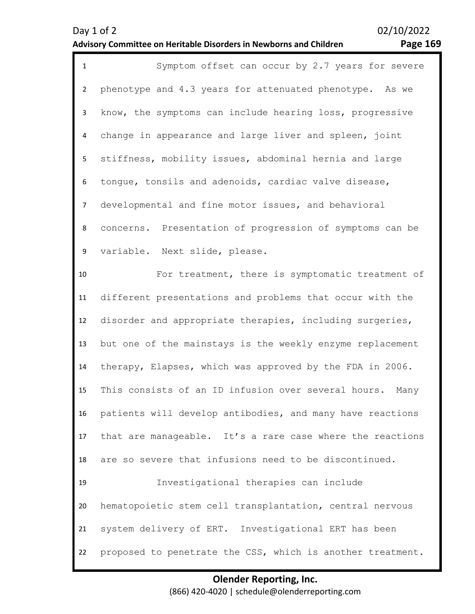| $\mathbf{1}$   | Symptom offset can occur by 2.7 years for severe            |
|----------------|-------------------------------------------------------------|
| $\overline{2}$ | phenotype and 4.3 years for attenuated phenotype. As we     |
| $\mathbf{3}$   | know, the symptoms can include hearing loss, progressive    |
| 4              | change in appearance and large liver and spleen, joint      |
| 5              | stiffness, mobility issues, abdominal hernia and large      |
| 6              | tongue, tonsils and adenoids, cardiac valve disease,        |
| $\overline{7}$ | developmental and fine motor issues, and behavioral         |
| 8              | concerns. Presentation of progression of symptoms can be    |
| 9              | variable. Next slide, please.                               |
| 10             | For treatment, there is symptomatic treatment of            |
| 11             | different presentations and problems that occur with the    |
| 12             | disorder and appropriate therapies, including surgeries,    |
| 13             | but one of the mainstays is the weekly enzyme replacement   |
| 14             | therapy, Elapses, which was approved by the FDA in 2006.    |
| 15             | This consists of an ID infusion over several hours.<br>Many |
| 16             | patients will develop antibodies, and many have reactions   |
| 17             | that are manageable. It's a rare case where the reactions   |
| 18             | are so severe that infusions need to be discontinued.       |
| 19             | Investigational therapies can include                       |
| 20             | hematopoietic stem cell transplantation, central nervous    |
| 21             | system delivery of ERT. Investigational ERT has been        |
| 22             | proposed to penetrate the CSS, which is another treatment.  |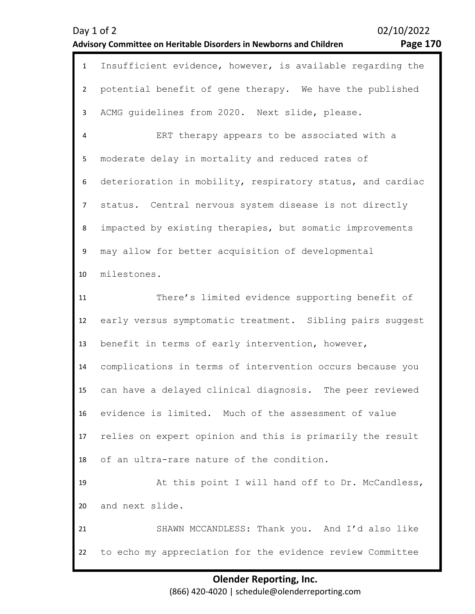| $\mathbf{1}$   | Insufficient evidence, however, is available regarding the |
|----------------|------------------------------------------------------------|
| $\overline{2}$ | potential benefit of gene therapy. We have the published   |
| 3              | ACMG guidelines from 2020. Next slide, please.             |
| 4              | ERT therapy appears to be associated with a                |
| 5              | moderate delay in mortality and reduced rates of           |
| 6              | deterioration in mobility, respiratory status, and cardiac |
| $\overline{7}$ | status. Central nervous system disease is not directly     |
| 8              | impacted by existing therapies, but somatic improvements   |
| 9              | may allow for better acquisition of developmental          |
| 10             | milestones.                                                |
| 11             | There's limited evidence supporting benefit of             |
| 12             | early versus symptomatic treatment. Sibling pairs suggest  |
| 13             | benefit in terms of early intervention, however,           |
| 14             | complications in terms of intervention occurs because you  |
| 15             | can have a delayed clinical diagnosis. The peer reviewed   |
| 16             | evidence is limited. Much of the assessment of value       |
| 17             | relies on expert opinion and this is primarily the result  |
| 18             | of an ultra-rare nature of the condition.                  |
| 19             | At this point I will hand off to Dr. McCandless,           |
| 20             | and next slide.                                            |
| 21             | SHAWN MCCANDLESS: Thank you. And I'd also like             |
| 22             | to echo my appreciation for the evidence review Committee  |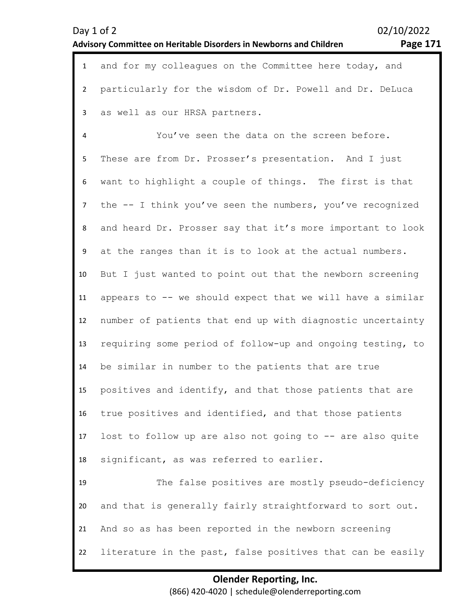| Day $1$ of $2$                                                     | 02/10/2022 |
|--------------------------------------------------------------------|------------|
| Advisory Committee on Heritable Disorders in Newborns and Children | Page 171   |

02/10/2022

| $\mathbf{1}$ | and for my colleagues on the Committee here today, and     |
|--------------|------------------------------------------------------------|
| $2^{\circ}$  | particularly for the wisdom of Dr. Powell and Dr. DeLuca   |
| $\mathbf{3}$ | as well as our HRSA partners.                              |
| 4            | You've seen the data on the screen before.                 |
| 5            | These are from Dr. Prosser's presentation. And I just      |
| 6            | want to highlight a couple of things. The first is that    |
| $7^{\circ}$  | the -- I think you've seen the numbers, you've recognized  |
| 8            | and heard Dr. Prosser say that it's more important to look |
| 9            | at the ranges than it is to look at the actual numbers.    |
| 10           | But I just wanted to point out that the newborn screening  |
| 11           | appears to -- we should expect that we will have a similar |
| 12           | number of patients that end up with diagnostic uncertainty |
| 13           | requiring some period of follow-up and ongoing testing, to |
| 14           | be similar in number to the patients that are true         |

15 positives and identify, and that those patients that are

true positives and identified, and that those patients

16

17 18 lost to follow up are also not going to -- are also quite significant, as was referred to earlier.

19 20 21 22 The false positives are mostly pseudo-deficiency and that is generally fairly straightforward to sort out. And so as has been reported in the newborn screening literature in the past, false positives that can be easily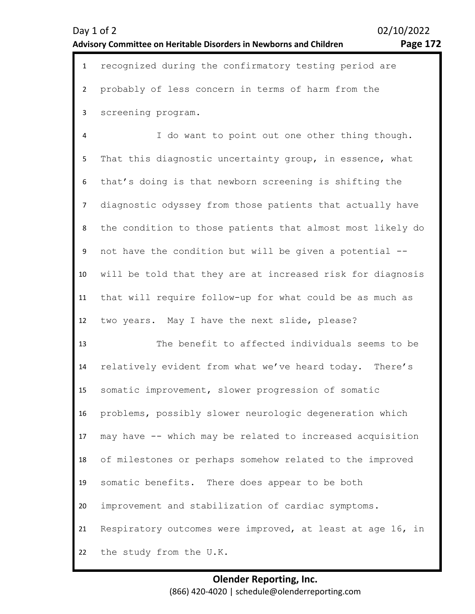| $\mathbf{1}$ | recognized during the confirmatory testing period are |
|--------------|-------------------------------------------------------|
|              | 2 probably of less concern in terms of harm from the  |
|              | 3 screening program.                                  |
| 4            | I do want to point out one other thing though.        |

5 6 7 8 9 10 11 12 That this diagnostic uncertainty group, in essence, what that's doing is that newborn screening is shifting the diagnostic odyssey from those patients that actually have the condition to those patients that almost most likely do not have the condition but will be given a potential - will be told that they are at increased risk for diagnosis that will require follow-up for what could be as much as two years. May I have the next slide, please?

13 14 15 16 17 18 19 20 21 22 The benefit to affected individuals seems to be relatively evident from what we've heard today. There's somatic improvement, slower progression of somatic problems, possibly slower neurologic degeneration which may have -- which may be related to increased acquisition of milestones or perhaps somehow related to the improved somatic benefits. There does appear to be both improvement and stabilization of cardiac symptoms. Respiratory outcomes were improved, at least at age 16, in the study from the U.K.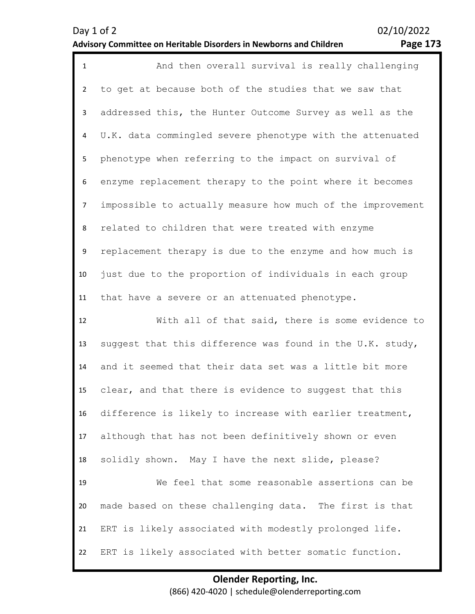| $\mathbf{1}$   | And then overall survival is really challenging            |
|----------------|------------------------------------------------------------|
| $\overline{2}$ | to get at because both of the studies that we saw that     |
| 3              | addressed this, the Hunter Outcome Survey as well as the   |
| 4              | U.K. data commingled severe phenotype with the attenuated  |
| 5              | phenotype when referring to the impact on survival of      |
| 6              | enzyme replacement therapy to the point where it becomes   |
| 7              | impossible to actually measure how much of the improvement |
| 8              | related to children that were treated with enzyme          |
| 9              | replacement therapy is due to the enzyme and how much is   |
| 10             | just due to the proportion of individuals in each group    |
| 11             | that have a severe or an attenuated phenotype.             |
| 12             | With all of that said, there is some evidence to           |
| 13             | suggest that this difference was found in the U.K. study,  |
| 14             | and it seemed that their data set was a little bit more    |
| 15             | clear, and that there is evidence to suggest that this     |
| 16             | difference is likely to increase with earlier treatment,   |
| 17             | although that has not been definitively shown or even      |
| 18             | solidly shown. May I have the next slide, please?          |
| 19             | We feel that some reasonable assertions can be             |
| 20             | made based on these challenging data. The first is that    |
| 21             | ERT is likely associated with modestly prolonged life.     |
| 22             | ERT is likely associated with better somatic function.     |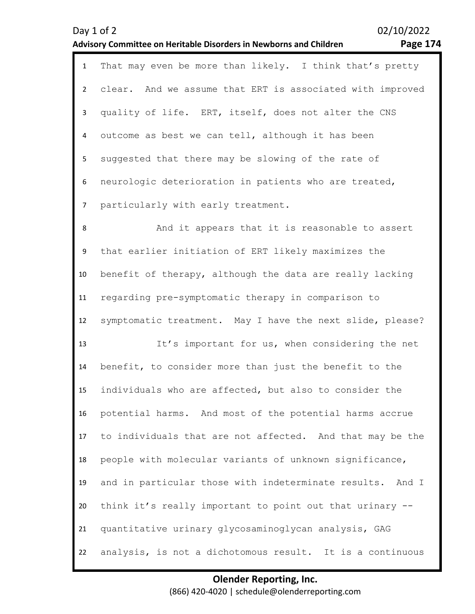|                | 02/10/2022<br>Day 1 of 2<br><b>Page 174</b><br>Advisory Committee on Heritable Disorders in Newborns and Children |
|----------------|-------------------------------------------------------------------------------------------------------------------|
| $\mathbf{1}$   | That may even be more than likely. I think that's pretty                                                          |
| $\overline{2}$ | clear. And we assume that ERT is associated with improved                                                         |
| $\mathbf{3}$   | quality of life. ERT, itself, does not alter the CNS                                                              |
| 4              | outcome as best we can tell, although it has been                                                                 |
| 5              | suggested that there may be slowing of the rate of                                                                |
| 6              | neurologic deterioration in patients who are treated,                                                             |
| $\overline{7}$ | particularly with early treatment.                                                                                |
| $\,8\,$        | And it appears that it is reasonable to assert                                                                    |
| 9              | that earlier initiation of ERT likely maximizes the                                                               |
| 10             | benefit of therapy, although the data are really lacking                                                          |
| 11             | regarding pre-symptomatic therapy in comparison to                                                                |
| 12             | symptomatic treatment. May I have the next slide, please?                                                         |
| 13             | It's important for us, when considering the net                                                                   |
| 14             | benefit, to consider more than just the benefit to the                                                            |
| 15             | individuals who are affected, but also to consider the                                                            |
| 16             | potential harms. And most of the potential harms accrue                                                           |
| 17             | to individuals that are not affected. And that may be the                                                         |
| 18             | people with molecular variants of unknown significance,                                                           |
| 19             | and in particular those with indeterminate results.<br>And I                                                      |
| 20             | think it's really important to point out that urinary --                                                          |
| 21             | quantitative urinary glycosaminoglycan analysis, GAG                                                              |
| 22             | analysis, is not a dichotomous result. It is a continuous                                                         |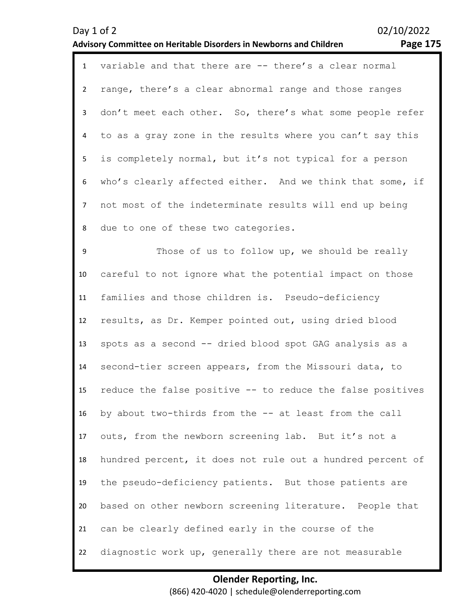| ο |  |
|---|--|
|   |  |

| $\mathbf{1}$   | variable and that there are -- there's a clear normal      |
|----------------|------------------------------------------------------------|
| $\overline{2}$ | range, there's a clear abnormal range and those ranges     |
| 3              | don't meet each other. So, there's what some people refer  |
| 4              | to as a gray zone in the results where you can't say this  |
| 5              | is completely normal, but it's not typical for a person    |
| 6              | who's clearly affected either. And we think that some, if  |
| $\overline{7}$ | not most of the indeterminate results will end up being    |
| 8              | due to one of these two categories.                        |
| 9              | Those of us to follow up, we should be really              |
| 10             | careful to not ignore what the potential impact on those   |
| 11             | families and those children is. Pseudo-deficiency          |
| 12             | results, as Dr. Kemper pointed out, using dried blood      |
| 13             | spots as a second -- dried blood spot GAG analysis as a    |
| 14             | second-tier screen appears, from the Missouri data, to     |
| 15             | reduce the false positive -- to reduce the false positives |
| 16             | by about two-thirds from the -- at least from the call     |
| 17             | outs, from the newborn screening lab. But it's not a       |
| 18             | hundred percent, it does not rule out a hundred percent of |
| 19             | the pseudo-deficiency patients. But those patients are     |
| 20             | based on other newborn screening literature. People that   |
| 21             | can be clearly defined early in the course of the          |
| 22             | diagnostic work up, generally there are not measurable     |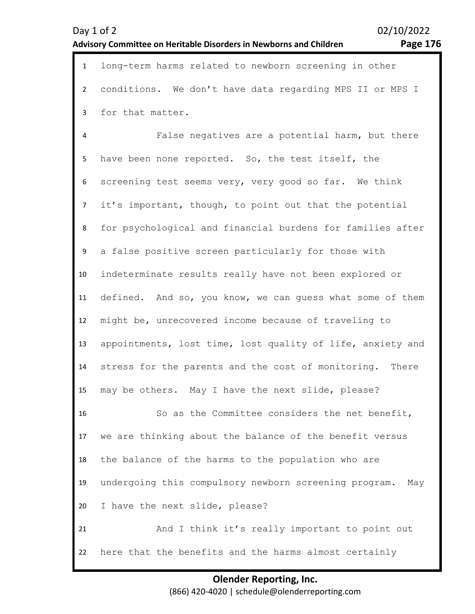| $\mathbf{1}$   | long-term harms related to newborn screening in other        |
|----------------|--------------------------------------------------------------|
| $2^{\circ}$    | conditions. We don't have data regarding MPS II or MPS I     |
| $\mathbf{3}$   | for that matter.                                             |
| 4              | False negatives are a potential harm, but there              |
| 5              | have been none reported. So, the test itself, the            |
| 6              | screening test seems very, very good so far. We think        |
| 7 <sup>7</sup> | it's important, though, to point out that the potential      |
| 8              | for psychological and financial burdens for families after   |
| 9              | a false positive screen particularly for those with          |
| 10             | indeterminate results really have not been explored or       |
| 11             | defined. And so, you know, we can guess what some of them    |
| 12             | might be, unrecovered income because of traveling to         |
| 13             | appointments, lost time, lost quality of life, anxiety and   |
| 14             | stress for the parents and the cost of monitoring. There     |
| 15             | may be others. May I have the next slide, please?            |
| 16             | So as the Committee considers the net benefit,               |
| 17             | we are thinking about the balance of the benefit versus      |
| 18             | the balance of the harms to the population who are           |
| 19             | undergoing this compulsory newborn screening program.<br>May |
| 20             | I have the next slide, please?                               |
| 21             | And I think it's really important to point out               |
| 22             | here that the benefits and the harms almost certainly        |
|                | <b>Olender Reporting, Inc.</b>                               |

(866) 420-4020 | schedule@olenderreporting.com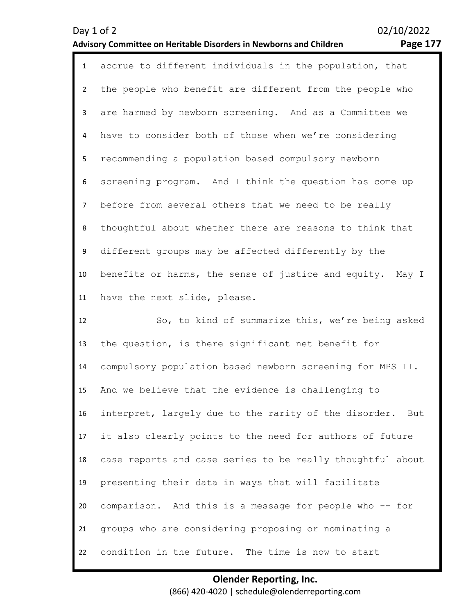1 accrue to different individuals in the population, that 2 3 4 5 6 7 8 9 10 11 the people who benefit are different from the people who are harmed by newborn screening. And as a Committee we have to consider both of those when we're considering recommending a population based compulsory newborn screening program. And I think the question has come up before from several others that we need to be really thoughtful about whether there are reasons to think that different groups may be affected differently by the benefits or harms, the sense of justice and equity. May I have the next slide, please.

12 13 14 15 16 17 18 19 20 21 22 So, to kind of summarize this, we're being asked the question, is there significant net benefit for compulsory population based newborn screening for MPS II. And we believe that the evidence is challenging to interpret, largely due to the rarity of the disorder. But it also clearly points to the need for authors of future case reports and case series to be really thoughtful about presenting their data in ways that will facilitate comparison. And this is a message for people who -- for groups who are considering proposing or nominating a condition in the future. The time is now to start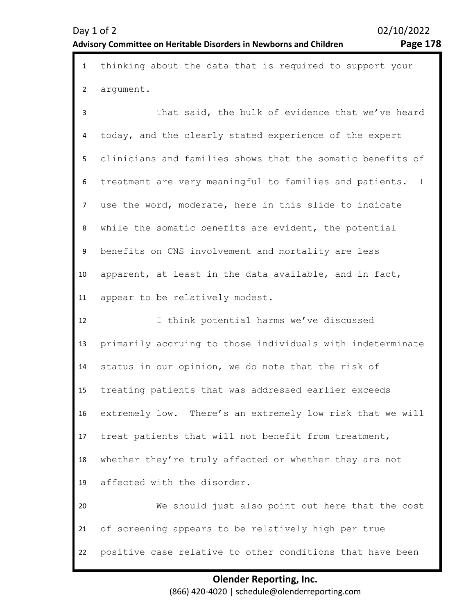| Day $1$ of $2$                                                     | 02/10/2022 |
|--------------------------------------------------------------------|------------|
| Advisory Committee on Heritable Disorders in Newborns and Children | Page 178   |

1 thinking about the data that is required to support your 2 argument.

3 4 5 6 7 8 9 10 11 That said, the bulk of evidence that we've heard today, and the clearly stated experience of the expert clinicians and families shows that the somatic benefits of treatment are very meaningful to families and patients. I use the word, moderate, here in this slide to indicate while the somatic benefits are evident, the potential benefits on CNS involvement and mortality are less apparent, at least in the data available, and in fact, appear to be relatively modest.

12 13 14 15 16 17 18 19 20 21 22 I think potential harms we've discussed primarily accruing to those individuals with indeterminate status in our opinion, we do note that the risk of treating patients that was addressed earlier exceeds extremely low. There's an extremely low risk that we will treat patients that will not benefit from treatment, whether they're truly affected or whether they are not affected with the disorder. We should just also point out here that the cost of screening appears to be relatively high per true positive case relative to other conditions that have been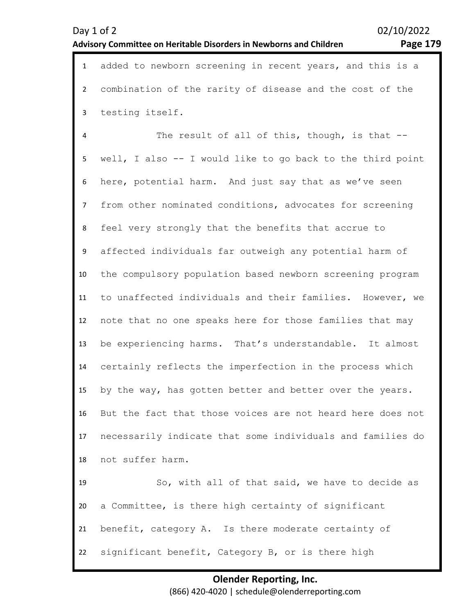1 added to newborn screening in recent years, and this is a 2 3 combination of the rarity of disease and the cost of the testing itself.

4 5 6 7 8 9 10 11 12 13 14 15 16 17 18 19 20 The result of all of this, though, is that -well, I also -- I would like to go back to the third point here, potential harm. And just say that as we've seen from other nominated conditions, advocates for screening feel very strongly that the benefits that accrue to affected individuals far outweigh any potential harm of the compulsory population based newborn screening program to unaffected individuals and their families. However, we note that no one speaks here for those families that may be experiencing harms. That's understandable. It almost certainly reflects the imperfection in the process which by the way, has gotten better and better over the years. But the fact that those voices are not heard here does not necessarily indicate that some individuals and families do not suffer harm. So, with all of that said, we have to decide as a Committee, is there high certainty of significant

21 benefit, category A. Is there moderate certainty of

22 significant benefit, Category B, or is there high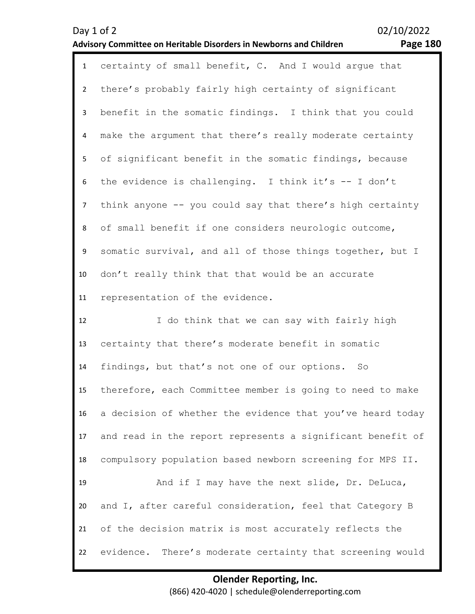| Day 1 of 2       | 02/10/2022<br><b>Page 180</b><br>Advisory Committee on Heritable Disorders in Newborns and Children |
|------------------|-----------------------------------------------------------------------------------------------------|
| $\mathbf{1}$     | certainty of small benefit, C. And I would argue that                                               |
| $\overline{2}$   | there's probably fairly high certainty of significant                                               |
| $\mathbf{3}$     | benefit in the somatic findings. I think that you could                                             |
| 4                | make the argument that there's really moderate certainty                                            |
| 5                | of significant benefit in the somatic findings, because                                             |
| 6                | the evidence is challenging. I think it's -- I don't                                                |
| $\overline{7}$   | think anyone -- you could say that there's high certainty                                           |
| 8                | of small benefit if one considers neurologic outcome,                                               |
| $\boldsymbol{9}$ | somatic survival, and all of those things together, but I                                           |
| 10               | don't really think that that would be an accurate                                                   |
| 11               | representation of the evidence.                                                                     |
| 12               | I do think that we can say with fairly high                                                         |
| 13               | certainty that there's moderate benefit in somatic                                                  |
| 14               | findings, but that's not one of our options.<br>So                                                  |
| 15               | therefore, each Committee member is going to need to make                                           |
| 16               | a decision of whether the evidence that you've heard today                                          |
| 17               | and read in the report represents a significant benefit of                                          |
| 18               | compulsory population based newborn screening for MPS II.                                           |
| 19               | And if I may have the next slide, Dr. DeLuca,                                                       |
| 20               | and I, after careful consideration, feel that Category B                                            |
| 21               | of the decision matrix is most accurately reflects the                                              |
| 22               | evidence. There's moderate certainty that screening would                                           |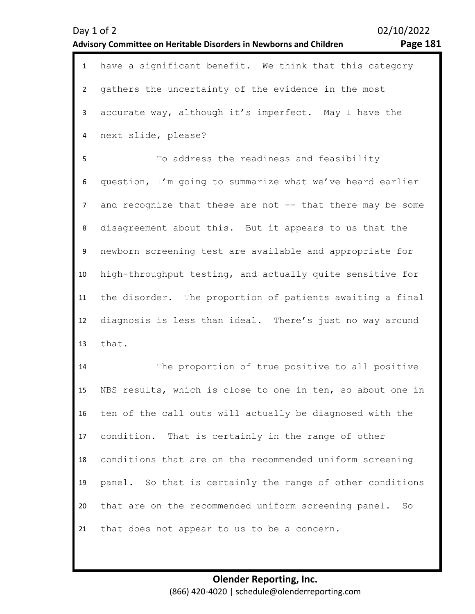| $\mathbf{1}$   | have a significant benefit. We think that this category    |
|----------------|------------------------------------------------------------|
| $\overline{2}$ | gathers the uncertainty of the evidence in the most        |
| 3              | accurate way, although it's imperfect. May I have the      |
| 4              | next slide, please?                                        |
| 5              | To address the readiness and feasibility                   |
| 6              | question, I'm going to summarize what we've heard earlier  |
| $\overline{7}$ | and recognize that these are not -- that there may be some |
| 8              | disagreement about this. But it appears to us that the     |
| 9              | newborn screening test are available and appropriate for   |
| 10             | high-throughput testing, and actually quite sensitive for  |
| 11             | the disorder. The proportion of patients awaiting a final  |
| 12             | diagnosis is less than ideal. There's just no way around   |
| 13             | that.                                                      |
| 14             | The proportion of true positive to all positive            |
| 15             | NBS results, which is close to one in ten, so about one in |
| 16             | ten of the call outs will actually be diagnosed with the   |
| 17             | condition. That is certainly in the range of other         |
| 18             | conditions that are on the recommended uniform screening   |
| 19             | panel. So that is certainly the range of other conditions  |
| 20             | that are on the recommended uniform screening panel. So    |
| 21             | that does not appear to us to be a concern.                |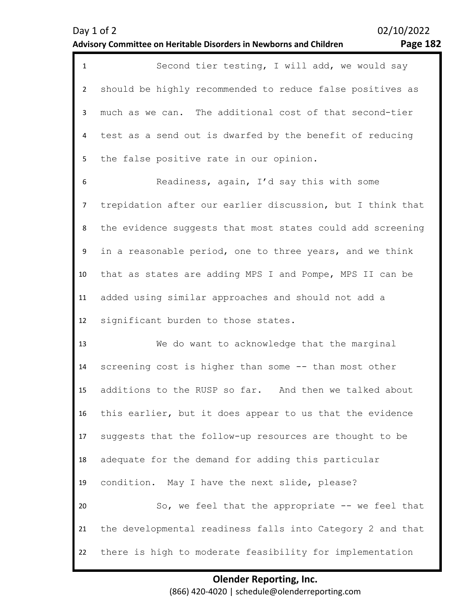| $\mathbf{1}$   | Second tier testing, I will add, we would say              |
|----------------|------------------------------------------------------------|
| $\overline{2}$ | should be highly recommended to reduce false positives as  |
| 3              | much as we can. The additional cost of that second-tier    |
| 4              | test as a send out is dwarfed by the benefit of reducing   |
| 5              | the false positive rate in our opinion.                    |
| 6              | Readiness, again, I'd say this with some                   |
| $\overline{7}$ | trepidation after our earlier discussion, but I think that |
| 8              | the evidence suggests that most states could add screening |
| 9              | in a reasonable period, one to three years, and we think   |
| 10             | that as states are adding MPS I and Pompe, MPS II can be   |
| 11             | added using similar approaches and should not add a        |
|                |                                                            |
| 12             | significant burden to those states.                        |
| 13             | We do want to acknowledge that the marginal                |
| 14             | screening cost is higher than some -- than most other      |
| 15             | additions to the RUSP so far. And then we talked about     |
| 16             | this earlier, but it does appear to us that the evidence   |
| 17             | suggests that the follow-up resources are thought to be    |
| 18             | adequate for the demand for adding this particular         |
| 19             | condition. May I have the next slide, please?              |
| 20             | So, we feel that the appropriate -- we feel that           |
| 21             | the developmental readiness falls into Category 2 and that |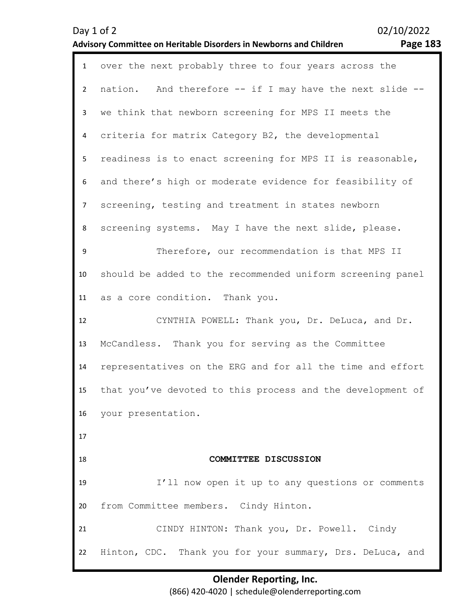| $\mathbf{1}$   | over the next probably three to four years across the      |
|----------------|------------------------------------------------------------|
| $2^{\circ}$    | nation. And therefore -- if I may have the next slide --   |
| 3              | we think that newborn screening for MPS II meets the       |
| 4              | criteria for matrix Category B2, the developmental         |
| 5              | readiness is to enact screening for MPS II is reasonable,  |
| 6              | and there's high or moderate evidence for feasibility of   |
| $\overline{7}$ | screening, testing and treatment in states newborn         |
| 8              | screening systems. May I have the next slide, please.      |
| 9              | Therefore, our recommendation is that MPS II               |
| 10             | should be added to the recommended uniform screening panel |
| 11             | as a core condition. Thank you.                            |
| 12             | CYNTHIA POWELL: Thank you, Dr. DeLuca, and Dr.             |
| 13             | McCandless. Thank you for serving as the Committee         |
| 14             | representatives on the ERG and for all the time and effort |
| 15             | that you've devoted to this process and the development of |
|                | 16 your presentation.                                      |
| 17             |                                                            |
| 18             | COMMITTEE DISCUSSION                                       |
| 19             | I'll now open it up to any questions or comments           |
| 20             | from Committee members. Cindy Hinton.                      |
|                |                                                            |
| 21             | CINDY HINTON: Thank you, Dr. Powell. Cindy                 |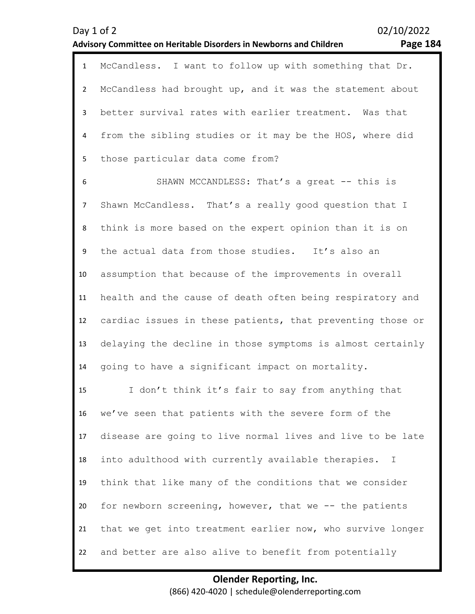|                | avisory committee on heritable pisoruers in rewborns and children.<br>. usc + |
|----------------|-------------------------------------------------------------------------------|
| $\mathbf{1}$   | McCandless. I want to follow up with something that Dr.                       |
| $\overline{2}$ | McCandless had brought up, and it was the statement about                     |
| $\mathbf{3}$   | better survival rates with earlier treatment. Was that                        |
| $\overline{4}$ | from the sibling studies or it may be the HOS, where did                      |
| 5              | those particular data come from?                                              |
| 6              | SHAWN MCCANDLESS: That's a great -- this is                                   |
| $\overline{7}$ | Shawn McCandless. That's a really good question that I                        |
| 8              | think is more based on the expert opinion than it is on                       |
| 9              | the actual data from those studies. It's also an                              |
| 10             | assumption that because of the improvements in overall                        |
| 11             | health and the cause of death often being respiratory and                     |
| 12             | cardiac issues in these patients, that preventing those or                    |
| 13             | delaying the decline in those symptoms is almost certainly                    |
| 14             | going to have a significant impact on mortality.                              |
| 15             | I don't think it's fair to say from anything that                             |
| 16             | we've seen that patients with the severe form of the                          |

17 18 disease are going to live normal lives and live to be late into adulthood with currently available therapies. I

19 20 21 22 think that like many of the conditions that we consider for newborn screening, however, that we -- the patients that we get into treatment earlier now, who survive longer and better are also alive to benefit from potentially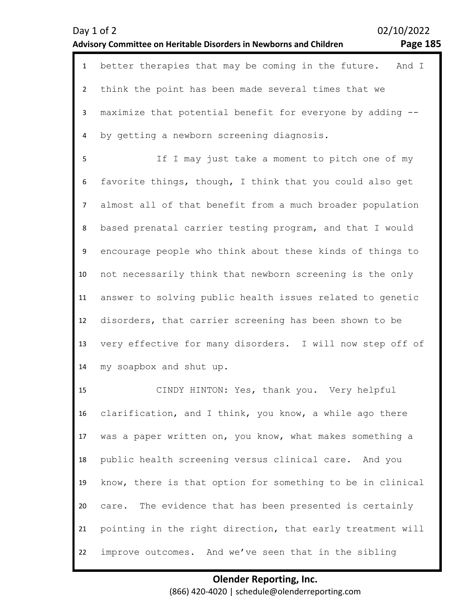|                | 02/10/2022<br>Day 1 of 2<br><b>Page 185</b><br>Advisory Committee on Heritable Disorders in Newborns and Children |
|----------------|-------------------------------------------------------------------------------------------------------------------|
| $\mathbf 1$    | better therapies that may be coming in the future. And I                                                          |
| $\overline{2}$ | think the point has been made several times that we                                                               |
| $\mathbf{3}$   | maximize that potential benefit for everyone by adding --                                                         |
| 4              | by getting a newborn screening diagnosis.                                                                         |
| 5              | If I may just take a moment to pitch one of my                                                                    |
| 6              | favorite things, though, I think that you could also get                                                          |
| $\overline{7}$ | almost all of that benefit from a much broader population                                                         |
| 8              | based prenatal carrier testing program, and that I would                                                          |
| 9              | encourage people who think about these kinds of things to                                                         |
| 10             | not necessarily think that newborn screening is the only                                                          |
| 11             | answer to solving public health issues related to genetic                                                         |
| 12             | disorders, that carrier screening has been shown to be                                                            |
| 13             | very effective for many disorders. I will now step off of                                                         |
| 14             | my soapbox and shut up.                                                                                           |
| 15             | CINDY HINTON: Yes, thank you. Very helpful                                                                        |
| 16             | clarification, and I think, you know, a while ago there                                                           |
| 17             | was a paper written on, you know, what makes something a                                                          |
| 18             | public health screening versus clinical care. And you                                                             |
| 19             | know, there is that option for something to be in clinical                                                        |
| 20             | The evidence that has been presented is certainly<br>care.                                                        |

21 pointing in the right direction, that early treatment will

22 improve outcomes. And we've seen that in the sibling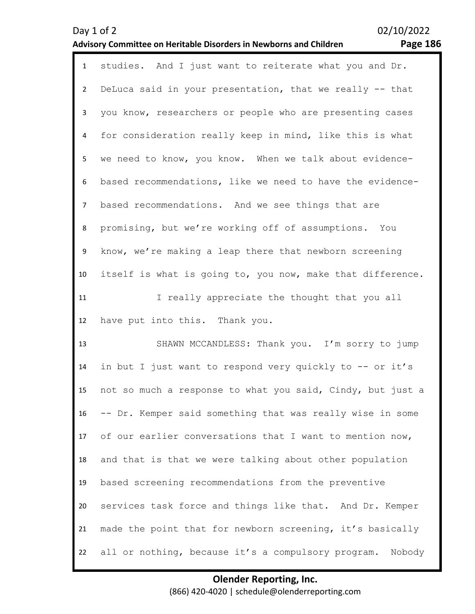| $\mathbf{1}$   | studies. And I just want to reiterate what you and Dr.     |
|----------------|------------------------------------------------------------|
| $\overline{2}$ | DeLuca said in your presentation, that we really -- that   |
| 3              | you know, researchers or people who are presenting cases   |
| 4              | for consideration really keep in mind, like this is what   |
| 5              | we need to know, you know. When we talk about evidence-    |
| 6              | based recommendations, like we need to have the evidence-  |
| $\overline{7}$ | based recommendations. And we see things that are          |
| 8              | promising, but we're working off of assumptions. You       |
| 9              | know, we're making a leap there that newborn screening     |
| 10             | itself is what is going to, you now, make that difference. |
| 11             | I really appreciate the thought that you all               |
| 12             | have put into this. Thank you.                             |
|                |                                                            |
| 13             | SHAWN MCCANDLESS: Thank you. I'm sorry to jump             |
| 14             | in but I just want to respond very quickly to -- or it's   |
| 15             | not so much a response to what you said, Cindy, but just a |
| 16             | -- Dr. Kemper said something that was really wise in some  |
| 17             | of our earlier conversations that I want to mention now,   |
| 18             | and that is that we were talking about other population    |
| 19             | based screening recommendations from the preventive        |
| 20             | services task force and things like that. And Dr. Kemper   |
| 21             | made the point that for newborn screening, it's basically  |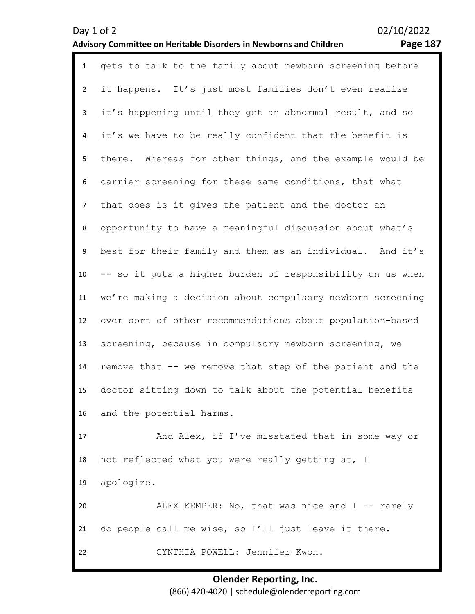| $\mathbf{1}$   | gets to talk to the family about newborn screening before    |
|----------------|--------------------------------------------------------------|
| $\overline{2}$ | it happens. It's just most families don't even realize       |
| $\overline{3}$ | it's happening until they get an abnormal result, and so     |
| 4              | it's we have to be really confident that the benefit is      |
| 5              | Whereas for other things, and the example would be<br>there. |
| 6              | carrier screening for these same conditions, that what       |
| $\overline{7}$ | that does is it gives the patient and the doctor an          |
| 8              | opportunity to have a meaningful discussion about what's     |
| 9              | best for their family and them as an individual. And it's    |
| 10             | -- so it puts a higher burden of responsibility on us when   |
| 11             | we're making a decision about compulsory newborn screening   |
| 12             | over sort of other recommendations about population-based    |
| 13             | screening, because in compulsory newborn screening, we       |
| 14             | remove that -- we remove that step of the patient and the    |
| 15             | doctor sitting down to talk about the potential benefits     |
| 16             | and the potential harms.                                     |
| 17             | And Alex, if I've misstated that in some way or              |
| 18             | not reflected what you were really getting at, I             |
| 19             | apologize.                                                   |
| 20             | ALEX KEMPER: No, that was nice and I -- rarely               |
| 21             | do people call me wise, so I'll just leave it there.         |
| 22             | CYNTHIA POWELL: Jennifer Kwon.                               |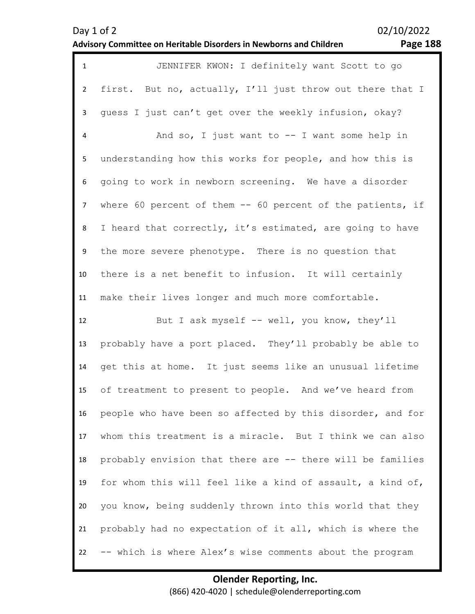| $\mathbf{1}$   | JENNIFER KWON: I definitely want Scott to go                |
|----------------|-------------------------------------------------------------|
| $\overline{2}$ | first. But no, actually, I'll just throw out there that I   |
| 3              | guess I just can't get over the weekly infusion, okay?      |
| $\overline{4}$ | And so, I just want to $-$ I want some help in              |
| 5              | understanding how this works for people, and how this is    |
| 6              | going to work in newborn screening. We have a disorder      |
| $\overline{7}$ | where 60 percent of them $-$ 60 percent of the patients, if |
| 8              | I heard that correctly, it's estimated, are going to have   |
| 9              | the more severe phenotype. There is no question that        |
| 10             | there is a net benefit to infusion. It will certainly       |
| 11             | make their lives longer and much more comfortable.          |
| 12             | But I ask myself -- well, you know, they'll                 |
| 13             | probably have a port placed. They'll probably be able to    |
| 14             | get this at home. It just seems like an unusual lifetime    |
| 15             | of treatment to present to people. And we've heard from     |
| 16             | people who have been so affected by this disorder, and for  |
| 17             | whom this treatment is a miracle. But I think we can also   |
| 18             | probably envision that there are -- there will be families  |
| 19             | for whom this will feel like a kind of assault, a kind of,  |
| 20             | you know, being suddenly thrown into this world that they   |
| 21             | probably had no expectation of it all, which is where the   |
| 22             | -- which is where Alex's wise comments about the program    |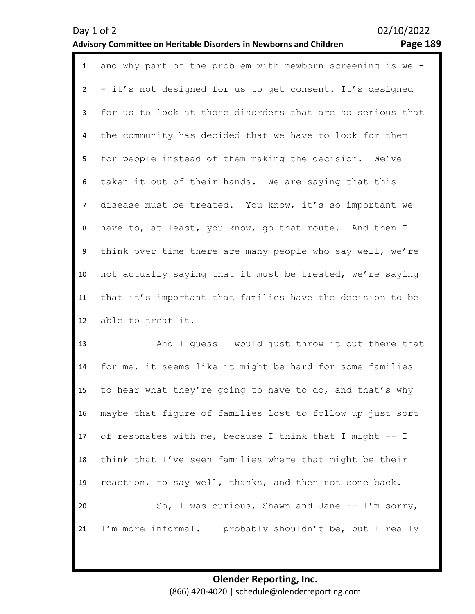|              | 1 and why part of the problem with newborn screening is we - |
|--------------|--------------------------------------------------------------|
|              | 2 - it's not designed for us to get consent. It's designed   |
| $\mathbf{3}$ | for us to look at those disorders that are so serious that   |
| 4            | the community has decided that we have to look for them      |
| 5            | for people instead of them making the decision. We've        |
| 6            | taken it out of their hands. We are saying that this         |
| $7^{\circ}$  | disease must be treated. You know, it's so important we      |
| 8            | have to, at least, you know, go that route. And then I       |
| 9            | think over time there are many people who say well, we're    |
| 10           | not actually saying that it must be treated, we're saying    |
| 11           | that it's important that families have the decision to be    |
| 12           | able to treat it.                                            |

13 14 15 16 17 18 19 20 21 And I guess I would just throw it out there that for me, it seems like it might be hard for some families to hear what they're going to have to do, and that's why maybe that figure of families lost to follow up just sort of resonates with me, because I think that I might -- I think that I've seen families where that might be their reaction, to say well, thanks, and then not come back. So, I was curious, Shawn and Jane -- I'm sorry, I'm more informal. I probably shouldn't be, but I really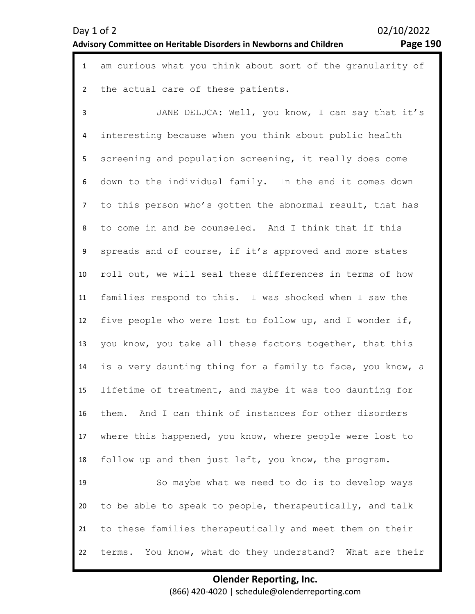1 am curious what you think about sort of the granularity of 2 the actual care of these patients.

3 4 5 6 7 8 9 10 11 12 13 14 15 16 17 18 19 20 21 22 JANE DELUCA: Well, you know, I can say that it's interesting because when you think about public health screening and population screening, it really does come down to the individual family. In the end it comes down to this person who's gotten the abnormal result, that has to come in and be counseled. And I think that if this spreads and of course, if it's approved and more states roll out, we will seal these differences in terms of how families respond to this. I was shocked when I saw the five people who were lost to follow up, and I wonder if, you know, you take all these factors together, that this is a very daunting thing for a family to face, you know, a lifetime of treatment, and maybe it was too daunting for them. And I can think of instances for other disorders where this happened, you know, where people were lost to follow up and then just left, you know, the program. So maybe what we need to do is to develop ways to be able to speak to people, therapeutically, and talk to these families therapeutically and meet them on their terms. You know, what do they understand? What are their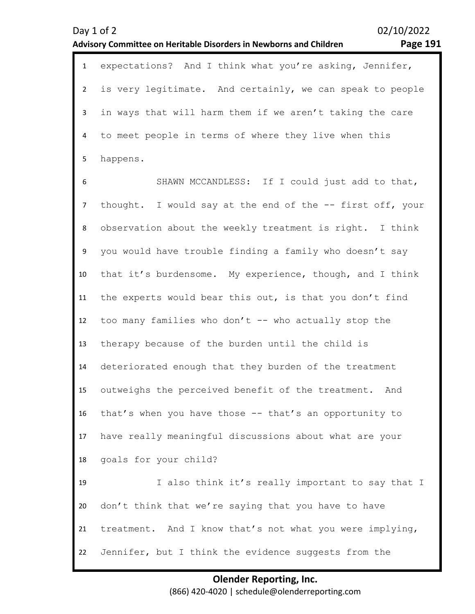1 expectations? And I think what you're asking, Jennifer,  $\mathfrak{p}$ 3 4 5 is very legitimate. And certainly, we can speak to people in ways that will harm them if we aren't taking the care to meet people in terms of where they live when this happens.

6 7 8 9 10 11 12 13 14 15 16 17 18 19 20 21 22 SHAWN MCCANDLESS: If I could just add to that, thought. I would say at the end of the -- first off, your observation about the weekly treatment is right. I think you would have trouble finding a family who doesn't say that it's burdensome. My experience, though, and I think the experts would bear this out, is that you don't find too many families who don't  $--$  who actually stop the therapy because of the burden until the child is deteriorated enough that they burden of the treatment outweighs the perceived benefit of the treatment. And that's when you have those -- that's an opportunity to have really meaningful discussions about what are your goals for your child? I also think it's really important to say that I don't think that we're saying that you have to have treatment. And I know that's not what you were implying, Jennifer, but I think the evidence suggests from the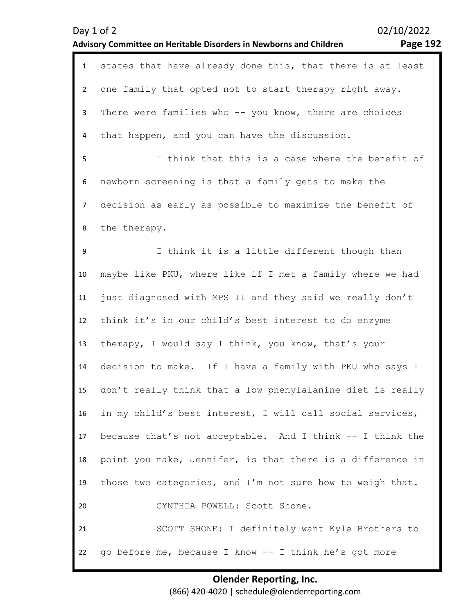| $\mathbf{1}$   | states that have already done this, that there is at least |
|----------------|------------------------------------------------------------|
| $\overline{2}$ | one family that opted not to start therapy right away.     |
| 3              | There were families who -- you know, there are choices     |
| 4              | that happen, and you can have the discussion.              |
| 5              | I think that this is a case where the benefit of           |
| 6              | newborn screening is that a family gets to make the        |
| $\overline{7}$ | decision as early as possible to maximize the benefit of   |
| 8              | the therapy.                                               |
| 9              | I think it is a little different though than               |
| 10             | maybe like PKU, where like if I met a family where we had  |
| 11             | just diagnosed with MPS II and they said we really don't   |
| 12             | think it's in our child's best interest to do enzyme       |
| 13             | therapy, I would say I think, you know, that's your        |
| 14             | decision to make. If I have a family with PKU who says I   |
| 15             | don't really think that a low phenylalanine diet is really |
| 16             | in my child's best interest, I will call social services,  |
| 17             | because that's not acceptable. And I think -- I think the  |
| 18             | point you make, Jennifer, is that there is a difference in |
| 19             | those two categories, and I'm not sure how to weigh that.  |
| 20             | CYNTHIA POWELL: Scott Shone.                               |
| 21             | SCOTT SHONE: I definitely want Kyle Brothers to            |
| 22             | go before me, because I know -- I think he's got more      |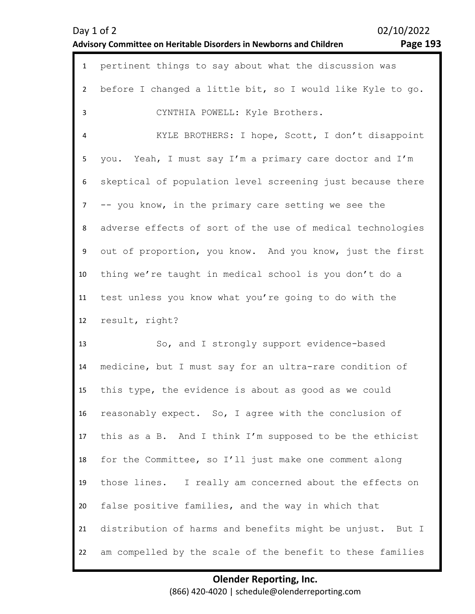| Day $1$ of $2$                                                     |  |
|--------------------------------------------------------------------|--|
| Advisory Committee on Heritable Disorders in Newborns and Children |  |

02/10/2022

# **Advisory Committee on Heritable Disorders in Newborns and Children Page 193**

| $\mathbf{1}$   | pertinent things to say about what the discussion was      |
|----------------|------------------------------------------------------------|
| $\overline{2}$ | before I changed a little bit, so I would like Kyle to go. |
| 3              | CYNTHIA POWELL: Kyle Brothers.                             |
| 4              | KYLE BROTHERS: I hope, Scott, I don't disappoint           |
| 5              | you. Yeah, I must say I'm a primary care doctor and I'm    |
| 6              | skeptical of population level screening just because there |
| $\overline{7}$ | -- you know, in the primary care setting we see the        |
| 8              | adverse effects of sort of the use of medical technologies |
| 9              | out of proportion, you know. And you know, just the first  |
| 10             | thing we're taught in medical school is you don't do a     |
| 11             | test unless you know what you're going to do with the      |
|                |                                                            |
| 12             | result, right?                                             |
| 13             | So, and I strongly support evidence-based                  |
| 14             | medicine, but I must say for an ultra-rare condition of    |
| 15             | this type, the evidence is about as good as we could       |
| 16             | reasonably expect. So, I agree with the conclusion of      |
| 17             | this as a B. And I think I'm supposed to be the ethicist   |
| 18             | for the Committee, so I'll just make one comment along     |
| 19             | those lines. I really am concerned about the effects on    |
| 20             | false positive families, and the way in which that         |
| 21             | distribution of harms and benefits might be unjust. But I  |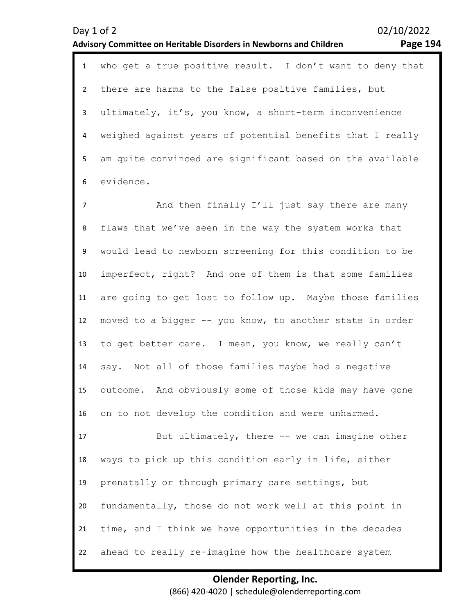| Day 1 of 2     | 02/10/2022<br><b>Page 194</b><br>Advisory Committee on Heritable Disorders in Newborns and Children |
|----------------|-----------------------------------------------------------------------------------------------------|
| $\mathbf{1}$   | who get a true positive result. I don't want to deny that                                           |
| $\overline{2}$ | there are harms to the false positive families, but                                                 |
| $\mathbf{3}$   | ultimately, it's, you know, a short-term inconvenience                                              |
| 4              | weighed against years of potential benefits that I really                                           |
| 5              | am quite convinced are significant based on the available                                           |
| 6              | evidence.                                                                                           |
| $\overline{7}$ | And then finally I'll just say there are many                                                       |
| 8              | flaws that we've seen in the way the system works that                                              |
| 9              | would lead to newborn screening for this condition to be                                            |
| 10             | imperfect, right? And one of them is that some families                                             |
| 11             | are going to get lost to follow up. Maybe those families                                            |
| 12             | moved to a bigger -- you know, to another state in order                                            |
| 13             | to get better care. I mean, you know, we really can't                                               |
| 14             | Not all of those families maybe had a negative<br>say.                                              |
| 15             | outcome. And obviously some of those kids may have gone                                             |
| 16             | on to not develop the condition and were unharmed.                                                  |
| 17             | But ultimately, there -- we can imagine other                                                       |
| 18             | ways to pick up this condition early in life, either                                                |
| 19             | prenatally or through primary care settings, but                                                    |
| 20             | fundamentally, those do not work well at this point in                                              |
| 21             | time, and I think we have opportunities in the decades                                              |
| 22             | ahead to really re-imagine how the healthcare system                                                |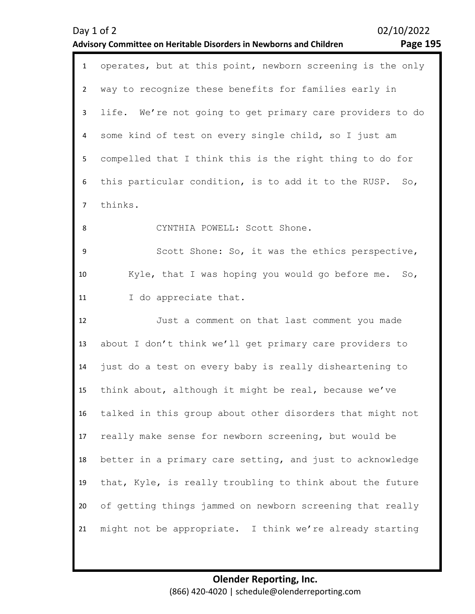| Day 1 of 2     | 02/10/2022<br><b>Page 195</b><br><b>Advisory Committee on Heritable Disorders in Newborns and Children</b> |
|----------------|------------------------------------------------------------------------------------------------------------|
| $\mathbf{1}$   | operates, but at this point, newborn screening is the only                                                 |
| $\overline{2}$ | way to recognize these benefits for families early in                                                      |
| $\mathbf{3}$   | life. We're not going to get primary care providers to do                                                  |
| 4              | some kind of test on every single child, so I just am                                                      |
| 5              | compelled that I think this is the right thing to do for                                                   |
| 6              | this particular condition, is to add it to the RUSP.<br>So,                                                |
| $\overline{7}$ | thinks.                                                                                                    |
| 8              | CYNTHIA POWELL: Scott Shone.                                                                               |
| 9              | Scott Shone: So, it was the ethics perspective,                                                            |
| 10             | Kyle, that I was hoping you would go before me. So,                                                        |
| 11             | I do appreciate that.                                                                                      |
| 12             | Just a comment on that last comment you made                                                               |
| 13             | about I don't think we'll get primary care providers to                                                    |
| 14             | just do a test on every baby is really disheartening to                                                    |
| 15             | think about, although it might be real, because we've                                                      |
| 16             | talked in this group about other disorders that might not                                                  |
| 17             | really make sense for newborn screening, but would be                                                      |
| 18             | better in a primary care setting, and just to acknowledge                                                  |
| 19             | that, Kyle, is really troubling to think about the future                                                  |
| 20             | of getting things jammed on newborn screening that really                                                  |
| 21             | might not be appropriate. I think we're already starting                                                   |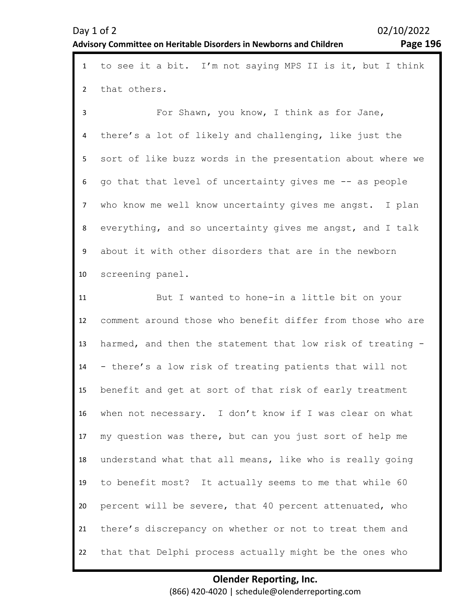| $\mathbf{1}$   | to see it a bit. I'm not saying MPS II is it, but I think  |
|----------------|------------------------------------------------------------|
| $\overline{2}$ | that others.                                               |
| 3              | For Shawn, you know, I think as for Jane,                  |
| 4              | there's a lot of likely and challenging, like just the     |
| 5              | sort of like buzz words in the presentation about where we |
| 6              | go that that level of uncertainty gives me -- as people    |
| $\overline{7}$ | who know me well know uncertainty gives me angst. I plan   |
| 8              | everything, and so uncertainty gives me angst, and I talk  |
| 9              | about it with other disorders that are in the newborn      |
| 10             | screening panel.                                           |
| 11             | But I wanted to hone-in a little bit on your               |
| 12             | comment around those who benefit differ from those who are |
| 13             | harmed, and then the statement that low risk of treating - |
| 14             | - there's a low risk of treating patients that will not    |
| 15             | benefit and get at sort of that risk of early treatment    |
| 16             | when not necessary. I don't know if I was clear on what    |
| 17             | my question was there, but can you just sort of help me    |
| 18             | understand what that all means, like who is really going   |
| 19             | to benefit most? It actually seems to me that while 60     |
| 20             | percent will be severe, that 40 percent attenuated, who    |
| 21             | there's discrepancy on whether or not to treat them and    |
| 22             | that that Delphi process actually might be the ones who    |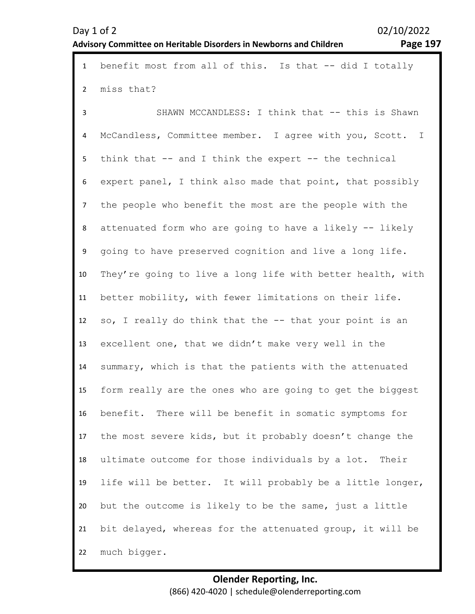| $\mathbf{1}$   | benefit most from all of this. Is that -- did I totally    |
|----------------|------------------------------------------------------------|
| $\overline{2}$ | miss that?                                                 |
| 3              | SHAWN MCCANDLESS: I think that -- this is Shawn            |
| 4              | McCandless, Committee member. I agree with you, Scott. I   |
| 5              | think that -- and I think the expert -- the technical      |
| 6              | expert panel, I think also made that point, that possibly  |
| $\overline{7}$ | the people who benefit the most are the people with the    |
| 8              | attenuated form who are going to have a likely -- likely   |
| 9              | going to have preserved cognition and live a long life.    |
| 10             | They're going to live a long life with better health, with |
| 11             | better mobility, with fewer limitations on their life.     |
| 12             | so, I really do think that the -- that your point is an    |
| 13             | excellent one, that we didn't make very well in the        |
| 14             | summary, which is that the patients with the attenuated    |
| 15             | form really are the ones who are going to get the biggest  |
| 16             | benefit. There will be benefit in somatic symptoms for     |
| 17             | the most severe kids, but it probably doesn't change the   |
| 18             | ultimate outcome for those individuals by a lot. Their     |
| 19             | life will be better. It will probably be a little longer,  |
| 20             | but the outcome is likely to be the same, just a little    |
| 21             | bit delayed, whereas for the attenuated group, it will be  |
| 22             | much bigger.                                               |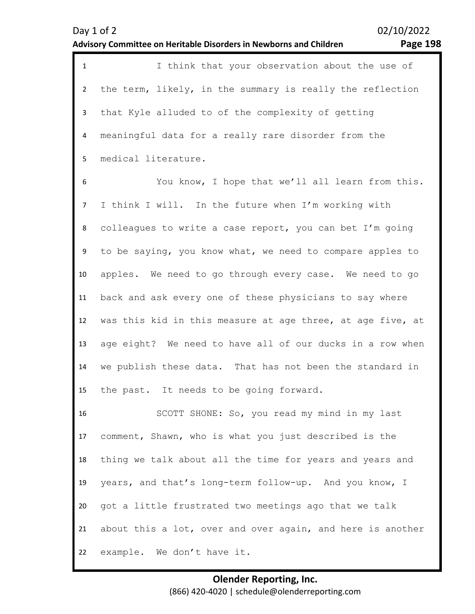|                | I think that your observation about the use of            |
|----------------|-----------------------------------------------------------|
|                | the term, likely, in the summary is really the reflection |
| 3              | that Kyle alluded to of the complexity of getting         |
| $\overline{4}$ | meaningful data for a really rare disorder from the       |
|                | medical literature.                                       |

6 7 8 9 10 11 12 13 14 15 You know, I hope that we'll all learn from this. I think I will. In the future when I'm working with colleagues to write a case report, you can bet I'm going to be saying, you know what, we need to compare apples to apples. We need to go through every case. We need to go back and ask every one of these physicians to say where was this kid in this measure at age three, at age five, at age eight? We need to have all of our ducks in a row when we publish these data. That has not been the standard in the past. It needs to be going forward.

16 17 18 19 20 21 22 SCOTT SHONE: So, you read my mind in my last comment, Shawn, who is what you just described is the thing we talk about all the time for years and years and years, and that's long-term follow-up. And you know, I got a little frustrated two meetings ago that we talk about this a lot, over and over again, and here is another example. We don't have it.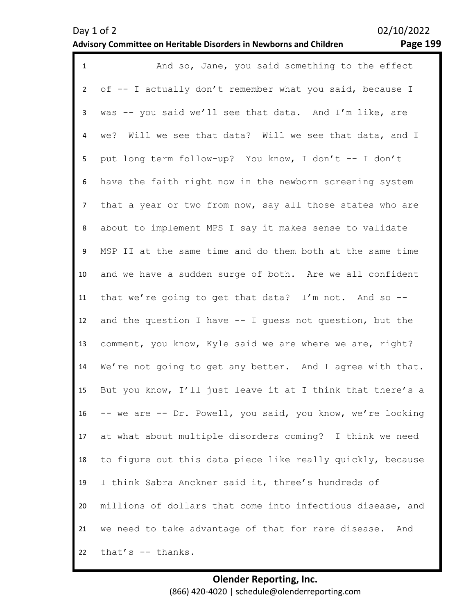| $\mathbf{1}$   | And so, Jane, you said something to the effect             |
|----------------|------------------------------------------------------------|
| $\overline{2}$ | of -- I actually don't remember what you said, because I   |
| 3              | was -- you said we'll see that data. And I'm like, are     |
| $\overline{4}$ | we? Will we see that data? Will we see that data, and I    |
| 5              | put long term follow-up? You know, I don't -- I don't      |
| 6              | have the faith right now in the newborn screening system   |
| $\overline{7}$ | that a year or two from now, say all those states who are  |
| 8              | about to implement MPS I say it makes sense to validate    |
| 9              | MSP II at the same time and do them both at the same time  |
| 10             | and we have a sudden surge of both. Are we all confident   |
| 11             | that we're going to get that data? I'm not. And so --      |
| 12             | and the question I have -- I guess not question, but the   |
| 13             | comment, you know, Kyle said we are where we are, right?   |
| 14             | We're not going to get any better. And I agree with that.  |
| 15             | But you know, I'll just leave it at I think that there's a |
| 16             | -- we are -- Dr. Powell, you said, you know, we're looking |
| 17             | at what about multiple disorders coming? I think we need   |
| 18             | to figure out this data piece like really quickly, because |
| 19             | I think Sabra Anckner said it, three's hundreds of         |
| 20             | millions of dollars that come into infectious disease, and |
| 21             | we need to take advantage of that for rare disease. And    |
| 22             | that's -- thanks.                                          |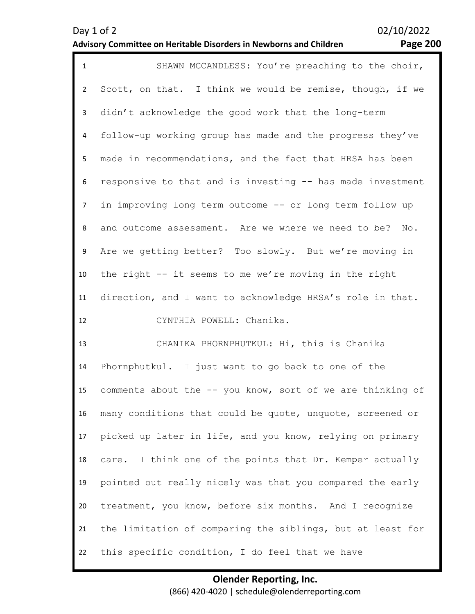| $\mathbf{1}$   | SHAWN MCCANDLESS: You're preaching to the choir,            |
|----------------|-------------------------------------------------------------|
| $\overline{2}$ | Scott, on that. I think we would be remise, though, if we   |
| $\mathbf{3}$   | didn't acknowledge the good work that the long-term         |
| 4              | follow-up working group has made and the progress they've   |
| 5              | made in recommendations, and the fact that HRSA has been    |
| 6              | responsive to that and is investing -- has made investment  |
| $\overline{7}$ | in improving long term outcome -- or long term follow up    |
| 8              | and outcome assessment. Are we where we need to be? No.     |
| 9              | Are we getting better? Too slowly. But we're moving in      |
| 10             | the right -- it seems to me we're moving in the right       |
| 11             | direction, and I want to acknowledge HRSA's role in that.   |
| 12             | CYNTHIA POWELL: Chanika.                                    |
| 13             | CHANIKA PHORNPHUTKUL: Hi, this is Chanika                   |
| 14             | Phornphutkul. I just want to go back to one of the          |
| 15             | comments about the -- you know, sort of we are thinking of  |
| 16             | many conditions that could be quote, unquote, screened or   |
| 17             | picked up later in life, and you know, relying on primary   |
| 18             | I think one of the points that Dr. Kemper actually<br>care. |
| 19             | pointed out really nicely was that you compared the early   |
| 20             | treatment, you know, before six months. And I recognize     |
|                |                                                             |
| 21             | the limitation of comparing the siblings, but at least for  |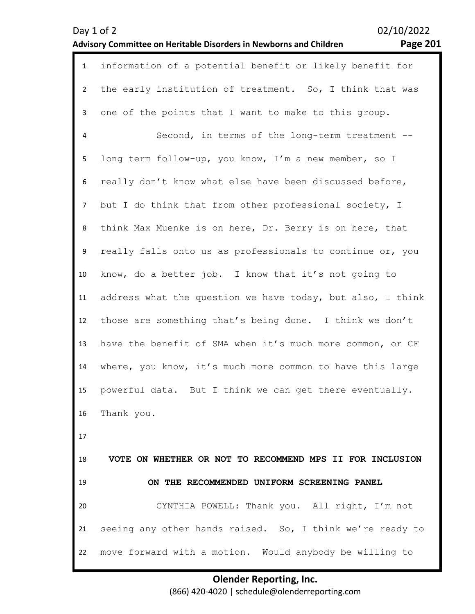| $\mathbf{1}$   | information of a potential benefit or likely benefit for   |
|----------------|------------------------------------------------------------|
| $\overline{2}$ | the early institution of treatment. So, I think that was   |
| 3              | one of the points that I want to make to this group.       |
| 4              | Second, in terms of the long-term treatment --             |
| 5              | long term follow-up, you know, I'm a new member, so I      |
| 6              | really don't know what else have been discussed before,    |
| $\overline{7}$ | but I do think that from other professional society, I     |
| 8              | think Max Muenke is on here, Dr. Berry is on here, that    |
| 9              | really falls onto us as professionals to continue or, you  |
| 10             | know, do a better job. I know that it's not going to       |
| 11             | address what the question we have today, but also, I think |
| 12             | those are something that's being done. I think we don't    |
| 13             | have the benefit of SMA when it's much more common, or CF  |
| 14             | where, you know, it's much more common to have this large  |
| 15             | powerful data. But I think we can get there eventually.    |
| 16             | Thank you.                                                 |
| 17             |                                                            |
| 18             | VOTE ON WHETHER OR NOT TO RECOMMEND MPS II FOR INCLUSION   |
| 19             | ON THE RECOMMENDED UNIFORM SCREENING PANEL                 |
| 20             | CYNTHIA POWELL: Thank you. All right, I'm not              |
| 21             | seeing any other hands raised. So, I think we're ready to  |
| 22             | move forward with a motion. Would anybody be willing to    |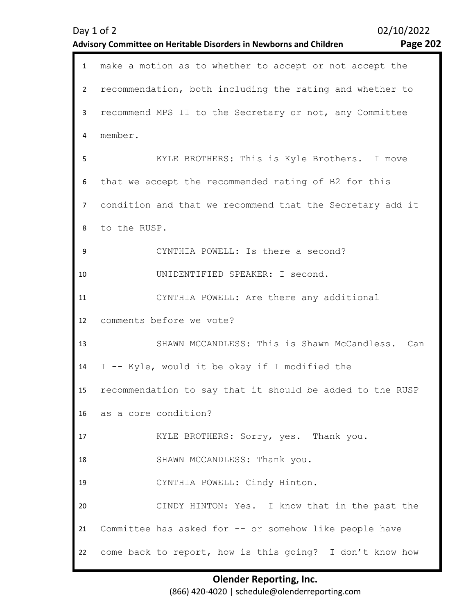| $\mathbf{1}$   | make a motion as to whether to accept or not accept the   |
|----------------|-----------------------------------------------------------|
| $\overline{2}$ | recommendation, both including the rating and whether to  |
| 3              | recommend MPS II to the Secretary or not, any Committee   |
| 4              | member.                                                   |
| 5              | KYLE BROTHERS: This is Kyle Brothers. I move              |
| 6              | that we accept the recommended rating of B2 for this      |
| $\overline{7}$ | condition and that we recommend that the Secretary add it |
| 8              | to the RUSP.                                              |
| 9              | CYNTHIA POWELL: Is there a second?                        |
| 10             | UNIDENTIFIED SPEAKER: I second.                           |
| 11             | CYNTHIA POWELL: Are there any additional                  |
|                |                                                           |
| 12             | comments before we vote?                                  |
| 13             | SHAWN MCCANDLESS: This is Shawn McCandless. Can           |
| 14             | I -- Kyle, would it be okay if I modified the             |
| 15             | recommendation to say that it should be added to the RUSP |
|                | 16 as a core condition?                                   |
| 17             | KYLE BROTHERS: Sorry, yes. Thank you.                     |
| 18             | SHAWN MCCANDLESS: Thank you.                              |
| 19             | CYNTHIA POWELL: Cindy Hinton.                             |
| 20             | CINDY HINTON: Yes. I know that in the past the            |
| 21             | Committee has asked for -- or somehow like people have    |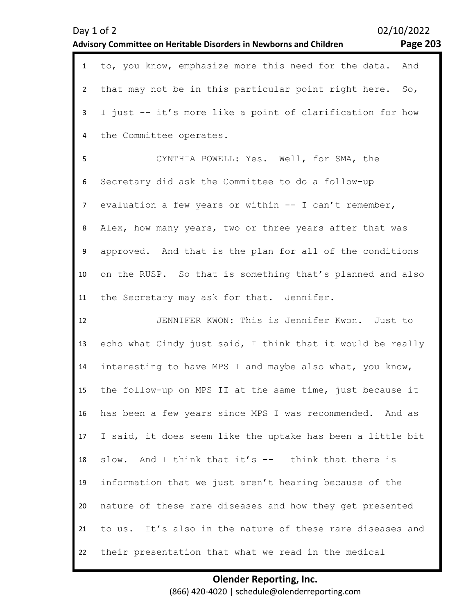|                | 02/10/2022<br>Day 1 of 2<br><b>Page 203</b><br><b>Advisory Committee on Heritable Disorders in Newborns and Children</b> |
|----------------|--------------------------------------------------------------------------------------------------------------------------|
| $\mathbf{1}$   | to, you know, emphasize more this need for the data.<br>And                                                              |
| $\overline{2}$ | that may not be in this particular point right here. So,                                                                 |
| 3              | I just -- it's more like a point of clarification for how                                                                |
| 4              | the Committee operates.                                                                                                  |
| 5              | CYNTHIA POWELL: Yes. Well, for SMA, the                                                                                  |
| 6              | Secretary did ask the Committee to do a follow-up                                                                        |
| $\overline{7}$ | evaluation a few years or within -- I can't remember,                                                                    |
| 8              | Alex, how many years, two or three years after that was                                                                  |
| 9              | approved. And that is the plan for all of the conditions                                                                 |
| 10             | on the RUSP. So that is something that's planned and also                                                                |
| 11             | the Secretary may ask for that. Jennifer.                                                                                |
| 12             | JENNIFER KWON: This is Jennifer Kwon. Just to                                                                            |
| 13             | echo what Cindy just said, I think that it would be really                                                               |
| 14             | interesting to have MPS I and maybe also what, you know,                                                                 |
| 15             | the follow-up on MPS II at the same time, just because it                                                                |
| 16             | has been a few years since MPS I was recommended. And as                                                                 |
| 17             | I said, it does seem like the uptake has been a little bit                                                               |
| 18             | slow. And I think that it's -- I think that there is                                                                     |
| 19             | information that we just aren't hearing because of the                                                                   |
| 20             | nature of these rare diseases and how they get presented                                                                 |
| 21             | to us. It's also in the nature of these rare diseases and                                                                |
| 22             | their presentation that what we read in the medical                                                                      |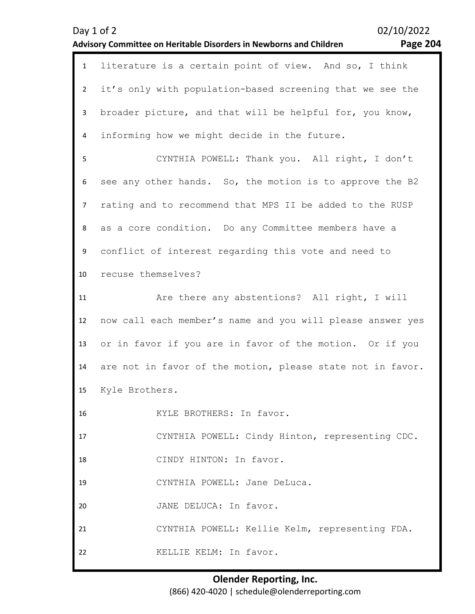| <b>Page 204</b> |  |
|-----------------|--|
|-----------------|--|

| $\mathbf{1}$   | literature is a certain point of view. And so, I think     |
|----------------|------------------------------------------------------------|
| $\overline{2}$ | it's only with population-based screening that we see the  |
| $\mathbf{3}$   | broader picture, and that will be helpful for, you know,   |
| 4              | informing how we might decide in the future.               |
| 5              | CYNTHIA POWELL: Thank you. All right, I don't              |
| 6              | see any other hands. So, the motion is to approve the B2   |
| 7              | rating and to recommend that MPS II be added to the RUSP   |
| 8              | as a core condition. Do any Committee members have a       |
| 9              | conflict of interest regarding this vote and need to       |
| 10             | recuse themselves?                                         |
| 11             | Are there any abstentions? All right, I will               |
|                |                                                            |
| 12             | now call each member's name and you will please answer yes |
| 13             | or in favor if you are in favor of the motion. Or if you   |
| 14             | are not in favor of the motion, please state not in favor. |
| 15             | Kyle Brothers.                                             |
| 16             | KYLE BROTHERS: In favor.                                   |
| 17             | CYNTHIA POWELL: Cindy Hinton, representing CDC.            |
| 18             | CINDY HINTON: In favor.                                    |
| 19             | CYNTHIA POWELL: Jane DeLuca.                               |
| 20             | JANE DELUCA: In favor.                                     |
| 21             | CYNTHIA POWELL: Kellie Kelm, representing FDA.             |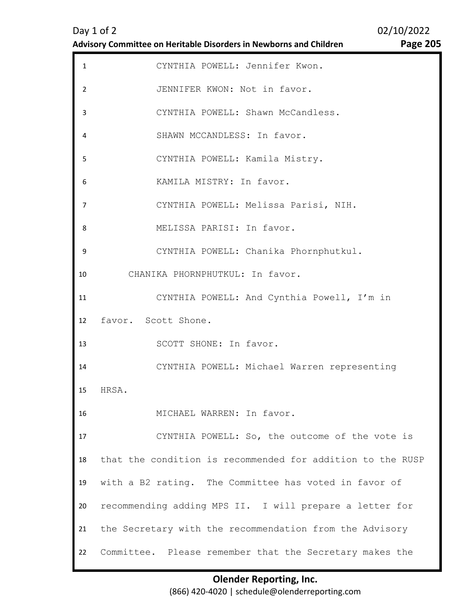| $\mathbf{1}$   | CYNTHIA POWELL: Jennifer Kwon.                             |
|----------------|------------------------------------------------------------|
| $\overline{2}$ | JENNIFER KWON: Not in favor.                               |
| 3              | CYNTHIA POWELL: Shawn McCandless.                          |
| 4              | SHAWN MCCANDLESS: In favor.                                |
| 5              | CYNTHIA POWELL: Kamila Mistry.                             |
| 6              | KAMILA MISTRY: In favor.                                   |
| $\overline{7}$ | CYNTHIA POWELL: Melissa Parisi, NIH.                       |
| 8              | MELISSA PARISI: In favor.                                  |
| 9              | CYNTHIA POWELL: Chanika Phornphutkul.                      |
| 10             | CHANIKA PHORNPHUTKUL: In favor.                            |
| 11             | CYNTHIA POWELL: And Cynthia Powell, I'm in                 |
|                |                                                            |
| 12             | favor. Scott Shone.                                        |
| 13             | SCOTT SHONE: In favor.                                     |
| 14             | CYNTHIA POWELL: Michael Warren representing                |
| 15             | HRSA.                                                      |
| 16             | MICHAEL WARREN: In favor.                                  |
| 17             | CYNTHIA POWELL: So, the outcome of the vote is             |
| 18             | that the condition is recommended for addition to the RUSP |
| 19             | with a B2 rating. The Committee has voted in favor of      |
| 20             | recommending adding MPS II. I will prepare a letter for    |
| 21             | the Secretary with the recommendation from the Advisory    |